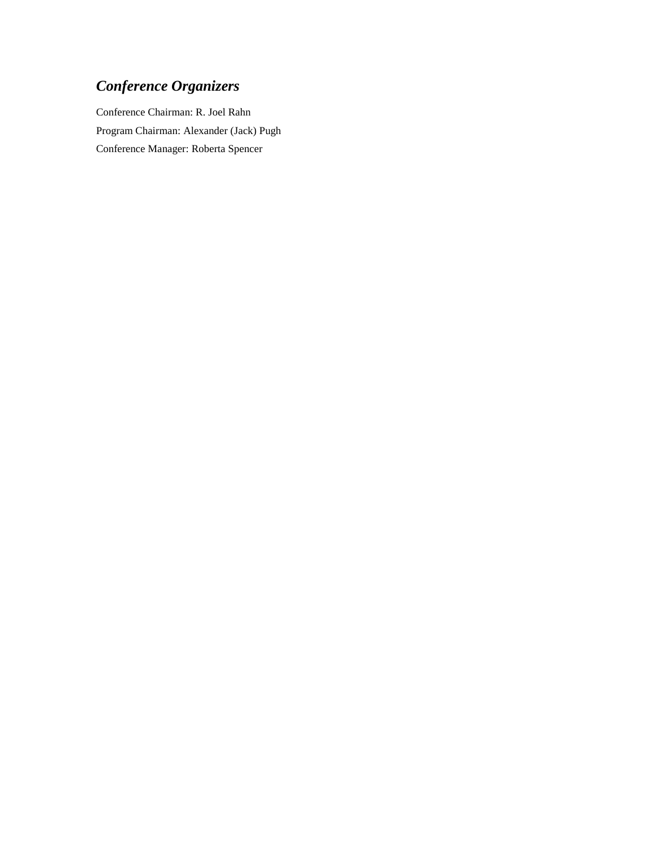# *Conference Organizers*

Conference Chairman: R. Joel Rahn Program Chairman: Alexander (Jack) Pugh Conference Manager: Roberta Spencer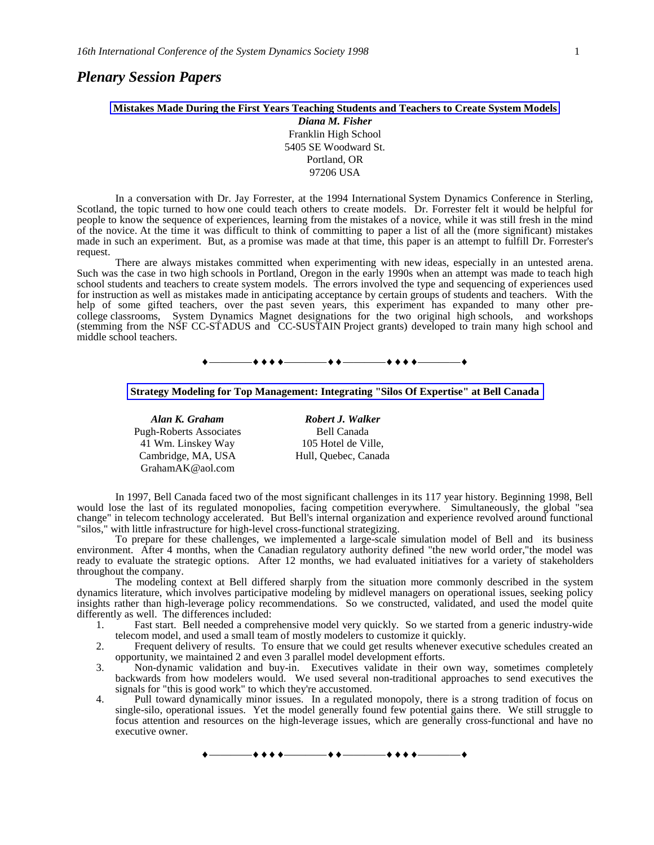# *Plenary Session Papers*

### **Mistakes Made During the First Years Teaching Students and Teachers to Create System Models** *Diana M. Fisher*

Franklin High School 5405 SE Woodward St. Portland, OR 97206 USA

In a conversation with Dr. Jay Forrester, at the 1994 International System Dynamics Conference in Sterling, Scotland, the topic turned to how one could teach others to create models. Dr. Forrester felt it would be helpful for people to know the sequence of experiences, learning from the mistakes of a novice, while it was still fresh in the mind of the novice. At the time it was difficult to think of committing to paper a list of all the (more significant) mistakes made in such an experiment. But, as a promise was made at that time, this paper is an attempt to fulfill Dr. Forrester's request.

There are always mistakes committed when experimenting with new ideas, especially in an untested arena. Such was the case in two high schools in Portland, Oregon in the early 1990s when an attempt was made to teach high school students and teachers to create system models. The errors involved the type and sequencing of experiences used for instruction as well as mistakes made in anticipating acceptance by certain groups of students and teachers. With the help of some gifted teachers, over the past seven years, this experiment has expanded to many other precollege classrooms, System Dynamics Magnet designations for the two original high schools, and workshops (stemming from the NSF CC-STADUS and CC-SUSTAIN Project grants) developed to train many high school and middle school teachers.





Pugh-Roberts Associates Bell Canada 41 Wm. Linskey Way Cambridge, MA, USA GrahamAK@aol.com

*Alan K. Graham Robert J. Walker* 105 Hotel de Ville, Hull, Quebec, Canada

In 1997, Bell Canada faced two of the most significant challenges in its 117 year history. Beginning 1998, Bell would lose the last of its regulated monopolies, facing competition everywhere. Simultaneously, the global "sea change" in telecom technology accelerated. But Bell's internal organization and experience revolved around functional "silos," with little infrastructure for high-level cross-functional strategizing.

To prepare for these challenges, we implemented a large-scale simulation model of Bell and its business environment. After 4 months, when the Canadian regulatory authority defined "the new world order,"the model was ready to evaluate the strategic options. After 12 months, we had evaluated initiatives for a variety of stakeholders throughout the company.

The modeling context at Bell differed sharply from the situation more commonly described in the system dynamics literature, which involves participative modeling by midlevel managers on operational issues, seeking policy insights rather than high-leverage policy recommendations. So we constructed, validated, and used the model quite differently as well. The differences included:

- 1. Fast start. Bell needed a comprehensive model very quickly. So we started from a generic industry-wide telecom model, and used a small team of mostly modelers to customize it quickly.
- 2. Frequent delivery of results. To ensure that we could get results whenever executive schedules created an opportunity, we maintained 2 and even 3 parallel model development efforts.
- 3. Non-dynamic validation and buy-in. Executives validate in their own way, sometimes completely backwards from how modelers would. We used several non-traditional approaches to send executives the signals for "this is good work" to which they're accustomed.
- 4. Pull toward dynamically minor issues. In a regulated monopoly, there is a strong tradition of focus on single-silo, operational issues. Yet the model generally found few potential gains there. We still struggle to focus attention and resources on the high-leverage issues, which are generally cross-functional and have no executive owner.

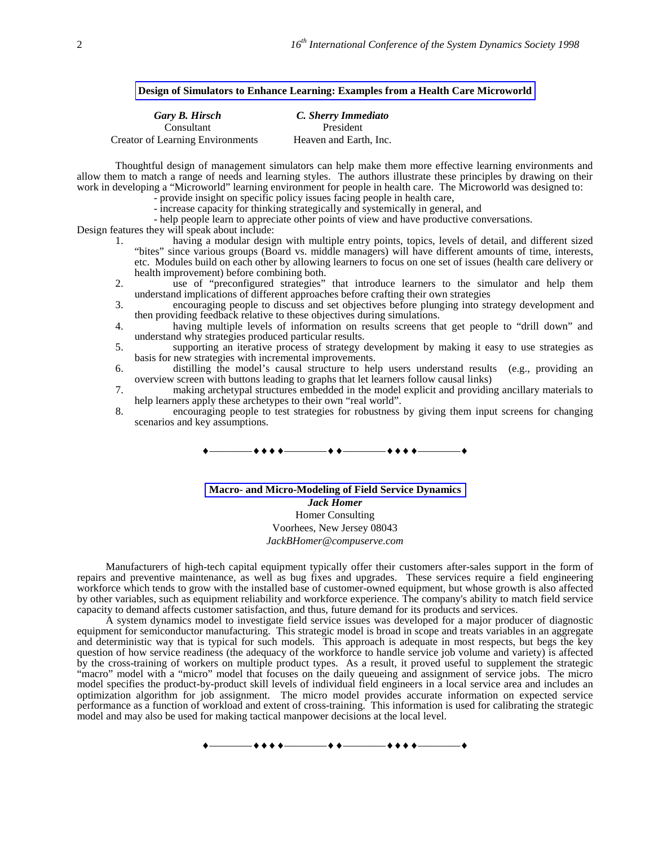#### **Design of Simulators to Enhance Learning: Examples from a Health Care Microworld**

| Gary B. Hirsch                          | C. Sherry Immediato    |
|-----------------------------------------|------------------------|
| Consultant                              | President              |
| <b>Creator of Learning Environments</b> | Heaven and Earth, Inc. |

Thoughtful design of management simulators can help make them more effective learning environments and allow them to match a range of needs and learning styles. The authors illustrate these principles by drawing on their work in developing a "Microworld" learning environment for people in health care. The Microworld was designed to:

- provide insight on specific policy issues facing people in health care,

- increase capacity for thinking strategically and systemically in general, and

- help people learn to appreciate other points of view and have productive conversations.

Design features they will speak about include:

- 1. having a modular design with multiple entry points, topics, levels of detail, and different sized "bites" since various groups (Board vs. middle managers) will have different amounts of time, interests, etc. Modules build on each other by allowing learners to focus on one set of issues (health care delivery or health improvement) before combining both.
- 2. use of "preconfigured strategies" that introduce learners to the simulator and help them understand implications of different approaches before crafting their own strategies
- 3. encouraging people to discuss and set objectives before plunging into strategy development and then providing feedback relative to these objectives during simulations.
- 4. having multiple levels of information on results screens that get people to "drill down" and understand why strategies produced particular results.
- 5. supporting an iterative process of strategy development by making it easy to use strategies as basis for new strategies with incremental improvements.
- 6. distilling the model's causal structure to help users understand results (e.g., providing an overview screen with buttons leading to graphs that let learners follow causal links)
- 7. making archetypal structures embedded in the model explicit and providing ancillary materials to help learners apply these archetypes to their own "real world".
- 8. encouraging people to test strategies for robustness by giving them input screens for changing scenarios and key assumptions.



**Macro- and Micro-Modeling of Field Service Dynamics** *Jack Homer* Homer Consulting Voorhees, New Jersey 08043 *JackBHomer@compuserve.com*

Manufacturers of high-tech capital equipment typically offer their customers after-sales support in the form of repairs and preventive maintenance, as well as bug fixes and upgrades. These services require a field engineering workforce which tends to grow with the installed base of customer-owned equipment, but whose growth is also affected by other variables, such as equipment reliability and workforce experience. The company's ability to match field service capacity to demand affects customer satisfaction, and thus, future demand for its products and services.

A system dynamics model to investigate field service issues was developed for a major producer of diagnostic equipment for semiconductor manufacturing. This strategic model is broad in scope and treats variables in an aggregate and deterministic way that is typical for such models. This approach is adequate in most respects, but begs the key question of how service readiness (the adequacy of the workforce to handle service job volume and variety) is affected by the cross-training of workers on multiple product types. As a result, it proved useful to supplement the strategic "macro" model with a "micro" model that focuses on the daily queueing and assignment of service jobs. The micro model specifies the product-by-product skill levels of individual field engineers in a local service area and includes an optimization algorithm for job assignment. The micro model provides accurate information on expected service performance as a function of workload and extent of cross-training. This information is used for calibrating the strategic model and may also be used for making tactical manpower decisions at the local level.

 $\bullet$  + + +  $\hspace{0.1cm}$  +  $\hspace{0.1cm}$  +  $\hspace{0.1cm}$  +  $\hspace{0.1cm}$  + + +  $\hspace{0.1cm}$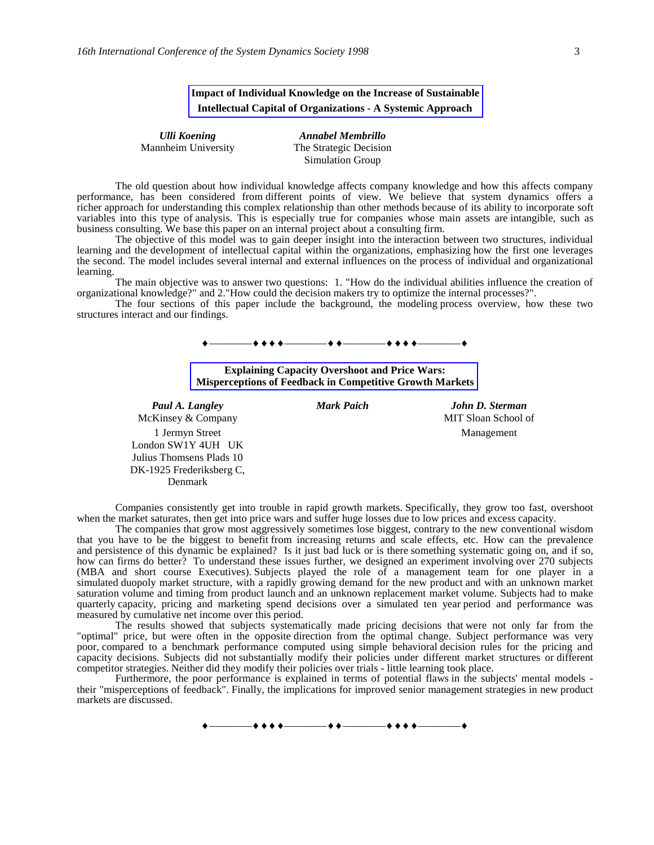# **Impact of Individual Knowledge on the Increase of Sustainable Intellectual Capital of Organizations - A Systemic Approach**

| Ulli Koening        |
|---------------------|
| Mannheim University |

*Ulli Koening Annabel Membrillo* The Strategic Decision Simulation Group

The old question about how individual knowledge affects company knowledge and how this affects company performance, has been considered from different points of view. We believe that system dynamics offers a richer approach for understanding this complex relationship than other methods because of its ability to incorporate soft variables into this type of analysis. This is especially true for companies whose main assets are intangible, such as business consulting. We base this paper on an internal project about a consulting firm.

The objective of this model was to gain deeper insight into the interaction between two structures, individual learning and the development of intellectual capital within the organizations, emphasizing how the first one leverages the second. The model includes several internal and external influences on the process of individual and organizational learning.

The main objective was to answer two questions: 1. "How do the individual abilities influence the creation of organizational knowledge?" and 2."How could the decision makers try to optimize the internal processes?".

The four sections of this paper include the background, the modeling process overview, how these two structures interact and our findings.



**Explaining Capacity Overshoot and Price Wars: Misperceptions of Feedback in Competitive Growth Markets**

McKinsey & Company MIT Sloan School of 1 Jermyn Street London SW1Y 4UH UK Julius Thomsens Plads 10 DK-1925 Frederiksberg C, Denmark

*Paul A. Langley Mark Paich John D. Sterman* Management

Companies consistently get into trouble in rapid growth markets. Specifically, they grow too fast, overshoot when the market saturates, then get into price wars and suffer huge losses due to low prices and excess capacity.

The companies that grow most aggressively sometimes lose biggest, contrary to the new conventional wisdom that you have to be the biggest to benefit from increasing returns and scale effects, etc. How can the prevalence and persistence of this dynamic be explained? Is it just bad luck or is there something systematic going on, and if so, how can firms do better? To understand these issues further, we designed an experiment involving over 270 subjects (MBA and short course Executives). Subjects played the role of a management team for one player in a simulated duopoly market structure, with a rapidly growing demand for the new product and with an unknown market saturation volume and timing from product launch and an unknown replacement market volume. Subjects had to make quarterly capacity, pricing and marketing spend decisions over a simulated ten year period and performance was measured by cumulative net income over this period.

The results showed that subjects systematically made pricing decisions that were not only far from the "optimal" price, but were often in the opposite direction from the optimal change. Subject performance was very poor, compared to a benchmark performance computed using simple behavioral decision rules for the pricing and capacity decisions. Subjects did not substantially modify their policies under different market structures or different competitor strategies. Neither did they modify their policies over trials - little learning took place.

Furthermore, the poor performance is explained in terms of potential flaws in the subjects' mental models their "misperceptions of feedback". Finally, the implications for improved senior management strategies in new product markets are discussed.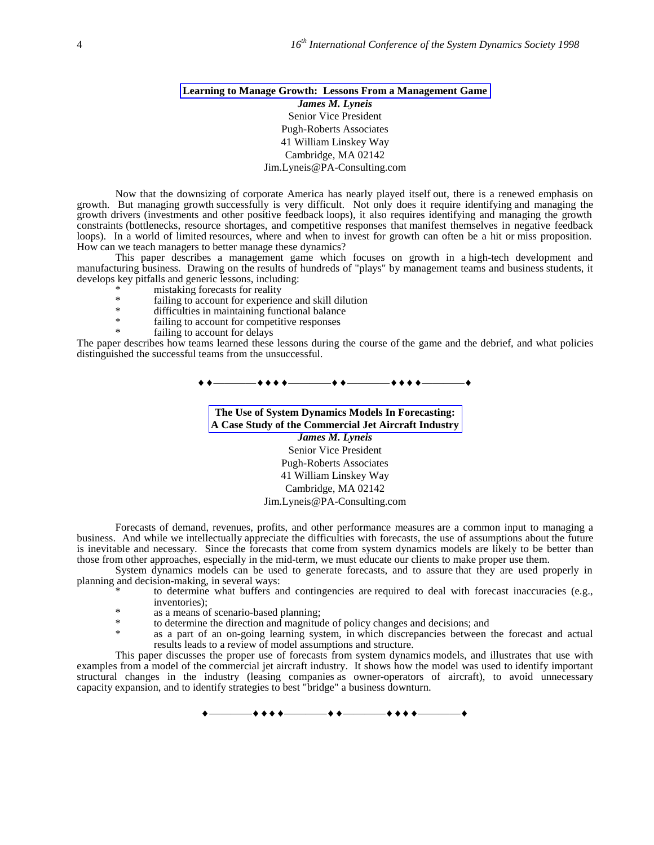# **Learning to Manage Growth: Lessons From a Management Game** *James M. Lyneis* Senior Vice President Pugh-Roberts Associates 41 William Linskey Way

### Cambridge, MA 02142 Jim.Lyneis@PA-Consulting.com

Now that the downsizing of corporate America has nearly played itself out, there is a renewed emphasis on growth. But managing growth successfully is very difficult. Not only does it require identifying and managing the growth drivers (investments and other positive feedback loops), it also requires identifying and managing the growth constraints (bottlenecks, resource shortages, and competitive responses that manifest themselves in negative feedback loops). In a world of limited resources, where and when to invest for growth can often be a hit or miss proposition. How can we teach managers to better manage these dynamics?

This paper describes a management game which focuses on growth in a high-tech development and manufacturing business. Drawing on the results of hundreds of "plays" by management teams and business students, it develops key pitfalls and generic lessons, including:

- \* mistaking forecasts for reality<br>  $*$  failing to account for experience
- \* failing to account for experience and skill dilution
- difficulties in maintaining functional balance
- failing to account for competitive responses
- failing to account for delays

The paper describes how teams learned these lessons during the course of the game and the debrief, and what policies distinguished the successful teams from the unsuccessful.

————————————————

**The Use of System Dynamics Models In Forecasting: A Case Study of the Commercial Jet Aircraft Industry** *James M. Lyneis* Senior Vice President Pugh-Roberts Associates 41 William Linskey Way Cambridge, MA 02142

#### Jim.Lyneis@PA-Consulting.com

Forecasts of demand, revenues, profits, and other performance measures are a common input to managing a business. And while we intellectually appreciate the difficulties with forecasts, the use of assumptions about the future is inevitable and necessary. Since the forecasts that come from system dynamics models are likely to be better than those from other approaches, especially in the mid-term, we must educate our clients to make proper use them.

System dynamics models can be used to generate forecasts, and to assure that they are used properly in planning and decision-making, in several ways:

to determine what buffers and contingencies are required to deal with forecast inaccuracies (e.g., inventories);

- \* as a means of scenario-based planning;
- \* to determine the direction and magnitude of policy changes and decisions; and  $*$
- as a part of an on-going learning system, in which discrepancies between the forecast and actual results leads to a review of model assumptions and structure.

This paper discusses the proper use of forecasts from system dynamics models, and illustrates that use with examples from a model of the commercial jet aircraft industry. It shows how the model was used to identify important structural changes in the industry (leasing companies as owner-operators of aircraft), to avoid unnecessary capacity expansion, and to identify strategies to best "bridge" a business downturn.

 $+$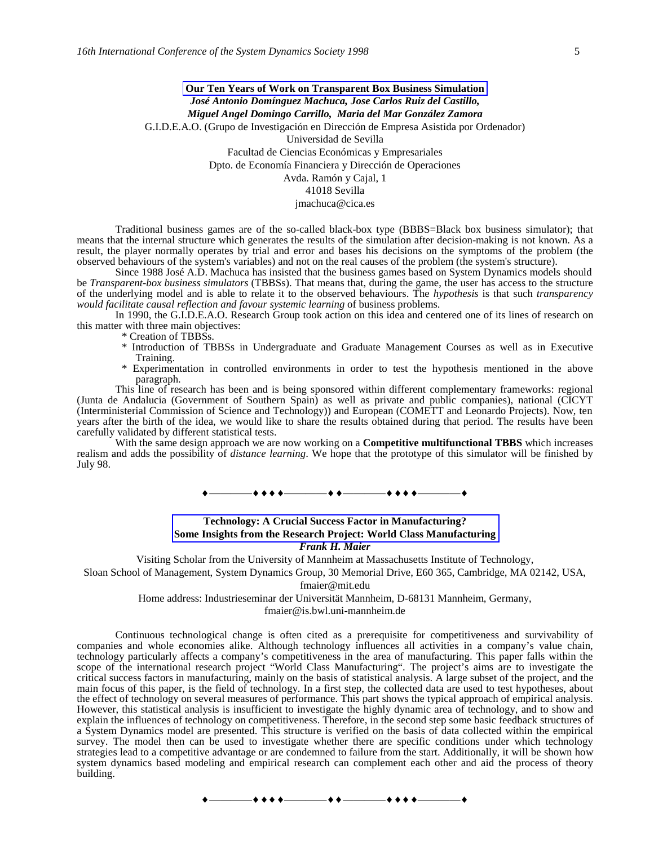**Our Ten Years of Work on Transparent Box Business Simulation** *José Antonio Domínguez Machuca, Jose Carlos Ruiz del Castillo, Miguel Angel Domingo Carrillo, Maria del Mar González Zamora* G.I.D.E.A.O. (Grupo de Investigación en Dirección de Empresa Asistida por Ordenador) Universidad de Sevilla Facultad de Ciencias Económicas y Empresariales Dpto. de Economía Financiera y Dirección de Operaciones Avda. Ramón y Cajal, 1 41018 Sevilla jmachuca@cica.es

Traditional business games are of the so-called black-box type (BBBS=Black box business simulator); that means that the internal structure which generates the results of the simulation after decision-making is not known. As a result, the player normally operates by trial and error and bases his decisions on the symptoms of the problem (the observed behaviours of the system's variables) and not on the real causes of the problem (the system's structure).

Since 1988 José A.D. Machuca has insisted that the business games based on System Dynamics models should be *Transparent-box business simulators* (TBBSs). That means that, during the game, the user has access to the structure of the underlying model and is able to relate it to the observed behaviours. The *hypothesis* is that such *transparency would facilitate causal reflection and favour systemic learning* of business problems.

In 1990, the G.I.D.E.A.O. Research Group took action on this idea and centered one of its lines of research on this matter with three main objectives:

- \* Creation of TBBSs.
- \* Introduction of TBBSs in Undergraduate and Graduate Management Courses as well as in Executive Training.
- \* Experimentation in controlled environments in order to test the hypothesis mentioned in the above paragraph.

This line of research has been and is being sponsored within different complementary frameworks: regional (Junta de Andalucia (Government of Southern Spain) as well as private and public companies), national (CICYT (Interministerial Commission of Science and Technology)) and European (COMETT and Leonardo Projects). Now, ten years after the birth of the idea, we would like to share the results obtained during that period. The results have been carefully validated by different statistical tests.

With the same design approach we are now working on a **Competitive multifunctional TBBS** which increases realism and adds the possibility of *distance learning*. We hope that the prototype of this simulator will be finished by July 98.

————————————————

### **Technology: A Crucial Success Factor in Manufacturing? Some Insights from the Research Project: World Class Manufacturing** *Frank H. Maier*

Visiting Scholar from the University of Mannheim at Massachusetts Institute of Technology,

Sloan School of Management, System Dynamics Group, 30 Memorial Drive, E60 365, Cambridge, MA 02142, USA,

fmaier@mit.edu

Home address: Industrieseminar der Universität Mannheim, D-68131 Mannheim, Germany,

fmaier@is.bwl.uni-mannheim.de

Continuous technological change is often cited as a prerequisite for competitiveness and survivability of companies and whole economies alike. Although technology influences all activities in a company's value chain, technology particularly affects a company's competitiveness in the area of manufacturing. This paper falls within the scope of the international research project "World Class Manufacturing". The project's aims are to investigate the critical success factors in manufacturing, mainly on the basis of statistical analysis. A large subset of the project, and the main focus of this paper, is the field of technology. In a first step, the collected data are used to test hypotheses, about the effect of technology on several measures of performance. This part shows the typical approach of empirical analysis. However, this statistical analysis is insufficient to investigate the highly dynamic area of technology, and to show and explain the influences of technology on competitiveness. Therefore, in the second step some basic feedback structures of a System Dynamics model are presented. This structure is verified on the basis of data collected within the empirical survey. The model then can be used to investigate whether there are specific conditions under which technology strategies lead to a competitive advantage or are condemned to failure from the start. Additionally, it will be shown how system dynamics based modeling and empirical research can complement each other and aid the process of theory building.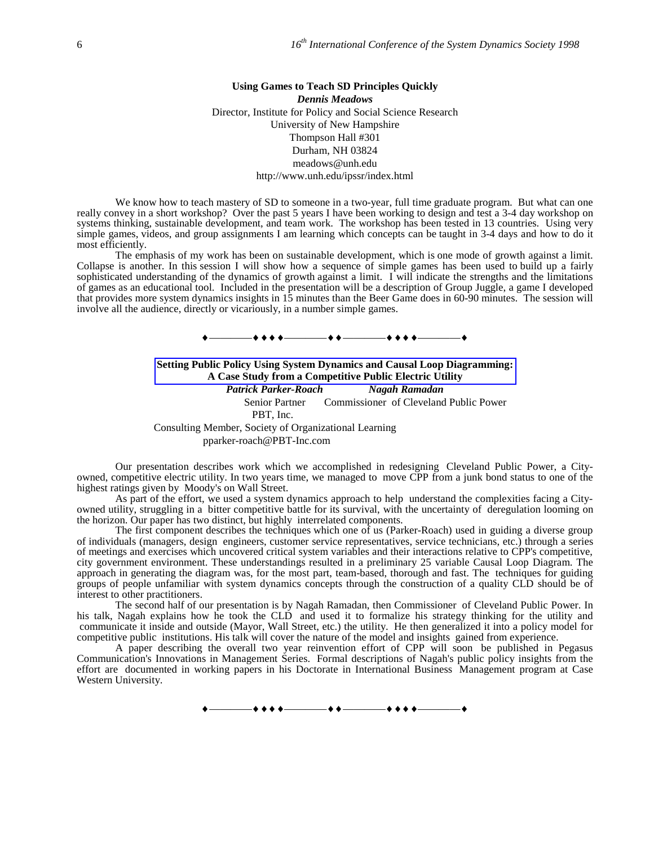### **Using Games to Teach SD Principles Quickly** *Dennis Meadows* Director, Institute for Policy and Social Science Research University of New Hampshire Thompson Hall #301 Durham, NH 03824 meadows@unh.edu http://www.unh.edu/ipssr/index.html

We know how to teach mastery of SD to someone in a two-year, full time graduate program. But what can one really convey in a short workshop? Over the past 5 years I have been working to design and test a 3-4 day workshop on systems thinking, sustainable development, and team work. The workshop has been tested in 13 countries. Using very simple games, videos, and group assignments I am learning which concepts can be taught in 3-4 days and how to do it most efficiently.

The emphasis of my work has been on sustainable development, which is one mode of growth against a limit. Collapse is another. In this session I will show how a sequence of simple games has been used to build up a fairly sophisticated understanding of the dynamics of growth against a limit. I will indicate the strengths and the limitations of games as an educational tool. Included in the presentation will be a description of Group Juggle, a game I developed that provides more system dynamics insights in 15 minutes than the Beer Game does in 60-90 minutes. The session will involve all the audience, directly or vicariously, in a number simple games.



**Setting Public Policy Using System Dynamics and Causal Loop Diagramming: A Case Study from a Competitive Public Electric Utility** *Patrick Parker-Roach Nagah Ramadan* Senior Partner Commissioner of Cleveland Public Power PBT, Inc. Consulting Member, Society of Organizational Learning pparker-roach@PBT-Inc.com

Our presentation describes work which we accomplished in redesigning Cleveland Public Power, a Cityowned, competitive electric utility. In two years time, we managed to move CPP from a junk bond status to one of the highest ratings given by Moody's on Wall Street.

As part of the effort, we used a system dynamics approach to help understand the complexities facing a Cityowned utility, struggling in a bitter competitive battle for its survival, with the uncertainty of deregulation looming on the horizon. Our paper has two distinct, but highly interrelated components.

The first component describes the techniques which one of us (Parker-Roach) used in guiding a diverse group of individuals (managers, design engineers, customer service representatives, service technicians, etc.) through a series of meetings and exercises which uncovered critical system variables and their interactions relative to CPP's competitive, city government environment. These understandings resulted in a preliminary 25 variable Causal Loop Diagram. The approach in generating the diagram was, for the most part, team-based, thorough and fast. The techniques for guiding groups of people unfamiliar with system dynamics concepts through the construction of a quality CLD should be of interest to other practitioners.

The second half of our presentation is by Nagah Ramadan, then Commissioner of Cleveland Public Power. In his talk, Nagah explains how he took the CLD and used it to formalize his strategy thinking for the utility and communicate it inside and outside (Mayor, Wall Street, etc.) the utility. He then generalized it into a policy model for competitive public institutions. His talk will cover the nature of the model and insights gained from experience.

A paper describing the overall two year reinvention effort of CPP will soon be published in Pegasus Communication's Innovations in Management Series. Formal descriptions of Nagah's public policy insights from the effort are documented in working papers in his Doctorate in International Business Management program at Case Western University.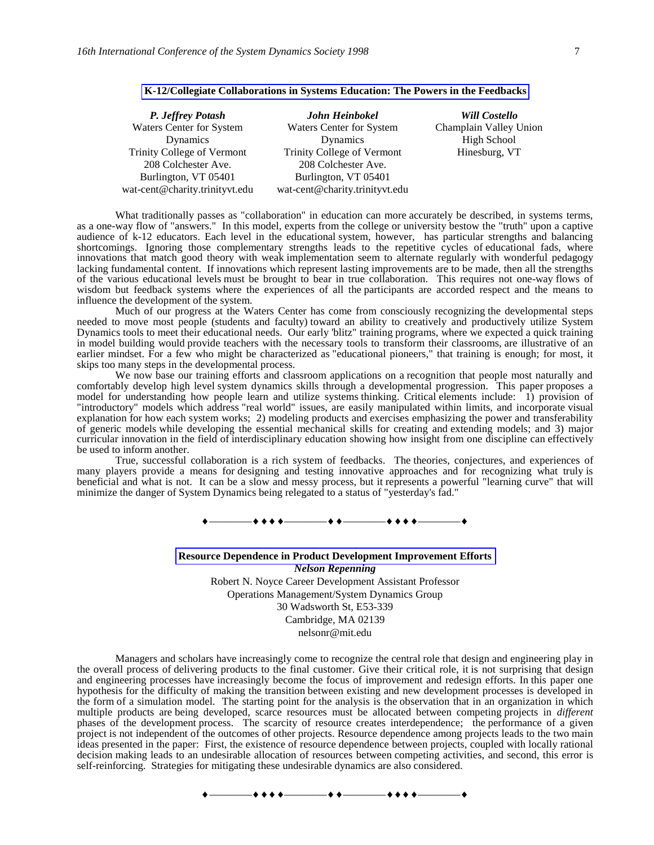| John Heinbokel                 | <b>Will Costello</b>   |
|--------------------------------|------------------------|
| Waters Center for System       | Champlain Valley Union |
| Dynamics                       | High School            |
| Trinity College of Vermont     | Hinesburg, VT          |
| 208 Colchester Ave.            |                        |
| Burlington, VT 05401           |                        |
| wat-cent@charity.trinityvt.edu |                        |
|                                |                        |

#### **K-12/Collegiate Collaborations in Systems Education: The Powers in the Feedbacks**

What traditionally passes as "collaboration" in education can more accurately be described, in systems terms, as a one-way flow of "answers." In this model, experts from the college or university bestow the "truth" upon a captive audience of k-12 educators. Each level in the educational system, however, has particular strengths and balancing shortcomings. Ignoring those complementary strengths leads to the repetitive cycles of educational fads, where innovations that match good theory with weak implementation seem to alternate regularly with wonderful pedagogy lacking fundamental content. If innovations which represent lasting improvements are to be made, then all the strengths of the various educational levels must be brought to bear in true collaboration. This requires not one-way flows of wisdom but feedback systems where the experiences of all the participants are accorded respect and the means to influence the development of the system.

Much of our progress at the Waters Center has come from consciously recognizing the developmental steps needed to move most people (students and faculty) toward an ability to creatively and productively utilize System Dynamics tools to meet their educational needs. Our early 'blitz" training programs, where we expected a quick training in model building would provide teachers with the necessary tools to transform their classrooms, are illustrative of an earlier mindset. For a few who might be characterized as "educational pioneers," that training is enough; for most, it skips too many steps in the developmental process.

We now base our training efforts and classroom applications on a recognition that people most naturally and comfortably develop high level system dynamics skills through a developmental progression. This paper proposes a model for understanding how people learn and utilize systems thinking. Critical elements include: 1) provision of "introductory" models which address "real world" issues, are easily manipulated within limits, and incorporate visual explanation for how each system works; 2) modeling products and exercises emphasizing the power and transferability of generic models while developing the essential mechanical skills for creating and extending models; and 3) major curricular innovation in the field of interdisciplinary education showing how insight from one discipline can effectively be used to inform another.

True, successful collaboration is a rich system of feedbacks. The theories, conjectures, and experiences of many players provide a means for designing and testing innovative approaches and for recognizing what truly is beneficial and what is not. It can be a slow and messy process, but it represents a powerful "learning curve" that will minimize the danger of System Dynamics being relegated to a status of "yesterday's fad."

 $\begin{array}{c} \bullet \longrightarrow \bullet \bullet \bullet \bullet \longrightarrow \bullet \bullet \longrightarrow \bullet \bullet \longrightarrow \bullet \bullet \bullet \longrightarrow \bullet \bullet \bullet \longrightarrow \bullet \end{array}$ 

## **Resource Dependence in Product Development Improvement Efforts** *Nelson Repenning* Robert N. Noyce Career Development Assistant Professor Operations Management/System Dynamics Group 30 Wadsworth St, E53-339 Cambridge, MA 02139

nelsonr@mit.edu

Managers and scholars have increasingly come to recognize the central role that design and engineering play in the overall process of delivering products to the final customer. Give their critical role, it is not surprising that design and engineering processes have increasingly become the focus of improvement and redesign efforts. In this paper one hypothesis for the difficulty of making the transition between existing and new development processes is developed in the form of a simulation model. The starting point for the analysis is the observation that in an organization in which multiple products are being developed, scarce resources must be allocated between competing projects in *different* phases of the development process. The scarcity of resource creates interdependence; the performance of a given project is not independent of the outcomes of other projects. Resource dependence among projects leads to the two main ideas presented in the paper: First, the existence of resource dependence between projects, coupled with locally rational decision making leads to an undesirable allocation of resources between competing activities, and second, this error is self-reinforcing. Strategies for mitigating these undesirable dynamics are also considered.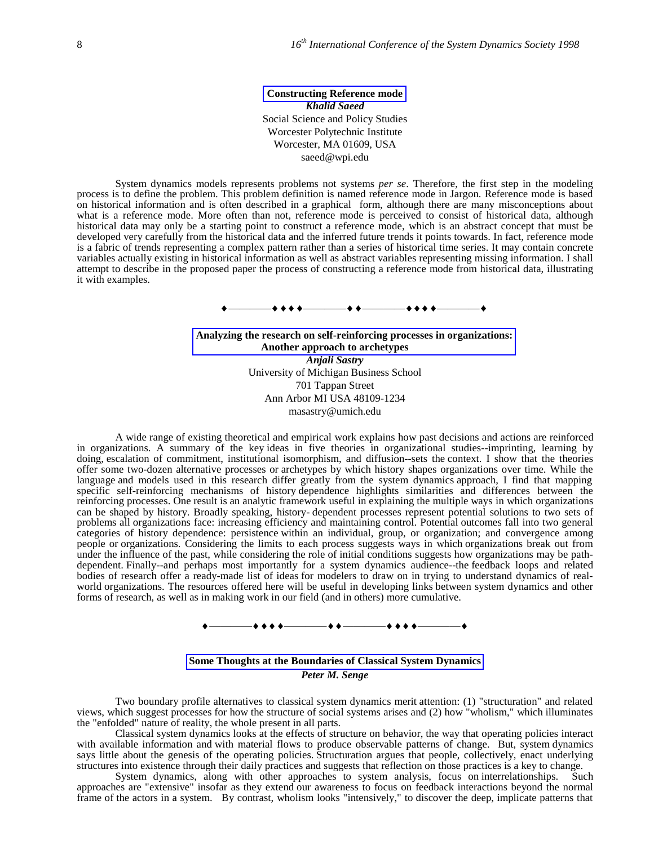**Constructing Reference mode** *Khalid Saeed* Social Science and Policy Studies Worcester Polytechnic Institute Worcester, MA 01609, USA saeed@wpi.edu

System dynamics models represents problems not systems *per se*. Therefore, the first step in the modeling process is to define the problem. This problem definition is named reference mode in Jargon. Reference mode is based on historical information and is often described in a graphical form, although there are many misconceptions about what is a reference mode. More often than not, reference mode is perceived to consist of historical data, although historical data may only be a starting point to construct a reference mode, which is an abstract concept that must be developed very carefully from the historical data and the inferred future trends it points towards. In fact, reference mode is a fabric of trends representing a complex pattern rather than a series of historical time series. It may contain concrete variables actually existing in historical information as well as abstract variables representing missing information. I shall attempt to describe in the proposed paper the process of constructing a reference mode from historical data, illustrating it with examples.

————————————————

**Analyzing the research on self-reinforcing processes in organizations: Another approach to archetypes** *Anjali Sastry* University of Michigan Business School 701 Tappan Street Ann Arbor MI USA 48109-1234 masastry@umich.edu

A wide range of existing theoretical and empirical work explains how past decisions and actions are reinforced in organizations. A summary of the key ideas in five theories in organizational studies--imprinting, learning by doing, escalation of commitment, institutional isomorphism, and diffusion--sets the context. I show that the theories offer some two-dozen alternative processes or archetypes by which history shapes organizations over time. While the language and models used in this research differ greatly from the system dynamics approach, I find that mapping specific self-reinforcing mechanisms of history dependence highlights similarities and differences between the reinforcing processes. One result is an analytic framework useful in explaining the multiple ways in which organizations can be shaped by history. Broadly speaking, history- dependent processes represent potential solutions to two sets of problems all organizations face: increasing efficiency and maintaining control. Potential outcomes fall into two general categories of history dependence: persistence within an individual, group, or organization; and convergence among people or organizations. Considering the limits to each process suggests ways in which organizations break out from under the influence of the past, while considering the role of initial conditions suggests how organizations may be pathdependent. Finally--and perhaps most importantly for a system dynamics audience--the feedback loops and related bodies of research offer a ready-made list of ideas for modelers to draw on in trying to understand dynamics of realworld organizations. The resources offered here will be useful in developing links between system dynamics and other forms of research, as well as in making work in our field (and in others) more cumulative.

————————————————

### **Some Thoughts at the Boundaries of Classical System Dynamics** *Peter M. Senge*

Two boundary profile alternatives to classical system dynamics merit attention: (1) "structuration" and related views, which suggest processes for how the structure of social systems arises and (2) how "wholism," which illuminates the "enfolded" nature of reality, the whole present in all parts.

Classical system dynamics looks at the effects of structure on behavior, the way that operating policies interact with available information and with material flows to produce observable patterns of change. But, system dynamics says little about the genesis of the operating policies. Structuration argues that people, collectively, enact underlying structures into existence through their daily practices and suggests that reflection on those practices is a key to change.

System dynamics, along with other approaches to system analysis, focus on interrelationships. Such approaches are "extensive" insofar as they extend our awareness to focus on feedback interactions beyond the normal frame of the actors in a system. By contrast, wholism looks "intensively," to discover the deep, implicate patterns that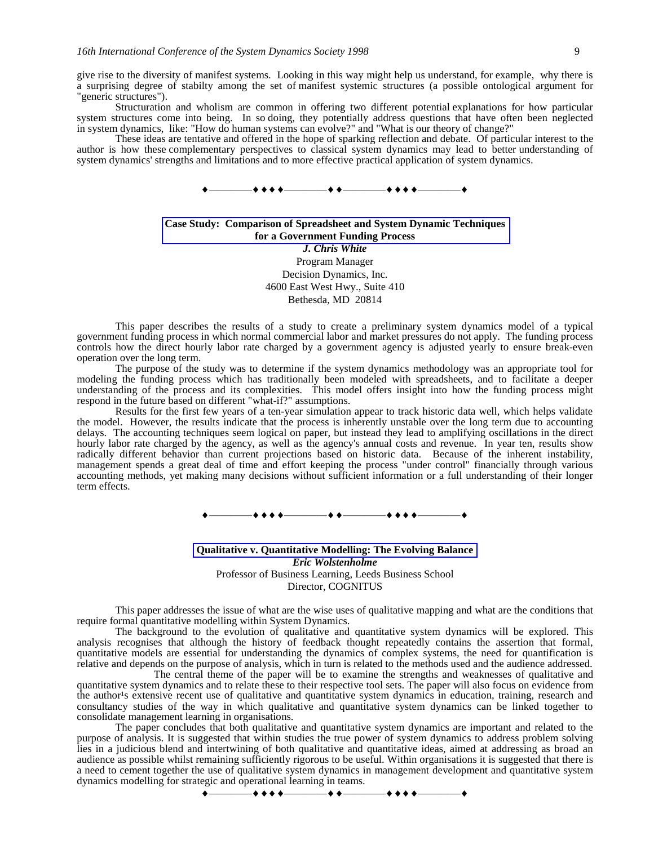give rise to the diversity of manifest systems. Looking in this way might help us understand, for example, why there is a surprising degree of stabilty among the set of manifest systemic structures (a possible ontological argument for "generic structures").

Structuration and wholism are common in offering two different potential explanations for how particular system structures come into being. In so doing, they potentially address questions that have often been neglected in system dynamics, like: "How do human systems can evolve?" and "What is our theory of change?"

These ideas are tentative and offered in the hope of sparking reflection and debate. Of particular interest to the author is how these complementary perspectives to classical system dynamics may lead to better understanding of system dynamics' strengths and limitations and to more effective practical application of system dynamics.



### **Case Study: Comparison of Spreadsheet and System Dynamic Techniques for a Government Funding Process** *J. Chris White* Program Manager Decision Dynamics, Inc. 4600 East West Hwy., Suite 410 Bethesda, MD 20814

This paper describes the results of a study to create a preliminary system dynamics model of a typical government funding process in which normal commercial labor and market pressures do not apply. The funding process controls how the direct hourly labor rate charged by a government agency is adjusted yearly to ensure break-even operation over the long term.

The purpose of the study was to determine if the system dynamics methodology was an appropriate tool for modeling the funding process which has traditionally been modeled with spreadsheets, and to facilitate a deeper understanding of the process and its complexities. This model offers insight into how the funding process might respond in the future based on different "what-if?" assumptions.

Results for the first few years of a ten-year simulation appear to track historic data well, which helps validate the model. However, the results indicate that the process is inherently unstable over the long term due to accounting delays. The accounting techniques seem logical on paper, but instead they lead to amplifying oscillations in the direct hourly labor rate charged by the agency, as well as the agency's annual costs and revenue. In year ten, results show radically different behavior than current projections based on historic data. Because of the inherent instability, management spends a great deal of time and effort keeping the process "under control" financially through various accounting methods, yet making many decisions without sufficient information or a full understanding of their longer term effects.

————————————————

**Qualitative v. Quantitative Modelling: The Evolving Balance** *Eric Wolstenholme* Professor of Business Learning, Leeds Business School Director, COGNITUS

This paper addresses the issue of what are the wise uses of qualitative mapping and what are the conditions that require formal quantitative modelling within System Dynamics.

The background to the evolution of qualitative and quantitative system dynamics will be explored. This analysis recognises that although the history of feedback thought repeatedly contains the assertion that formal, quantitative models are essential for understanding the dynamics of complex systems, the need for quantification is relative and depends on the purpose of analysis, which in turn is related to the methods used and the audience addressed.

The central theme of the paper will be to examine the strengths and weaknesses of qualitative and quantitative system dynamics and to relate these to their respective tool sets. The paper will also focus on evidence from the author<sup>1</sup>s extensive recent use of qualitative and quantitative system dynamics in education, training, research and consultancy studies of the way in which qualitative and quantitative system dynamics can be linked together to consolidate management learning in organisations.

The paper concludes that both qualitative and quantitative system dynamics are important and related to the purpose of analysis. It is suggested that within studies the true power of system dynamics to address problem solving lies in a judicious blend and intertwining of both qualitative and quantitative ideas, aimed at addressing as broad an audience as possible whilst remaining sufficiently rigorous to be useful. Within organisations it is suggested that there is a need to cement together the use of qualitative system dynamics in management development and quantitative system dynamics modelling for strategic and operational learning in teams.

\_++++\_\_\_\_\_\_+++\_\_\_\_\_++++\_\_\_\_\_+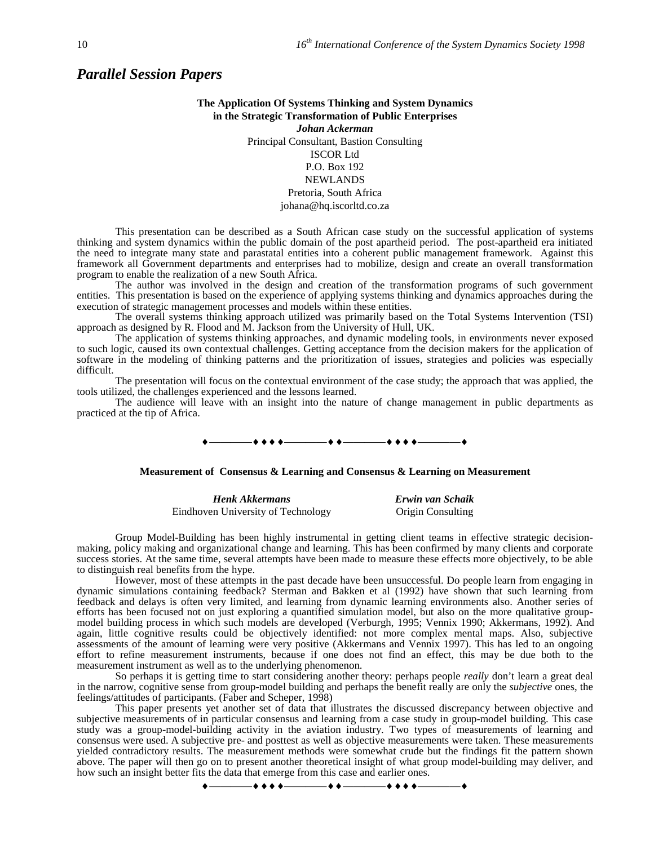# *Parallel Session Papers*

# **The Application Of Systems Thinking and System Dynamics in the Strategic Transformation of Public Enterprises** *Johan Ackerman* Principal Consultant, Bastion Consulting ISCOR Ltd P.O. Box 192 **NEWLANDS**

Pretoria, South Africa johana@hq.iscorltd.co.za

This presentation can be described as a South African case study on the successful application of systems thinking and system dynamics within the public domain of the post apartheid period. The post-apartheid era initiated the need to integrate many state and parastatal entities into a coherent public management framework. Against this framework all Government departments and enterprises had to mobilize, design and create an overall transformation program to enable the realization of a new South Africa.

The author was involved in the design and creation of the transformation programs of such government entities. This presentation is based on the experience of applying systems thinking and dynamics approaches during the execution of strategic management processes and models within these entities.

The overall systems thinking approach utilized was primarily based on the Total Systems Intervention (TSI) approach as designed by R. Flood and M. Jackson from the University of Hull, UK.

The application of systems thinking approaches, and dynamic modeling tools, in environments never exposed to such logic, caused its own contextual challenges. Getting acceptance from the decision makers for the application of software in the modeling of thinking patterns and the prioritization of issues, strategies and policies was especially difficult.

The presentation will focus on the contextual environment of the case study; the approach that was applied, the tools utilized, the challenges experienced and the lessons learned.

The audience will leave with an insight into the nature of change management in public departments as practiced at the tip of Africa.

 $\leftrightarrow$   $\leftarrow$   $\leftarrow$   $\leftarrow$   $\leftarrow$   $\leftarrow$ 

#### **Measurement of Consensus & Learning and Consensus & Learning on Measurement**

| <b>Henk Akkermans</b>              | Erwin van Schaik  |
|------------------------------------|-------------------|
| Eindhoven University of Technology | Origin Consulting |

Group Model-Building has been highly instrumental in getting client teams in effective strategic decisionmaking, policy making and organizational change and learning. This has been confirmed by many clients and corporate success stories. At the same time, several attempts have been made to measure these effects more objectively, to be able to distinguish real benefits from the hype.

However, most of these attempts in the past decade have been unsuccessful. Do people learn from engaging in dynamic simulations containing feedback? Sterman and Bakken et al (1992) have shown that such learning from feedback and delays is often very limited, and learning from dynamic learning environments also. Another series of efforts has been focused not on just exploring a quantified simulation model, but also on the more qualitative groupmodel building process in which such models are developed (Verburgh, 1995; Vennix 1990; Akkermans, 1992). And again, little cognitive results could be objectively identified: not more complex mental maps. Also, subjective assessments of the amount of learning were very positive (Akkermans and Vennix 1997). This has led to an ongoing effort to refine measurement instruments, because if one does not find an effect, this may be due both to the measurement instrument as well as to the underlying phenomenon.

So perhaps it is getting time to start considering another theory: perhaps people *really* don't learn a great deal in the narrow, cognitive sense from group-model building and perhaps the benefit really are only the *subjective* ones, the feelings/attitudes of participants. (Faber and Scheper, 1998)

This paper presents yet another set of data that illustrates the discussed discrepancy between objective and subjective measurements of in particular consensus and learning from a case study in group-model building. This case study was a group-model-building activity in the aviation industry. Two types of measurements of learning and consensus were used. A subjective pre- and posttest as well as objective measurements were taken. These measurements yielded contradictory results. The measurement methods were somewhat crude but the findings fit the pattern shown above. The paper will then go on to present another theoretical insight of what group model-building may deliver, and how such an insight better fits the data that emerge from this case and earlier ones.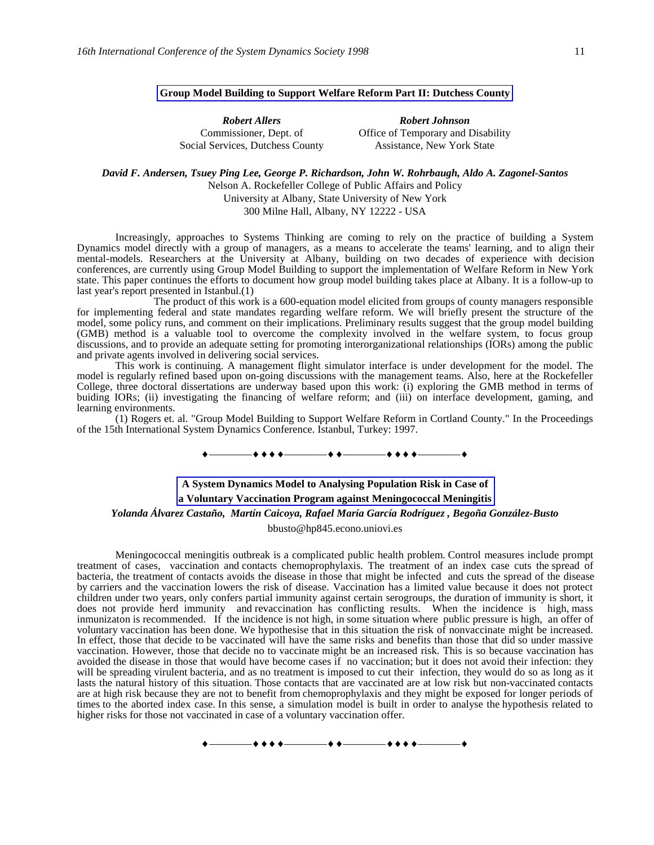## **Group Model Building to Support Welfare Reform Part II: Dutchess County**

*Robert Allers* Commissioner, Dept. of Social Services, Dutchess County *Robert Johnson* Office of Temporary and Disability Assistance, New York State

*David F. Andersen, Tsuey Ping Lee, George P. Richardson, John W. Rohrbaugh, Aldo A. Zagonel-Santos*

Nelson A. Rockefeller College of Public Affairs and Policy University at Albany, State University of New York 300 Milne Hall, Albany, NY 12222 - USA

Increasingly, approaches to Systems Thinking are coming to rely on the practice of building a System Dynamics model directly with a group of managers, as a means to accelerate the teams' learning, and to align their mental-models. Researchers at the University at Albany, building on two decades of experience with decision conferences, are currently using Group Model Building to support the implementation of Welfare Reform in New York state. This paper continues the efforts to document how group model building takes place at Albany. It is a follow-up to last year's report presented in Istanbul.(1)

The product of this work is a 600-equation model elicited from groups of county managers responsible for implementing federal and state mandates regarding welfare reform. We will briefly present the structure of the model, some policy runs, and comment on their implications. Preliminary results suggest that the group model building (GMB) method is a valuable tool to overcome the complexity involved in the welfare system, to focus group discussions, and to provide an adequate setting for promoting interorganizational relationships (IORs) among the public and private agents involved in delivering social services.

This work is continuing. A management flight simulator interface is under development for the model. The model is regularly refined based upon on-going discussions with the management teams. Also, here at the Rockefeller College, three doctoral dissertations are underway based upon this work: (i) exploring the GMB method in terms of buiding IORs; (ii) investigating the financing of welfare reform; and (iii) on interface development, gaming, and learning environments.

(1) Rogers et. al. "Group Model Building to Support Welfare Reform in Cortland County." In the Proceedings of the 15th International System Dynamics Conference. Istanbul, Turkey: 1997.

————————————————

# **A System Dynamics Model to Analysing Population Risk in Case of a Voluntary Vaccination Program against Meningococcal Meningitis** *Yolanda Álvarez Castaño, Martín Caicoya, Rafael María García Rodríguez , Begoña González-Busto*

bbusto@hp845.econo.uniovi.es

Meningococcal meningitis outbreak is a complicated public health problem. Control measures include prompt treatment of cases, vaccination and contacts chemoprophylaxis. The treatment of an index case cuts the spread of bacteria, the treatment of contacts avoids the disease in those that might be infected and cuts the spread of the disease by carriers and the vaccination lowers the risk of disease. Vaccination has a limited value because it does not protect children under two years, only confers partial immunity against certain serogroups, the duration of immunity is short, it does not provide herd immunity and revaccination has conflicting results. When the incidence is high, mass inmunizaton is recommended. If the incidence is not high, in some situation where public pressure is high, an offer of voluntary vaccination has been done. We hypothesise that in this situation the risk of nonvaccinate might be increased. In effect, those that decide to be vaccinated will have the same risks and benefits than those that did so under massive vaccination. However, those that decide no to vaccinate might be an increased risk. This is so because vaccination has avoided the disease in those that would have become cases if no vaccination; but it does not avoid their infection: they will be spreading virulent bacteria, and as no treatment is imposed to cut their infection, they would do so as long as it lasts the natural history of this situation. Those contacts that are vaccinated are at low risk but non-vaccinated contacts are at high risk because they are not to benefit from chemoprophylaxis and they might be exposed for longer periods of times to the aborted index case. In this sense, a simulation model is built in order to analyse the hypothesis related to higher risks for those not vaccinated in case of a voluntary vaccination offer.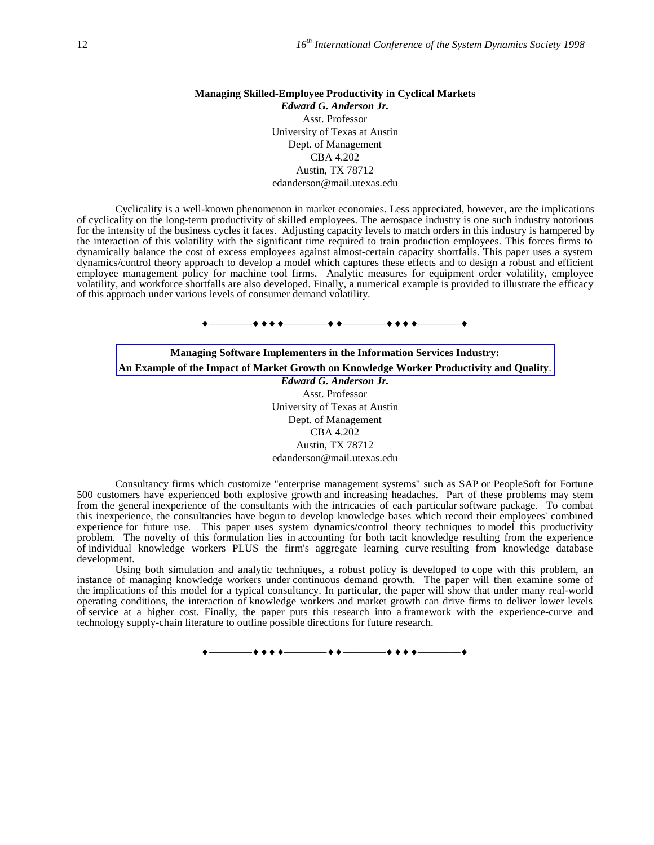### **Managing Skilled-Employee Productivity in Cyclical Markets** *Edward G. Anderson Jr.* Asst. Professor University of Texas at Austin Dept. of Management CBA 4.202 Austin, TX 78712

edanderson@mail.utexas.edu

Cyclicality is a well-known phenomenon in market economies. Less appreciated, however, are the implications of cyclicality on the long-term productivity of skilled employees. The aerospace industry is one such industry notorious for the intensity of the business cycles it faces. Adjusting capacity levels to match orders in this industry is hampered by the interaction of this volatility with the significant time required to train production employees. This forces firms to dynamically balance the cost of excess employees against almost-certain capacity shortfalls. This paper uses a system dynamics/control theory approach to develop a model which captures these effects and to design a robust and efficient employee management policy for machine tool firms. Analytic measures for equipment order volatility, employee volatility, and workforce shortfalls are also developed. Finally, a numerical example is provided to illustrate the efficacy of this approach under various levels of consumer demand volatility.

————————————————

**Managing Software Implementers in the Information Services Industry: An Example of the Impact of Market Growth on Knowledge Worker Productivity and Quality**. *Edward G. Anderson Jr.* Asst. Professor University of Texas at Austin Dept. of Management CBA 4.202 Austin, TX 78712 edanderson@mail.utexas.edu

Consultancy firms which customize "enterprise management systems" such as SAP or PeopleSoft for Fortune 500 customers have experienced both explosive growth and increasing headaches. Part of these problems may stem from the general inexperience of the consultants with the intricacies of each particular software package. To combat this inexperience, the consultancies have begun to develop knowledge bases which record their employees' combined experience for future use. This paper uses system dynamics/control theory techniques to model this productivity problem. The novelty of this formulation lies in accounting for both tacit knowledge resulting from the experience of individual knowledge workers PLUS the firm's aggregate learning curve resulting from knowledge database development.

Using both simulation and analytic techniques, a robust policy is developed to cope with this problem, an instance of managing knowledge workers under continuous demand growth. The paper will then examine some of the implications of this model for a typical consultancy. In particular, the paper will show that under many real-world operating conditions, the interaction of knowledge workers and market growth can drive firms to deliver lower levels of service at a higher cost. Finally, the paper puts this research into a framework with the experience-curve and technology supply-chain literature to outline possible directions for future research.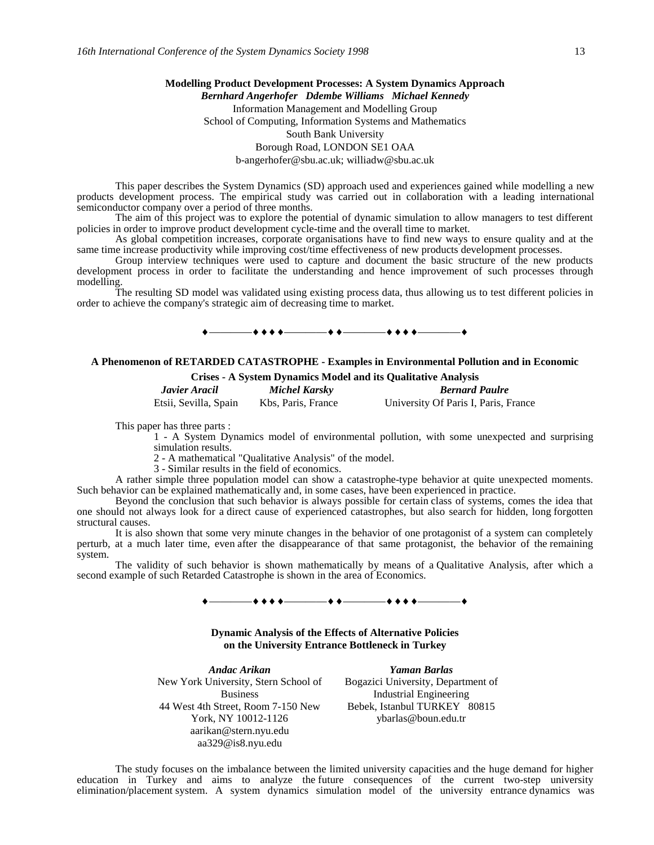# **Modelling Product Development Processes: A System Dynamics Approach** *Bernhard Angerhofer Ddembe Williams Michael Kennedy* Information Management and Modelling Group School of Computing, Information Systems and Mathematics South Bank University Borough Road, LONDON SE1 OAA b-angerhofer@sbu.ac.uk; williadw@sbu.ac.uk

This paper describes the System Dynamics (SD) approach used and experiences gained while modelling a new products development process. The empirical study was carried out in collaboration with a leading international semiconductor company over a period of three months.

The aim of this project was to explore the potential of dynamic simulation to allow managers to test different policies in order to improve product development cycle-time and the overall time to market.

As global competition increases, corporate organisations have to find new ways to ensure quality and at the same time increase productivity while improving cost/time effectiveness of new products development processes.

Group interview techniques were used to capture and document the basic structure of the new products development process in order to facilitate the understanding and hence improvement of such processes through modelling.

The resulting SD model was validated using existing process data, thus allowing us to test different policies in order to achieve the company's strategic aim of decreasing time to market.

### $+$

### **A Phenomenon of RETARDED CATASTROPHE - Examples in Environmental Pollution and in Economic Crises - A System Dynamics Model and its Qualitative Analysis**

| Javier Aracil         | Michel Karsky      | <b>Bernard Paulre</b>                |
|-----------------------|--------------------|--------------------------------------|
| Etsii, Sevilla, Spain | Kbs, Paris, France | University Of Paris I, Paris, France |

This paper has three parts :

1 - A System Dynamics model of environmental pollution, with some unexpected and surprising simulation results.

2 - A mathematical "Qualitative Analysis" of the model.

3 - Similar results in the field of economics.

A rather simple three population model can show a catastrophe-type behavior at quite unexpected moments. Such behavior can be explained mathematically and, in some cases, have been experienced in practice.

Beyond the conclusion that such behavior is always possible for certain class of systems, comes the idea that one should not always look for a direct cause of experienced catastrophes, but also search for hidden, long forgotten structural causes.

It is also shown that some very minute changes in the behavior of one protagonist of a system can completely perturb, at a much later time, even after the disappearance of that same protagonist, the behavior of the remaining system.

The validity of such behavior is shown mathematically by means of a Qualitative Analysis, after which a second example of such Retarded Catastrophe is shown in the area of Economics.



**Dynamic Analysis of the Effects of Alternative Policies on the University Entrance Bottleneck in Turkey**

*Andac Arikan Yaman Barlas* New York University, Stern School of Business 44 West 4th Street, Room 7-150 New York, NY 10012-1126 aarikan@stern.nyu.edu aa329@is8.nyu.edu

Bogazici University, Department of Industrial Engineering Bebek, Istanbul TURKEY 80815 ybarlas@boun.edu.tr

The study focuses on the imbalance between the limited university capacities and the huge demand for higher education in Turkey and aims to analyze the future consequences of the current two-step university elimination/placement system. A system dynamics simulation model of the university entrance dynamics was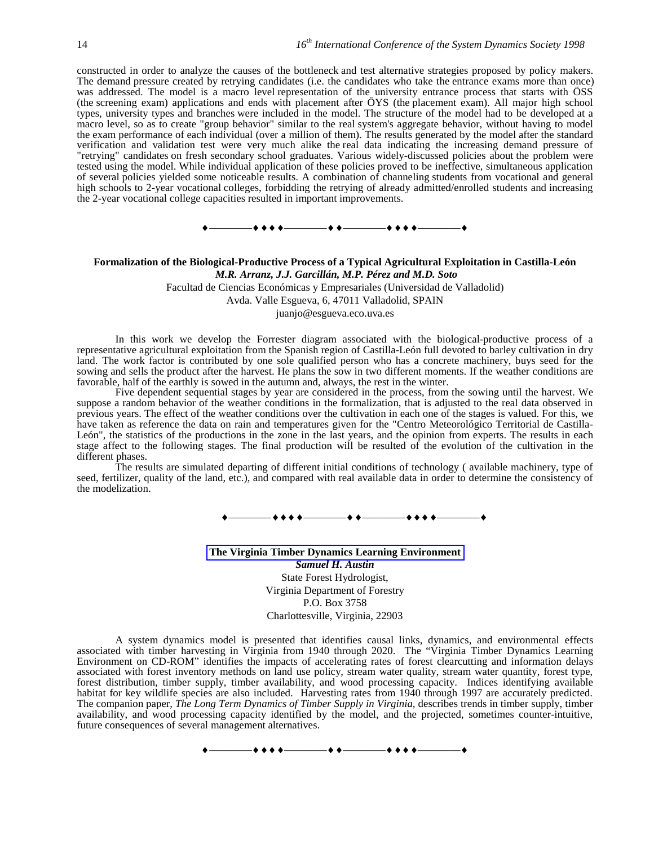constructed in order to analyze the causes of the bottleneck and test alternative strategies proposed by policy makers. The demand pressure created by retrying candidates (i.e. the candidates who take the entrance exams more than once) was addressed. The model is a macro level representation of the university entrance process that starts with ÖSS (the screening exam) applications and ends with placement after ÖYS (the placement exam). All major high school types, university types and branches were included in the model. The structure of the model had to be developed at a macro level, so as to create "group behavior" similar to the real system's aggregate behavior, without having to model the exam performance of each individual (over a million of them). The results generated by the model after the standard verification and validation test were very much alike the real data indicating the increasing demand pressure of "retrying" candidates on fresh secondary school graduates. Various widely-discussed policies about the problem were tested using the model. While individual application of these policies proved to be ineffective, simultaneous application of several policies yielded some noticeable results. A combination of channeling students from vocational and general high schools to 2-year vocational colleges, forbidding the retrying of already admitted/enrolled students and increasing the 2-year vocational college capacities resulted in important improvements.

#### ————————————————

### **Formalization of the Biological-Productive Process of a Typical Agricultural Exploitation in Castilla-León** *M.R. Arranz, J.J. Garcillán, M.P. Pérez and M.D. Soto*

Facultad de Ciencias Económicas y Empresariales (Universidad de Valladolid)

Avda. Valle Esgueva, 6, 47011 Valladolid, SPAIN

juanjo@esgueva.eco.uva.es

In this work we develop the Forrester diagram associated with the biological-productive process of a representative agricultural exploitation from the Spanish region of Castilla-León full devoted to barley cultivation in dry land. The work factor is contributed by one sole qualified person who has a concrete machinery, buys seed for the sowing and sells the product after the harvest. He plans the sow in two different moments. If the weather conditions are favorable, half of the earthly is sowed in the autumn and, always, the rest in the winter.

Five dependent sequential stages by year are considered in the process, from the sowing until the harvest. We suppose a random behavior of the weather conditions in the formalization, that is adjusted to the real data observed in previous years. The effect of the weather conditions over the cultivation in each one of the stages is valued. For this, we have taken as reference the data on rain and temperatures given for the "Centro Meteorológico Territorial de Castilla-León", the statistics of the productions in the zone in the last years, and the opinion from experts. The results in each stage affect to the following stages. The final production will be resulted of the evolution of the cultivation in the different phases.

The results are simulated departing of different initial conditions of technology ( available machinery, type of seed, fertilizer, quality of the land, etc.), and compared with real available data in order to determine the consistency of the modelization.

————————————————

**The Virginia Timber Dynamics Learning Environment** *Samuel H. Austin* State Forest Hydrologist, Virginia Department of Forestry P.O. Box 3758

Charlottesville, Virginia, 22903

A system dynamics model is presented that identifies causal links, dynamics, and environmental effects associated with timber harvesting in Virginia from 1940 through 2020. The "Virginia Timber Dynamics Learning Environment on CD-ROM" identifies the impacts of accelerating rates of forest clearcutting and information delays associated with forest inventory methods on land use policy, stream water quality, stream water quantity, forest type, forest distribution, timber supply, timber availability, and wood processing capacity. Indices identifying available habitat for key wildlife species are also included. Harvesting rates from 1940 through 1997 are accurately predicted. The companion paper, *The Long Term Dynamics of Timber Supply in Virginia,* describes trends in timber supply, timber availability, and wood processing capacity identified by the model, and the projected, sometimes counter-intuitive, future consequences of several management alternatives.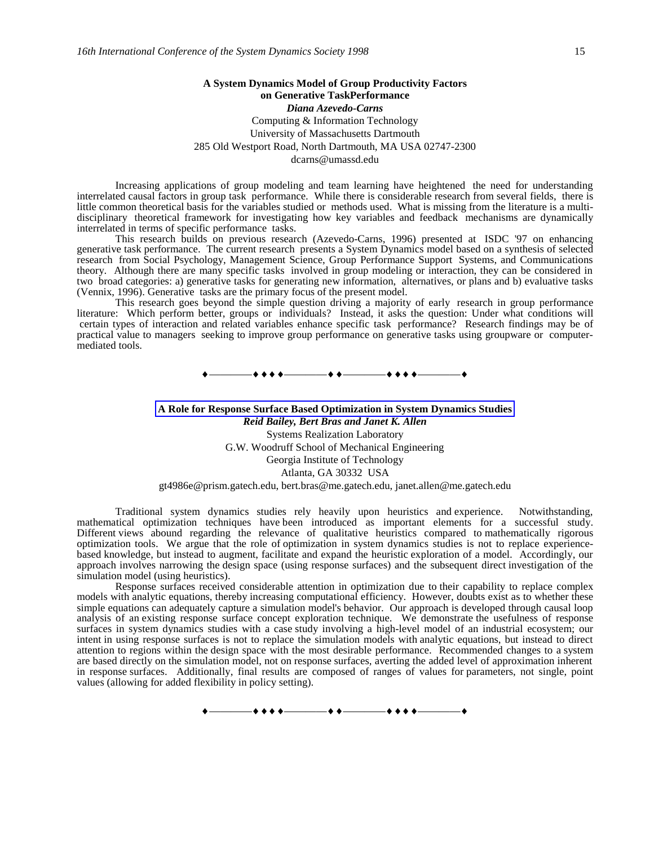### **A System Dynamics Model of Group Productivity Factors on Generative TaskPerformance** *Diana Azevedo-Carns* Computing & Information Technology University of Massachusetts Dartmouth 285 Old Westport Road, North Dartmouth, MA USA 02747-2300 dcarns@umassd.edu

Increasing applications of group modeling and team learning have heightened the need for understanding interrelated causal factors in group task performance. While there is considerable research from several fields, there is little common theoretical basis for the variables studied or methods used. What is missing from the literature is a multidisciplinary theoretical framework for investigating how key variables and feedback mechanisms are dynamically interrelated in terms of specific performance tasks.

This research builds on previous research (Azevedo-Carns, 1996) presented at ISDC '97 on enhancing generative task performance. The current research presents a System Dynamics model based on a synthesis of selected research from Social Psychology, Management Science, Group Performance Support Systems, and Communications theory. Although there are many specific tasks involved in group modeling or interaction, they can be considered in two broad categories: a) generative tasks for generating new information, alternatives, or plans and b) evaluative tasks (Vennix, 1996). Generative tasks are the primary focus of the present model.

This research goes beyond the simple question driving a majority of early research in group performance literature: Which perform better, groups or individuals? Instead, it asks the question: Under what conditions will certain types of interaction and related variables enhance specific task performance? Research findings may be of practical value to managers seeking to improve group performance on generative tasks using groupware or computermediated tools.

————————————————

### **A Role for Response Surface Based Optimization in System Dynamics Studies** *Reid Bailey, Bert Bras and Janet K. Allen* Systems Realization Laboratory G.W. Woodruff School of Mechanical Engineering Georgia Institute of Technology Atlanta, GA 30332 USA gt4986e@prism.gatech.edu, bert.bras@me.gatech.edu, janet.allen@me.gatech.edu

Traditional system dynamics studies rely heavily upon heuristics and experience. Notwithstanding, mathematical optimization techniques have been introduced as important elements for a successful study. Different views abound regarding the relevance of qualitative heuristics compared to mathematically rigorous optimization tools. We argue that the role of optimization in system dynamics studies is not to replace experiencebased knowledge, but instead to augment, facilitate and expand the heuristic exploration of a model. Accordingly, our approach involves narrowing the design space (using response surfaces) and the subsequent direct investigation of the simulation model (using heuristics).

Response surfaces received considerable attention in optimization due to their capability to replace complex models with analytic equations, thereby increasing computational efficiency. However, doubts exist as to whether these simple equations can adequately capture a simulation model's behavior. Our approach is developed through causal loop analysis of an existing response surface concept exploration technique. We demonstrate the usefulness of response surfaces in system dynamics studies with a case study involving a high-level model of an industrial ecosystem; our intent in using response surfaces is not to replace the simulation models with analytic equations, but instead to direct attention to regions within the design space with the most desirable performance. Recommended changes to a system are based directly on the simulation model, not on response surfaces, averting the added level of approximation inherent in response surfaces. Additionally, final results are composed of ranges of values for parameters, not single, point values (allowing for added flexibility in policy setting).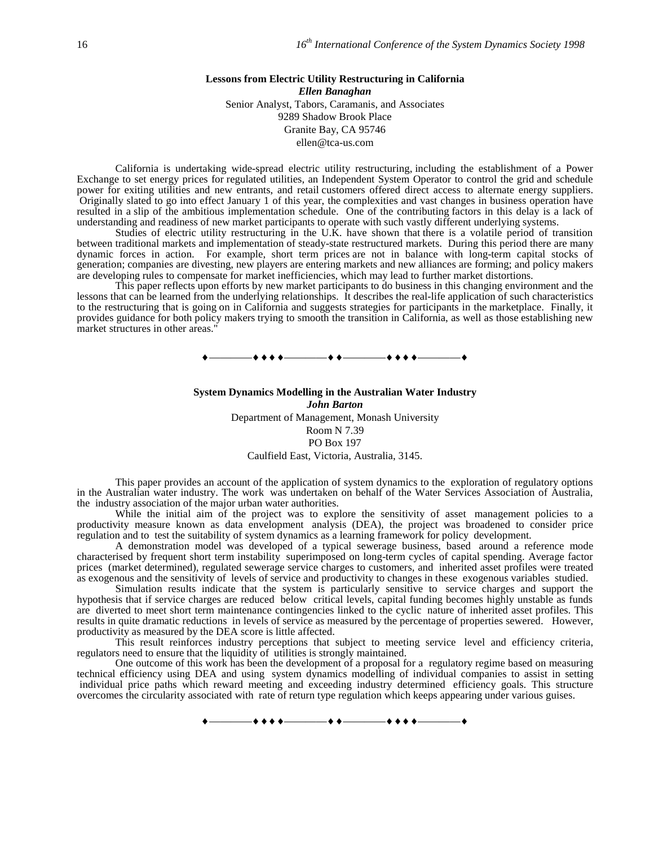### **Lessons from Electric Utility Restructuring in California** *Ellen Banaghan* Senior Analyst, Tabors, Caramanis, and Associates 9289 Shadow Brook Place Granite Bay, CA 95746 ellen@tca-us.com

California is undertaking wide-spread electric utility restructuring, including the establishment of a Power Exchange to set energy prices for regulated utilities, an Independent System Operator to control the grid and schedule power for exiting utilities and new entrants, and retail customers offered direct access to alternate energy suppliers. Originally slated to go into effect January 1 of this year, the complexities and vast changes in business operation have resulted in a slip of the ambitious implementation schedule. One of the contributing factors in this delay is a lack of understanding and readiness of new market participants to operate with such vastly different underlying systems.

Studies of electric utility restructuring in the U.K. have shown that there is a volatile period of transition between traditional markets and implementation of steady-state restructured markets. During this period there are many dynamic forces in action. For example, short term prices are not in balance with long-term capital stocks of generation; companies are divesting, new players are entering markets and new alliances are forming; and policy makers are developing rules to compensate for market inefficiencies, which may lead to further market distortions.

This paper reflects upon efforts by new market participants to do business in this changing environment and the lessons that can be learned from the underlying relationships. It describes the real-life application of such characteristics to the restructuring that is going on in California and suggests strategies for participants in the marketplace. Finally, it provides guidance for both policy makers trying to smooth the transition in California, as well as those establishing new market structures in other areas."

 $\bullet\bullet\bullet\bullet$  and the contract of  $\bullet\bullet\bullet$  and  $\bullet\bullet\bullet$  and  $\bullet\bullet\bullet$  and  $\bullet\bullet\bullet$ 

**System Dynamics Modelling in the Australian Water Industry** *John Barton* Department of Management, Monash University Room N 7.39 PO Box 197 Caulfield East, Victoria, Australia, 3145.

This paper provides an account of the application of system dynamics to the exploration of regulatory options in the Australian water industry. The work was undertaken on behalf of the Water Services Association of Australia, the industry association of the major urban water authorities.

While the initial aim of the project was to explore the sensitivity of asset management policies to a productivity measure known as data envelopment analysis (DEA), the project was broadened to consider price regulation and to test the suitability of system dynamics as a learning framework for policy development.

A demonstration model was developed of a typical sewerage business, based around a reference mode characterised by frequent short term instability superimposed on long-term cycles of capital spending. Average factor prices (market determined), regulated sewerage service charges to customers, and inherited asset profiles were treated as exogenous and the sensitivity of levels of service and productivity to changes in these exogenous variables studied.

Simulation results indicate that the system is particularly sensitive to service charges and support the hypothesis that if service charges are reduced below critical levels, capital funding becomes highly unstable as funds are diverted to meet short term maintenance contingencies linked to the cyclic nature of inherited asset profiles. This results in quite dramatic reductions in levels of service as measured by the percentage of properties sewered. However, productivity as measured by the DEA score is little affected.

This result reinforces industry perceptions that subject to meeting service level and efficiency criteria, regulators need to ensure that the liquidity of utilities is strongly maintained.

One outcome of this work has been the development of a proposal for a regulatory regime based on measuring technical efficiency using DEA and using system dynamics modelling of individual companies to assist in setting individual price paths which reward meeting and exceeding industry determined efficiency goals. This structure overcomes the circularity associated with rate of return type regulation which keeps appearing under various guises.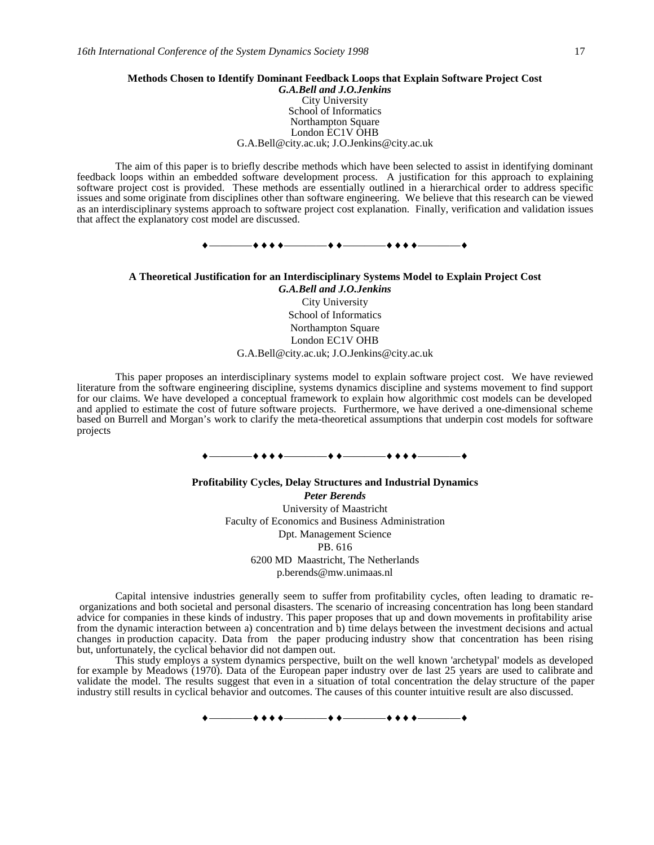#### **Methods Chosen to Identify Dominant Feedback Loops that Explain Software Project Cost**

*G.A.Bell and J.O.Jenkins* City University School of Informatics Northampton Square London EC1V OHB G.A.Bell@city.ac.uk; J.O.Jenkins@city.ac.uk

The aim of this paper is to briefly describe methods which have been selected to assist in identifying dominant feedback loops within an embedded software development process. A justification for this approach to explaining software project cost is provided. These methods are essentially outlined in a hierarchical order to address specific issues and some originate from disciplines other than software engineering. We believe that this research can be viewed as an interdisciplinary systems approach to software project cost explanation. Finally, verification and validation issues that affect the explanatory cost model are discussed.



**A Theoretical Justification for an Interdisciplinary Systems Model to Explain Project Cost** *G.A.Bell and J.O.Jenkins*

City University School of Informatics Northampton Square London EC1V OHB G.A.Bell@city.ac.uk; J.O.Jenkins@city.ac.uk

This paper proposes an interdisciplinary systems model to explain software project cost. We have reviewed literature from the software engineering discipline, systems dynamics discipline and systems movement to find support for our claims. We have developed a conceptual framework to explain how algorithmic cost models can be developed and applied to estimate the cost of future software projects. Furthermore, we have derived a one-dimensional scheme based on Burrell and Morgan's work to clarify the meta-theoretical assumptions that underpin cost models for software projects

#### $+ + + + - - -$

### **Profitability Cycles, Delay Structures and Industrial Dynamics** *Peter Berends* University of Maastricht Faculty of Economics and Business Administration Dpt. Management Science PB. 616 6200 MD Maastricht, The Netherlands p.berends@mw.unimaas.nl

Capital intensive industries generally seem to suffer from profitability cycles, often leading to dramatic re organizations and both societal and personal disasters. The scenario of increasing concentration has long been standard advice for companies in these kinds of industry. This paper proposes that up and down movements in profitability arise from the dynamic interaction between a) concentration and b) time delays between the investment decisions and actual changes in production capacity. Data from the paper producing industry show that concentration has been rising but, unfortunately, the cyclical behavior did not dampen out.

This study employs a system dynamics perspective, built on the well known 'archetypal' models as developed for example by Meadows (1970). Data of the European paper industry over de last 25 years are used to calibrate and validate the model. The results suggest that even in a situation of total concentration the delay structure of the paper industry still results in cyclical behavior and outcomes. The causes of this counter intuitive result are also discussed.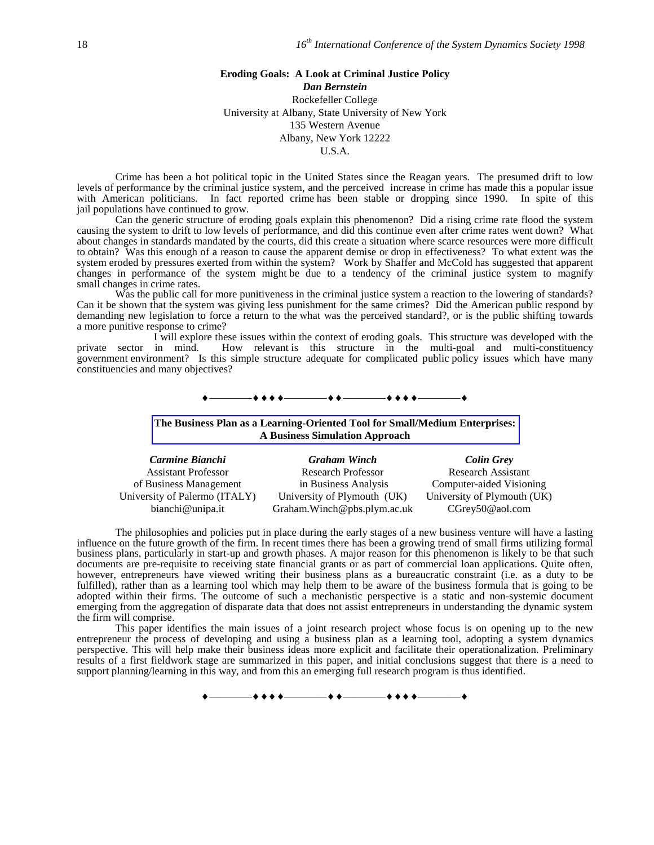### **Eroding Goals: A Look at Criminal Justice Policy**

*Dan Bernstein* Rockefeller College University at Albany, State University of New York 135 Western Avenue Albany, New York 12222 U.S.A.

Crime has been a hot political topic in the United States since the Reagan years. The presumed drift to low levels of performance by the criminal justice system, and the perceived increase in crime has made this a popular issue with American politicians. In fact reported crime has been stable or dropping since 1990. In spite of this jail populations have continued to grow.

Can the generic structure of eroding goals explain this phenomenon? Did a rising crime rate flood the system causing the system to drift to low levels of performance, and did this continue even after crime rates went down? What about changes in standards mandated by the courts, did this create a situation where scarce resources were more difficult to obtain? Was this enough of a reason to cause the apparent demise or drop in effectiveness? To what extent was the system eroded by pressures exerted from within the system? Work by Shaffer and McCold has suggested that apparent changes in performance of the system might be due to a tendency of the criminal justice system to magnify small changes in crime rates.

Was the public call for more punitiveness in the criminal justice system a reaction to the lowering of standards? Can it be shown that the system was giving less punishment for the same crimes? Did the American public respond by demanding new legislation to force a return to the what was the perceived standard?, or is the public shifting towards a more punitive response to crime?

I will explore these issues within the context of eroding goals. This structure was developed with the private sector in mind. How relevant is this structure in the multi-goal and multi-constituency government environment? Is this simple structure adequate for complicated public policy issues which have many constituencies and many objectives?

### ————————————————

### **The Business Plan as a Learning-Oriented Tool for Small/Medium Enterprises: A Business Simulation Approach**

| Carmine Bianchi               | <b>Graham Winch</b>           | <b>Colin Grey</b>           |
|-------------------------------|-------------------------------|-----------------------------|
| <b>Assistant Professor</b>    | <b>Research Professor</b>     | <b>Research Assistant</b>   |
| of Business Management        | in Business Analysis          | Computer-aided Visioning    |
| University of Palermo (ITALY) | University of Plymouth (UK)   | University of Plymouth (UK) |
| bianchi@unipa.it              | Graham. Winch @pbs.plym.ac.uk | CGrev50@aol.com             |

The philosophies and policies put in place during the early stages of a new business venture will have a lasting influence on the future growth of the firm. In recent times there has been a growing trend of small firms utilizing formal business plans, particularly in start-up and growth phases. A major reason for this phenomenon is likely to be that such documents are pre-requisite to receiving state financial grants or as part of commercial loan applications. Quite often, however, entrepreneurs have viewed writing their business plans as a bureaucratic constraint (i.e. as a duty to be fulfilled), rather than as a learning tool which may help them to be aware of the business formula that is going to be adopted within their firms. The outcome of such a mechanistic perspective is a static and non-systemic document emerging from the aggregation of disparate data that does not assist entrepreneurs in understanding the dynamic system the firm will comprise.

This paper identifies the main issues of a joint research project whose focus is on opening up to the new entrepreneur the process of developing and using a business plan as a learning tool, adopting a system dynamics perspective. This will help make their business ideas more explicit and facilitate their operationalization. Preliminary results of a first fieldwork stage are summarized in this paper, and initial conclusions suggest that there is a need to support planning/learning in this way, and from this an emerging full research program is thus identified.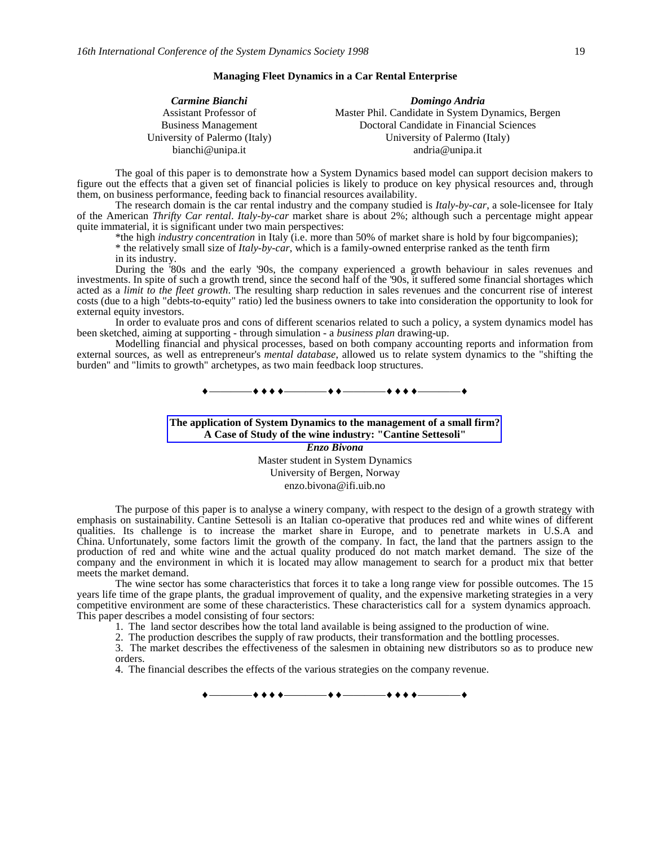### **Managing Fleet Dynamics in a Car Rental Enterprise**

| Carmine Bianchi               | Domingo Andria                                    |
|-------------------------------|---------------------------------------------------|
| Assistant Professor of        | Master Phil. Candidate in System Dynamics, Bergen |
| <b>Business Management</b>    | Doctoral Candidate in Financial Sciences          |
| University of Palermo (Italy) | University of Palermo (Italy)                     |
| bianchi@unipa.it              | andria@unipa.it                                   |

The goal of this paper is to demonstrate how a System Dynamics based model can support decision makers to figure out the effects that a given set of financial policies is likely to produce on key physical resources and, through them, on business performance, feeding back to financial resources availability.

The research domain is the car rental industry and the company studied is *Italy-by-car*, a sole-licensee for Italy of the American *Thrifty Car rental*. *Italy-by-car* market share is about 2%; although such a percentage might appear quite immaterial, it is significant under two main perspectives:

\*the high *industry concentration* in Italy (i.e. more than 50% of market share is hold by four bigcompanies); \* the relatively small size of *Italy-by-car*, which is a family-owned enterprise ranked as the tenth firm in its industry.

During the '80s and the early '90s, the company experienced a growth behaviour in sales revenues and investments. In spite of such a growth trend, since the second half of the '90s, it suffered some financial shortages which acted as a *limit to the fleet growth*. The resulting sharp reduction in sales revenues and the concurrent rise of interest costs (due to a high "debts-to-equity" ratio) led the business owners to take into consideration the opportunity to look for external equity investors.

In order to evaluate pros and cons of different scenarios related to such a policy, a system dynamics model has been sketched, aiming at supporting - through simulation - a *business plan* drawing-up.

Modelling financial and physical processes, based on both company accounting reports and information from external sources, as well as entrepreneur's *mental database*, allowed us to relate system dynamics to the "shifting the burden" and "limits to growth" archetypes, as two main feedback loop structures.

————————————————

**The application of System Dynamics to the management of a small firm? A Case of Study of the wine industry: "Cantine Settesoli"** *Enzo Bivona*

> Master student in System Dynamics University of Bergen, Norway enzo.bivona@ifi.uib.no

The purpose of this paper is to analyse a winery company, with respect to the design of a growth strategy with emphasis on sustainability. Cantine Settesoli is an Italian co-operative that produces red and white wines of different qualities. Its challenge is to increase the market share in Europe, and to penetrate markets in U.S.A and China. Unfortunately, some factors limit the growth of the company. In fact, the land that the partners assign to the production of red and white wine and the actual quality produced do not match market demand. The size of the company and the environment in which it is located may allow management to search for a product mix that better meets the market demand.

The wine sector has some characteristics that forces it to take a long range view for possible outcomes. The 15 years life time of the grape plants, the gradual improvement of quality, and the expensive marketing strategies in a very competitive environment are some of these characteristics. These characteristics call for a system dynamics approach. This paper describes a model consisting of four sectors:

- 1. The land sector describes how the total land available is being assigned to the production of wine.
- 2. The production describes the supply of raw products, their transformation and the bottling processes.

3. The market describes the effectiveness of the salesmen in obtaining new distributors so as to produce new orders.

4. The financial describes the effects of the various strategies on the company revenue.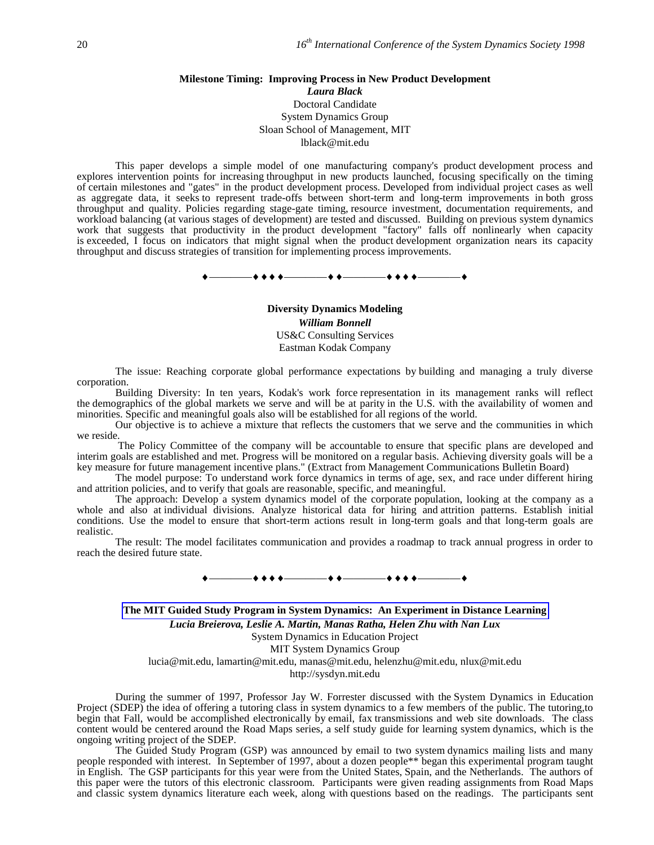### **Milestone Timing: Improving Process in New Product Development** *Laura Black* Doctoral Candidate System Dynamics Group Sloan School of Management, MIT lblack@mit.edu

This paper develops a simple model of one manufacturing company's product development process and explores intervention points for increasing throughput in new products launched, focusing specifically on the timing of certain milestones and "gates" in the product development process. Developed from individual project cases as well as aggregate data, it seeks to represent trade-offs between short-term and long-term improvements in both gross throughput and quality. Policies regarding stage-gate timing, resource investment, documentation requirements, and workload balancing (at various stages of development) are tested and discussed. Building on previous system dynamics work that suggests that productivity in the product development "factory" falls off nonlinearly when capacity is exceeded, I focus on indicators that might signal when the product development organization nears its capacity throughput and discuss strategies of transition for implementing process improvements.

————————————————

**Diversity Dynamics Modeling** *William Bonnell* US&C Consulting Services Eastman Kodak Company

The issue: Reaching corporate global performance expectations by building and managing a truly diverse corporation.

Building Diversity: In ten years, Kodak's work force representation in its management ranks will reflect the demographics of the global markets we serve and will be at parity in the U.S. with the availability of women and minorities. Specific and meaningful goals also will be established for all regions of the world.

Our objective is to achieve a mixture that reflects the customers that we serve and the communities in which we reside.

 The Policy Committee of the company will be accountable to ensure that specific plans are developed and interim goals are established and met. Progress will be monitored on a regular basis. Achieving diversity goals will be a key measure for future management incentive plans." (Extract from Management Communications Bulletin Board)

The model purpose: To understand work force dynamics in terms of age, sex, and race under different hiring and attrition policies, and to verify that goals are reasonable, specific, and meaningful.

The approach: Develop a system dynamics model of the corporate population, looking at the company as a whole and also at individual divisions. Analyze historical data for hiring and attrition patterns. Establish initial conditions. Use the model to ensure that short-term actions result in long-term goals and that long-term goals are realistic.

The result: The model facilitates communication and provides a roadmap to track annual progress in order to reach the desired future state.

————————————————

**The MIT Guided Study Program in System Dynamics: An Experiment in Distance Learning** *Lucia Breierova, Leslie A. Martin, Manas Ratha, Helen Zhu with Nan Lux* System Dynamics in Education Project MIT System Dynamics Group lucia@mit.edu, lamartin@mit.edu, manas@mit.edu, helenzhu@mit.edu, nlux@mit.edu http://sysdyn.mit.edu

During the summer of 1997, Professor Jay W. Forrester discussed with the System Dynamics in Education Project (SDEP) the idea of offering a tutoring class in system dynamics to a few members of the public. The tutoring,to begin that Fall, would be accomplished electronically by email, fax transmissions and web site downloads. The class content would be centered around the Road Maps series, a self study guide for learning system dynamics, which is the ongoing writing project of the SDEP.

The Guided Study Program (GSP) was announced by email to two system dynamics mailing lists and many people responded with interest. In September of 1997, about a dozen people\*\* began this experimental program taught in English. The GSP participants for this year were from the United States, Spain, and the Netherlands. The authors of this paper were the tutors of this electronic classroom. Participants were given reading assignments from Road Maps and classic system dynamics literature each week, along with questions based on the readings. The participants sent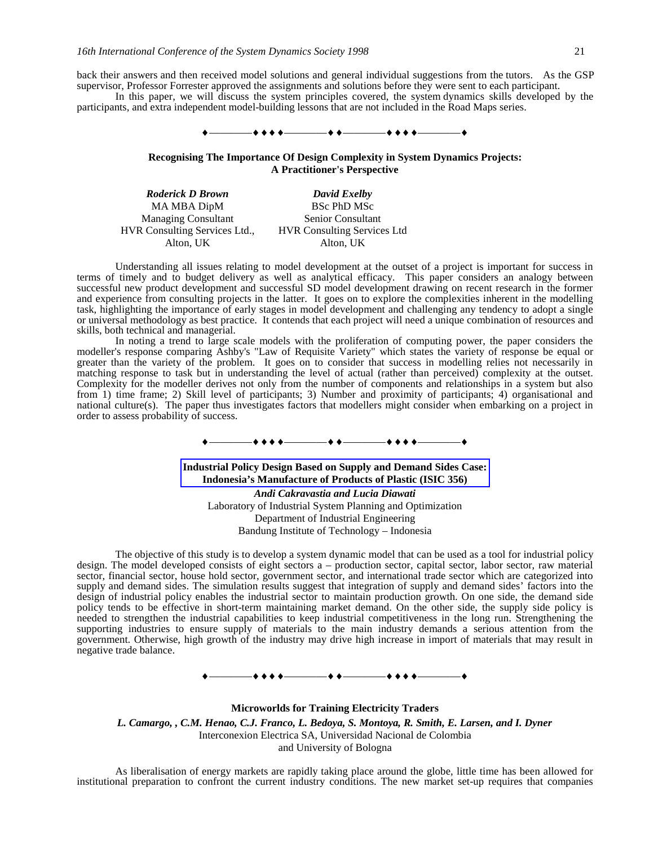back their answers and then received model solutions and general individual suggestions from the tutors. As the GSP supervisor, Professor Forrester approved the assignments and solutions before they were sent to each participant.

In this paper, we will discuss the system principles covered, the system dynamics skills developed by the participants, and extra independent model-building lessons that are not included in the Road Maps series.

#### —**++** + + + +

**Recognising The Importance Of Design Complexity in System Dynamics Projects: A Practitioner's Perspective**

*Roderick D Brown David Exelby* MA MBA DipM Managing Consultant HVR Consulting Services Ltd., HVR Consulting Services Ltd Alton, UK

BSc PhD MSc Senior Consultant Alton, UK

Understanding all issues relating to model development at the outset of a project is important for success in terms of timely and to budget delivery as well as analytical efficacy. This paper considers an analogy between successful new product development and successful SD model development drawing on recent research in the former and experience from consulting projects in the latter. It goes on to explore the complexities inherent in the modelling task, highlighting the importance of early stages in model development and challenging any tendency to adopt a single or universal methodology as best practice. It contends that each project will need a unique combination of resources and skills, both technical and managerial.

In noting a trend to large scale models with the proliferation of computing power, the paper considers the modeller's response comparing Ashby's "Law of Requisite Variety" which states the variety of response be equal or greater than the variety of the problem. It goes on to consider that success in modelling relies not necessarily in matching response to task but in understanding the level of actual (rather than perceived) complexity at the outset. Complexity for the modeller derives not only from the number of components and relationships in a system but also from 1) time frame; 2) Skill level of participants; 3) Number and proximity of participants; 4) organisational and national culture(s). The paper thus investigates factors that modellers might consider when embarking on a project in order to assess probability of success.

————————————————

**Industrial Policy Design Based on Supply and Demand Sides Case: Indonesia's Manufacture of Products of Plastic (ISIC 356)** *Andi Cakravastia and Lucia Diawati* Laboratory of Industrial System Planning and Optimization Department of Industrial Engineering

Bandung Institute of Technology – Indonesia

The objective of this study is to develop a system dynamic model that can be used as a tool for industrial policy design. The model developed consists of eight sectors a – production sector, capital sector, labor sector, raw material sector, financial sector, house hold sector, government sector, and international trade sector which are categorized into supply and demand sides. The simulation results suggest that integration of supply and demand sides' factors into the design of industrial policy enables the industrial sector to maintain production growth. On one side, the demand side policy tends to be effective in short-term maintaining market demand. On the other side, the supply side policy is needed to strengthen the industrial capabilities to keep industrial competitiveness in the long run. Strengthening the supporting industries to ensure supply of materials to the main industry demands a serious attention from the government. Otherwise, high growth of the industry may drive high increase in import of materials that may result in negative trade balance.

————————————————

**Microworlds for Training Electricity Traders** *L. Camargo, , C.M. Henao, C.J. Franco, L. Bedoya, S. Montoya, R. Smith, E. Larsen, and I. Dyner* Interconexion Electrica SA, Universidad Nacional de Colombia and University of Bologna

As liberalisation of energy markets are rapidly taking place around the globe, little time has been allowed for institutional preparation to confront the current industry conditions. The new market set-up requires that companies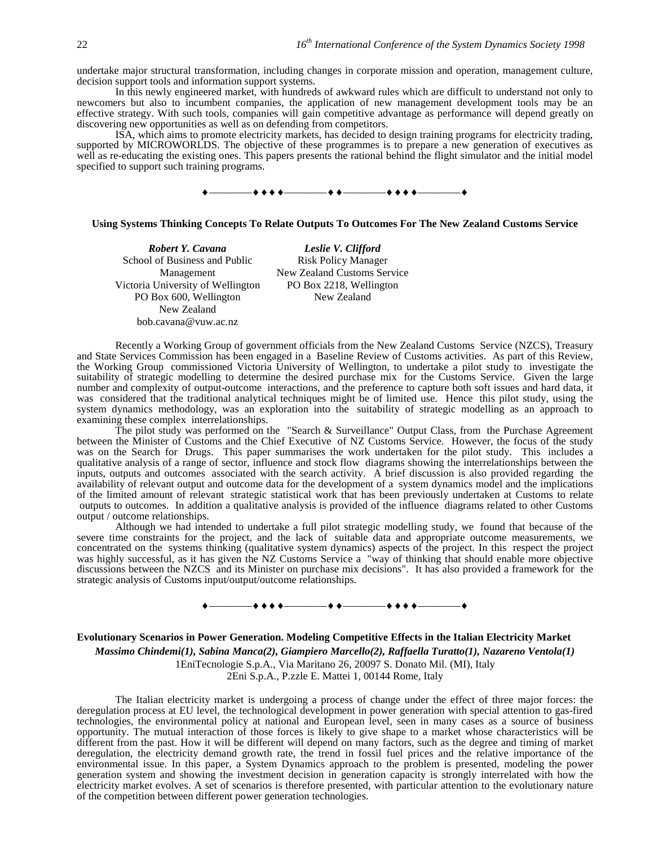undertake major structural transformation, including changes in corporate mission and operation, management culture, decision support tools and information support systems.

In this newly engineered market, with hundreds of awkward rules which are difficult to understand not only to newcomers but also to incumbent companies, the application of new management development tools may be an effective strategy. With such tools, companies will gain competitive advantage as performance will depend greatly on discovering new opportunities as well as on defending from competitors.

ISA, which aims to promote electricity markets, has decided to design training programs for electricity trading, supported by MICROWORLDS. The objective of these programmes is to prepare a new generation of executives as well as re-educating the existing ones. This papers presents the rational behind the flight simulator and the initial model specified to support such training programs.



#### **Using Systems Thinking Concepts To Relate Outputs To Outcomes For The New Zealand Customs Service**

*Robert Y. Cavana Leslie V. Clifford* School of Business and Public Management Victoria University of Wellington PO Box 600, Wellington New Zealand bob.cavana@vuw.ac.nz

Risk Policy Manager New Zealand Customs Service PO Box 2218, Wellington New Zealand

Recently a Working Group of government officials from the New Zealand Customs Service (NZCS), Treasury and State Services Commission has been engaged in a Baseline Review of Customs activities. As part of this Review, the Working Group commissioned Victoria University of Wellington, to undertake a pilot study to investigate the suitability of strategic modelling to determine the desired purchase mix for the Customs Service. Given the large number and complexity of output-outcome interactions, and the preference to capture both soft issues and hard data, it was considered that the traditional analytical techniques might be of limited use. Hence this pilot study, using the system dynamics methodology, was an exploration into the suitability of strategic modelling as an approach to examining these complex interrelationships.

The pilot study was performed on the "Search & Surveillance" Output Class, from the Purchase Agreement between the Minister of Customs and the Chief Executive of NZ Customs Service. However, the focus of the study was on the Search for Drugs. This paper summarises the work undertaken for the pilot study. This includes a qualitative analysis of a range of sector, influence and stock flow diagrams showing the interrelationships between the inputs, outputs and outcomes associated with the search activity. A brief discussion is also provided regarding the availability of relevant output and outcome data for the development of a system dynamics model and the implications of the limited amount of relevant strategic statistical work that has been previously undertaken at Customs to relate outputs to outcomes. In addition a qualitative analysis is provided of the influence diagrams related to other Customs output / outcome relationships.

Although we had intended to undertake a full pilot strategic modelling study, we found that because of the severe time constraints for the project, and the lack of suitable data and appropriate outcome measurements, we concentrated on the systems thinking (qualitative system dynamics) aspects of the project. In this respect the project was highly successful, as it has given the NZ Customs Service a "way of thinking that should enable more objective discussions between the NZCS and its Minister on purchase mix decisions". It has also provided a framework for the strategic analysis of Customs input/output/outcome relationships.



**Evolutionary Scenarios in Power Generation. Modeling Competitive Effects in the Italian Electricity Market**

*Massimo Chindemi(1), Sabina Manca(2), Giampiero Marcello(2), Raffaella Turatto(1), Nazareno Ventola(1)* 1EniTecnologie S.p.A., Via Maritano 26, 20097 S. Donato Mil. (MI), Italy

2Eni S.p.A., P.zzle E. Mattei 1, 00144 Rome, Italy

The Italian electricity market is undergoing a process of change under the effect of three major forces: the deregulation process at EU level, the technological development in power generation with special attention to gas-fired technologies, the environmental policy at national and European level, seen in many cases as a source of business opportunity. The mutual interaction of those forces is likely to give shape to a market whose characteristics will be different from the past. How it will be different will depend on many factors, such as the degree and timing of market deregulation, the electricity demand growth rate, the trend in fossil fuel prices and the relative importance of the environmental issue. In this paper, a System Dynamics approach to the problem is presented, modeling the power generation system and showing the investment decision in generation capacity is strongly interrelated with how the electricity market evolves. A set of scenarios is therefore presented, with particular attention to the evolutionary nature of the competition between different power generation technologies.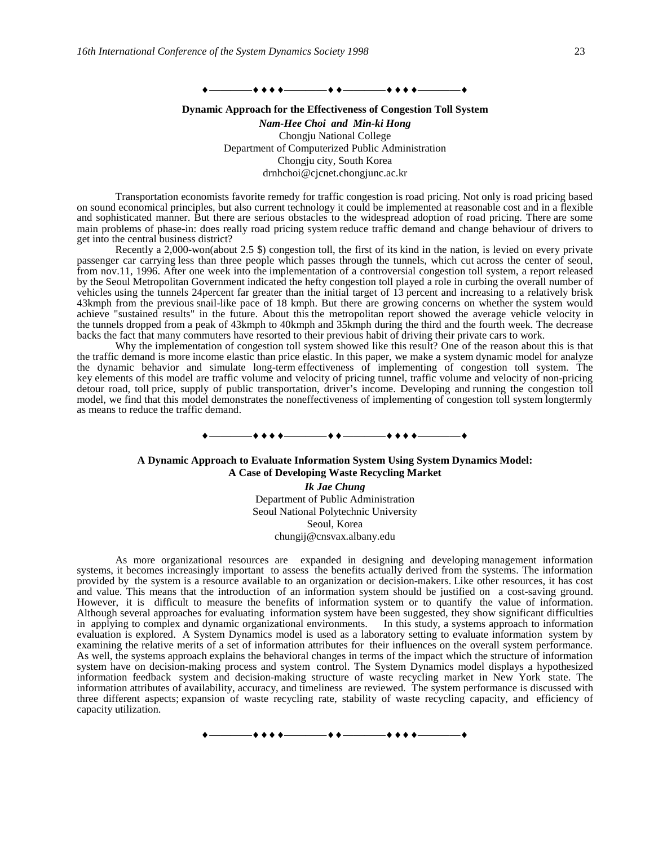————————————————

### **Dynamic Approach for the Effectiveness of Congestion Toll System** *Nam-Hee Choi and Min-ki Hong* Chongju National College Department of Computerized Public Administration Chongju city, South Korea drnhchoi@cjcnet.chongjunc.ac.kr

Transportation economists favorite remedy for traffic congestion is road pricing. Not only is road pricing based on sound economical principles, but also current technology it could be implemented at reasonable cost and in a flexible and sophisticated manner. But there are serious obstacles to the widespread adoption of road pricing. There are some main problems of phase-in: does really road pricing system reduce traffic demand and change behaviour of drivers to get into the central business district?

Recently a 2,000-won(about 2.5 \$) congestion toll, the first of its kind in the nation, is levied on every private passenger car carrying less than three people which passes through the tunnels, which cut across the center of seoul, from nov.11, 1996. After one week into the implementation of a controversial congestion toll system, a report released by the Seoul Metropolitan Government indicated the hefty congestion toll played a role in curbing the overall number of vehicles using the tunnels 24percent far greater than the initial target of 13 percent and increasing to a relatively brisk 43kmph from the previous snail-like pace of 18 kmph. But there are growing concerns on whether the system would achieve "sustained results" in the future. About this the metropolitan report showed the average vehicle velocity in the tunnels dropped from a peak of 43kmph to 40kmph and 35kmph during the third and the fourth week. The decrease backs the fact that many commuters have resorted to their previous habit of driving their private cars to work.

Why the implementation of congestion toll system showed like this result? One of the reason about this is that the traffic demand is more income elastic than price elastic. In this paper, we make a system dynamic model for analyze the dynamic behavior and simulate long-term effectiveness of implementing of congestion toll system. The key elements of this model are traffic volume and velocity of pricing tunnel, traffic volume and velocity of non-pricing detour road, toll price, supply of public transportation, driver's income. Developing and running the congestion toll model, we find that this model demonstrates the noneffectiveness of implementing of congestion toll system longtermly as means to reduce the traffic demand.

### **A Dynamic Approach to Evaluate Information System Using System Dynamics Model: A Case of Developing Waste Recycling Market**

————————————————

*Ik Jae Chung* Department of Public Administration Seoul National Polytechnic University Seoul, Korea chungij@cnsvax.albany.edu

As more organizational resources are expanded in designing and developing management information systems, it becomes increasingly important to assess the benefits actually derived from the systems. The information provided by the system is a resource available to an organization or decision-makers. Like other resources, it has cost and value. This means that the introduction of an information system should be justified on a cost-saving ground. However, it is difficult to measure the benefits of information system or to quantify the value of information. Although several approaches for evaluating information system have been suggested, they show significant difficulties in applying to complex and dynamic organizational environments. In this study, a systems approach to information evaluation is explored. A System Dynamics model is used as a laboratory setting to evaluate information system by examining the relative merits of a set of information attributes for their influences on the overall system performance. As well, the systems approach explains the behavioral changes in terms of the impact which the structure of information system have on decision-making process and system control. The System Dynamics model displays a hypothesized information feedback system and decision-making structure of waste recycling market in New York state. The information attributes of availability, accuracy, and timeliness are reviewed. The system performance is discussed with three different aspects; expansion of waste recycling rate, stability of waste recycling capacity, and efficiency of capacity utilization.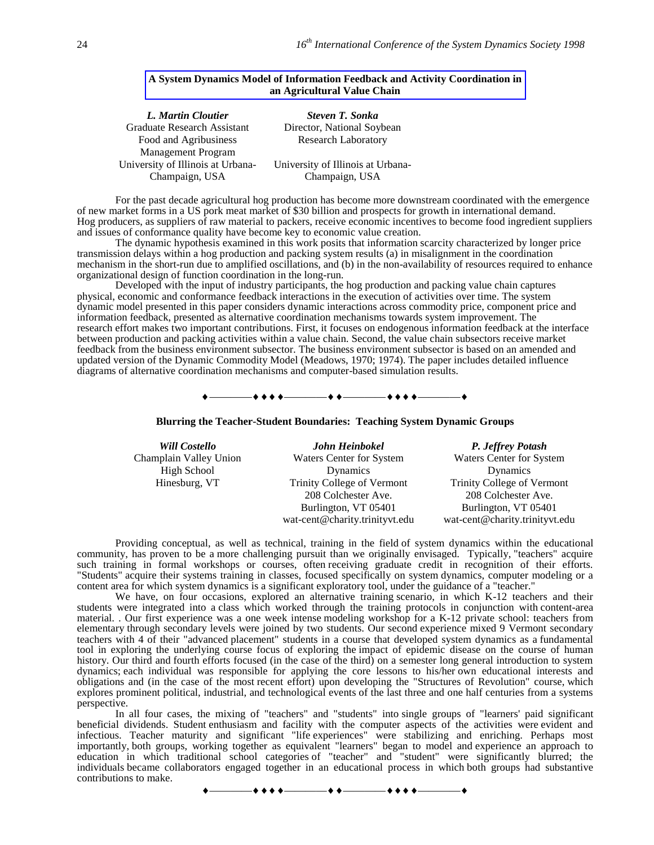### **A System Dynamics Model of Information Feedback and Activity Coordination in an Agricultural Value Chain**

| L. Martin Cloutier                | Steven T. Sonka                   |
|-----------------------------------|-----------------------------------|
| Graduate Research Assistant       | Director, National Soybean        |
| Food and Agribusiness             | <b>Research Laboratory</b>        |
| <b>Management Program</b>         |                                   |
| University of Illinois at Urbana- | University of Illinois at Urbana- |
| Champaign, USA                    | Champaign, USA                    |

For the past decade agricultural hog production has become more downstream coordinated with the emergence of new market forms in a US pork meat market of \$30 billion and prospects for growth in international demand. Hog producers, as suppliers of raw material to packers, receive economic incentives to become food ingredient suppliers and issues of conformance quality have become key to economic value creation.

The dynamic hypothesis examined in this work posits that information scarcity characterized by longer price transmission delays within a hog production and packing system results (a) in misalignment in the coordination mechanism in the short-run due to amplified oscillations, and (b) in the non-availability of resources required to enhance organizational design of function coordination in the long-run.

Developed with the input of industry participants, the hog production and packing value chain captures physical, economic and conformance feedback interactions in the execution of activities over time. The system dynamic model presented in this paper considers dynamic interactions across commodity price, component price and information feedback, presented as alternative coordination mechanisms towards system improvement. The research effort makes two important contributions. First, it focuses on endogenous information feedback at the interface between production and packing activities within a value chain. Second, the value chain subsectors receive market feedback from the business environment subsector. The business environment subsector is based on an amended and updated version of the Dynamic Commodity Model (Meadows, 1970; 1974). The paper includes detailed influence diagrams of alternative coordination mechanisms and computer-based simulation results.

### $+$   $+$   $+$   $+$   $+$   $+$   $+$   $+$   $+$   $+$   $+$

**Blurring the Teacher-Student Boundaries: Teaching System Dynamic Groups**

| <b>Will Costello</b>   | John Heinbokel                 | P. Jeffrey Potash              |
|------------------------|--------------------------------|--------------------------------|
| Champlain Valley Union | Waters Center for System       | Waters Center for System       |
| High School            | <b>Dynamics</b>                | Dynamics                       |
| Hinesburg, VT          | Trinity College of Vermont     | Trinity College of Vermont     |
|                        | 208 Colchester Ave.            | 208 Colchester Ave.            |
|                        | Burlington, VT 05401           | Burlington, VT 05401           |
|                        | wat-cent@charity.trinityvt.edu | wat-cent@charity.trinityvt.edu |

Providing conceptual, as well as technical, training in the field of system dynamics within the educational community, has proven to be a more challenging pursuit than we originally envisaged. Typically, "teachers" acquire such training in formal workshops or courses, often receiving graduate credit in recognition of their efforts. "Students" acquire their systems training in classes, focused specifically on system dynamics, computer modeling or a content area for which system dynamics is a significant exploratory tool, under the guidance of a "teacher."

We have, on four occasions, explored an alternative training scenario, in which K-12 teachers and their students were integrated into a class which worked through the training protocols in conjunction with content-area material. . Our first experience was a one week intense modeling workshop for a K-12 private school: teachers from elementary through secondary levels were joined by two students. Our second experience mixed 9 Vermont secondary teachers with 4 of their "advanced placement" students in a course that developed system dynamics as a fundamental tool in exploring the underlying course focus of exploring the impact of epidemic disease on the course of human history. Our third and fourth efforts focused (in the case of the third) on a semester long general introduction to system dynamics; each individual was responsible for applying the core lessons to his/her own educational interests and obligations and (in the case of the most recent effort) upon developing the "Structures of Revolution" course, which explores prominent political, industrial, and technological events of the last three and one half centuries from a systems perspective.

In all four cases, the mixing of "teachers" and "students" into single groups of "learners' paid significant beneficial dividends. Student enthusiasm and facility with the computer aspects of the activities were evident and infectious. Teacher maturity and significant "life experiences" were stabilizing and enriching. Perhaps most importantly, both groups, working together as equivalent "learners" began to model and experience an approach to education in which traditional school categories of "teacher" and "student" were significantly blurred; the individuals became collaborators engaged together in an educational process in which both groups had substantive contributions to make.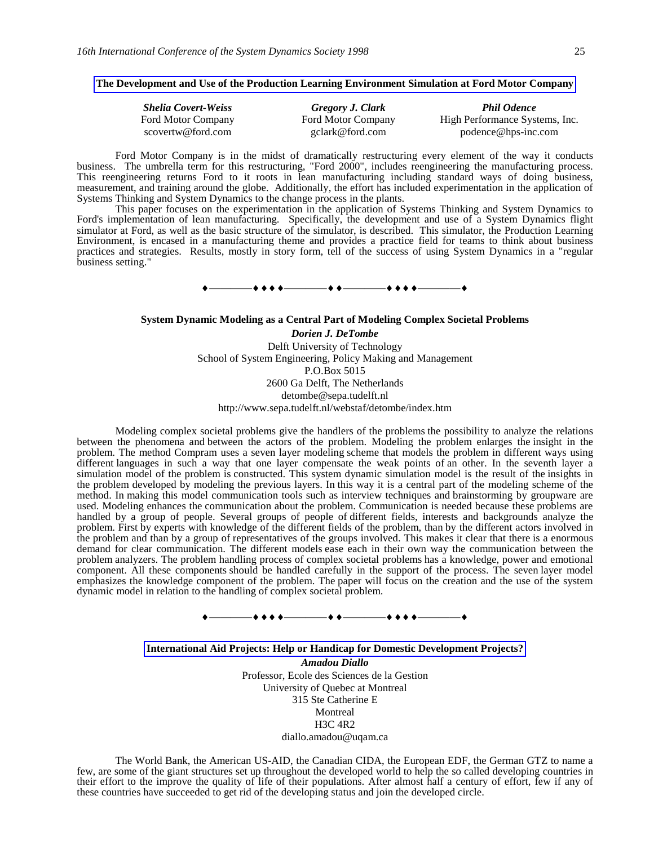### **The Development and Use of the Production Learning Environment Simulation at Ford Motor Company**

| <b>Shelia Covert-Weiss</b> | Gregory J. Clark   | <b>Phil Odence</b>             |
|----------------------------|--------------------|--------------------------------|
| Ford Motor Company         | Ford Motor Company | High Performance Systems, Inc. |
| scovertw@ford.com          | gclark@ford.com    | podence@hps-inc.com            |

Ford Motor Company is in the midst of dramatically restructuring every element of the way it conducts business. The umbrella term for this restructuring, "Ford 2000", includes reengineering the manufacturing process. This reengineering returns Ford to it roots in lean manufacturing including standard ways of doing business, measurement, and training around the globe. Additionally, the effort has included experimentation in the application of Systems Thinking and System Dynamics to the change process in the plants.

This paper focuses on the experimentation in the application of Systems Thinking and System Dynamics to Ford's implementation of lean manufacturing. Specifically, the development and use of a System Dynamics flight simulator at Ford, as well as the basic structure of the simulator, is described. This simulator, the Production Learning Environment, is encased in a manufacturing theme and provides a practice field for teams to think about business practices and strategies. Results, mostly in story form, tell of the success of using System Dynamics in a "regular business setting."

————————————————

#### **System Dynamic Modeling as a Central Part of Modeling Complex Societal Problems**

*Dorien J. DeTombe* Delft University of Technology School of System Engineering, Policy Making and Management P.O.Box 5015 2600 Ga Delft, The Netherlands detombe@sepa.tudelft.nl http://www.sepa.tudelft.nl/webstaf/detombe/index.htm

Modeling complex societal problems give the handlers of the problems the possibility to analyze the relations between the phenomena and between the actors of the problem. Modeling the problem enlarges the insight in the problem. The method Compram uses a seven layer modeling scheme that models the problem in different ways using different languages in such a way that one layer compensate the weak points of an other. In the seventh layer a simulation model of the problem is constructed. This system dynamic simulation model is the result of the insights in the problem developed by modeling the previous layers. In this way it is a central part of the modeling scheme of the method. In making this model communication tools such as interview techniques and brainstorming by groupware are used. Modeling enhances the communication about the problem. Communication is needed because these problems are handled by a group of people. Several groups of people of different fields, interests and backgrounds analyze the problem. First by experts with knowledge of the different fields of the problem, than by the different actors involved in the problem and than by a group of representatives of the groups involved. This makes it clear that there is a enormous demand for clear communication. The different models ease each in their own way the communication between the problem analyzers. The problem handling process of complex societal problems has a knowledge, power and emotional component. All these components should be handled carefully in the support of the process. The seven layer model emphasizes the knowledge component of the problem. The paper will focus on the creation and the use of the system dynamic model in relation to the handling of complex societal problem.



#### **International Aid Projects: Help or Handicap for Domestic Development Projects?**

*Amadou Diallo* Professor, Ecole des Sciences de la Gestion University of Quebec at Montreal 315 Ste Catherine E Montreal H3C 4R2 diallo.amadou@uqam.ca

The World Bank, the American US-AID, the Canadian CIDA, the European EDF, the German GTZ to name a few, are some of the giant structures set up throughout the developed world to help the so called developing countries in their effort to the improve the quality of life of their populations. After almost half a century of effort, few if any of these countries have succeeded to get rid of the developing status and join the developed circle.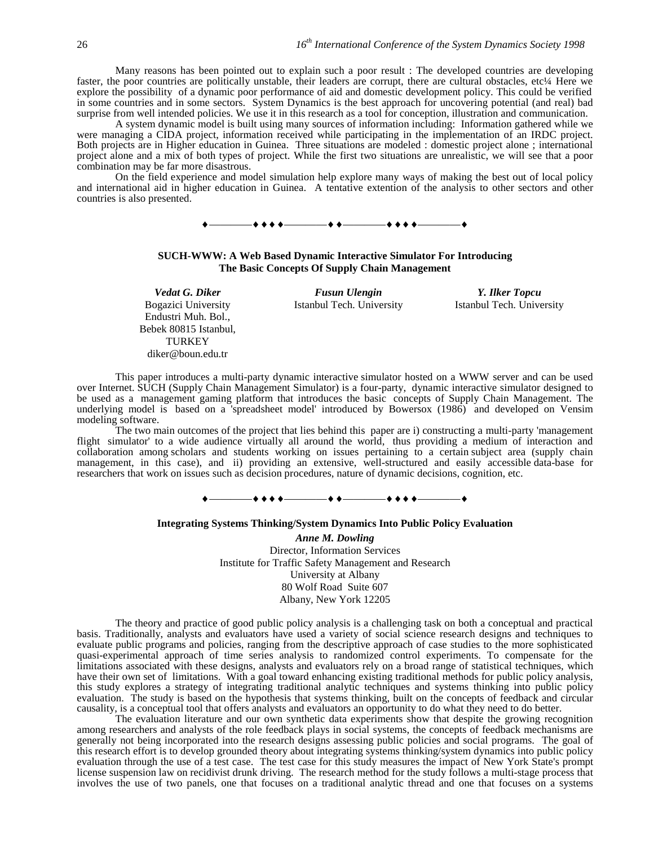Many reasons has been pointed out to explain such a poor result : The developed countries are developing faster, the poor countries are politically unstable, their leaders are corrupt, there are cultural obstacles, etc<sup>1</sup>/4 Here we explore the possibility of a dynamic poor performance of aid and domestic development policy. This could be verified in some countries and in some sectors. System Dynamics is the best approach for uncovering potential (and real) bad surprise from well intended policies. We use it in this research as a tool for conception, illustration and communication.

A system dynamic model is built using many sources of information including: Information gathered while we were managing a CIDA project, information received while participating in the implementation of an IRDC project. Both projects are in Higher education in Guinea. Three situations are modeled : domestic project alone ; international project alone and a mix of both types of project. While the first two situations are unrealistic, we will see that a poor combination may be far more disastrous.

On the field experience and model simulation help explore many ways of making the best out of local policy and international aid in higher education in Guinea. A tentative extention of the analysis to other sectors and other countries is also presented.





Bogazici University Endustri Muh. Bol., Bebek 80815 Istanbul, **TURKEY** diker@boun.edu.tr

Istanbul Tech. University

*Vedat G. Diker* Fusun *Vlengin Y. Ilker Topcu*<br> *Fusun Ulengin Y. Ilker Topcu*<br> *Stanbul Tech. University Istanbul Tech. University* 

This paper introduces a multi-party dynamic interactive simulator hosted on a WWW server and can be used over Internet. SUCH (Supply Chain Management Simulator) is a four-party, dynamic interactive simulator designed to be used as a management gaming platform that introduces the basic concepts of Supply Chain Management. The underlying model is based on a 'spreadsheet model' introduced by Bowersox (1986) and developed on Vensim modeling software.

The two main outcomes of the project that lies behind this paper are i) constructing a multi-party 'management flight simulator' to a wide audience virtually all around the world, thus providing a medium of interaction and collaboration among scholars and students working on issues pertaining to a certain subject area (supply chain management, in this case), and ii) providing an extensive, well-structured and easily accessible data-base for researchers that work on issues such as decision procedures, nature of dynamic decisions, cognition, etc.



#### **Integrating Systems Thinking/System Dynamics Into Public Policy Evaluation**

*Anne M. Dowling* Director, Information Services Institute for Traffic Safety Management and Research University at Albany 80 Wolf Road Suite 607 Albany, New York 12205

The theory and practice of good public policy analysis is a challenging task on both a conceptual and practical basis. Traditionally, analysts and evaluators have used a variety of social science research designs and techniques to evaluate public programs and policies, ranging from the descriptive approach of case studies to the more sophisticated quasi-experimental approach of time series analysis to randomized control experiments. To compensate for the limitations associated with these designs, analysts and evaluators rely on a broad range of statistical techniques, which have their own set of limitations. With a goal toward enhancing existing traditional methods for public policy analysis, this study explores a strategy of integrating traditional analytic techniques and systems thinking into public policy evaluation. The study is based on the hypothesis that systems thinking, built on the concepts of feedback and circular causality, is a conceptual tool that offers analysts and evaluators an opportunity to do what they need to do better.

The evaluation literature and our own synthetic data experiments show that despite the growing recognition among researchers and analysts of the role feedback plays in social systems, the concepts of feedback mechanisms are generally not being incorporated into the research designs assessing public policies and social programs. The goal of this research effort is to develop grounded theory about integrating systems thinking/system dynamics into public policy evaluation through the use of a test case. The test case for this study measures the impact of New York State's prompt license suspension law on recidivist drunk driving. The research method for the study follows a multi-stage process that involves the use of two panels, one that focuses on a traditional analytic thread and one that focuses on a systems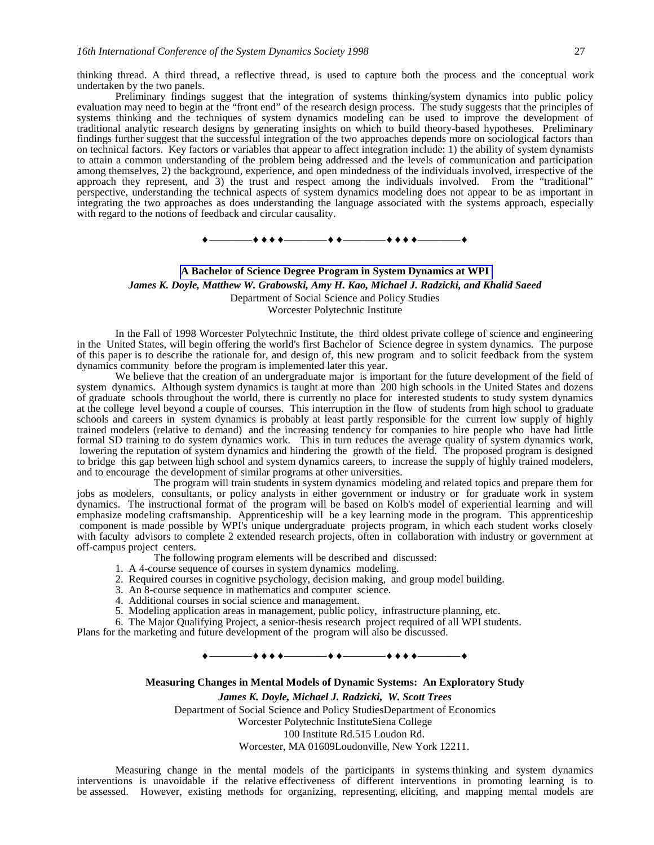thinking thread. A third thread, a reflective thread, is used to capture both the process and the conceptual work undertaken by the two panels.

Preliminary findings suggest that the integration of systems thinking/system dynamics into public policy evaluation may need to begin at the "front end" of the research design process. The study suggests that the principles of systems thinking and the techniques of system dynamics modeling can be used to improve the development of traditional analytic research designs by generating insights on which to build theory-based hypotheses. Preliminary findings further suggest that the successful integration of the two approaches depends more on sociological factors than on technical factors. Key factors or variables that appear to affect integration include: 1) the ability of system dynamists to attain a common understanding of the problem being addressed and the levels of communication and participation among themselves, 2) the background, experience, and open mindedness of the individuals involved, irrespective of the approach they represent, and 3) the trust and respect among the individuals involved. From the "traditional" perspective, understanding the technical aspects of system dynamics modeling does not appear to be as important in integrating the two approaches as does understanding the language associated with the systems approach, especially with regard to the notions of feedback and circular causality.

### ————————————————

### **A Bachelor of Science Degree Program in System Dynamics at WPI**

*James K. Doyle, Matthew W. Grabowski, Amy H. Kao, Michael J. Radzicki, and Khalid Saeed*

Department of Social Science and Policy Studies

Worcester Polytechnic Institute

In the Fall of 1998 Worcester Polytechnic Institute, the third oldest private college of science and engineering in the United States, will begin offering the world's first Bachelor of Science degree in system dynamics. The purpose of this paper is to describe the rationale for, and design of, this new program and to solicit feedback from the system dynamics community before the program is implemented later this year.

We believe that the creation of an undergraduate major is important for the future development of the field of system dynamics. Although system dynamics is taught at more than 200 high schools in the United States and dozens of graduate schools throughout the world, there is currently no place for interested students to study system dynamics at the college level beyond a couple of courses. This interruption in the flow of students from high school to graduate schools and careers in system dynamics is probably at least partly responsible for the current low supply of highly trained modelers (relative to demand) and the increasing tendency for companies to hire people who have had little formal SD training to do system dynamics work. This in turn reduces the average quality of system dynamics work, lowering the reputation of system dynamics and hindering the growth of the field. The proposed program is designed to bridge this gap between high school and system dynamics careers, to increase the supply of highly trained modelers, and to encourage the development of similar programs at other universities.

The program will train students in system dynamics modeling and related topics and prepare them for jobs as modelers, consultants, or policy analysts in either government or industry or for graduate work in system dynamics. The instructional format of the program will be based on Kolb's model of experiential learning and will emphasize modeling craftsmanship. Apprenticeship will be a key learning mode in the program. This apprenticeship component is made possible by WPI's unique undergraduate projects program, in which each student works closely with faculty advisors to complete 2 extended research projects, often in collaboration with industry or government at off-campus project centers.

The following program elements will be described and discussed:

- 1. A 4-course sequence of courses in system dynamics modeling.
- 2. Required courses in cognitive psychology, decision making, and group model building.
- 3. An 8-course sequence in mathematics and computer science.
- 4. Additional courses in social science and management.
- 5. Modeling application areas in management, public policy, infrastructure planning, etc.
- 6. The Major Qualifying Project, a senior-thesis research project required of all WPI students.

Plans for the marketing and future development of the program will also be discussed.

————————————————

**Measuring Changes in Mental Models of Dynamic Systems: An Exploratory Study**

*James K. Doyle, Michael J. Radzicki, W. Scott Trees* Department of Social Science and Policy StudiesDepartment of Economics Worcester Polytechnic InstituteSiena College 100 Institute Rd.515 Loudon Rd. Worcester, MA 01609Loudonville, New York 12211.

Measuring change in the mental models of the participants in systems thinking and system dynamics interventions is unavoidable if the relative effectiveness of different interventions in promoting learning is to be assessed. However, existing methods for organizing, representing, eliciting, and mapping mental models are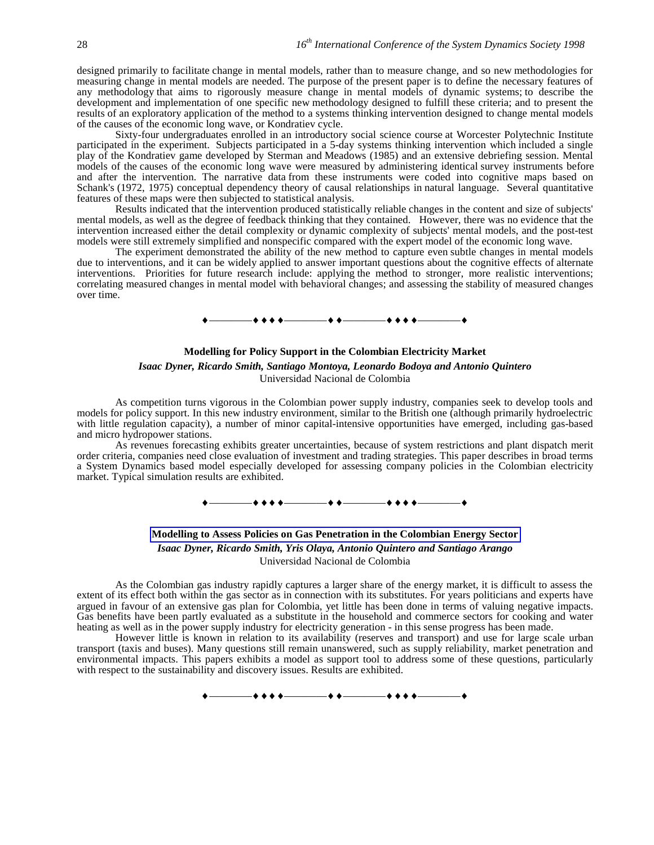designed primarily to facilitate change in mental models, rather than to measure change, and so new methodologies for measuring change in mental models are needed. The purpose of the present paper is to define the necessary features of any methodology that aims to rigorously measure change in mental models of dynamic systems; to describe the development and implementation of one specific new methodology designed to fulfill these criteria; and to present the results of an exploratory application of the method to a systems thinking intervention designed to change mental models of the causes of the economic long wave, or Kondratiev cycle.

Sixty-four undergraduates enrolled in an introductory social science course at Worcester Polytechnic Institute participated in the experiment. Subjects participated in a 5-day systems thinking intervention which included a single play of the Kondratiev game developed by Sterman and Meadows (1985) and an extensive debriefing session. Mental models of the causes of the economic long wave were measured by administering identical survey instruments before and after the intervention. The narrative data from these instruments were coded into cognitive maps based on Schank's (1972, 1975) conceptual dependency theory of causal relationships in natural language. Several quantitative features of these maps were then subjected to statistical analysis.

Results indicated that the intervention produced statistically reliable changes in the content and size of subjects' mental models, as well as the degree of feedback thinking that they contained. However, there was no evidence that the intervention increased either the detail complexity or dynamic complexity of subjects' mental models, and the post-test models were still extremely simplified and nonspecific compared with the expert model of the economic long wave.

The experiment demonstrated the ability of the new method to capture even subtle changes in mental models due to interventions, and it can be widely applied to answer important questions about the cognitive effects of alternate interventions. Priorities for future research include: applying the method to stronger, more realistic interventions; correlating measured changes in mental model with behavioral changes; and assessing the stability of measured changes over time.



# **Modelling for Policy Support in the Colombian Electricity Market** *Isaac Dyner, Ricardo Smith, Santiago Montoya, Leonardo Bodoya and Antonio Quintero* Universidad Nacional de Colombia

As competition turns vigorous in the Colombian power supply industry, companies seek to develop tools and models for policy support. In this new industry environment, similar to the British one (although primarily hydroelectric with little regulation capacity), a number of minor capital-intensive opportunities have emerged, including gas-based and micro hydropower stations.

As revenues forecasting exhibits greater uncertainties, because of system restrictions and plant dispatch merit order criteria, companies need close evaluation of investment and trading strategies. This paper describes in broad terms a System Dynamics based model especially developed for assessing company policies in the Colombian electricity market. Typical simulation results are exhibited.

# ————————————————

# **Modelling to Assess Policies on Gas Penetration in the Colombian Energy Sector** *Isaac Dyner, Ricardo Smith, Yris Olaya, Antonio Quintero and Santiago Arango* Universidad Nacional de Colombia

As the Colombian gas industry rapidly captures a larger share of the energy market, it is difficult to assess the extent of its effect both within the gas sector as in connection with its substitutes. For years politicians and experts have argued in favour of an extensive gas plan for Colombia, yet little has been done in terms of valuing negative impacts. Gas benefits have been partly evaluated as a substitute in the household and commerce sectors for cooking and water heating as well as in the power supply industry for electricity generation - in this sense progress has been made.

However little is known in relation to its availability (reserves and transport) and use for large scale urban transport (taxis and buses). Many questions still remain unanswered, such as supply reliability, market penetration and environmental impacts. This papers exhibits a model as support tool to address some of these questions, particularly with respect to the sustainability and discovery issues. Results are exhibited.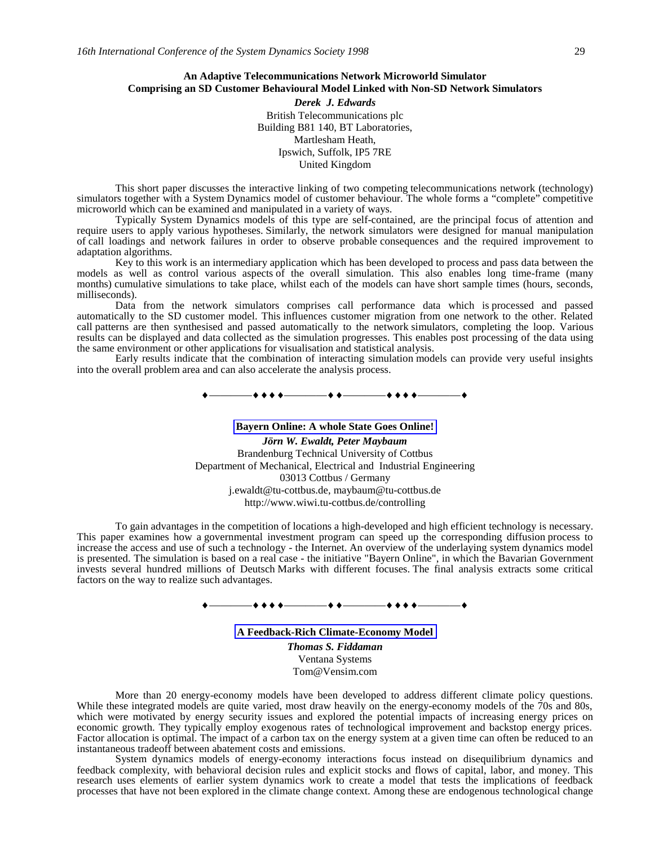## **An Adaptive Telecommunications Network Microworld Simulator Comprising an SD Customer Behavioural Model Linked with Non-SD Network Simulators**

*Derek J. Edwards* British Telecommunications plc Building B81 140, BT Laboratories, Martlesham Heath, Ipswich, Suffolk, IP5 7RE United Kingdom

This short paper discusses the interactive linking of two competing telecommunications network (technology) simulators together with a System Dynamics model of customer behaviour. The whole forms a "complete" competitive microworld which can be examined and manipulated in a variety of ways.

Typically System Dynamics models of this type are self-contained, are the principal focus of attention and require users to apply various hypotheses. Similarly, the network simulators were designed for manual manipulation of call loadings and network failures in order to observe probable consequences and the required improvement to adaptation algorithms.

Key to this work is an intermediary application which has been developed to process and pass data between the models as well as control various aspects of the overall simulation. This also enables long time-frame (many months) cumulative simulations to take place, whilst each of the models can have short sample times (hours, seconds, milliseconds).

Data from the network simulators comprises call performance data which is processed and passed automatically to the SD customer model. This influences customer migration from one network to the other. Related call patterns are then synthesised and passed automatically to the network simulators, completing the loop. Various results can be displayed and data collected as the simulation progresses. This enables post processing of the data using the same environment or other applications for visualisation and statistical analysis.

Early results indicate that the combination of interacting simulation models can provide very useful insights into the overall problem area and can also accelerate the analysis process.

————————————————

**Bayern Online: A whole State Goes Online!** *Jörn W. Ewaldt, Peter Maybaum* Brandenburg Technical University of Cottbus Department of Mechanical, Electrical and Industrial Engineering 03013 Cottbus / Germany j.ewaldt@tu-cottbus.de, maybaum@tu-cottbus.de http://www.wiwi.tu-cottbus.de/controlling

To gain advantages in the competition of locations a high-developed and high efficient technology is necessary. This paper examines how a governmental investment program can speed up the corresponding diffusion process to increase the access and use of such a technology - the Internet. An overview of the underlaying system dynamics model is presented. The simulation is based on a real case - the initiative "Bayern Online", in which the Bavarian Government invests several hundred millions of Deutsch Marks with different focuses. The final analysis extracts some critical factors on the way to realize such advantages.

# $\begin{array}{c} \bullet \longrightarrow \bullet \bullet \bullet \bullet \longrightarrow \bullet \bullet \longrightarrow \bullet \bullet \longrightarrow \bullet \bullet \bullet \longrightarrow \bullet \bullet \bullet \longrightarrow \bullet \end{array}$

**A Feedback-Rich Climate-Economy Model**

*Thomas S. Fiddaman* Ventana Systems Tom@Vensim.com

More than 20 energy-economy models have been developed to address different climate policy questions. While these integrated models are quite varied, most draw heavily on the energy-economy models of the 70s and 80s, which were motivated by energy security issues and explored the potential impacts of increasing energy prices on economic growth. They typically employ exogenous rates of technological improvement and backstop energy prices. Factor allocation is optimal. The impact of a carbon tax on the energy system at a given time can often be reduced to an instantaneous tradeoff between abatement costs and emissions.

System dynamics models of energy-economy interactions focus instead on disequilibrium dynamics and feedback complexity, with behavioral decision rules and explicit stocks and flows of capital, labor, and money. This research uses elements of earlier system dynamics work to create a model that tests the implications of feedback processes that have not been explored in the climate change context. Among these are endogenous technological change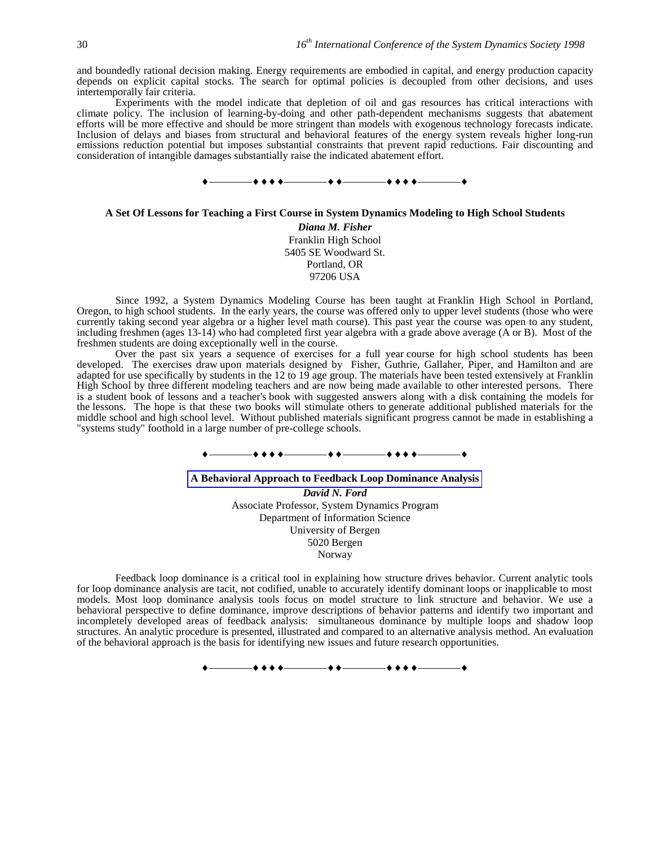and boundedly rational decision making. Energy requirements are embodied in capital, and energy production capacity depends on explicit capital stocks. The search for optimal policies is decoupled from other decisions, and uses intertemporally fair criteria.

Experiments with the model indicate that depletion of oil and gas resources has critical interactions with climate policy. The inclusion of learning-by-doing and other path-dependent mechanisms suggests that abatement efforts will be more effective and should be more stringent than models with exogenous technology forecasts indicate. Inclusion of delays and biases from structural and behavioral features of the energy system reveals higher long-run emissions reduction potential but imposes substantial constraints that prevent rapid reductions. Fair discounting and consideration of intangible damages substantially raise the indicated abatement effort.



### **A Set Of Lessons for Teaching a First Course in System Dynamics Modeling to High School Students**

*Diana M. Fisher* Franklin High School 5405 SE Woodward St. Portland, OR 97206 USA

Since 1992, a System Dynamics Modeling Course has been taught at Franklin High School in Portland, Oregon, to high school students. In the early years, the course was offered only to upper level students (those who were currently taking second year algebra or a higher level math course). This past year the course was open to any student, including freshmen (ages 13-14) who had completed first year algebra with a grade above average (A or B). Most of the freshmen students are doing exceptionally well in the course.

Over the past six years a sequence of exercises for a full year course for high school students has been developed. The exercises draw upon materials designed by Fisher, Guthrie, Gallaher, Piper, and Hamilton and are adapted for use specifically by students in the 12 to 19 age group. The materials have been tested extensively at Franklin High School by three different modeling teachers and are now being made available to other interested persons. There is a student book of lessons and a teacher's book with suggested answers along with a disk containing the models for the lessons. The hope is that these two books will stimulate others to generate additional published materials for the middle school and high school level. Without published materials significant progress cannot be made in establishing a "systems study" foothold in a large number of pre-college schools.

### ————————————————

# **A Behavioral Approach to Feedback Loop Dominance Analysis** *David N. Ford* Associate Professor, System Dynamics Program Department of Information Science University of Bergen 5020 Bergen Norway

Feedback loop dominance is a critical tool in explaining how structure drives behavior. Current analytic tools for loop dominance analysis are tacit, not codified, unable to accurately identify dominant loops or inapplicable to most models. Most loop dominance analysis tools focus on model structure to link structure and behavior. We use a behavioral perspective to define dominance, improve descriptions of behavior patterns and identify two important and incompletely developed areas of feedback analysis: simultaneous dominance by multiple loops and shadow loop structures. An analytic procedure is presented, illustrated and compared to an alternative analysis method. An evaluation of the behavioral approach is the basis for identifying new issues and future research opportunities.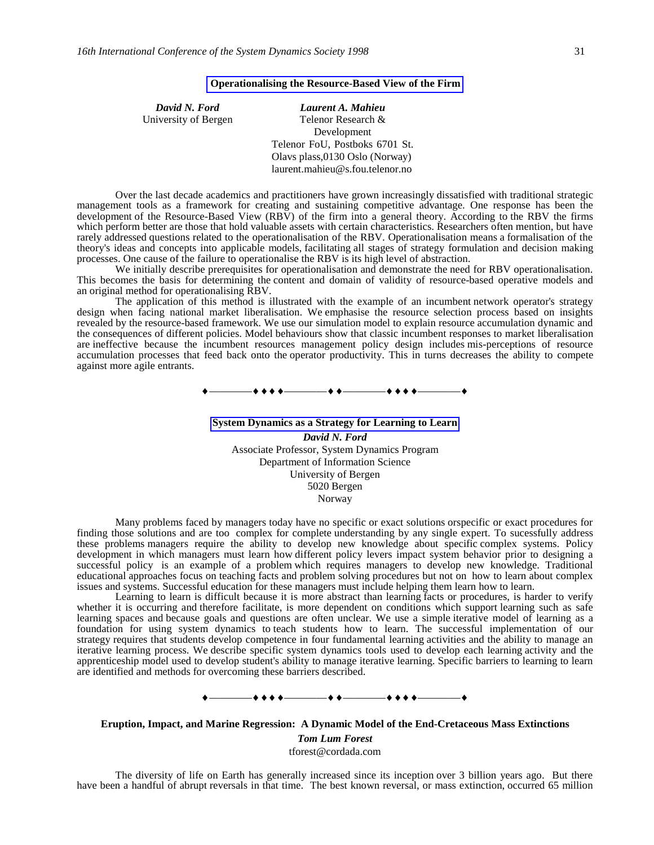### **Operationalising the Resource-Based View of the Firm**

| David N. Ford        | Laurent A. Mahieu               |
|----------------------|---------------------------------|
| University of Bergen | Telenor Research &              |
|                      | Development                     |
|                      | Telenor FoU, Postboks 6701 St.  |
|                      | Olavs plass, 0130 Oslo (Norway) |
|                      | laurent.mahieu@s.fou.telenor.no |

Over the last decade academics and practitioners have grown increasingly dissatisfied with traditional strategic management tools as a framework for creating and sustaining competitive advantage. One response has been the development of the Resource-Based View (RBV) of the firm into a general theory. According to the RBV the firms which perform better are those that hold valuable assets with certain characteristics. Researchers often mention, but have rarely addressed questions related to the operationalisation of the RBV. Operationalisation means a formalisation of the theory's ideas and concepts into applicable models, facilitating all stages of strategy formulation and decision making processes. One cause of the failure to operationalise the RBV is its high level of abstraction.

We initially describe prerequisites for operationalisation and demonstrate the need for RBV operationalisation. This becomes the basis for determining the content and domain of validity of resource-based operative models and an original method for operationalising RBV.

The application of this method is illustrated with the example of an incumbent network operator's strategy design when facing national market liberalisation. We emphasise the resource selection process based on insights revealed by the resource-based framework. We use our simulation model to explain resource accumulation dynamic and the consequences of different policies. Model behaviours show that classic incumbent responses to market liberalisation are ineffective because the incumbent resources management policy design includes mis-perceptions of resource accumulation processes that feed back onto the operator productivity. This in turns decreases the ability to compete against more agile entrants.

————————————————

**System Dynamics as a Strategy for Learning to Learn** *David N. Ford* Associate Professor, System Dynamics Program Department of Information Science University of Bergen 5020 Bergen Norway

Many problems faced by managers today have no specific or exact solutions orspecific or exact procedures for finding those solutions and are too complex for complete understanding by any single expert. To sucessfully address these problems managers require the ability to develop new knowledge about specific complex systems. Policy development in which managers must learn how different policy levers impact system behavior prior to designing a successful policy is an example of a problem which requires managers to develop new knowledge. Traditional educational approaches focus on teaching facts and problem solving procedures but not on how to learn about complex issues and systems. Successful education for these managers must include helping them learn how to learn.

Learning to learn is difficult because it is more abstract than learning facts or procedures, is harder to verify whether it is occurring and therefore facilitate, is more dependent on conditions which support learning such as safe learning spaces and because goals and questions are often unclear. We use a simple iterative model of learning as a foundation for using system dynamics to teach students how to learn. The successful implementation of our strategy requires that students develop competence in four fundamental learning activities and the ability to manage an iterative learning process. We describe specific system dynamics tools used to develop each learning activity and the apprenticeship model used to develop student's ability to manage iterative learning. Specific barriers to learning to learn are identified and methods for overcoming these barriers described.

# ————————————————

**Eruption, Impact, and Marine Regression: A Dynamic Model of the End-Cretaceous Mass Extinctions**

*Tom Lum Forest*

tforest@cordada.com

The diversity of life on Earth has generally increased since its inception over 3 billion years ago. But there have been a handful of abrupt reversals in that time. The best known reversal, or mass extinction, occurred 65 million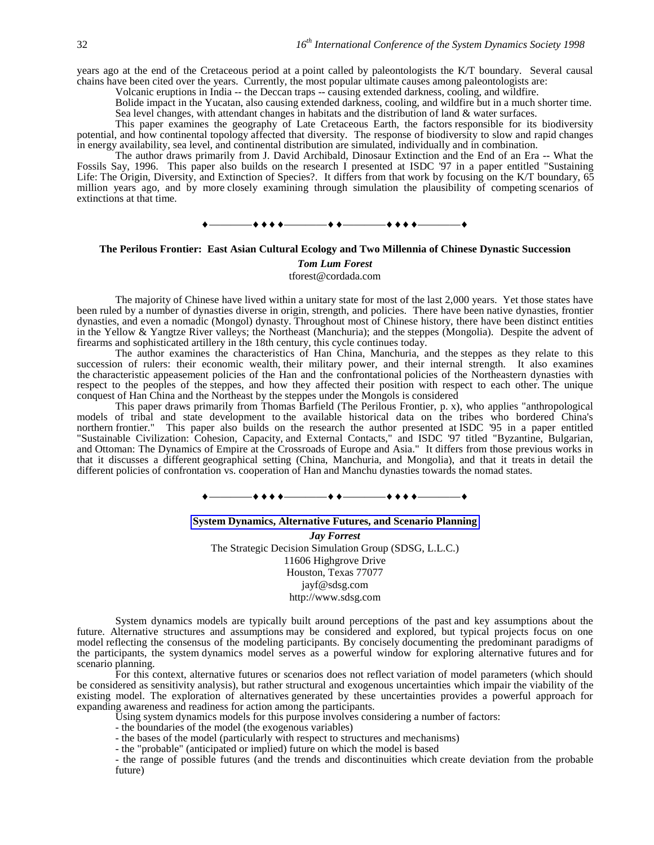years ago at the end of the Cretaceous period at a point called by paleontologists the K/T boundary. Several causal chains have been cited over the years. Currently, the most popular ultimate causes among paleontologists are:

Volcanic eruptions in India -- the Deccan traps -- causing extended darkness, cooling, and wildfire.

Bolide impact in the Yucatan, also causing extended darkness, cooling, and wildfire but in a much shorter time. Sea level changes, with attendant changes in habitats and the distribution of land & water surfaces.

This paper examines the geography of Late Cretaceous Earth, the factors responsible for its biodiversity potential, and how continental topology affected that diversity. The response of biodiversity to slow and rapid changes in energy availability, sea level, and continental distribution are simulated, individually and in combination.

The author draws primarily from J. David Archibald, Dinosaur Extinction and the End of an Era -- What the Fossils Say, 1996. This paper also builds on the research I presented at ISDC '97 in a paper entitled "Sustaining Life: The Origin, Diversity, and Extinction of Species?. It differs from that work by focusing on the K/T boundary, 65 million years ago, and by more closely examining through simulation the plausibility of competing scenarios of extinctions at that time.



### **The Perilous Frontier: East Asian Cultural Ecology and Two Millennia of Chinese Dynastic Succession**

#### *Tom Lum Forest*

tforest@cordada.com

The majority of Chinese have lived within a unitary state for most of the last 2,000 years. Yet those states have been ruled by a number of dynasties diverse in origin, strength, and policies. There have been native dynasties, frontier dynasties, and even a nomadic (Mongol) dynasty. Throughout most of Chinese history, there have been distinct entities in the Yellow & Yangtze River valleys; the Northeast (Manchuria); and the steppes (Mongolia). Despite the advent of firearms and sophisticated artillery in the 18th century, this cycle continues today.

The author examines the characteristics of Han China, Manchuria, and the steppes as they relate to this succession of rulers: their economic wealth, their military power, and their internal strength. It also examines the characteristic appeasement policies of the Han and the confrontational policies of the Northeastern dynasties with respect to the peoples of the steppes, and how they affected their position with respect to each other. The unique conquest of Han China and the Northeast by the steppes under the Mongols is considered

This paper draws primarily from Thomas Barfield (The Perilous Frontier, p. x), who applies "anthropological models of tribal and state development to the available historical data on the tribes who bordered China's northern frontier." This paper also builds on the research the author presented at ISDC '95 in a paper entitled "Sustainable Civilization: Cohesion, Capacity, and External Contacts," and ISDC '97 titled "Byzantine, Bulgarian, and Ottoman: The Dynamics of Empire at the Crossroads of Europe and Asia." It differs from those previous works in that it discusses a different geographical setting (China, Manchuria, and Mongolia), and that it treats in detail the different policies of confrontation vs. cooperation of Han and Manchu dynasties towards the nomad states.

### $\bullet$  + + +  $\hspace{0.1cm}$  + + +  $\hspace{0.1cm}$  + + + +  $\hspace{0.1cm}$

#### **System Dynamics, Alternative Futures, and Scenario Planning**

*Jay Forrest* The Strategic Decision Simulation Group (SDSG, L.L.C.) 11606 Highgrove Drive Houston, Texas 77077 jayf@sdsg.com http://www.sdsg.com

System dynamics models are typically built around perceptions of the past and key assumptions about the future. Alternative structures and assumptions may be considered and explored, but typical projects focus on one model reflecting the consensus of the modeling participants. By concisely documenting the predominant paradigms of the participants, the system dynamics model serves as a powerful window for exploring alternative futures and for scenario planning.

For this context, alternative futures or scenarios does not reflect variation of model parameters (which should be considered as sensitivity analysis), but rather structural and exogenous uncertainties which impair the viability of the existing model. The exploration of alternatives generated by these uncertainties provides a powerful approach for expanding awareness and readiness for action among the participants.

Using system dynamics models for this purpose involves considering a number of factors:

- the boundaries of the model (the exogenous variables)
- the bases of the model (particularly with respect to structures and mechanisms)

- the "probable" (anticipated or implied) future on which the model is based

- the range of possible futures (and the trends and discontinuities which create deviation from the probable future)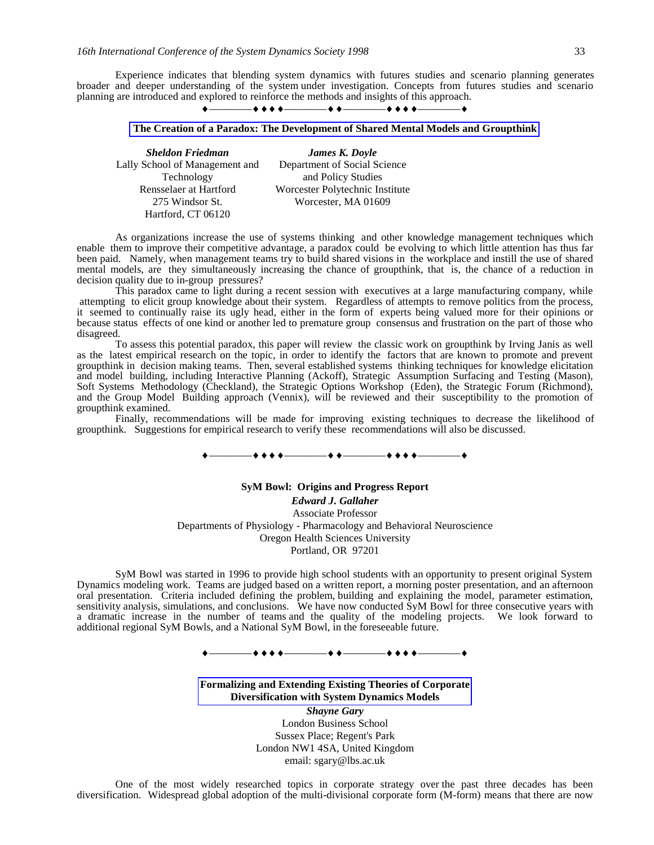Experience indicates that blending system dynamics with futures studies and scenario planning generates broader and deeper understanding of the system under investigation. Concepts from futures studies and scenario planning are introduced and explored to reinforce the methods and insights of this approach.



### **The Creation of a Paradox: The Development of Shared Mental Models and Groupthink**

| James K. Doyle                  |
|---------------------------------|
| Department of Social Science    |
| and Policy Studies              |
| Worcester Polytechnic Institute |
| Worcester, MA 01609             |
|                                 |
|                                 |

As organizations increase the use of systems thinking and other knowledge management techniques which enable them to improve their competitive advantage, a paradox could be evolving to which little attention has thus far been paid. Namely, when management teams try to build shared visions in the workplace and instill the use of shared mental models, are they simultaneously increasing the chance of groupthink, that is, the chance of a reduction in decision quality due to in-group pressures?

This paradox came to light during a recent session with executives at a large manufacturing company, while attempting to elicit group knowledge about their system. Regardless of attempts to remove politics from the process, it seemed to continually raise its ugly head, either in the form of experts being valued more for their opinions or because status effects of one kind or another led to premature group consensus and frustration on the part of those who disagreed.

To assess this potential paradox, this paper will review the classic work on groupthink by Irving Janis as well as the latest empirical research on the topic, in order to identify the factors that are known to promote and prevent groupthink in decision making teams. Then, several established systems thinking techniques for knowledge elicitation and model building, including Interactive Planning (Ackoff), Strategic Assumption Surfacing and Testing (Mason), Soft Systems Methodology (Checkland), the Strategic Options Workshop (Eden), the Strategic Forum (Richmond), and the Group Model Building approach (Vennix), will be reviewed and their susceptibility to the promotion of groupthink examined.

Finally, recommendations will be made for improving existing techniques to decrease the likelihood of groupthink. Suggestions for empirical research to verify these recommendations will also be discussed.

#### $\bullet\bullet\bullet\bullet\bullet$

#### **SyM Bowl: Origins and Progress Report**

*Edward J. Gallaher* Associate Professor Departments of Physiology - Pharmacology and Behavioral Neuroscience Oregon Health Sciences University Portland, OR 97201

SyM Bowl was started in 1996 to provide high school students with an opportunity to present original System Dynamics modeling work. Teams are judged based on a written report, a morning poster presentation, and an afternoon oral presentation. Criteria included defining the problem, building and explaining the model, parameter estimation, sensitivity analysis, simulations, and conclusions. We have now conducted SyM Bowl for three consecutive years with a dramatic increase in the number of teams and the quality of the modeling projects. We look forward to additional regional SyM Bowls, and a National SyM Bowl, in the foreseeable future.

————————————————

### **Formalizing and Extending Existing Theories of Corporate Diversification with System Dynamics Models**

*Shayne Gary* London Business School Sussex Place; Regent's Park London NW1 4SA, United Kingdom email: sgary@lbs.ac.uk

One of the most widely researched topics in corporate strategy over the past three decades has been diversification. Widespread global adoption of the multi-divisional corporate form (M-form) means that there are now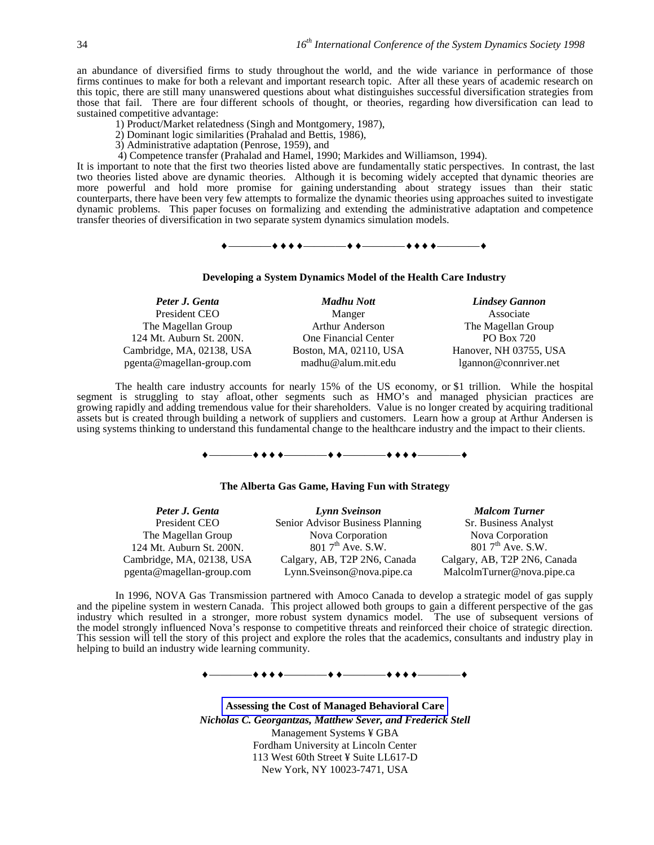an abundance of diversified firms to study throughout the world, and the wide variance in performance of those firms continues to make for both a relevant and important research topic. After all these years of academic research on this topic, there are still many unanswered questions about what distinguishes successful diversification strategies from those that fail. There are four different schools of thought, or theories, regarding how diversification can lead to sustained competitive advantage:

- 1) Product/Market relatedness (Singh and Montgomery, 1987),
- 2) Dominant logic similarities (Prahalad and Bettis, 1986),
- 3) Administrative adaptation (Penrose, 1959), and
- 4) Competence transfer (Prahalad and Hamel, 1990; Markides and Williamson, 1994).

It is important to note that the first two theories listed above are fundamentally static perspectives. In contrast, the last two theories listed above are dynamic theories. Although it is becoming widely accepted that dynamic theories are more powerful and hold more promise for gaining understanding about strategy issues than their static counterparts, there have been very few attempts to formalize the dynamic theories using approaches suited to investigate dynamic problems. This paper focuses on formalizing and extending the administrative adaptation and competence transfer theories of diversification in two separate system dynamics simulation models.

# $\begin{array}{c} \bullet \longrightarrow \bullet \bullet \bullet \bullet \longrightarrow \bullet \bullet \longrightarrow \bullet \bullet \longrightarrow \bullet \bullet \bullet \longrightarrow \bullet \bullet \bullet \longrightarrow \bullet \end{array}$

### **Developing a System Dynamics Model of the Health Care Industry**

| Madhu Nott             | <b>Lindsey Gannon</b>  |
|------------------------|------------------------|
| Manger                 | Associate              |
| <b>Arthur Anderson</b> | The Magellan Group     |
| One Financial Center   | PO Box 720             |
| Boston, MA, 02110, USA | Hanover, NH 03755, USA |
| madhu@alum.mit.edu     | lgannon@connriver.net  |
|                        |                        |

The health care industry accounts for nearly 15% of the US economy, or \$1 trillion. While the hospital segment is struggling to stay afloat, other segments such as HMO's and managed physician practices are growing rapidly and adding tremendous value for their shareholders. Value is no longer created by acquiring traditional assets but is created through building a network of suppliers and customers. Learn how a group at Arthur Andersen is using systems thinking to understand this fundamental change to the healthcare industry and the impact to their clients.

# $\begin{array}{c} \bullet \longrightarrow \bullet \bullet \bullet \bullet \longrightarrow \bullet \bullet \longrightarrow \bullet \bullet \longrightarrow \bullet \bullet \bullet \longrightarrow \bullet \bullet \bullet \longrightarrow \bullet \end{array}$

#### **The Alberta Gas Game, Having Fun with Strategy**

| Peter J. Genta            | Lynn Sveinson                    | <b>Malcom Turner</b>         |
|---------------------------|----------------------------------|------------------------------|
| President CEO             | Senior Advisor Business Planning | Sr. Business Analyst         |
| The Magellan Group        | Nova Corporation                 | Nova Corporation             |
| 124 Mt. Auburn St. 200N.  | $8017^{th}$ Ave. S.W.            | $8017^{\text{th}}$ Ave. S.W. |
| Cambridge, MA, 02138, USA | Calgary, AB, T2P 2N6, Canada     | Calgary, AB, T2P 2N6, Canada |
| pgenta@magellan-group.com | Lynn.Sveinson@nova.pipe.ca       | MalcolmTurner@nova.pipe.ca   |

In 1996, NOVA Gas Transmission partnered with Amoco Canada to develop a strategic model of gas supply and the pipeline system in western Canada. This project allowed both groups to gain a different perspective of the gas industry which resulted in a stronger, more robust system dynamics model. The use of subsequent versions of the model strongly influenced Nova's response to competitive threats and reinforced their choice of strategic direction. This session will tell the story of this project and explore the roles that the academics, consultants and industry play in helping to build an industry wide learning community.

 $\begin{array}{c} \bullet \longrightarrow \bullet \bullet \bullet \bullet \longrightarrow \bullet \bullet \longrightarrow \bullet \bullet \longrightarrow \bullet \bullet \bullet \longrightarrow \bullet \bullet \bullet \longrightarrow \bullet \end{array}$ 

**Assessing the Cost of Managed Behavioral Care** *Nicholas C. Georgantzas, Matthew Sever, and Frederick Stell* Management Systems ¥ GBA Fordham University at Lincoln Center 113 West 60th Street ¥ Suite LL617-D New York, NY 10023-7471, USA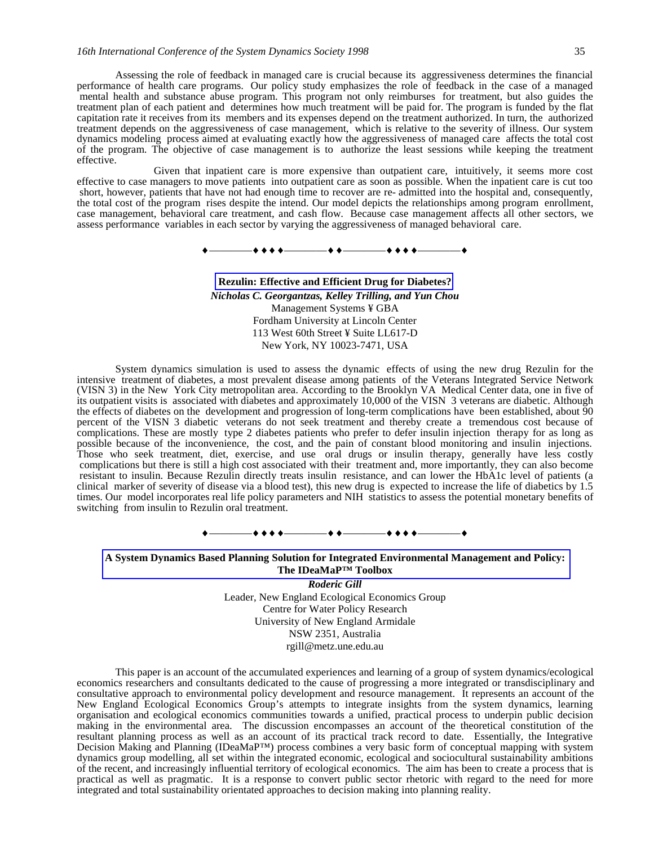### *16th International Conference of the System Dynamics Society 1998* 35

Assessing the role of feedback in managed care is crucial because its aggressiveness determines the financial performance of health care programs. Our policy study emphasizes the role of feedback in the case of a managed mental health and substance abuse program. This program not only reimburses for treatment, but also guides the treatment plan of each patient and determines how much treatment will be paid for. The program is funded by the flat capitation rate it receives from its members and its expenses depend on the treatment authorized. In turn, the authorized treatment depends on the aggressiveness of case management, which is relative to the severity of illness. Our system dynamics modeling process aimed at evaluating exactly how the aggressiveness of managed care affects the total cost of the program. The objective of case management is to authorize the least sessions while keeping the treatment effective.

Given that inpatient care is more expensive than outpatient care, intuitively, it seems more cost effective to case managers to move patients into outpatient care as soon as possible. When the inpatient care is cut too short, however, patients that have not had enough time to recover are re- admitted into the hospital and, consequently, the total cost of the program rises despite the intend. Our model depicts the relationships among program enrollment, case management, behavioral care treatment, and cash flow. Because case management affects all other sectors, we assess performance variables in each sector by varying the aggressiveness of managed behavioral care.

————————————————

**Rezulin: Effective and Efficient Drug for Diabetes?** *Nicholas C. Georgantzas, Kelley Trilling, and Yun Chou* Management Systems ¥ GBA Fordham University at Lincoln Center 113 West 60th Street ¥ Suite LL617-D New York, NY 10023-7471, USA

System dynamics simulation is used to assess the dynamic effects of using the new drug Rezulin for the intensive treatment of diabetes, a most prevalent disease among patients of the Veterans Integrated Service Network (VISN 3) in the New York City metropolitan area. According to the Brooklyn VA Medical Center data, one in five of its outpatient visits is associated with diabetes and approximately 10,000 of the VISN 3 veterans are diabetic. Although the effects of diabetes on the development and progression of long-term complications have been established, about  $\overline{90}$ percent of the VISN 3 diabetic veterans do not seek treatment and thereby create a tremendous cost because of complications. These are mostly type 2 diabetes patients who prefer to defer insulin injection therapy for as long as possible because of the inconvenience, the cost, and the pain of constant blood monitoring and insulin injections. Those who seek treatment, diet, exercise, and use oral drugs or insulin therapy, generally have less costly complications but there is still a high cost associated with their treatment and, more importantly, they can also become resistant to insulin. Because Rezulin directly treats insulin resistance, and can lower the HbA1c level of patients (a clinical marker of severity of disease via a blood test), this new drug is expected to increase the life of diabetics by 1.5 times. Our model incorporates real life policy parameters and NIH statistics to assess the potential monetary benefits of switching from insulin to Rezulin oral treatment.



**A System Dynamics Based Planning Solution for Integrated Environmental Management and Policy: The IDeaMaP™ Toolbox**

> *Roderic Gill* Leader, New England Ecological Economics Group Centre for Water Policy Research University of New England Armidale NSW 2351, Australia rgill@metz.une.edu.au

This paper is an account of the accumulated experiences and learning of a group of system dynamics/ecological economics researchers and consultants dedicated to the cause of progressing a more integrated or transdisciplinary and consultative approach to environmental policy development and resource management. It represents an account of the New England Ecological Economics Group's attempts to integrate insights from the system dynamics, learning organisation and ecological economics communities towards a unified, practical process to underpin public decision making in the environmental area. The discussion encompasses an account of the theoretical constitution of the resultant planning process as well as an account of its practical track record to date. Essentially, the Integrative Decision Making and Planning (IDeaMaP™) process combines a very basic form of conceptual mapping with system dynamics group modelling, all set within the integrated economic, ecological and sociocultural sustainability ambitions of the recent, and increasingly influential territory of ecological economics. The aim has been to create a process that is practical as well as pragmatic. It is a response to convert public sector rhetoric with regard to the need for more integrated and total sustainability orientated approaches to decision making into planning reality.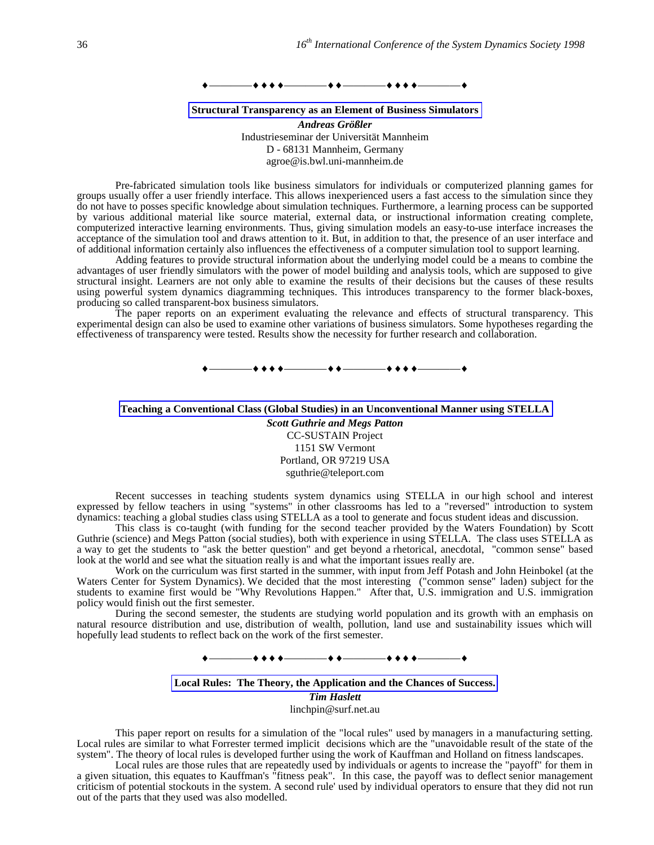#### ————————————————

#### **Structural Transparency as an Element of Business Simulators**

*Andreas Größler* Industrieseminar der Universität Mannheim D - 68131 Mannheim, Germany agroe@is.bwl.uni-mannheim.de

Pre-fabricated simulation tools like business simulators for individuals or computerized planning games for groups usually offer a user friendly interface. This allows inexperienced users a fast access to the simulation since they do not have to posses specific knowledge about simulation techniques. Furthermore, a learning process can be supported by various additional material like source material, external data, or instructional information creating complete, computerized interactive learning environments. Thus, giving simulation models an easy-to-use interface increases the acceptance of the simulation tool and draws attention to it. But, in addition to that, the presence of an user interface and of additional information certainly also influences the effectiveness of a computer simulation tool to support learning.

Adding features to provide structural information about the underlying model could be a means to combine the advantages of user friendly simulators with the power of model building and analysis tools, which are supposed to give structural insight. Learners are not only able to examine the results of their decisions but the causes of these results using powerful system dynamics diagramming techniques. This introduces transparency to the former black-boxes, producing so called transparent-box business simulators.

The paper reports on an experiment evaluating the relevance and effects of structural transparency. This experimental design can also be used to examine other variations of business simulators. Some hypotheses regarding the effectiveness of transparency were tested. Results show the necessity for further research and collaboration.

————————————————

# **Teaching a Conventional Class (Global Studies) in an Unconventional Manner using STELLA**

*Scott Guthrie and Megs Patton* CC-SUSTAIN Project 1151 SW Vermont Portland, OR 97219 USA sguthrie@teleport.com

Recent successes in teaching students system dynamics using STELLA in our high school and interest expressed by fellow teachers in using "systems" in other classrooms has led to a "reversed" introduction to system dynamics: teaching a global studies class using STELLA as a tool to generate and focus student ideas and discussion.

This class is co-taught (with funding for the second teacher provided by the Waters Foundation) by Scott Guthrie (science) and Megs Patton (social studies), both with experience in using STELLA. The class uses STELLA as a way to get the students to "ask the better question" and get beyond a rhetorical, anecdotal, "common sense" based look at the world and see what the situation really is and what the important issues really are.

Work on the curriculum was first started in the summer, with input from Jeff Potash and John Heinbokel (at the Waters Center for System Dynamics). We decided that the most interesting ("common sense" laden) subject for the students to examine first would be "Why Revolutions Happen." After that, U.S. immigration and U.S. immigration policy would finish out the first semester.

During the second semester, the students are studying world population and its growth with an emphasis on natural resource distribution and use, distribution of wealth, pollution, land use and sustainability issues which will hopefully lead students to reflect back on the work of the first semester.



### **Local Rules: The Theory, the Application and the Chances of Success.**

*Tim Haslett* linchpin@surf.net.au

This paper report on results for a simulation of the "local rules" used by managers in a manufacturing setting. Local rules are similar to what Forrester termed implicit decisions which are the "unavoidable result of the state of the system". The theory of local rules is developed further using the work of Kauffman and Holland on fitness landscapes.

Local rules are those rules that are repeatedly used by individuals or agents to increase the "payoff" for them in a given situation, this equates to Kauffman's "fitness peak". In this case, the payoff was to deflect senior management criticism of potential stockouts in the system. A second rule' used by individual operators to ensure that they did not run out of the parts that they used was also modelled.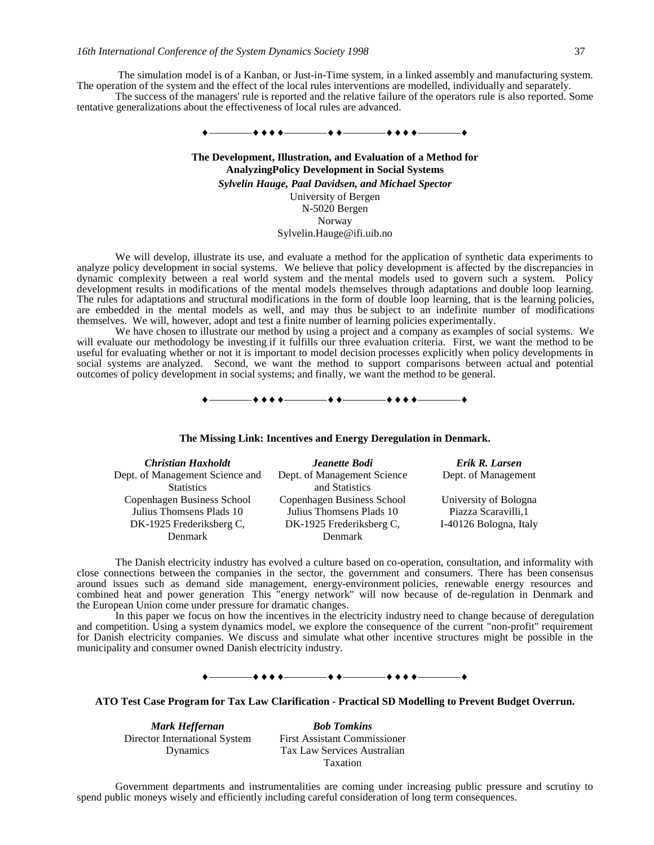The simulation model is of a Kanban, or Just-in-Time system, in a linked assembly and manufacturing system. The operation of the system and the effect of the local rules interventions are modelled, individually and separately.

The success of the managers' rule is reported and the relative failure of the operators rule is also reported. Some tentative generalizations about the effectiveness of local rules are advanced.



**The Development, Illustration, and Evaluation of a Method for AnalyzingPolicy Development in Social Systems** *Sylvelin Hauge, Paal Davidsen, and Michael Spector*

> University of Bergen N-5020 Bergen Norway Sylvelin.Hauge@ifi.uib.no

We will develop, illustrate its use, and evaluate a method for the application of synthetic data experiments to analyze policy development in social systems. We believe that policy development is affected by the discrepancies in dynamic complexity between a real world system and the mental models used to govern such a system. Policy development results in modifications of the mental models themselves through adaptations and double loop learning. The rules for adaptations and structural modifications in the form of double loop learning, that is the learning policies, are embedded in the mental models as well, and may thus be subject to an indefinite number of modifications themselves. We will, however, adopt and test a finite number of learning policies experimentally.

We have chosen to illustrate our method by using a project and a company as examples of social systems. We will evaluate our methodology be investing if it fulfills our three evaluation criteria. First, we want the method to be useful for evaluating whether or not it is important to model decision processes explicitly when policy developments in social systems are analyzed. Second, we want the method to support comparisons between actual and potential outcomes of policy development in social systems; and finally, we want the method to be general.

 $\bullet$  + + +  $\bullet$   $\hspace{0.1cm}$  + +  $\bullet$   $\hspace{0.1cm}$  +  $\bullet$  +  $\bullet$  +  $\bullet$  +  $\bullet$   $\hspace{0.1cm}$ 

**The Missing Link: Incentives and Energy Deregulation in Denmark.**

| <b>Christian Haxholdt</b>       | <b>Jeanette Bodi</b>        | Erik R. Larsen         |
|---------------------------------|-----------------------------|------------------------|
| Dept. of Management Science and | Dept. of Management Science | Dept. of Management    |
| <b>Statistics</b>               | and Statistics              |                        |
| Copenhagen Business School      | Copenhagen Business School  | University of Bologna  |
| Julius Thomsens Plads 10        | Julius Thomsens Plads 10    | Piazza Scaravilli, 1   |
| DK-1925 Frederiksberg C,        | DK-1925 Frederiksberg C,    | I-40126 Bologna, Italy |
| <b>Denmark</b>                  | <b>Denmark</b>              |                        |

The Danish electricity industry has evolved a culture based on co-operation, consultation, and informality with close connections between the companies in the sector, the government and consumers. There has been consensus around issues such as demand side management, energy-environment policies, renewable energy resources and combined heat and power generation This "energy network" will now because of de-regulation in Denmark and the European Union come under pressure for dramatic changes.

In this paper we focus on how the incentives in the electricity industry need to change because of deregulation and competition. Using a system dynamics model, we explore the consequence of the current "non-profit" requirement for Danish electricity companies. We discuss and simulate what other incentive structures might be possible in the municipality and consumer owned Danish electricity industry.



#### **ATO Test Case Program for Tax Law Clarification - Practical SD Modelling to Prevent Budget Overrun.**

Director International System Dynamics

*Mark Heffernan Bob Tomkins* First Assistant Commissioner Tax Law Services Australian Taxation

Government departments and instrumentalities are coming under increasing public pressure and scrutiny to spend public moneys wisely and efficiently including careful consideration of long term consequences.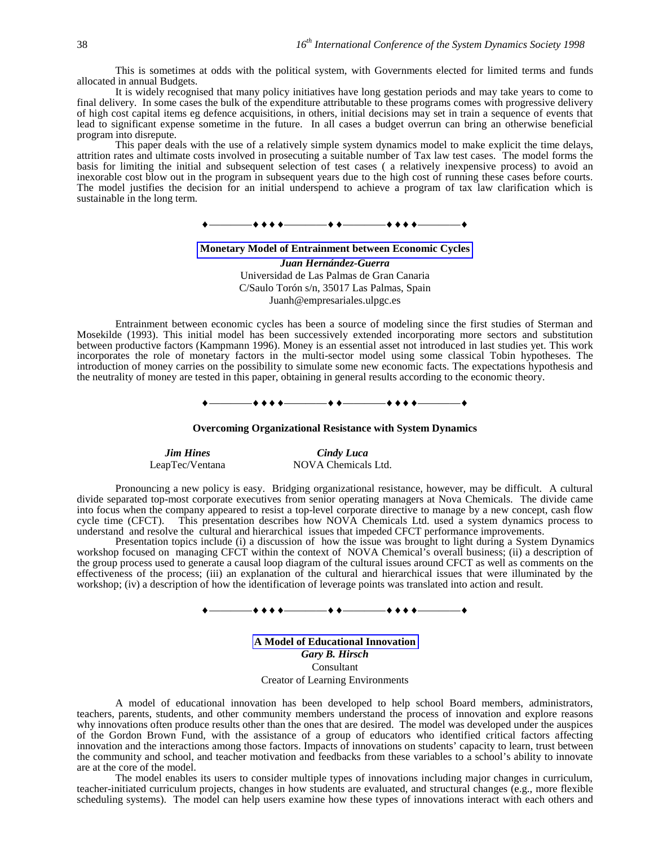This is sometimes at odds with the political system, with Governments elected for limited terms and funds allocated in annual Budgets.

It is widely recognised that many policy initiatives have long gestation periods and may take years to come to final delivery. In some cases the bulk of the expenditure attributable to these programs comes with progressive delivery of high cost capital items eg defence acquisitions, in others, initial decisions may set in train a sequence of events that lead to significant expense sometime in the future. In all cases a budget overrun can bring an otherwise beneficial program into disrepute.

This paper deals with the use of a relatively simple system dynamics model to make explicit the time delays, attrition rates and ultimate costs involved in prosecuting a suitable number of Tax law test cases. The model forms the basis for limiting the initial and subsequent selection of test cases ( a relatively inexpensive process) to avoid an inexorable cost blow out in the program in subsequent years due to the high cost of running these cases before courts. The model justifies the decision for an initial underspend to achieve a program of tax law clarification which is sustainable in the long term.



**Monetary Model of Entrainment between Economic Cycles**

*Juan Hernández-Guerra* Universidad de Las Palmas de Gran Canaria C/Saulo Torón s/n, 35017 Las Palmas, Spain Juanh@empresariales.ulpgc.es

Entrainment between economic cycles has been a source of modeling since the first studies of Sterman and Mosekilde (1993). This initial model has been successively extended incorporating more sectors and substitution between productive factors (Kampmann 1996). Money is an essential asset not introduced in last studies yet. This work incorporates the role of monetary factors in the multi-sector model using some classical Tobin hypotheses. The introduction of money carries on the possibility to simulate some new economic facts. The expectations hypothesis and the neutrality of money are tested in this paper, obtaining in general results according to the economic theory.

—**+++** —————++++

#### **Overcoming Organizational Resistance with System Dynamics**

*Jim Hines Cindy Luca*<br>
LeapTec/Ventana **MOVA** Chemicals

NOVA Chemicals Ltd.

Pronouncing a new policy is easy. Bridging organizational resistance, however, may be difficult. A cultural divide separated top-most corporate executives from senior operating managers at Nova Chemicals. The divide came into focus when the company appeared to resist a top-level corporate directive to manage by a new concept, cash flow cycle time (CFCT). This presentation describes how NOVA Chemicals Ltd. used a system dynamics process to This presentation describes how NOVA Chemicals Ltd. used a system dynamics process to understand and resolve the cultural and hierarchical issues that impeded CFCT performance improvements.

Presentation topics include (i) a discussion of how the issue was brought to light during a System Dynamics workshop focused on managing CFCT within the context of NOVA Chemical's overall business; (ii) a description of the group process used to generate a causal loop diagram of the cultural issues around CFCT as well as comments on the effectiveness of the process; (iii) an explanation of the cultural and hierarchical issues that were illuminated by the workshop; (iv) a description of how the identification of leverage points was translated into action and result.

 $\begin{array}{c} \bullet \longrightarrow \bullet \bullet \bullet \bullet \longrightarrow \bullet \bullet \longrightarrow \bullet \bullet \longrightarrow \bullet \bullet \bullet \longrightarrow \bullet \bullet \end{array}$ 

**A Model of Educational Innovation** *Gary B. Hirsch* Consultant Creator of Learning Environments

A model of educational innovation has been developed to help school Board members, administrators, teachers, parents, students, and other community members understand the process of innovation and explore reasons why innovations often produce results other than the ones that are desired. The model was developed under the auspices of the Gordon Brown Fund, with the assistance of a group of educators who identified critical factors affecting innovation and the interactions among those factors. Impacts of innovations on students' capacity to learn, trust between the community and school, and teacher motivation and feedbacks from these variables to a school's ability to innovate are at the core of the model.

The model enables its users to consider multiple types of innovations including major changes in curriculum, teacher-initiated curriculum projects, changes in how students are evaluated, and structural changes (e.g., more flexible scheduling systems). The model can help users examine how these types of innovations interact with each others and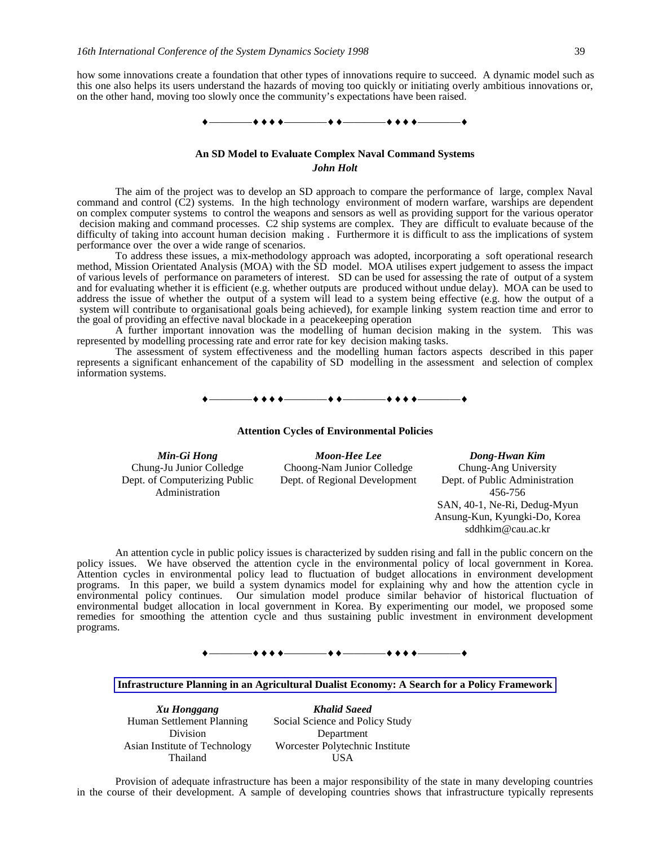how some innovations create a foundation that other types of innovations require to succeed. A dynamic model such as this one also helps its users understand the hazards of moving too quickly or initiating overly ambitious innovations or, on the other hand, moving too slowly once the community's expectations have been raised.



# **An SD Model to Evaluate Complex Naval Command Systems** *John Holt*

The aim of the project was to develop an SD approach to compare the performance of large, complex Naval command and control (C2) systems. In the high technology environment of modern warfare, warships are dependent on complex computer systems to control the weapons and sensors as well as providing support for the various operator decision making and command processes. C2 ship systems are complex. They are difficult to evaluate because of the difficulty of taking into account human decision making . Furthermore it is difficult to ass the implications of system performance over the over a wide range of scenarios.

To address these issues, a mix-methodology approach was adopted, incorporating a soft operational research method, Mission Orientated Analysis (MOA) with the SD model. MOA utilises expert judgement to assess the impact of various levels of performance on parameters of interest. SD can be used for assessing the rate of output of a system and for evaluating whether it is efficient (e.g. whether outputs are produced without undue delay). MOA can be used to address the issue of whether the output of a system will lead to a system being effective (e.g. how the output of a system will contribute to organisational goals being achieved), for example linking system reaction time and error to the goal of providing an effective naval blockade in a peacekeeping operation

A further important innovation was the modelling of human decision making in the system. This was represented by modelling processing rate and error rate for key decision making tasks.

The assessment of system effectiveness and the modelling human factors aspects described in this paper represents a significant enhancement of the capability of SD modelling in the assessment and selection of complex information systems.

 $\begin{array}{c} \bullet \longrightarrow \bullet \bullet \bullet \bullet \longrightarrow \bullet \bullet \longrightarrow \bullet \bullet \longrightarrow \bullet \bullet \bullet \longrightarrow \bullet \end{array}$ 

**Attention Cycles of Environmental Policies**

Chung-Ju Junior Colledge Dept. of Computerizing Public Administration

*Min-Gi Hong Moon-Hee Lee Dong-Hwan Kim* Choong-Nam Junior Colledge Dept. of Regional Development

Chung-Ang University Dept. of Public Administration 456-756 SAN, 40-1, Ne-Ri, Dedug-Myun Ansung-Kun, Kyungki-Do, Korea sddhkim@cau.ac.kr

An attention cycle in public policy issues is characterized by sudden rising and fall in the public concern on the policy issues. We have observed the attention cycle in the environmental policy of local government in Korea. Attention cycles in environmental policy lead to fluctuation of budget allocations in environment development programs. In this paper, we build a system dynamics model for explaining why and how the attention cycle in environmental policy continues. Our simulation model produce similar behavior of historical fluctuation of environmental budget allocation in local government in Korea. By experimenting our model, we proposed some remedies for smoothing the attention cycle and thus sustaining public investment in environment development programs.

————————————————

**Infrastructure Planning in an Agricultural Dualist Economy: A Search for a Policy Framework**

Human Settlement Planning Division Asian Institute of Technology Thailand

*Xu Honggang Khalid Saeed* Social Science and Policy Study Department Worcester Polytechnic Institute USA

Provision of adequate infrastructure has been a major responsibility of the state in many developing countries in the course of their development. A sample of developing countries shows that infrastructure typically represents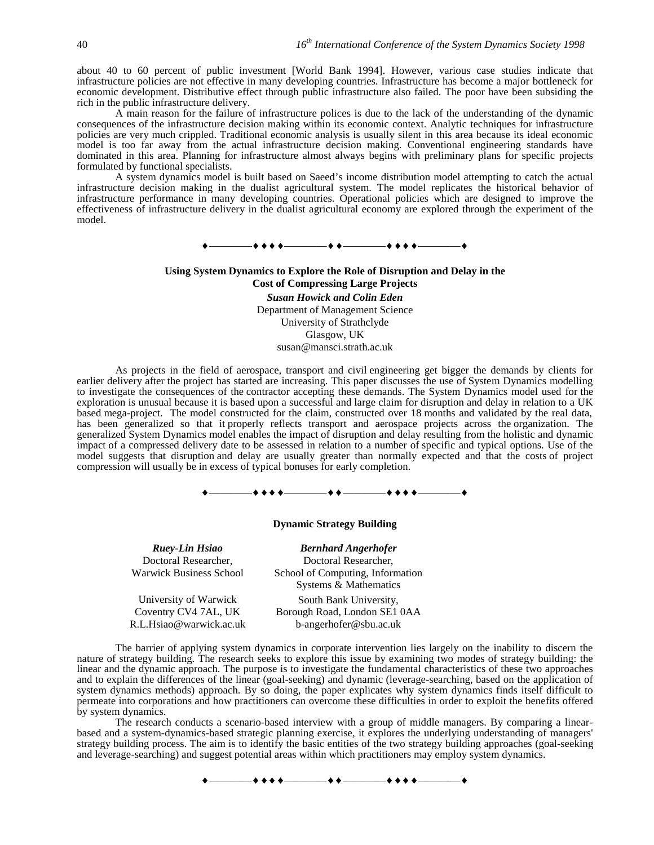about 40 to 60 percent of public investment [World Bank 1994]. However, various case studies indicate that infrastructure policies are not effective in many developing countries. Infrastructure has become a major bottleneck for economic development. Distributive effect through public infrastructure also failed. The poor have been subsiding the rich in the public infrastructure delivery.

A main reason for the failure of infrastructure polices is due to the lack of the understanding of the dynamic consequences of the infrastructure decision making within its economic context. Analytic techniques for infrastructure policies are very much crippled. Traditional economic analysis is usually silent in this area because its ideal economic model is too far away from the actual infrastructure decision making. Conventional engineering standards have dominated in this area. Planning for infrastructure almost always begins with preliminary plans for specific projects formulated by functional specialists.

A system dynamics model is built based on Saeed's income distribution model attempting to catch the actual infrastructure decision making in the dualist agricultural system. The model replicates the historical behavior of infrastructure performance in many developing countries. Operational policies which are designed to improve the effectiveness of infrastructure delivery in the dualist agricultural economy are explored through the experiment of the model.



As projects in the field of aerospace, transport and civil engineering get bigger the demands by clients for earlier delivery after the project has started are increasing. This paper discusses the use of System Dynamics modelling to investigate the consequences of the contractor accepting these demands. The System Dynamics model used for the exploration is unusual because it is based upon a successful and large claim for disruption and delay in relation to a UK based mega-project. The model constructed for the claim, constructed over 18 months and validated by the real data, has been generalized so that it properly reflects transport and aerospace projects across the organization. The generalized System Dynamics model enables the impact of disruption and delay resulting from the holistic and dynamic impact of a compressed delivery date to be assessed in relation to a number of specific and typical options. Use of the model suggests that disruption and delay are usually greater than normally expected and that the costs of project compression will usually be in excess of typical bonuses for early completion.



#### **Dynamic Strategy Building**

Doctoral Researcher, Warwick Business School

University of Warwick Coventry CV4 7AL, UK R.L.Hsiao@warwick.ac.uk

*Ruey-Lin Hsiao Bernhard Angerhofer* Doctoral Researcher, School of Computing, Information Systems & Mathematics South Bank University, Borough Road, London SE1 0AA b-angerhofer@sbu.ac.uk

The barrier of applying system dynamics in corporate intervention lies largely on the inability to discern the nature of strategy building. The research seeks to explore this issue by examining two modes of strategy building: the linear and the dynamic approach. The purpose is to investigate the fundamental characteristics of these two approaches and to explain the differences of the linear (goal-seeking) and dynamic (leverage-searching, based on the application of system dynamics methods) approach. By so doing, the paper explicates why system dynamics finds itself difficult to permeate into corporations and how practitioners can overcome these difficulties in order to exploit the benefits offered by system dynamics.

The research conducts a scenario-based interview with a group of middle managers. By comparing a linearbased and a system-dynamics-based strategic planning exercise, it explores the underlying understanding of managers' strategy building process. The aim is to identify the basic entities of the two strategy building approaches (goal-seeking and leverage-searching) and suggest potential areas within which practitioners may employ system dynamics.

————————————————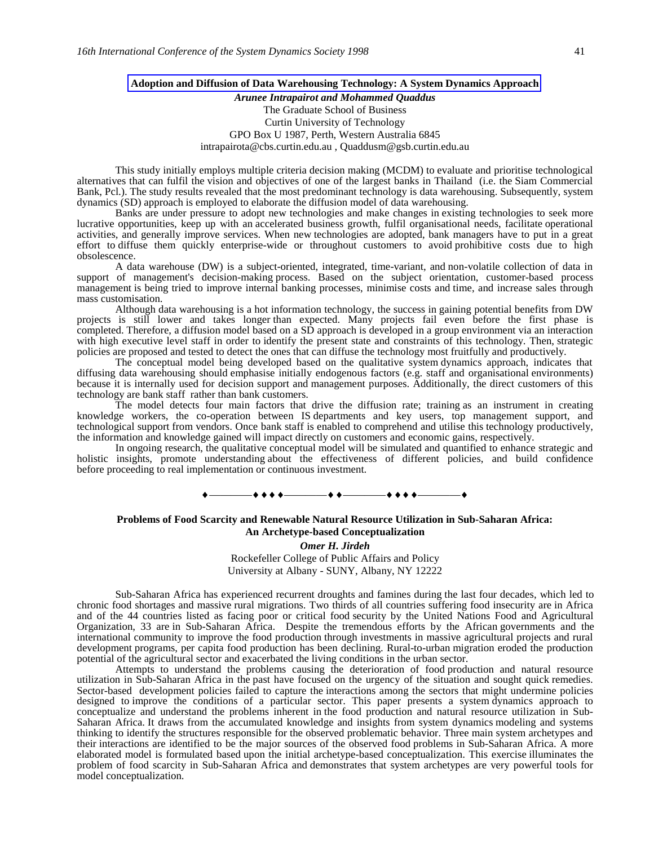#### **Adoption and Diffusion of Data Warehousing Technology: A System Dynamics Approach**

# *Arunee Intrapairot and Mohammed Quaddus* The Graduate School of Business Curtin University of Technology GPO Box U 1987, Perth, Western Australia 6845 intrapairota@cbs.curtin.edu.au , Quaddusm@gsb.curtin.edu.au

This study initially employs multiple criteria decision making (MCDM) to evaluate and prioritise technological alternatives that can fulfil the vision and objectives of one of the largest banks in Thailand (i.e. the Siam Commercial Bank, Pcl.). The study results revealed that the most predominant technology is data warehousing. Subsequently, system dynamics (SD) approach is employed to elaborate the diffusion model of data warehousing.

Banks are under pressure to adopt new technologies and make changes in existing technologies to seek more lucrative opportunities, keep up with an accelerated business growth, fulfil organisational needs, facilitate operational activities, and generally improve services. When new technologies are adopted, bank managers have to put in a great effort to diffuse them quickly enterprise-wide or throughout customers to avoid prohibitive costs due to high obsolescence.

A data warehouse (DW) is a subject-oriented, integrated, time-variant, and non-volatile collection of data in support of management's decision-making process. Based on the subject orientation, customer-based process management is being tried to improve internal banking processes, minimise costs and time, and increase sales through mass customisation.

Although data warehousing is a hot information technology, the success in gaining potential benefits from DW projects is still lower and takes longer than expected. Many projects fail even before the first phase is completed. Therefore, a diffusion model based on a SD approach is developed in a group environment via an interaction with high executive level staff in order to identify the present state and constraints of this technology. Then, strategic policies are proposed and tested to detect the ones that can diffuse the technology most fruitfully and productively.

The conceptual model being developed based on the qualitative system dynamics approach, indicates that diffusing data warehousing should emphasise initially endogenous factors (e.g. staff and organisational environments) because it is internally used for decision support and management purposes. Additionally, the direct customers of this technology are bank staff rather than bank customers.

The model detects four main factors that drive the diffusion rate; training as an instrument in creating knowledge workers, the co-operation between IS departments and key users, top management support, and technological support from vendors. Once bank staff is enabled to comprehend and utilise this technology productively, the information and knowledge gained will impact directly on customers and economic gains, respectively.

In ongoing research, the qualitative conceptual model will be simulated and quantified to enhance strategic and holistic insights, promote understanding about the effectiveness of different policies, and build confidence before proceeding to real implementation or continuous investment.

# $\begin{array}{c} \bullet \longrightarrow \bullet \bullet \bullet \bullet \longrightarrow \bullet \bullet \longrightarrow \bullet \bullet \longrightarrow \bullet \bullet \bullet \longrightarrow \bullet \bullet \bullet \longrightarrow \bullet \end{array}$

#### **Problems of Food Scarcity and Renewable Natural Resource Utilization in Sub-Saharan Africa: An Archetype-based Conceptualization**

*Omer H. Jirdeh*

Rockefeller College of Public Affairs and Policy University at Albany - SUNY, Albany, NY 12222

Sub-Saharan Africa has experienced recurrent droughts and famines during the last four decades, which led to chronic food shortages and massive rural migrations. Two thirds of all countries suffering food insecurity are in Africa and of the 44 countries listed as facing poor or critical food security by the United Nations Food and Agricultural Organization, 33 are in Sub-Saharan Africa. Despite the tremendous efforts by the African governments and the international community to improve the food production through investments in massive agricultural projects and rural development programs, per capita food production has been declining. Rural-to-urban migration eroded the production potential of the agricultural sector and exacerbated the living conditions in the urban sector.

Attempts to understand the problems causing the deterioration of food production and natural resource utilization in Sub-Saharan Africa in the past have focused on the urgency of the situation and sought quick remedies. Sector-based development policies failed to capture the interactions among the sectors that might undermine policies designed to improve the conditions of a particular sector. This paper presents a system dynamics approach to conceptualize and understand the problems inherent in the food production and natural resource utilization in Sub-Saharan Africa. It draws from the accumulated knowledge and insights from system dynamics modeling and systems thinking to identify the structures responsible for the observed problematic behavior. Three main system archetypes and their interactions are identified to be the major sources of the observed food problems in Sub-Saharan Africa. A more elaborated model is formulated based upon the initial archetype-based conceptualization. This exercise illuminates the problem of food scarcity in Sub-Saharan Africa and demonstrates that system archetypes are very powerful tools for model conceptualization.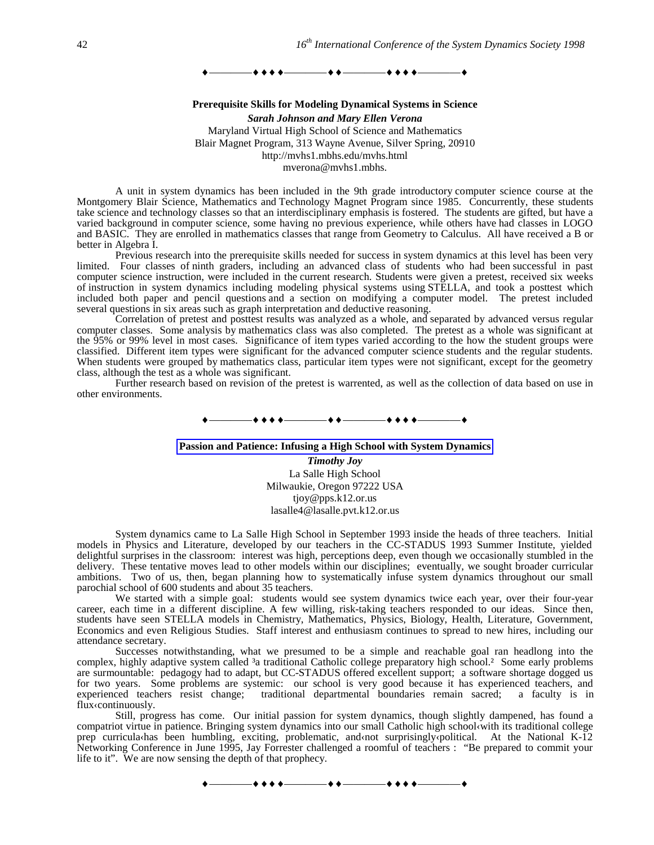————————————————

**Prerequisite Skills for Modeling Dynamical Systems in Science** *Sarah Johnson and Mary Ellen Verona* Maryland Virtual High School of Science and Mathematics Blair Magnet Program, 313 Wayne Avenue, Silver Spring, 20910 http://mvhs1.mbhs.edu/mvhs.html mverona@mvhs1.mbhs.

A unit in system dynamics has been included in the 9th grade introductory computer science course at the Montgomery Blair Science, Mathematics and Technology Magnet Program since 1985. Concurrently, these students take science and technology classes so that an interdisciplinary emphasis is fostered. The students are gifted, but have a varied background in computer science, some having no previous experience, while others have had classes in LOGO and BASIC. They are enrolled in mathematics classes that range from Geometry to Calculus. All have received a B or better in Algebra I.

Previous research into the prerequisite skills needed for success in system dynamics at this level has been very limited. Four classes of ninth graders, including an advanced class of students who had been successful in past computer science instruction, were included in the current research. Students were given a pretest, received six weeks of instruction in system dynamics including modeling physical systems using STELLA, and took a posttest which included both paper and pencil questions and a section on modifying a computer model. The pretest included several questions in six areas such as graph interpretation and deductive reasoning.

Correlation of pretest and posttest results was analyzed as a whole, and separated by advanced versus regular computer classes. Some analysis by mathematics class was also completed. The pretest as a whole was significant at the 95% or 99% level in most cases. Significance of item types varied according to the how the student groups were classified. Different item types were significant for the advanced computer science students and the regular students. When students were grouped by mathematics class, particular item types were not significant, except for the geometry class, although the test as a whole was significant.

Further research based on revision of the pretest is warrented, as well as the collection of data based on use in other environments.

## ————————————————

### **Passion and Patience: Infusing a High School with System Dynamics**

*Timothy Joy* La Salle High School Milwaukie, Oregon 97222 USA tjoy@pps.k12.or.us lasalle4@lasalle.pvt.k12.or.us

System dynamics came to La Salle High School in September 1993 inside the heads of three teachers. Initial models in Physics and Literature, developed by our teachers in the CC-STADUS 1993 Summer Institute, yielded delightful surprises in the classroom: interest was high, perceptions deep, even though we occasionally stumbled in the delivery. These tentative moves lead to other models within our disciplines; eventually, we sought broader curricular ambitions. Two of us, then, began planning how to systematically infuse system dynamics throughout our small parochial school of 600 students and about 35 teachers.

We started with a simple goal: students would see system dynamics twice each year, over their four-year career, each time in a different discipline. A few willing, risk-taking teachers responded to our ideas. Since then, students have seen STELLA models in Chemistry, Mathematics, Physics, Biology, Health, Literature, Government, Economics and even Religious Studies. Staff interest and enthusiasm continues to spread to new hires, including our attendance secretary.

Successes notwithstanding, what we presumed to be a simple and reachable goal ran headlong into the complex, highly adaptive system called <sup>3</sup>a traditional Catholic college preparatory high school.<sup>2</sup> Some early problems are surmountable: pedagogy had to adapt, but CC-STADUS offered excellent support; a software shortage dogged us for two years. Some problems are systemic: our school is very good because it has experienced teachers, and experienced teachers resist change; traditional departmental boundaries remain sacred; a faculty is in flux‹continuously.

Still, progress has come. Our initial passion for system dynamics, though slightly dampened, has found a compatriot virtue in patience. Bringing system dynamics into our small Catholic high school‹with its traditional college prep curricula‹has been humbling, exciting, problematic, and‹not surprisingly‹political. At the National K-12 Networking Conference in June 1995, Jay Forrester challenged a roomful of teachers : "Be prepared to commit your life to it". We are now sensing the depth of that prophecy.

 $\bullet$  + + +  $\hspace{0.1cm}$  + + + +  $\hspace{0.1cm}$  + + + +  $\hspace{0.1cm}$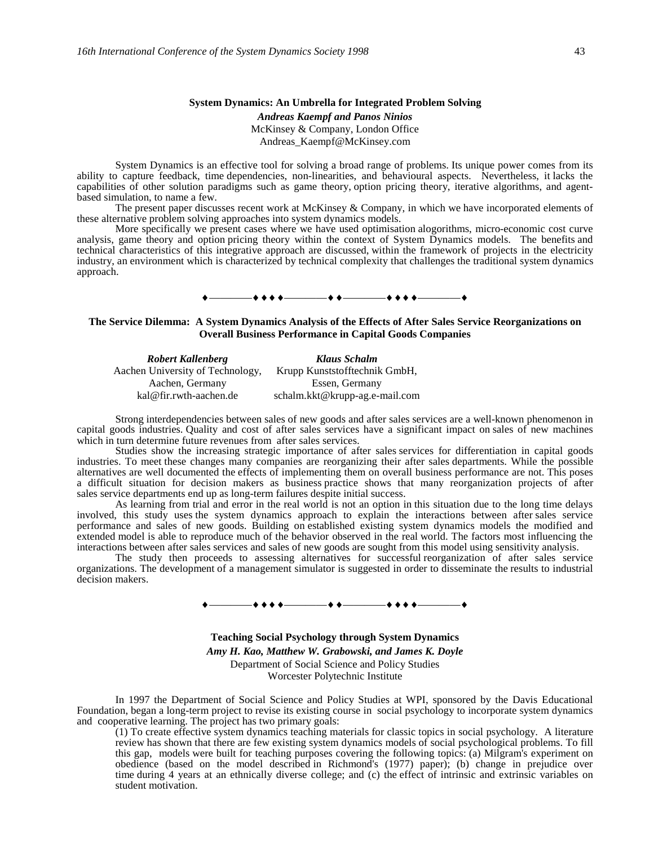#### **System Dynamics: An Umbrella for Integrated Problem Solving**

*Andreas Kaempf and Panos Ninios* McKinsey & Company, London Office Andreas\_Kaempf@McKinsey.com

System Dynamics is an effective tool for solving a broad range of problems. Its unique power comes from its ability to capture feedback, time dependencies, non-linearities, and behavioural aspects. Nevertheless, it lacks the capabilities of other solution paradigms such as game theory, option pricing theory, iterative algorithms, and agentbased simulation, to name a few.

The present paper discusses recent work at McKinsey & Company, in which we have incorporated elements of these alternative problem solving approaches into system dynamics models.

More specifically we present cases where we have used optimisation alogorithms, micro-economic cost curve analysis, game theory and option pricing theory within the context of System Dynamics models. The benefits and technical characteristics of this integrative approach are discussed, within the framework of projects in the electricity industry, an environment which is characterized by technical complexity that challenges the traditional system dynamics approach.

#### ————————————————

### **The Service Dilemma: A System Dynamics Analysis of the Effects of After Sales Service Reorganizations on Overall Business Performance in Capital Goods Companies**

*Robert Kallenberg Klaus Schalm* Aachen University of Technology, Krupp Kunststofftechnik GmbH, Aachen, Germany kal@fir.rwth-aachen.de Essen, Germany schalm.kkt@krupp-ag.e-mail.com

Strong interdependencies between sales of new goods and after sales services are a well-known phenomenon in capital goods industries. Quality and cost of after sales services have a significant impact on sales of new machines which in turn determine future revenues from after sales services.

Studies show the increasing strategic importance of after sales services for differentiation in capital goods industries. To meet these changes many companies are reorganizing their after sales departments. While the possible alternatives are well documented the effects of implementing them on overall business performance are not. This poses a difficult situation for decision makers as business practice shows that many reorganization projects of after sales service departments end up as long-term failures despite initial success.

As learning from trial and error in the real world is not an option in this situation due to the long time delays involved, this study uses the system dynamics approach to explain the interactions between after sales service performance and sales of new goods. Building on established existing system dynamics models the modified and extended model is able to reproduce much of the behavior observed in the real world. The factors most influencing the interactions between after sales services and sales of new goods are sought from this model using sensitivity analysis.

The study then proceeds to assessing alternatives for successful reorganization of after sales service organizations. The development of a management simulator is suggested in order to disseminate the results to industrial decision makers.

#### $-\bullet\bullet\bullet\bullet$  . The set of  $\bullet\bullet\bullet\bullet$

**Teaching Social Psychology through System Dynamics** *Amy H. Kao, Matthew W. Grabowski, and James K. Doyle* Department of Social Science and Policy Studies Worcester Polytechnic Institute

In 1997 the Department of Social Science and Policy Studies at WPI, sponsored by the Davis Educational Foundation, began a long-term project to revise its existing course in social psychology to incorporate system dynamics and cooperative learning. The project has two primary goals:

(1) To create effective system dynamics teaching materials for classic topics in social psychology. A literature review has shown that there are few existing system dynamics models of social psychological problems. To fill this gap, models were built for teaching purposes covering the following topics: (a) Milgram's experiment on obedience (based on the model described in Richmond's (1977) paper); (b) change in prejudice over time during 4 years at an ethnically diverse college; and (c) the effect of intrinsic and extrinsic variables on student motivation.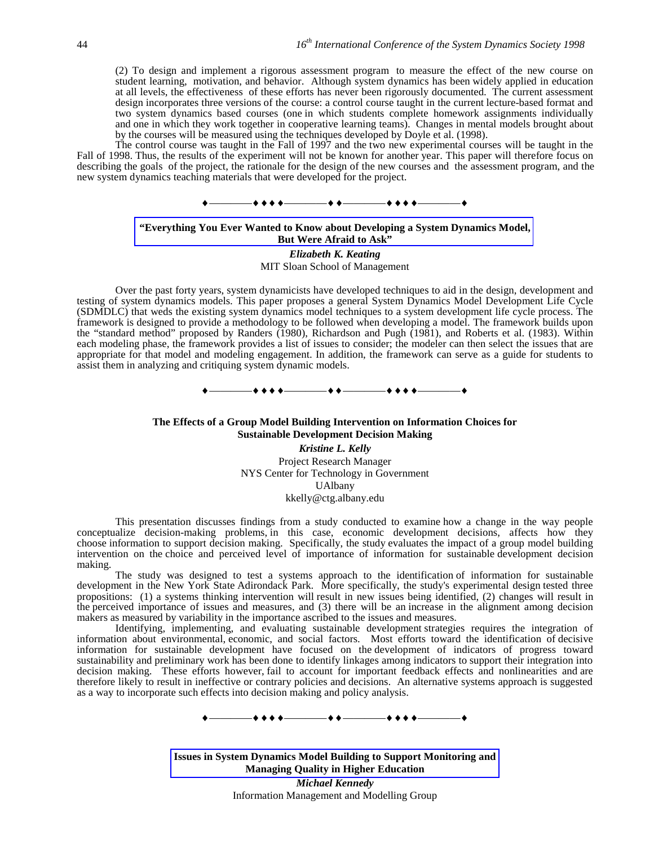(2) To design and implement a rigorous assessment program to measure the effect of the new course on student learning, motivation, and behavior. Although system dynamics has been widely applied in education at all levels, the effectiveness of these efforts has never been rigorously documented. The current assessment design incorporates three versions of the course: a control course taught in the current lecture-based format and two system dynamics based courses (one in which students complete homework assignments individually and one in which they work together in cooperative learning teams). Changes in mental models brought about by the courses will be measured using the techniques developed by Doyle et al. (1998).

The control course was taught in the Fall of 1997 and the two new experimental courses will be taught in the Fall of 1998. Thus, the results of the experiment will not be known for another year. This paper will therefore focus on describing the goals of the project, the rationale for the design of the new courses and the assessment program, and the new system dynamics teaching materials that were developed for the project.



# **"Everything You Ever Wanted to Know about Developing a System Dynamics Model, But Were Afraid to Ask"**

*Elizabeth K. Keating* MIT Sloan School of Management

Over the past forty years, system dynamicists have developed techniques to aid in the design, development and testing of system dynamics models. This paper proposes a general System Dynamics Model Development Life Cycle (SDMDLC) that weds the existing system dynamics model techniques to a system development life cycle process. The framework is designed to provide a methodology to be followed when developing a model. The framework builds upon the "standard method" proposed by Randers (1980), Richardson and Pugh (1981), and Roberts et al. (1983). Within each modeling phase, the framework provides a list of issues to consider; the modeler can then select the issues that are appropriate for that model and modeling engagement. In addition, the framework can serve as a guide for students to assist them in analyzing and critiquing system dynamic models.

————————————————

#### **The Effects of a Group Model Building Intervention on Information Choices for Sustainable Development Decision Making**

*Kristine L. Kelly* Project Research Manager NYS Center for Technology in Government UAlbany kkelly@ctg.albany.edu

This presentation discusses findings from a study conducted to examine how a change in the way people conceptualize decision-making problems, in this case, economic development decisions, affects how they choose information to support decision making. Specifically, the study evaluates the impact of a group model building intervention on the choice and perceived level of importance of information for sustainable development decision making.

The study was designed to test a systems approach to the identification of information for sustainable development in the New York State Adirondack Park. More specifically, the study's experimental design tested three propositions: (1) a systems thinking intervention will result in new issues being identified, (2) changes will result in the perceived importance of issues and measures, and (3) there will be an increase in the alignment among decision makers as measured by variability in the importance ascribed to the issues and measures.

Identifying, implementing, and evaluating sustainable development strategies requires the integration of information about environmental, economic, and social factors. Most efforts toward the identification of decisive information for sustainable development have focused on the development of indicators of progress toward sustainability and preliminary work has been done to identify linkages among indicators to support their integration into decision making. These efforts however, fail to account for important feedback effects and nonlinearities and are therefore likely to result in ineffective or contrary policies and decisions. An alternative systems approach is suggested as a way to incorporate such effects into decision making and policy analysis.

 $\bullet$  + + +  $\bullet$   $\bullet$   $\bullet$  +  $\bullet$   $\bullet$   $\bullet$ 

**Issues in System Dynamics Model Building to Support Monitoring and Managing Quality in Higher Education** *Michael Kennedy* Information Management and Modelling Group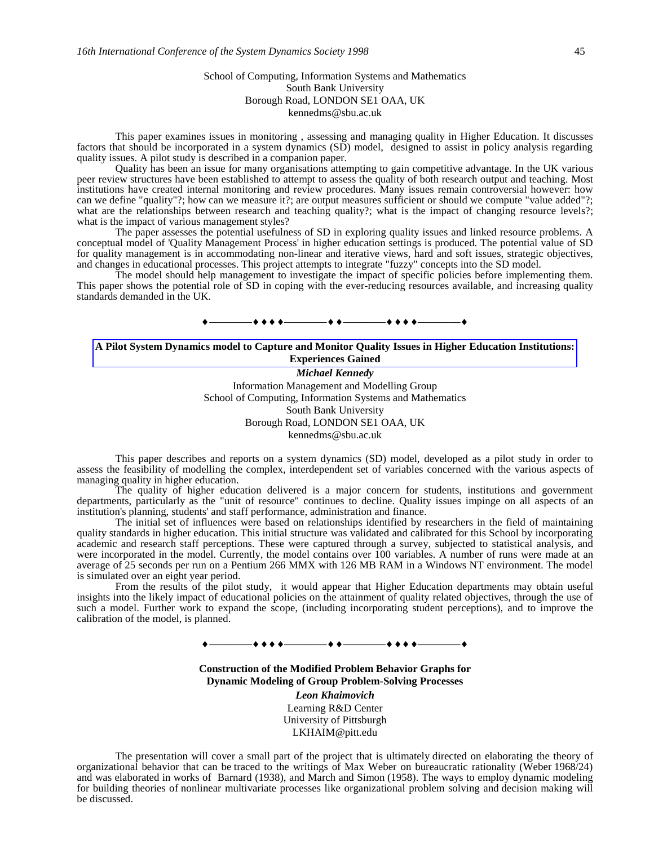### School of Computing, Information Systems and Mathematics South Bank University Borough Road, LONDON SE1 OAA, UK kennedms@sbu.ac.uk

This paper examines issues in monitoring , assessing and managing quality in Higher Education. It discusses factors that should be incorporated in a system dynamics (SD) model, designed to assist in policy analysis regarding quality issues. A pilot study is described in a companion paper.

Quality has been an issue for many organisations attempting to gain competitive advantage. In the UK various peer review structures have been established to attempt to assess the quality of both research output and teaching. Most institutions have created internal monitoring and review procedures. Many issues remain controversial however: how can we define "quality"?; how can we measure it?; are output measures sufficient or should we compute "value added"?; what are the relationships between research and teaching quality?; what is the impact of changing resource levels?; what is the impact of various management styles?

The paper assesses the potential usefulness of SD in exploring quality issues and linked resource problems. A conceptual model of 'Quality Management Process' in higher education settings is produced. The potential value of SD for quality management is in accommodating non-linear and iterative views, hard and soft issues, strategic objectives, and changes in educational processes. This project attempts to integrate "fuzzy" concepts into the SD model.

The model should help management to investigate the impact of specific policies before implementing them. This paper shows the potential role of SD in coping with the ever-reducing resources available, and increasing quality standards demanded in the UK.



#### **A Pilot System Dynamics model to Capture and Monitor Quality Issues in Higher Education Institutions: Experiences Gained**

*Michael Kennedy*

Information Management and Modelling Group School of Computing, Information Systems and Mathematics South Bank University Borough Road, LONDON SE1 OAA, UK kennedms@sbu.ac.uk

This paper describes and reports on a system dynamics (SD) model, developed as a pilot study in order to assess the feasibility of modelling the complex, interdependent set of variables concerned with the various aspects of managing quality in higher education.

The quality of higher education delivered is a major concern for students, institutions and government departments, particularly as the "unit of resource" continues to decline. Quality issues impinge on all aspects of an institution's planning, students' and staff performance, administration and finance.

The initial set of influences were based on relationships identified by researchers in the field of maintaining quality standards in higher education. This initial structure was validated and calibrated for this School by incorporating academic and research staff perceptions. These were captured through a survey, subjected to statistical analysis, and were incorporated in the model. Currently, the model contains over 100 variables. A number of runs were made at an average of 25 seconds per run on a Pentium 266 MMX with 126 MB RAM in a Windows NT environment. The model is simulated over an eight year period.

From the results of the pilot study, it would appear that Higher Education departments may obtain useful insights into the likely impact of educational policies on the attainment of quality related objectives, through the use of such a model. Further work to expand the scope, (including incorporating student perceptions), and to improve the calibration of the model, is planned.

————————————————

**Construction of the Modified Problem Behavior Graphs for Dynamic Modeling of Group Problem-Solving Processes** *Leon Khaimovich* Learning R&D Center University of Pittsburgh

LKHAIM@pitt.edu

The presentation will cover a small part of the project that is ultimately directed on elaborating the theory of organizational behavior that can be traced to the writings of Max Weber on bureaucratic rationality (Weber 1968/24) and was elaborated in works of Barnard (1938), and March and Simon (1958). The ways to employ dynamic modeling for building theories of nonlinear multivariate processes like organizational problem solving and decision making will be discussed.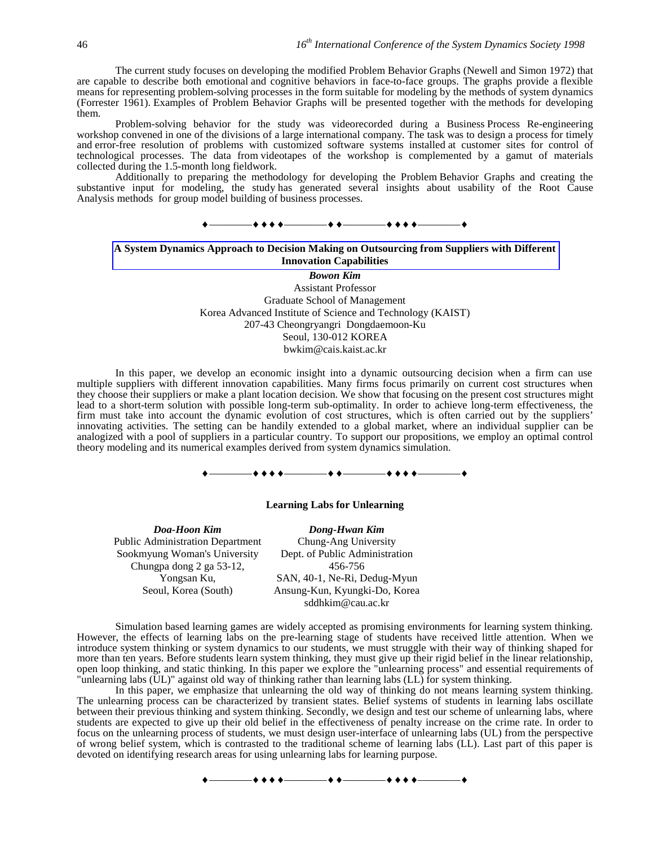The current study focuses on developing the modified Problem Behavior Graphs (Newell and Simon 1972) that are capable to describe both emotional and cognitive behaviors in face-to-face groups. The graphs provide a flexible means for representing problem-solving processes in the form suitable for modeling by the methods of system dynamics (Forrester 1961). Examples of Problem Behavior Graphs will be presented together with the methods for developing them.

Problem-solving behavior for the study was videorecorded during a Business Process Re-engineering workshop convened in one of the divisions of a large international company. The task was to design a process for timely and error-free resolution of problems with customized software systems installed at customer sites for control of technological processes. The data from videotapes of the workshop is complemented by a gamut of materials collected during the 1.5-month long fieldwork.

Additionally to preparing the methodology for developing the Problem Behavior Graphs and creating the substantive input for modeling, the study has generated several insights about usability of the Root Cause Analysis methods for group model building of business processes.



### **A System Dynamics Approach to Decision Making on Outsourcing from Suppliers with Different Innovation Capabilities**

*Bowon Kim* Assistant Professor Graduate School of Management Korea Advanced Institute of Science and Technology (KAIST) 207-43 Cheongryangri Dongdaemoon-Ku Seoul, 130-012 KOREA bwkim@cais.kaist.ac.kr

In this paper, we develop an economic insight into a dynamic outsourcing decision when a firm can use multiple suppliers with different innovation capabilities. Many firms focus primarily on current cost structures when they choose their suppliers or make a plant location decision. We show that focusing on the present cost structures might lead to a short-term solution with possible long-term sub-optimality. In order to achieve long-term effectiveness, the firm must take into account the dynamic evolution of cost structures, which is often carried out by the suppliers' innovating activities. The setting can be handily extended to a global market, where an individual supplier can be analogized with a pool of suppliers in a particular country. To support our propositions, we employ an optimal control theory modeling and its numerical examples derived from system dynamics simulation.



#### **Learning Labs for Unlearning**

*Doa-Hoon Kim Dong-Hwan Kim* Public Administration Department Sookmyung Woman's University Chungpa dong 2 ga 53-12, Yongsan Ku, Seoul, Korea (South)

Chung-Ang University Dept. of Public Administration 456-756 SAN, 40-1, Ne-Ri, Dedug-Myun Ansung-Kun, Kyungki-Do, Korea sddhkim@cau.ac.kr

Simulation based learning games are widely accepted as promising environments for learning system thinking. However, the effects of learning labs on the pre-learning stage of students have received little attention. When we introduce system thinking or system dynamics to our students, we must struggle with their way of thinking shaped for more than ten years. Before students learn system thinking, they must give up their rigid belief in the linear relationship, open loop thinking, and static thinking. In this paper we explore the "unlearning process" and essential requirements of "unlearning labs (UL)" against old way of thinking rather than learning labs (LL) for system thinking.

In this paper, we emphasize that unlearning the old way of thinking do not means learning system thinking. The unlearning process can be characterized by transient states. Belief systems of students in learning labs oscillate between their previous thinking and system thinking. Secondly, we design and test our scheme of unlearning labs, where students are expected to give up their old belief in the effectiveness of penalty increase on the crime rate. In order to focus on the unlearning process of students, we must design user-interface of unlearning labs (UL) from the perspective of wrong belief system, which is contrasted to the traditional scheme of learning labs (LL). Last part of this paper is devoted on identifying research areas for using unlearning labs for learning purpose.

————————————————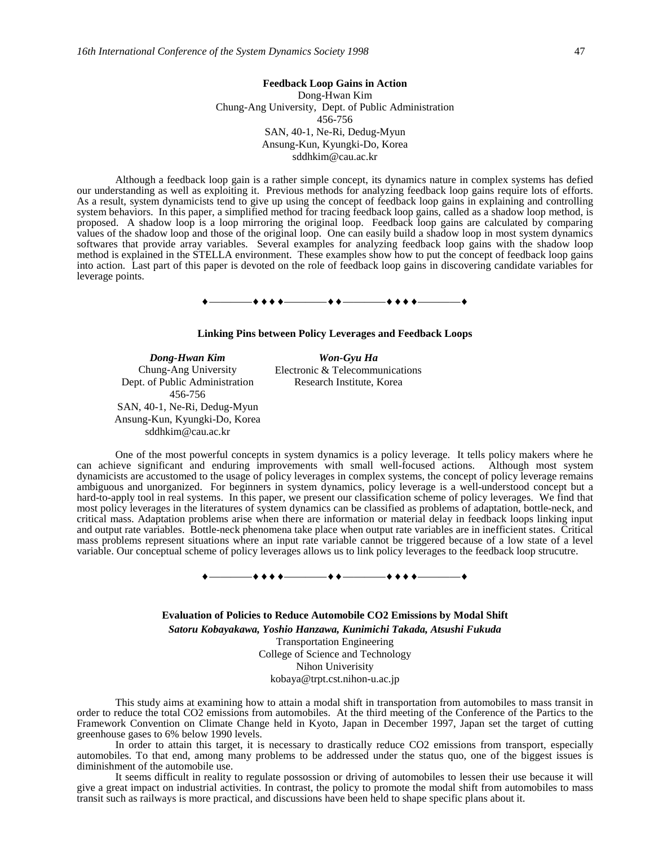### **Feedback Loop Gains in Action** Dong-Hwan Kim Chung-Ang University, Dept. of Public Administration 456-756 SAN, 40-1, Ne-Ri, Dedug-Myun Ansung-Kun, Kyungki-Do, Korea sddhkim@cau.ac.kr

Although a feedback loop gain is a rather simple concept, its dynamics nature in complex systems has defied our understanding as well as exploiting it. Previous methods for analyzing feedback loop gains require lots of efforts. As a result, system dynamicists tend to give up using the concept of feedback loop gains in explaining and controlling system behaviors. In this paper, a simplified method for tracing feedback loop gains, called as a shadow loop method, is proposed. A shadow loop is a loop mirroring the original loop. Feedback loop gains are calculated by comparing values of the shadow loop and those of the original loop. One can easily build a shadow loop in most system dynamics softwares that provide array variables. Several examples for analyzing feedback loop gains with the shadow loop method is explained in the STELLA environment. These examples show how to put the concept of feedback loop gains into action. Last part of this paper is devoted on the role of feedback loop gains in discovering candidate variables for leverage points.

# ————————————————

#### **Linking Pins between Policy Leverages and Feedback Loops**

*Dong-Hwan Kim Won-Gyu Ha* Chung-Ang University Dept. of Public Administration 456-756 SAN, 40-1, Ne-Ri, Dedug-Myun Ansung-Kun, Kyungki-Do, Korea sddhkim@cau.ac.kr

Electronic & Telecommunications Research Institute, Korea

One of the most powerful concepts in system dynamics is a policy leverage. It tells policy makers where he can achieve significant and enduring improvements with small well-focused actions. Although most system dynamicists are accustomed to the usage of policy leverages in complex systems, the concept of policy leverage remains ambiguous and unorganized. For beginners in system dynamics, policy leverage is a well-understood concept but a hard-to-apply tool in real systems. In this paper, we present our classification scheme of policy leverages. We find that most policy leverages in the literatures of system dynamics can be classified as problems of adaptation, bottle-neck, and critical mass. Adaptation problems arise when there are information or material delay in feedback loops linking input and output rate variables. Bottle-neck phenomena take place when output rate variables are in inefficient states. Critical mass problems represent situations where an input rate variable cannot be triggered because of a low state of a level variable. Our conceptual scheme of policy leverages allows us to link policy leverages to the feedback loop strucutre.

————————————————

**Evaluation of Policies to Reduce Automobile CO2 Emissions by Modal Shift** *Satoru Kobayakawa, Yoshio Hanzawa, Kunimichi Takada, Atsushi Fukuda* Transportation Engineering College of Science and Technology Nihon Univerisity kobaya@trpt.cst.nihon-u.ac.jp

This study aims at examining how to attain a modal shift in transportation from automobiles to mass transit in order to reduce the total CO2 emissions from automobiles. At the third meeting of the Conference of the Partics to the Framework Convention on Climate Change held in Kyoto, Japan in December 1997, Japan set the target of cutting greenhouse gases to 6% below 1990 levels.

In order to attain this target, it is necessary to drastically reduce CO2 emissions from transport, especially automobiles. To that end, among many problems to be addressed under the status quo, one of the biggest issues is diminishment of the automobile use.

It seems difficult in reality to regulate possossion or driving of automobiles to lessen their use because it will give a great impact on industrial activities. In contrast, the policy to promote the modal shift from automobiles to mass transit such as railways is more practical, and discussions have been held to shape specific plans about it.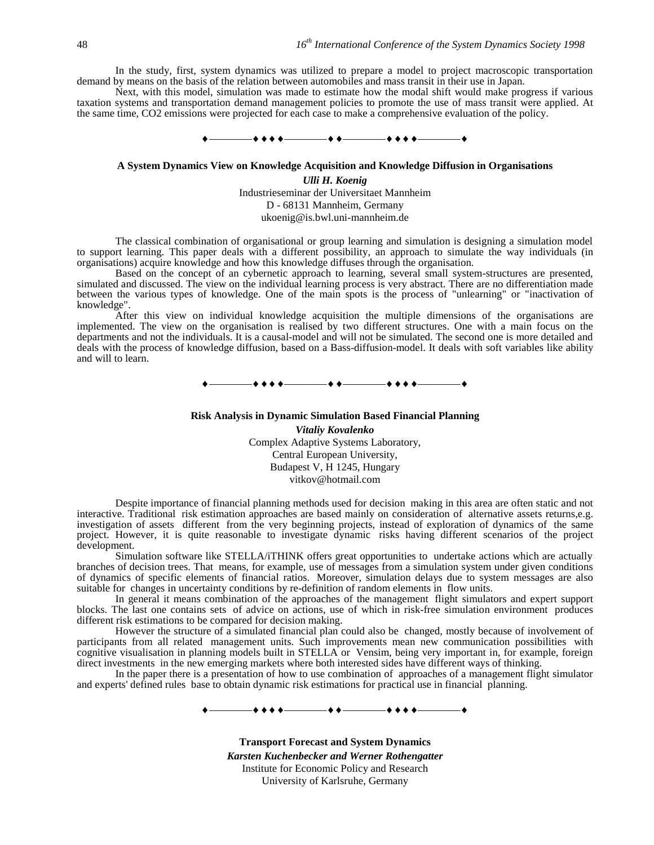In the study, first, system dynamics was utilized to prepare a model to project macroscopic transportation demand by means on the basis of the relation between automobiles and mass transit in their use in Japan.

Next, with this model, simulation was made to estimate how the modal shift would make progress if various taxation systems and transportation demand management policies to promote the use of mass transit were applied. At the same time, CO2 emissions were projected for each case to make a comprehensive evaluation of the policy.



#### **A System Dynamics View on Knowledge Acquisition and Knowledge Diffusion in Organisations**

*Ulli H. Koenig* Industrieseminar der Universitaet Mannheim D - 68131 Mannheim, Germany ukoenig@is.bwl.uni-mannheim.de

The classical combination of organisational or group learning and simulation is designing a simulation model to support learning. This paper deals with a different possibility, an approach to simulate the way individuals (in organisations) acquire knowledge and how this knowledge diffuses through the organisation.

Based on the concept of an cybernetic approach to learning, several small system-structures are presented, simulated and discussed. The view on the individual learning process is very abstract. There are no differentiation made between the various types of knowledge. One of the main spots is the process of "unlearning" or "inactivation of knowledge".

After this view on individual knowledge acquisition the multiple dimensions of the organisations are implemented. The view on the organisation is realised by two different structures. One with a main focus on the departments and not the individuals. It is a causal-model and will not be simulated. The second one is more detailed and deals with the process of knowledge diffusion, based on a Bass-diffusion-model. It deals with soft variables like ability and will to learn.

 $\bullet$   $\bullet$   $\_\_$ 

#### **Risk Analysis in Dynamic Simulation Based Financial Planning**

*Vitaliy Kovalenko* Complex Adaptive Systems Laboratory, Central European University, Budapest V, H 1245, Hungary vitkov@hotmail.com

Despite importance of financial planning methods used for decision making in this area are often static and not interactive. Traditional risk estimation approaches are based mainly on consideration of alternative assets returns,e.g. investigation of assets different from the very beginning projects, instead of exploration of dynamics of the same project. However, it is quite reasonable to investigate dynamic risks having different scenarios of the project development.

Simulation software like STELLA/iTHINK offers great opportunities to undertake actions which are actually branches of decision trees. That means, for example, use of messages from a simulation system under given conditions of dynamics of specific elements of financial ratios. Moreover, simulation delays due to system messages are also suitable for changes in uncertainty conditions by re-definition of random elements in flow units.

In general it means combination of the approaches of the management flight simulators and expert support blocks. The last one contains sets of advice on actions, use of which in risk-free simulation environment produces different risk estimations to be compared for decision making.

However the structure of a simulated financial plan could also be changed, mostly because of involvement of participants from all related management units. Such improvements mean new communication possibilities with cognitive visualisation in planning models built in STELLA or Vensim, being very important in, for example, foreign direct investments in the new emerging markets where both interested sides have different ways of thinking.

In the paper there is a presentation of how to use combination of approaches of a management flight simulator and experts' defined rules base to obtain dynamic risk estimations for practical use in financial planning.



**Transport Forecast and System Dynamics** *Karsten Kuchenbecker and Werner Rothengatter* Institute for Economic Policy and Research University of Karlsruhe, Germany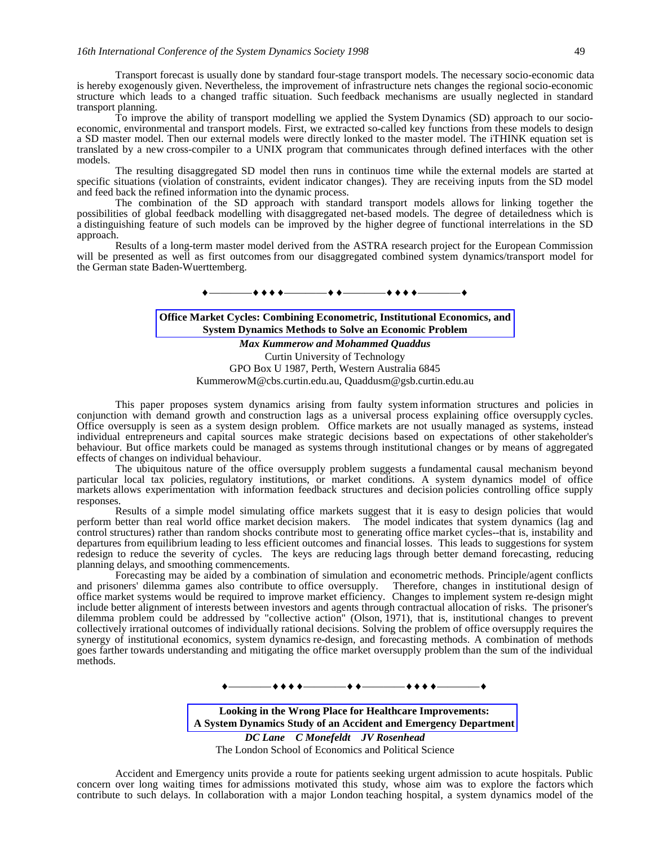Transport forecast is usually done by standard four-stage transport models. The necessary socio-economic data is hereby exogenously given. Nevertheless, the improvement of infrastructure nets changes the regional socio-economic structure which leads to a changed traffic situation. Such feedback mechanisms are usually neglected in standard transport planning.

To improve the ability of transport modelling we applied the System Dynamics (SD) approach to our socioeconomic, environmental and transport models. First, we extracted so-called key functions from these models to design a SD master model. Then our external models were directly lonked to the master model. The iTHINK equation set is translated by a new cross-compiler to a UNIX program that communicates through defined interfaces with the other models.

The resulting disaggregated SD model then runs in continuos time while the external models are started at specific situations (violation of constraints, evident indicator changes). They are receiving inputs from the SD model and feed back the refined information into the dynamic process.

The combination of the SD approach with standard transport models allows for linking together the possibilities of global feedback modelling with disaggregated net-based models. The degree of detailedness which is a distinguishing feature of such models can be improved by the higher degree of functional interrelations in the SD approach.

Results of a long-term master model derived from the ASTRA research project for the European Commission will be presented as well as first outcomes from our disaggregated combined system dynamics/transport model for the German state Baden-Wuerttemberg.

 $\begin{array}{c} \bullet \longrightarrow \bullet \bullet \bullet \bullet \longrightarrow \bullet \bullet \longrightarrow \bullet \bullet \longrightarrow \bullet \bullet \bullet \longrightarrow \bullet \bullet \bullet \longrightarrow \bullet \end{array}$ 

### **Office Market Cycles: Combining Econometric, Institutional Economics, and System Dynamics Methods to Solve an Economic Problem**

*Max Kummerow and Mohammed Quaddus* Curtin University of Technology GPO Box U 1987, Perth, Western Australia 6845

KummerowM@cbs.curtin.edu.au, Quaddusm@gsb.curtin.edu.au

This paper proposes system dynamics arising from faulty system information structures and policies in conjunction with demand growth and construction lags as a universal process explaining office oversupply cycles. Office oversupply is seen as a system design problem. Office markets are not usually managed as systems, instead individual entrepreneurs and capital sources make strategic decisions based on expectations of other stakeholder's behaviour. But office markets could be managed as systems through institutional changes or by means of aggregated effects of changes on individual behaviour.

The ubiquitous nature of the office oversupply problem suggests a fundamental causal mechanism beyond particular local tax policies, regulatory institutions, or market conditions. A system dynamics model of office markets allows experimentation with information feedback structures and decision policies controlling office supply responses.

Results of a simple model simulating office markets suggest that it is easy to design policies that would perform better than real world office market decision makers. The model indicates that system dynamics (lag and control structures) rather than random shocks contribute most to generating office market cycles--that is, instability and departures from equilibrium leading to less efficient outcomes and financial losses. This leads to suggestions for system redesign to reduce the severity of cycles. The keys are reducing lags through better demand forecasting, reducing planning delays, and smoothing commencements.

Forecasting may be aided by a combination of simulation and econometric methods. Principle/agent conflicts and prisoners' dilemma games also contribute to office oversupply. Therefore, changes in institutional design of office market systems would be required to improve market efficiency. Changes to implement system re-design might include better alignment of interests between investors and agents through contractual allocation of risks. The prisoner's dilemma problem could be addressed by "collective action" (Olson, 1971), that is, institutional changes to prevent collectively irrational outcomes of individually rational decisions. Solving the problem of office oversupply requires the synergy of institutional economics, system dynamics re-design, and forecasting methods. A combination of methods goes farther towards understanding and mitigating the office market oversupply problem than the sum of the individual methods.

—**\* \* \* \*** —————**\* \*** ———

**Looking in the Wrong Place for Healthcare Improvements: A System Dynamics Study of an Accident and Emergency Department** *DC Lane C Monefeldt JV Rosenhead*

The London School of Economics and Political Science

Accident and Emergency units provide a route for patients seeking urgent admission to acute hospitals. Public concern over long waiting times for admissions motivated this study, whose aim was to explore the factors which contribute to such delays. In collaboration with a major London teaching hospital, a system dynamics model of the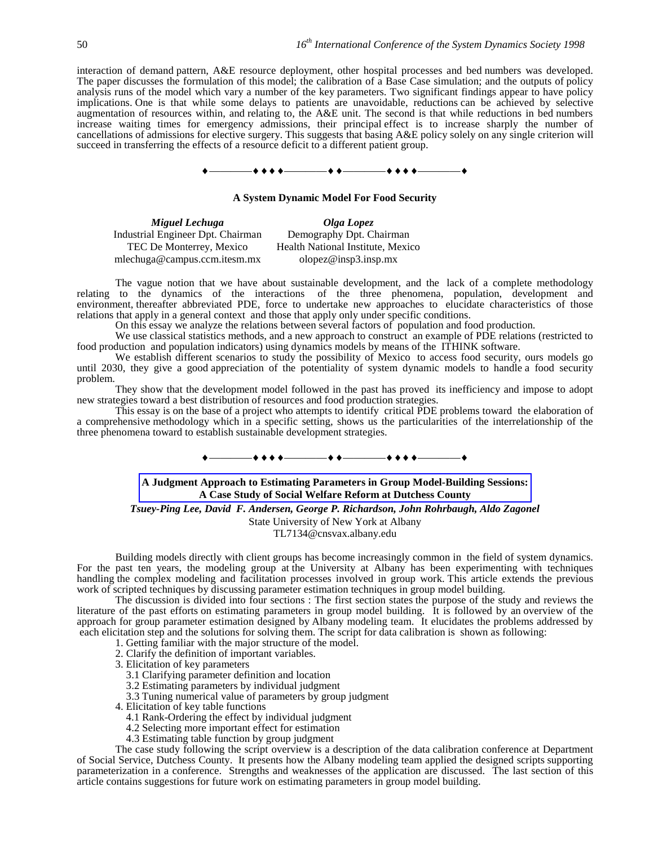interaction of demand pattern, A&E resource deployment, other hospital processes and bed numbers was developed. The paper discusses the formulation of this model; the calibration of a Base Case simulation; and the outputs of policy analysis runs of the model which vary a number of the key parameters. Two significant findings appear to have policy implications. One is that while some delays to patients are unavoidable, reductions can be achieved by selective augmentation of resources within, and relating to, the A&E unit. The second is that while reductions in bed numbers increase waiting times for emergency admissions, their principal effect is to increase sharply the number of cancellations of admissions for elective surgery. This suggests that basing A&E policy solely on any single criterion will succeed in transferring the effects of a resource deficit to a different patient group.



#### **A System Dynamic Model For Food Security**

*Miguel Lechuga Olga Lopez* Industrial Engineer Dpt. Chairman TEC De Monterrey, Mexico mlechuga@campus.ccm.itesm.mx

Demography Dpt. Chairman Health National Institute, Mexico olopez@insp3.insp.mx

The vague notion that we have about sustainable development, and the lack of a complete methodology relating to the dynamics of the interactions of the three phenomena, population, development and environment, thereafter abbreviated PDE, force to undertake new approaches to elucidate characteristics of those relations that apply in a general context and those that apply only under specific conditions.

On this essay we analyze the relations between several factors of population and food production.

We use classical statistics methods, and a new approach to construct an example of PDE relations (restricted to food production and population indicators) using dynamics models by means of the ITHINK software.

We establish different scenarios to study the possibility of Mexico to access food security, ours models go until 2030, they give a good appreciation of the potentiality of system dynamic models to handle a food security problem.

They show that the development model followed in the past has proved its inefficiency and impose to adopt new strategies toward a best distribution of resources and food production strategies.

This essay is on the base of a project who attempts to identify critical PDE problems toward the elaboration of a comprehensive methodology which in a specific setting, shows us the particularities of the interrelationship of the three phenomena toward to establish sustainable development strategies.

# ————————————————

#### **A Judgment Approach to Estimating Parameters in Group Model-Building Sessions: A Case Study of Social Welfare Reform at Dutchess County**

*Tsuey-Ping Lee, David F. Andersen, George P. Richardson, John Rohrbaugh, Aldo Zagonel*

State University of New York at Albany

TL7134@cnsvax.albany.edu

Building models directly with client groups has become increasingly common in the field of system dynamics. For the past ten years, the modeling group at the University at Albany has been experimenting with techniques handling the complex modeling and facilitation processes involved in group work. This article extends the previous work of scripted techniques by discussing parameter estimation techniques in group model building.

The discussion is divided into four sections : The first section states the purpose of the study and reviews the literature of the past efforts on estimating parameters in group model building. It is followed by an overview of the approach for group parameter estimation designed by Albany modeling team. It elucidates the problems addressed by each elicitation step and the solutions for solving them. The script for data calibration is shown as following:

1. Getting familiar with the major structure of the model.

- 2. Clarify the definition of important variables.
- 3. Elicitation of key parameters

3.1 Clarifying parameter definition and location

- 3.2 Estimating parameters by individual judgment
- 3.3 Tuning numerical value of parameters by group judgment

4. Elicitation of key table functions

- 4.1 Rank-Ordering the effect by individual judgment
- 4.2 Selecting more important effect for estimation
- 4.3 Estimating table function by group judgment

The case study following the script overview is a description of the data calibration conference at Department of Social Service, Dutchess County. It presents how the Albany modeling team applied the designed scripts supporting parameterization in a conference. Strengths and weaknesses of the application are discussed. The last section of this article contains suggestions for future work on estimating parameters in group model building.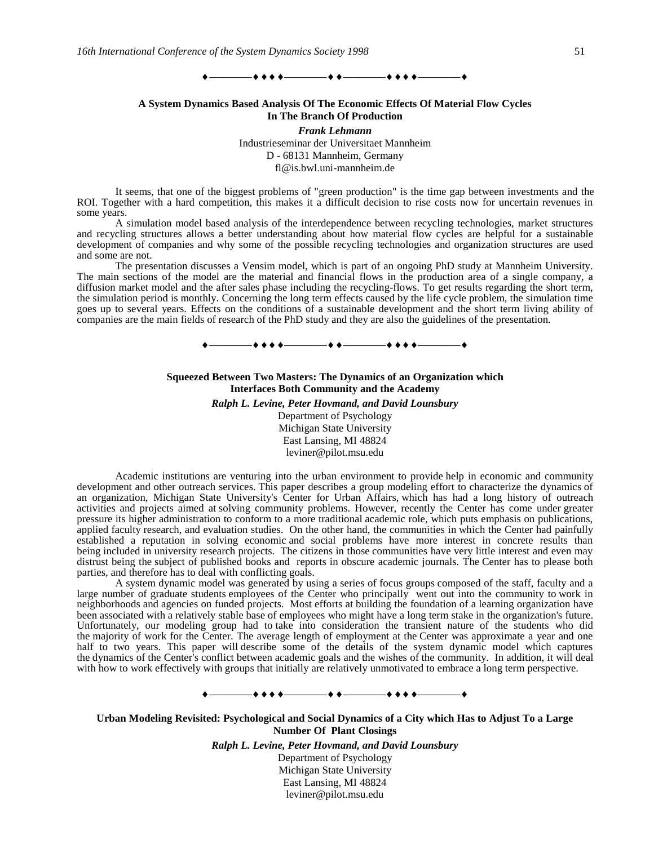#### $-$  + + +  $-$  + +  $-$  + + +  $-$

### **A System Dynamics Based Analysis Of The Economic Effects Of Material Flow Cycles In The Branch Of Production**

*Frank Lehmann* Industrieseminar der Universitaet Mannheim D - 68131 Mannheim, Germany fl@is.bwl.uni-mannheim.de

It seems, that one of the biggest problems of "green production" is the time gap between investments and the ROI. Together with a hard competition, this makes it a difficult decision to rise costs now for uncertain revenues in some years.

A simulation model based analysis of the interdependence between recycling technologies, market structures and recycling structures allows a better understanding about how material flow cycles are helpful for a sustainable development of companies and why some of the possible recycling technologies and organization structures are used and some are not.

The presentation discusses a Vensim model, which is part of an ongoing PhD study at Mannheim University. The main sections of the model are the material and financial flows in the production area of a single company, a diffusion market model and the after sales phase including the recycling-flows. To get results regarding the short term, the simulation period is monthly. Concerning the long term effects caused by the life cycle problem, the simulation time goes up to several years. Effects on the conditions of a sustainable development and the short term living ability of companies are the main fields of research of the PhD study and they are also the guidelines of the presentation.



## **Squeezed Between Two Masters: The Dynamics of an Organization which Interfaces Both Community and the Academy**

*Ralph L. Levine, Peter Hovmand, and David Lounsbury* Department of Psychology Michigan State University East Lansing, MI 48824 leviner@pilot.msu.edu

Academic institutions are venturing into the urban environment to provide help in economic and community development and other outreach services. This paper describes a group modeling effort to characterize the dynamics of an organization, Michigan State University's Center for Urban Affairs, which has had a long history of outreach activities and projects aimed at solving community problems. However, recently the Center has come under greater pressure its higher administration to conform to a more traditional academic role, which puts emphasis on publications, applied faculty research, and evaluation studies. On the other hand, the communities in which the Center had painfully established a reputation in solving economic and social problems have more interest in concrete results than being included in university research projects. The citizens in those communities have very little interest and even may distrust being the subject of published books and reports in obscure academic journals. The Center has to please both parties, and therefore has to deal with conflicting goals.

A system dynamic model was generated by using a series of focus groups composed of the staff, faculty and a large number of graduate students employees of the Center who principally went out into the community to work in neighborhoods and agencies on funded projects. Most efforts at building the foundation of a learning organization have been associated with a relatively stable base of employees who might have a long term stake in the organization's future. Unfortunately, our modeling group had to take into consideration the transient nature of the students who did the majority of work for the Center. The average length of employment at the Center was approximate a year and one half to two years. This paper will describe some of the details of the system dynamic model which captures the dynamics of the Center's conflict between academic goals and the wishes of the community. In addition, it will deal with how to work effectively with groups that initially are relatively unmotivated to embrace a long term perspective.

# ————————————————

**Urban Modeling Revisited: Psychological and Social Dynamics of a City which Has to Adjust To a Large Number Of Plant Closings**

> *Ralph L. Levine, Peter Hovmand, and David Lounsbury* Department of Psychology Michigan State University

East Lansing, MI 48824 leviner@pilot.msu.edu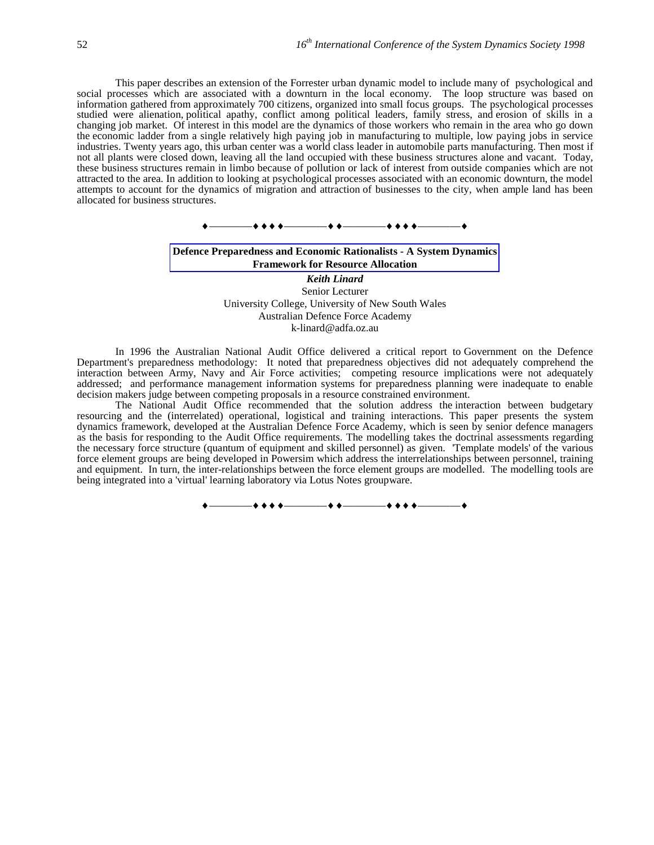This paper describes an extension of the Forrester urban dynamic model to include many of psychological and social processes which are associated with a downturn in the local economy. The loop structure was based on information gathered from approximately 700 citizens, organized into small focus groups. The psychological processes studied were alienation, political apathy, conflict among political leaders, family stress, and erosion of skills in a changing job market. Of interest in this model are the dynamics of those workers who remain in the area who go down the economic ladder from a single relatively high paying job in manufacturing to multiple, low paying jobs in service industries. Twenty years ago, this urban center was a world class leader in automobile parts manufacturing. Then most if not all plants were closed down, leaving all the land occupied with these business structures alone and vacant. Today, these business structures remain in limbo because of pollution or lack of interest from outside companies which are not attracted to the area. In addition to looking at psychological processes associated with an economic downturn, the model attempts to account for the dynamics of migration and attraction of businesses to the city, when ample land has been allocated for business structures.



# **Defence Preparedness and Economic Rationalists - A System Dynamics Framework for Resource Allocation**

*Keith Linard* Senior Lecturer University College, University of New South Wales Australian Defence Force Academy k-linard@adfa.oz.au

In 1996 the Australian National Audit Office delivered a critical report to Government on the Defence Department's preparedness methodology: It noted that preparedness objectives did not adequately comprehend the interaction between Army, Navy and Air Force activities; competing resource implications were not adequately addressed; and performance management information systems for preparedness planning were inadequate to enable decision makers judge between competing proposals in a resource constrained environment.

The National Audit Office recommended that the solution address the interaction between budgetary resourcing and the (interrelated) operational, logistical and training interactions. This paper presents the system dynamics framework, developed at the Australian Defence Force Academy, which is seen by senior defence managers as the basis for responding to the Audit Office requirements. The modelling takes the doctrinal assessments regarding the necessary force structure (quantum of equipment and skilled personnel) as given. 'Template models' of the various force element groups are being developed in Powersim which address the interrelationships between personnel, training and equipment. In turn, the inter-relationships between the force element groups are modelled. The modelling tools are being integrated into a 'virtual' learning laboratory via Lotus Notes groupware.

————————————————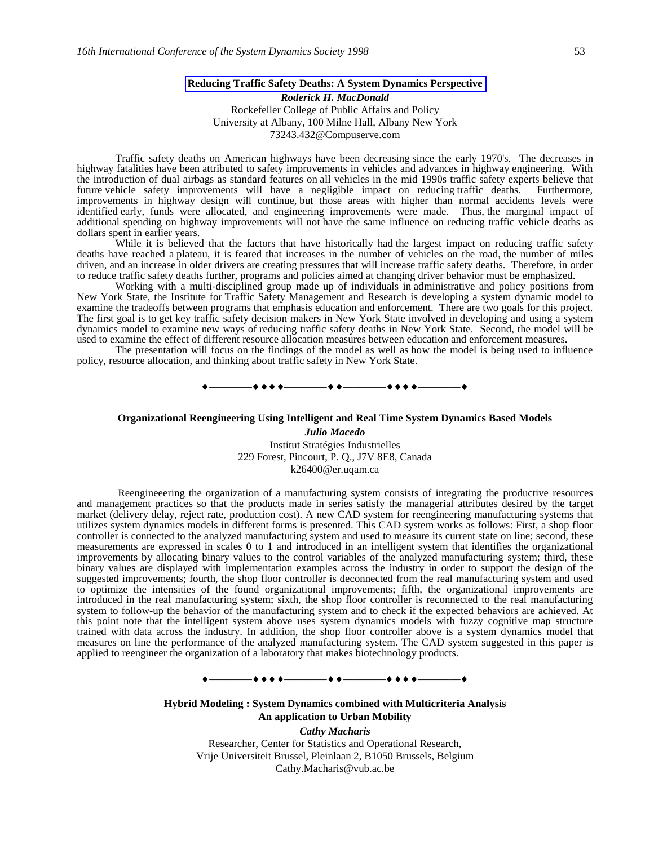#### **Reducing Traffic Safety Deaths: A System Dynamics Perspective**

*Roderick H. MacDonald* Rockefeller College of Public Affairs and Policy University at Albany, 100 Milne Hall, Albany New York 73243.432@Compuserve.com

Traffic safety deaths on American highways have been decreasing since the early 1970's. The decreases in highway fatalities have been attributed to safety improvements in vehicles and advances in highway engineering. With the introduction of dual airbags as standard features on all vehicles in the mid 1990s traffic safety experts believe that future vehicle safety improvements will have a negligible impact on reducing traffic deaths. Furthermore, improvements in highway design will continue, but those areas with higher than normal accidents levels were identified early, funds were allocated, and engineering improvements were made. Thus, the marginal impact of additional spending on highway improvements will not have the same influence on reducing traffic vehicle deaths as dollars spent in earlier years.

While it is believed that the factors that have historically had the largest impact on reducing traffic safety deaths have reached a plateau, it is feared that increases in the number of vehicles on the road, the number of miles driven, and an increase in older drivers are creating pressures that will increase traffic safety deaths. Therefore, in order to reduce traffic safety deaths further, programs and policies aimed at changing driver behavior must be emphasized.

Working with a multi-disciplined group made up of individuals in administrative and policy positions from New York State, the Institute for Traffic Safety Management and Research is developing a system dynamic model to examine the tradeoffs between programs that emphasis education and enforcement. There are two goals for this project. The first goal is to get key traffic safety decision makers in New York State involved in developing and using a system dynamics model to examine new ways of reducing traffic safety deaths in New York State. Second, the model will be used to examine the effect of different resource allocation measures between education and enforcement measures.

The presentation will focus on the findings of the model as well as how the model is being used to influence policy, resource allocation, and thinking about traffic safety in New York State.



#### **Organizational Reengineering Using Intelligent and Real Time System Dynamics Based Models**

*Julio Macedo* Institut Stratégies Industrielles 229 Forest, Pincourt, P. Q., J7V 8E8, Canada k26400@er.uqam.ca

 Reengineeering the organization of a manufacturing system consists of integrating the productive resources and management practices so that the products made in series satisfy the managerial attributes desired by the target market (delivery delay, reject rate, production cost). A new CAD system for reengineering manufacturing systems that utilizes system dynamics models in different forms is presented. This CAD system works as follows: First, a shop floor controller is connected to the analyzed manufacturing system and used to measure its current state on line; second, these measurements are expressed in scales 0 to 1 and introduced in an intelligent system that identifies the organizational improvements by allocating binary values to the control variables of the analyzed manufacturing system; third, these binary values are displayed with implementation examples across the industry in order to support the design of the suggested improvements; fourth, the shop floor controller is deconnected from the real manufacturing system and used to optimize the intensities of the found organizational improvements; fifth, the organizational improvements are introduced in the real manufacturing system; sixth, the shop floor controller is reconnected to the real manufacturing system to follow-up the behavior of the manufacturing system and to check if the expected behaviors are achieved. At this point note that the intelligent system above uses system dynamics models with fuzzy cognitive map structure trained with data across the industry. In addition, the shop floor controller above is a system dynamics model that measures on line the performance of the analyzed manufacturing system. The CAD system suggested in this paper is applied to reengineer the organization of a laboratory that makes biotechnology products.

————————————————

**Hybrid Modeling : System Dynamics combined with Multicriteria Analysis An application to Urban Mobility**

> *Cathy Macharis* Researcher, Center for Statistics and Operational Research, Vrije Universiteit Brussel, Pleinlaan 2, B1050 Brussels, Belgium Cathy.Macharis@vub.ac.be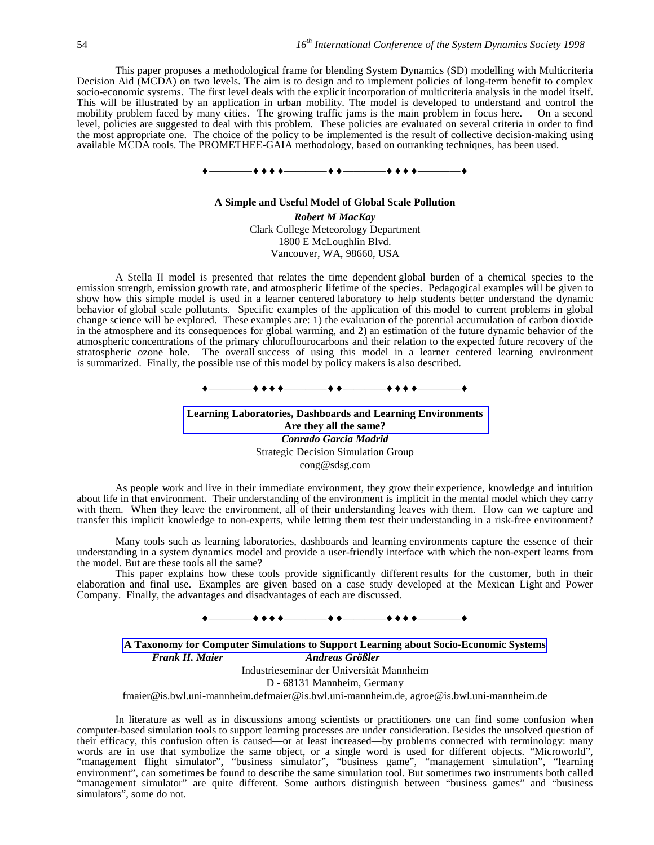This paper proposes a methodological frame for blending System Dynamics (SD) modelling with Multicriteria Decision Aid (MCDA) on two levels. The aim is to design and to implement policies of long-term benefit to complex socio-economic systems. The first level deals with the explicit incorporation of multicriteria analysis in the model itself. This will be illustrated by an application in urban mobility. The model is developed to understand and control the mobility problem faced by many cities. The growing traffic jams is the main problem in focus here. On a second level, policies are suggested to deal with this problem. These policies are evaluated on several criteria in order to find the most appropriate one. The choice of the policy to be implemented is the result of collective decision-making using available MCDA tools. The PROMETHEE-GAIA methodology, based on outranking techniques, has been used.



## **A Simple and Useful Model of Global Scale Pollution** *Robert M MacKay* Clark College Meteorology Department 1800 E McLoughlin Blvd. Vancouver, WA, 98660, USA

A Stella II model is presented that relates the time dependent global burden of a chemical species to the emission strength, emission growth rate, and atmospheric lifetime of the species. Pedagogical examples will be given to show how this simple model is used in a learner centered laboratory to help students better understand the dynamic behavior of global scale pollutants. Specific examples of the application of this model to current problems in global change science will be explored. These examples are: 1) the evaluation of the potential accumulation of carbon dioxide in the atmosphere and its consequences for global warming, and 2) an estimation of the future dynamic behavior of the atmospheric concentrations of the primary chloroflourocarbons and their relation to the expected future recovery of the stratospheric ozone hole. The overall success of using this model in a learner centered learning environment is summarized. Finally, the possible use of this model by policy makers is also described.

————————————————

**Learning Laboratories, Dashboards and Learning Environments Are they all the same?** *Conrado Garcia Madrid* Strategic Decision Simulation Group cong@sdsg.com

As people work and live in their immediate environment, they grow their experience, knowledge and intuition about life in that environment. Their understanding of the environment is implicit in the mental model which they carry with them. When they leave the environment, all of their understanding leaves with them. How can we capture and transfer this implicit knowledge to non-experts, while letting them test their understanding in a risk-free environment?

 Many tools such as learning laboratories, dashboards and learning environments capture the essence of their understanding in a system dynamics model and provide a user-friendly interface with which the non-expert learns from the model. But are these tools all the same?

This paper explains how these tools provide significantly different results for the customer, both in their elaboration and final use. Examples are given based on a case study developed at the Mexican Light and Power Company. Finally, the advantages and disadvantages of each are discussed.

————————————————

**A Taxonomy for Computer Simulations to Support Learning about Socio-Economic Systems** *Frank H. Maier Andreas Größler* Industrieseminar der Universität Mannheim

D - 68131 Mannheim, Germany

fmaier@is.bwl.uni-mannheim.defmaier@is.bwl.uni-mannheim.de, agroe@is.bwl.uni-mannheim.de

In literature as well as in discussions among scientists or practitioners one can find some confusion when computer-based simulation tools to support learning processes are under consideration. Besides the unsolved question of their efficacy, this confusion often is caused—or at least increased—by problems connected with terminology: many words are in use that symbolize the same object, or a single word is used for different objects. "Microworld", "management flight simulator", "business simulator", "business game", "management simulation", "learning environment", can sometimes be found to describe the same simulation tool. But sometimes two instruments both called "management simulator" are quite different. Some authors distinguish between "business games" and "business simulators", some do not.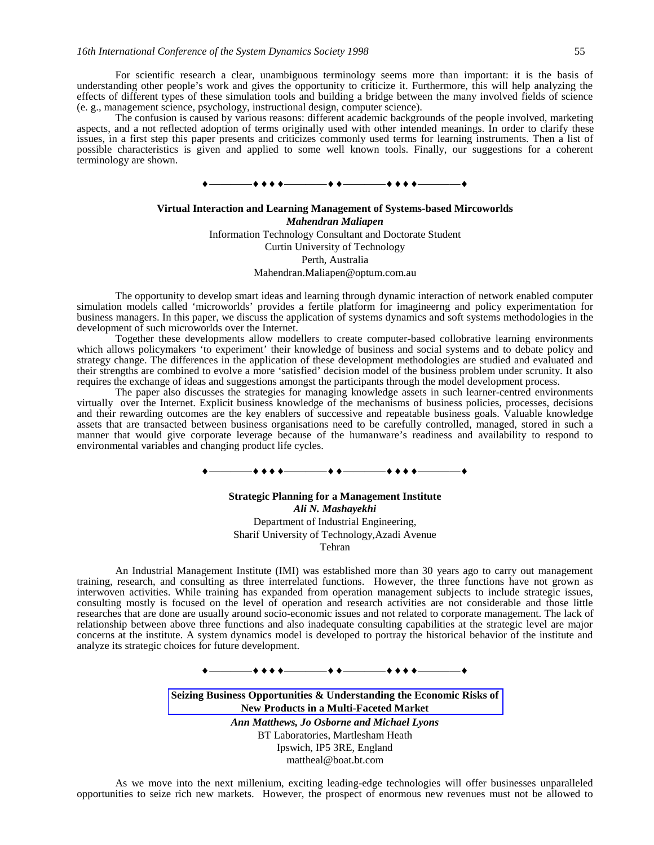For scientific research a clear, unambiguous terminology seems more than important: it is the basis of understanding other people's work and gives the opportunity to criticize it. Furthermore, this will help analyzing the effects of different types of these simulation tools and building a bridge between the many involved fields of science (e. g., management science, psychology, instructional design, computer science).

The confusion is caused by various reasons: different academic backgrounds of the people involved, marketing aspects, and a not reflected adoption of terms originally used with other intended meanings. In order to clarify these issues, in a first step this paper presents and criticizes commonly used terms for learning instruments. Then a list of possible characteristics is given and applied to some well known tools. Finally, our suggestions for a coherent terminology are shown.



# **Virtual Interaction and Learning Management of Systems-based Mircoworlds**

*Mahendran Maliapen* Information Technology Consultant and Doctorate Student Curtin University of Technology Perth, Australia Mahendran.Maliapen@optum.com.au

The opportunity to develop smart ideas and learning through dynamic interaction of network enabled computer simulation models called 'microworlds' provides a fertile platform for imagineerng and policy experimentation for business managers. In this paper, we discuss the application of systems dynamics and soft systems methodologies in the development of such microworlds over the Internet.

Together these developments allow modellers to create computer-based collobrative learning environments which allows policymakers 'to experiment' their knowledge of business and social systems and to debate policy and strategy change. The differences in the application of these development methodologies are studied and evaluated and their strengths are combined to evolve a more 'satisfied' decision model of the business problem under scrunity. It also requires the exchange of ideas and suggestions amongst the participants through the model development process.

The paper also discusses the strategies for managing knowledge assets in such learner-centred environments virtually over the Internet. Explicit business knowledge of the mechanisms of business policies, processes, decisions and their rewarding outcomes are the key enablers of successive and repeatable business goals. Valuable knowledge assets that are transacted between business organisations need to be carefully controlled, managed, stored in such a manner that would give corporate leverage because of the humanware's readiness and availability to respond to environmental variables and changing product life cycles.

### —**++++**————

# **Strategic Planning for a Management Institute** *Ali N. Mashayekhi* Department of Industrial Engineering, Sharif University of Technology,Azadi Avenue

Tehran

An Industrial Management Institute (IMI) was established more than 30 years ago to carry out management training, research, and consulting as three interrelated functions. However, the three functions have not grown as interwoven activities. While training has expanded from operation management subjects to include strategic issues, consulting mostly is focused on the level of operation and research activities are not considerable and those little researches that are done are usually around socio-economic issues and not related to corporate management. The lack of relationship between above three functions and also inadequate consulting capabilities at the strategic level are major concerns at the institute. A system dynamics model is developed to portray the historical behavior of the institute and analyze its strategic choices for future development.

————————————————

**Seizing Business Opportunities & Understanding the Economic Risks of New Products in a Multi-Faceted Market**

> *Ann Matthews, Jo Osborne and Michael Lyons* BT Laboratories, Martlesham Heath Ipswich, IP5 3RE, England mattheal@boat.bt.com

As we move into the next millenium, exciting leading-edge technologies will offer businesses unparalleled opportunities to seize rich new markets. However, the prospect of enormous new revenues must not be allowed to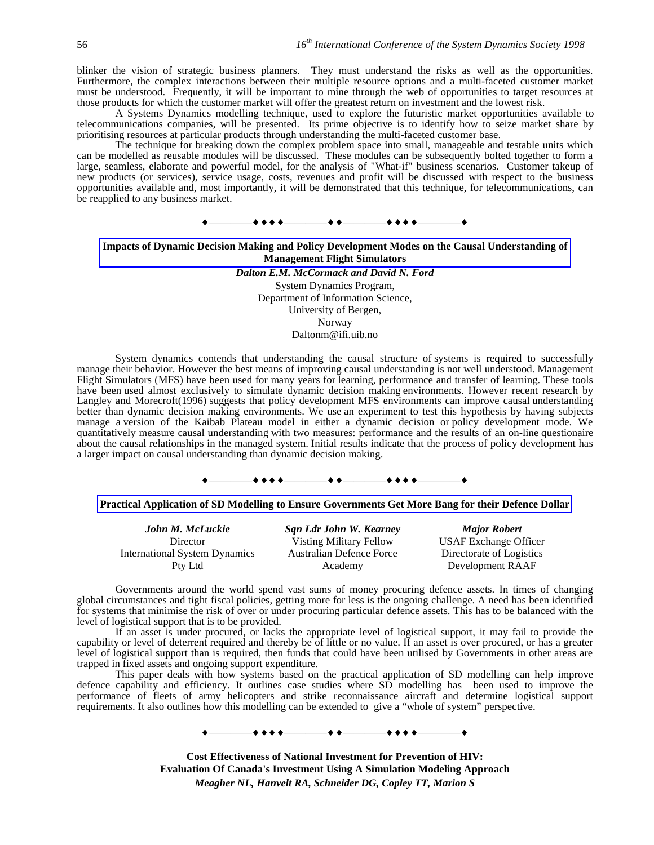blinker the vision of strategic business planners. They must understand the risks as well as the opportunities. Furthermore, the complex interactions between their multiple resource options and a multi-faceted customer market must be understood. Frequently, it will be important to mine through the web of opportunities to target resources at those products for which the customer market will offer the greatest return on investment and the lowest risk.

A Systems Dynamics modelling technique, used to explore the futuristic market opportunities available to telecommunications companies, will be presented. Its prime objective is to identify how to seize market share by prioritising resources at particular products through understanding the multi-faceted customer base.

The technique for breaking down the complex problem space into small, manageable and testable units which can be modelled as reusable modules will be discussed. These modules can be subsequently bolted together to form a large, seamless, elaborate and powerful model, for the analysis of "What-if" business scenarios. Customer takeup of new products (or services), service usage, costs, revenues and profit will be discussed with respect to the business opportunities available and, most importantly, it will be demonstrated that this technique, for telecommunications, can be reapplied to any business market.

# ————————————————

### **Impacts of Dynamic Decision Making and Policy Development Modes on the Causal Understanding of Management Flight Simulators**

*Dalton E.M. McCormack and David N. Ford* System Dynamics Program, Department of Information Science, University of Bergen, Norway Daltonm@ifi.uib.no

System dynamics contends that understanding the causal structure of systems is required to successfully manage their behavior. However the best means of improving causal understanding is not well understood. Management Flight Simulators (MFS) have been used for many years for learning, performance and transfer of learning. These tools have been used almost exclusively to simulate dynamic decision making environments. However recent research by Langley and Morecroft(1996) suggests that policy development MFS environments can improve causal understanding better than dynamic decision making environments. We use an experiment to test this hypothesis by having subjects manage a version of the Kaibab Plateau model in either a dynamic decision or policy development mode. We quantitatively measure causal understanding with two measures: performance and the results of an on-line questionaire about the causal relationships in the managed system. Initial results indicate that the process of policy development has a larger impact on causal understanding than dynamic decision making.

#### ————————————————

#### **Practical Application of SD Modelling to Ensure Governments Get More Bang for their Defence Dollar**

| John M. McLuckie                     | <b>Sqn Ldr John W. Kearney</b>  | <b>Major Robert</b>          |
|--------------------------------------|---------------------------------|------------------------------|
| Director                             | Visting Military Fellow         | <b>USAF Exchange Officer</b> |
| <b>International System Dynamics</b> | <b>Australian Defence Force</b> | Directorate of Logistics     |
| Pty Ltd                              | Academy                         | Development RAAF             |

Governments around the world spend vast sums of money procuring defence assets. In times of changing global circumstances and tight fiscal policies, getting more for less is the ongoing challenge. A need has been identified for systems that minimise the risk of over or under procuring particular defence assets. This has to be balanced with the level of logistical support that is to be provided.

If an asset is under procured, or lacks the appropriate level of logistical support, it may fail to provide the capability or level of deterrent required and thereby be of little or no value. If an asset is over procured, or has a greater level of logistical support than is required, then funds that could have been utilised by Governments in other areas are trapped in fixed assets and ongoing support expenditure.

This paper deals with how systems based on the practical application of SD modelling can help improve defence capability and efficiency. It outlines case studies where SD modelling has been used to improve the performance of fleets of army helicopters and strike reconnaissance aircraft and determine logistical support requirements. It also outlines how this modelling can be extended to give a "whole of system" perspective.

————————————————

**Cost Effectiveness of National Investment for Prevention of HIV: Evaluation Of Canada's Investment Using A Simulation Modeling Approach** *Meagher NL, Hanvelt RA, Schneider DG, Copley TT, Marion S*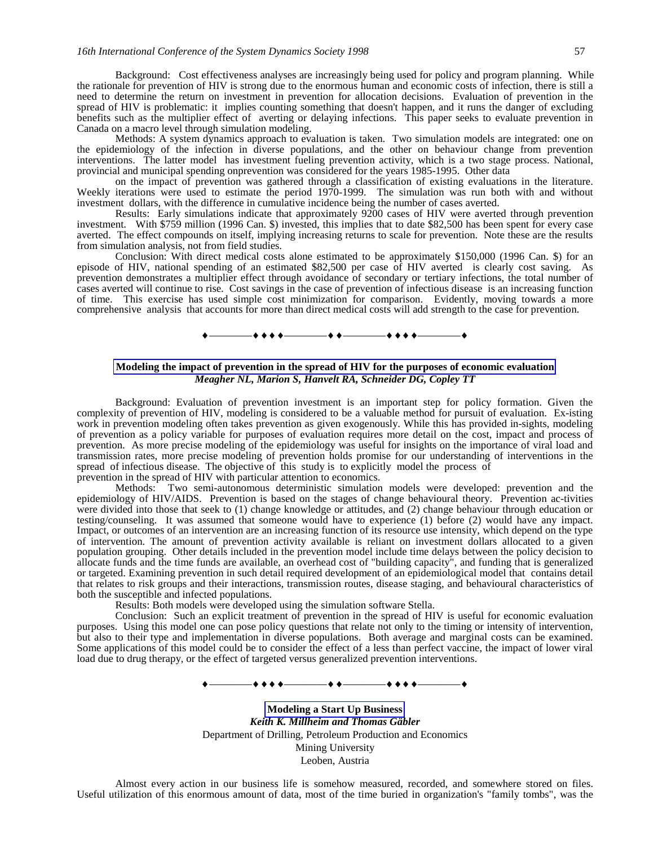Background: Cost effectiveness analyses are increasingly being used for policy and program planning. While the rationale for prevention of HIV is strong due to the enormous human and economic costs of infection, there is still a need to determine the return on investment in prevention for allocation decisions. Evaluation of prevention in the spread of HIV is problematic: it implies counting something that doesn't happen, and it runs the danger of excluding benefits such as the multiplier effect of averting or delaying infections. This paper seeks to evaluate prevention in Canada on a macro level through simulation modeling.

Methods: A system dynamics approach to evaluation is taken. Two simulation models are integrated: one on the epidemiology of the infection in diverse populations, and the other on behaviour change from prevention interventions. The latter model has investment fueling prevention activity, which is a two stage process. National, provincial and municipal spending onprevention was considered for the years 1985-1995. Other data

on the impact of prevention was gathered through a classification of existing evaluations in the literature. Weekly iterations were used to estimate the period 1970-1999. The simulation was run both with and without investment dollars, with the difference in cumulative incidence being the number of cases averted.

Results: Early simulations indicate that approximately 9200 cases of HIV were averted through prevention investment. With \$759 million (1996 Can. \$) invested, this implies that to date \$82,500 has been spent for every case averted. The effect compounds on itself, implying increasing returns to scale for prevention. Note these are the results from simulation analysis, not from field studies.

Conclusion: With direct medical costs alone estimated to be approximately \$150,000 (1996 Can. \$) for an episode of HIV, national spending of an estimated \$82,500 per case of HIV averted is clearly cost saving. As prevention demonstrates a multiplier effect through avoidance of secondary or tertiary infections, the total number of cases averted will continue to rise. Cost savings in the case of prevention of infectious disease is an increasing function of time. This exercise has used simple cost minimization for comparison. Evidently, moving towards a more comprehensive analysis that accounts for more than direct medical costs will add strength to the case for prevention.

————————————————

#### **Modeling the impact of prevention in the spread of HIV for the purposes of economic evaluation** *Meagher NL, Marion S, Hanvelt RA, Schneider DG, Copley TT*

Background: Evaluation of prevention investment is an important step for policy formation. Given the complexity of prevention of HIV, modeling is considered to be a valuable method for pursuit of evaluation. Ex-isting work in prevention modeling often takes prevention as given exogenously. While this has provided in-sights, modeling of prevention as a policy variable for purposes of evaluation requires more detail on the cost, impact and process of prevention. As more precise modeling of the epidemiology was useful for insights on the importance of viral load and transmission rates, more precise modeling of prevention holds promise for our understanding of interventions in the spread of infectious disease. The objective of this study is to explicitly model the process of prevention in the spread of HIV with particular attention to economics.

Methods: Two semi-autonomous deterministic simulation models were developed: prevention and the epidemiology of HIV/AIDS. Prevention is based on the stages of change behavioural theory. Prevention ac-tivities were divided into those that seek to (1) change knowledge or attitudes, and (2) change behaviour through education or testing/counseling. It was assumed that someone would have to experience (1) before (2) would have any impact. Impact, or outcomes of an intervention are an increasing function of its resource use intensity, which depend on the type of intervention. The amount of prevention activity available is reliant on investment dollars allocated to a given population grouping. Other details included in the prevention model include time delays between the policy decision to allocate funds and the time funds are available, an overhead cost of "building capacity", and funding that is generalized or targeted. Examining prevention in such detail required development of an epidemiological model that contains detail that relates to risk groups and their interactions, transmission routes, disease staging, and behavioural characteristics of both the susceptible and infected populations.

Results: Both models were developed using the simulation software Stella.

Conclusion: Such an explicit treatment of prevention in the spread of HIV is useful for economic evaluation purposes. Using this model one can pose policy questions that relate not only to the timing or intensity of intervention, but also to their type and implementation in diverse populations. Both average and marginal costs can be examined. Some applications of this model could be to consider the effect of a less than perfect vaccine, the impact of lower viral load due to drug therapy, or the effect of targeted versus generalized prevention interventions.

#### —+ + + +—————+ + —————+ + + + +

**Modeling a Start Up Business** *Keith K. Millheim and Thomas Gäbler* Department of Drilling, Petroleum Production and Economics Mining University Leoben, Austria

Almost every action in our business life is somehow measured, recorded, and somewhere stored on files. Useful utilization of this enormous amount of data, most of the time buried in organization's "family tombs", was the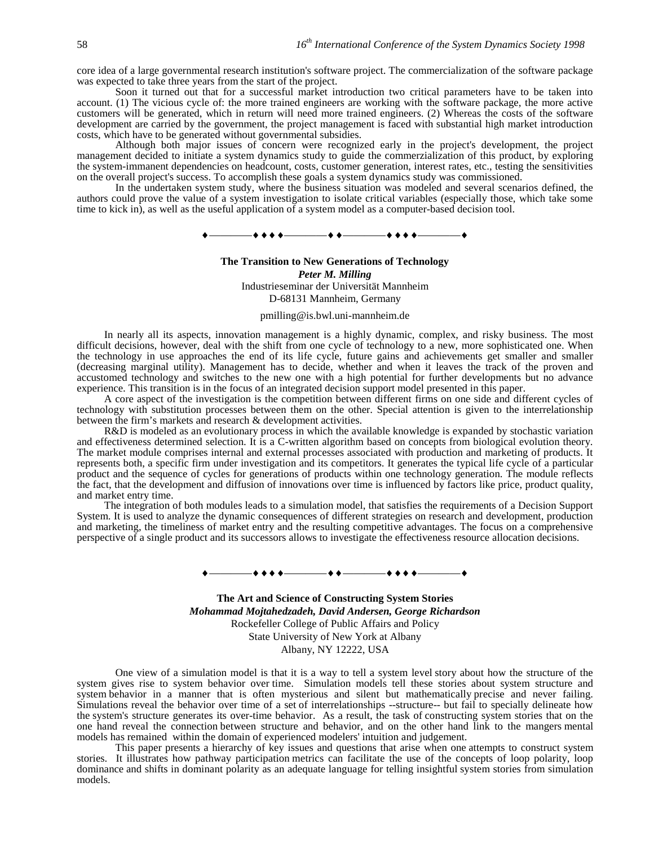core idea of a large governmental research institution's software project. The commercialization of the software package was expected to take three years from the start of the project.

Soon it turned out that for a successful market introduction two critical parameters have to be taken into account. (1) The vicious cycle of: the more trained engineers are working with the software package, the more active customers will be generated, which in return will need more trained engineers. (2) Whereas the costs of the software development are carried by the government, the project management is faced with substantial high market introduction costs, which have to be generated without governmental subsidies.

Although both major issues of concern were recognized early in the project's development, the project management decided to initiate a system dynamics study to guide the commerzialization of this product, by exploring the system-immanent dependencies on headcount, costs, customer generation, interest rates, etc., testing the sensitivities on the overall project's success. To accomplish these goals a system dynamics study was commissioned.

In the undertaken system study, where the business situation was modeled and several scenarios defined, the authors could prove the value of a system investigation to isolate critical variables (especially those, which take some time to kick in), as well as the useful application of a system model as a computer-based decision tool.

————————————————

### **The Transition to New Generations of Technology** *Peter M. Milling* Industrieseminar der Universität Mannheim D-68131 Mannheim, Germany

#### pmilling@is.bwl.uni-mannheim.de

In nearly all its aspects, innovation management is a highly dynamic, complex, and risky business. The most difficult decisions, however, deal with the shift from one cycle of technology to a new, more sophisticated one. When the technology in use approaches the end of its life cycle, future gains and achievements get smaller and smaller (decreasing marginal utility). Management has to decide, whether and when it leaves the track of the proven and accustomed technology and switches to the new one with a high potential for further developments but no advance experience. This transition is in the focus of an integrated decision support model presented in this paper.

A core aspect of the investigation is the competition between different firms on one side and different cycles of technology with substitution processes between them on the other. Special attention is given to the interrelationship between the firm's markets and research & development activities.

R&D is modeled as an evolutionary process in which the available knowledge is expanded by stochastic variation and effectiveness determined selection. It is a C-written algorithm based on concepts from biological evolution theory. The market module comprises internal and external processes associated with production and marketing of products. It represents both, a specific firm under investigation and its competitors. It generates the typical life cycle of a particular product and the sequence of cycles for generations of products within one technology generation. The module reflects the fact, that the development and diffusion of innovations over time is influenced by factors like price, product quality, and market entry time.

The integration of both modules leads to a simulation model, that satisfies the requirements of a Decision Support System. It is used to analyze the dynamic consequences of different strategies on research and development, production and marketing, the timeliness of market entry and the resulting competitive advantages. The focus on a comprehensive perspective of a single product and its successors allows to investigate the effectiveness resource allocation decisions.

> **The Art and Science of Constructing System Stories** *Mohammad Mojtahedzadeh, David Andersen, George Richardson* Rockefeller College of Public Affairs and Policy State University of New York at Albany

—++++————++-———++++

Albany, NY 12222, USA

One view of a simulation model is that it is a way to tell a system level story about how the structure of the system gives rise to system behavior over time. Simulation models tell these stories about system structure and system behavior in a manner that is often mysterious and silent but mathematically precise and never failing. Simulations reveal the behavior over time of a set of interrelationships --structure-- but fail to specially delineate how the system's structure generates its over-time behavior. As a result, the task of constructing system stories that on the one hand reveal the connection between structure and behavior, and on the other hand link to the mangers mental models has remained within the domain of experienced modelers' intuition and judgement.

This paper presents a hierarchy of key issues and questions that arise when one attempts to construct system stories. It illustrates how pathway participation metrics can facilitate the use of the concepts of loop polarity, loop dominance and shifts in dominant polarity as an adequate language for telling insightful system stories from simulation models.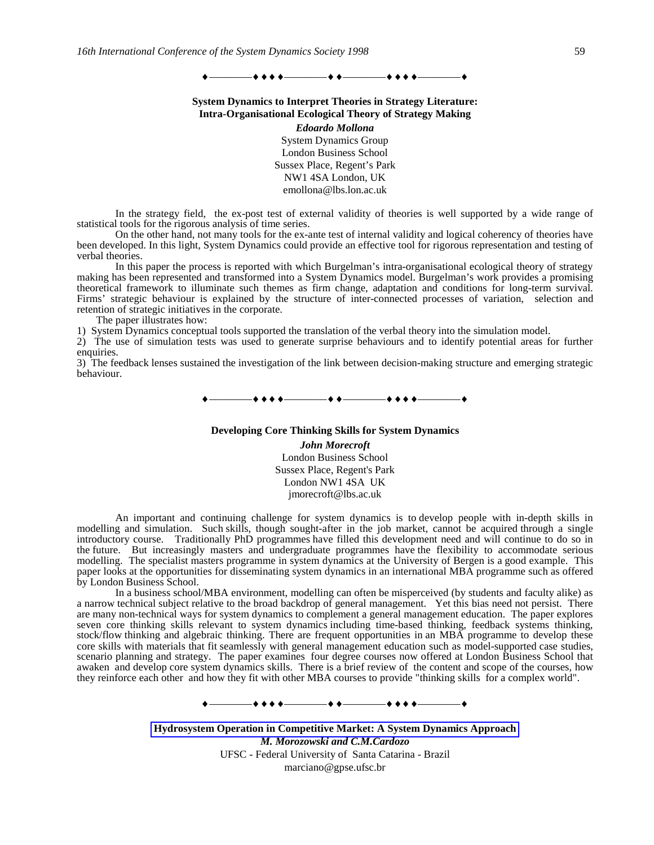# —**+ + + +** ————————————————————

### **System Dynamics to Interpret Theories in Strategy Literature: Intra-Organisational Ecological Theory of Strategy Making**

*Edoardo Mollona* System Dynamics Group London Business School Sussex Place, Regent's Park NW1 4SA London, UK emollona@lbs.lon.ac.uk

In the strategy field, the ex-post test of external validity of theories is well supported by a wide range of statistical tools for the rigorous analysis of time series.

On the other hand, not many tools for the ex-ante test of internal validity and logical coherency of theories have been developed. In this light, System Dynamics could provide an effective tool for rigorous representation and testing of verbal theories.

In this paper the process is reported with which Burgelman's intra-organisational ecological theory of strategy making has been represented and transformed into a System Dynamics model. Burgelman's work provides a promising theoretical framework to illuminate such themes as firm change, adaptation and conditions for long-term survival. Firms' strategic behaviour is explained by the structure of inter-connected processes of variation, selection and retention of strategic initiatives in the corporate.

The paper illustrates how:

1) System Dynamics conceptual tools supported the translation of the verbal theory into the simulation model.

2) The use of simulation tests was used to generate surprise behaviours and to identify potential areas for further enquiries.

3) The feedback lenses sustained the investigation of the link between decision-making structure and emerging strategic behaviour.

————————————————

**Developing Core Thinking Skills for System Dynamics** *John Morecroft* London Business School Sussex Place, Regent's Park London NW1 4SA UK jmorecroft@lbs.ac.uk

An important and continuing challenge for system dynamics is to develop people with in-depth skills in modelling and simulation. Such skills, though sought-after in the job market, cannot be acquired through a single introductory course. Traditionally PhD programmes have filled this development need and will continue to do so in the future. But increasingly masters and undergraduate programmes have the flexibility to accommodate serious modelling. The specialist masters programme in system dynamics at the University of Bergen is a good example. This paper looks at the opportunities for disseminating system dynamics in an international MBA programme such as offered by London Business School.

In a business school/MBA environment, modelling can often be misperceived (by students and faculty alike) as a narrow technical subject relative to the broad backdrop of general management. Yet this bias need not persist. There are many non-technical ways for system dynamics to complement a general management education. The paper explores seven core thinking skills relevant to system dynamics including time-based thinking, feedback systems thinking, stock/flow thinking and algebraic thinking. There are frequent opportunities in an MBA programme to develop these core skills with materials that fit seamlessly with general management education such as model-supported case studies, scenario planning and strategy. The paper examines four degree courses now offered at London Business School that awaken and develop core system dynamics skills. There is a brief review of the content and scope of the courses, how they reinforce each other and how they fit with other MBA courses to provide "thinking skills for a complex world".

————————————————

**Hydrosystem Operation in Competitive Market: A System Dynamics Approach** *M. Morozowski and C.M.Cardozo* UFSC - Federal University of Santa Catarina - Brazil marciano@gpse.ufsc.br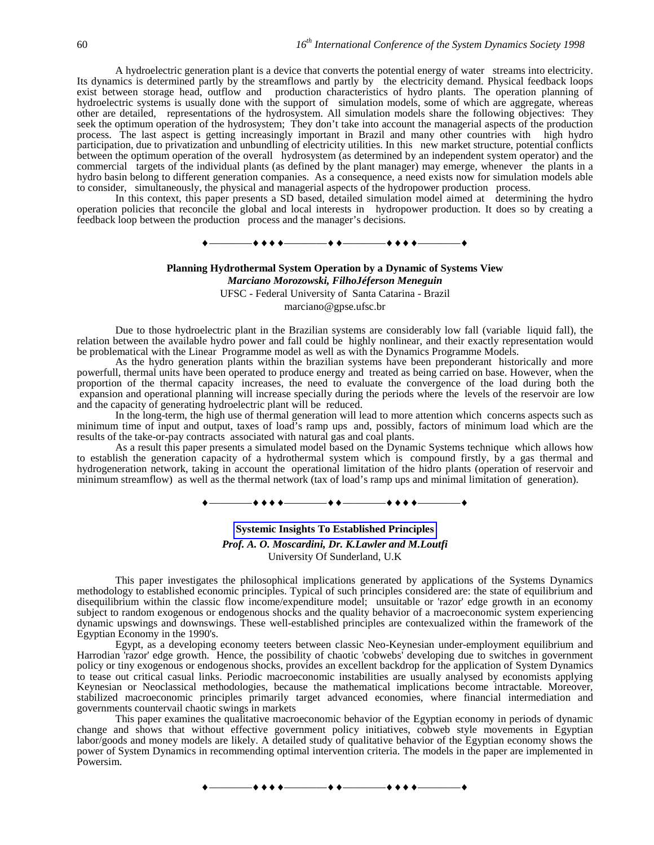A hydroelectric generation plant is a device that converts the potential energy of water streams into electricity. Its dynamics is determined partly by the streamflows and partly by the electricity demand. Physical feedback loops exist between storage head, outflow and production characteristics of hydro plants. The operation planning of hydroelectric systems is usually done with the support of simulation models, some of which are aggregate, whereas other are detailed, representations of the hydrosystem. All simulation models share the following objectives: They seek the optimum operation of the hydrosystem; They don't take into account the managerial aspects of the production process. The last aspect is getting increasingly important in Brazil and many other countries with high hydro participation, due to privatization and unbundling of electricity utilities. In this new market structure, potential conflicts between the optimum operation of the overall hydrosystem (as determined by an independent system operator) and the commercial targets of the individual plants (as defined by the plant manager) may emerge, whenever the plants in a hydro basin belong to different generation companies. As a consequence, a need exists now for simulation models able to consider, simultaneously, the physical and managerial aspects of the hydropower production process.

In this context, this paper presents a SD based, detailed simulation model aimed at determining the hydro operation policies that reconcile the global and local interests in hydropower production. It does so by creating a feedback loop between the production process and the manager's decisions.

### ————————————————

#### **Planning Hydrothermal System Operation by a Dynamic of Systems View** *Marciano Morozowski, FilhoJéferson Meneguin*

UFSC - Federal University of Santa Catarina - Brazil

marciano@gpse.ufsc.br

Due to those hydroelectric plant in the Brazilian systems are considerably low fall (variable liquid fall), the relation between the available hydro power and fall could be highly nonlinear, and their exactly representation would be problematical with the Linear Programme model as well as with the Dynamics Programme Models.

As the hydro generation plants within the brazilian systems have been preponderant historically and more powerfull, thermal units have been operated to produce energy and treated as being carried on base. However, when the proportion of the thermal capacity increases, the need to evaluate the convergence of the load during both the expansion and operational planning will increase specially during the periods where the levels of the reservoir are low and the capacity of generating hydroelectric plant will be reduced.

In the long-term, the high use of thermal generation will lead to more attention which concerns aspects such as minimum time of input and output, taxes of load's ramp ups and, possibly, factors of minimum load which are the results of the take-or-pay contracts associated with natural gas and coal plants.

As a result this paper presents a simulated model based on the Dynamic Systems technique which allows how to establish the generation capacity of a hydrothermal system which is compound firstly, by a gas thermal and hydrogeneration network, taking in account the operational limitation of the hidro plants (operation of reservoir and minimum streamflow) as well as the thermal network (tax of load's ramp ups and minimal limitation of generation).



#### **Systemic Insights To Established Principles**

*Prof. A. O. Moscardini, Dr. K.Lawler and M.Loutfi* University Of Sunderland, U.K

This paper investigates the philosophical implications generated by applications of the Systems Dynamics methodology to established economic principles. Typical of such principles considered are: the state of equilibrium and disequilibrium within the classic flow income/expenditure model; unsuitable or 'razor' edge growth in an economy subject to random exogenous or endogenous shocks and the quality behavior of a macroeconomic system experiencing dynamic upswings and downswings. These well-established principles are contexualized within the framework of the Egyptian Economy in the 1990's.

Egypt, as a developing economy teeters between classic Neo-Keynesian under-employment equilibrium and Harrodian 'razor' edge growth. Hence, the possibility of chaotic 'cobwebs' developing due to switches in government policy or tiny exogenous or endogenous shocks, provides an excellent backdrop for the application of System Dynamics to tease out critical casual links. Periodic macroeconomic instabilities are usually analysed by economists applying Keynesian or Neoclassical methodologies, because the mathematical implications become intractable. Moreover, stabilized macroeconomic principles primarily target advanced economies, where financial intermediation and governments countervail chaotic swings in markets

This paper examines the qualitative macroeconomic behavior of the Egyptian economy in periods of dynamic change and shows that without effective government policy initiatives, cobweb style movements in Egyptian labor/goods and money models are likely. A detailed study of qualitative behavior of the Egyptian economy shows the power of System Dynamics in recommending optimal intervention criteria. The models in the paper are implemented in Powersim.

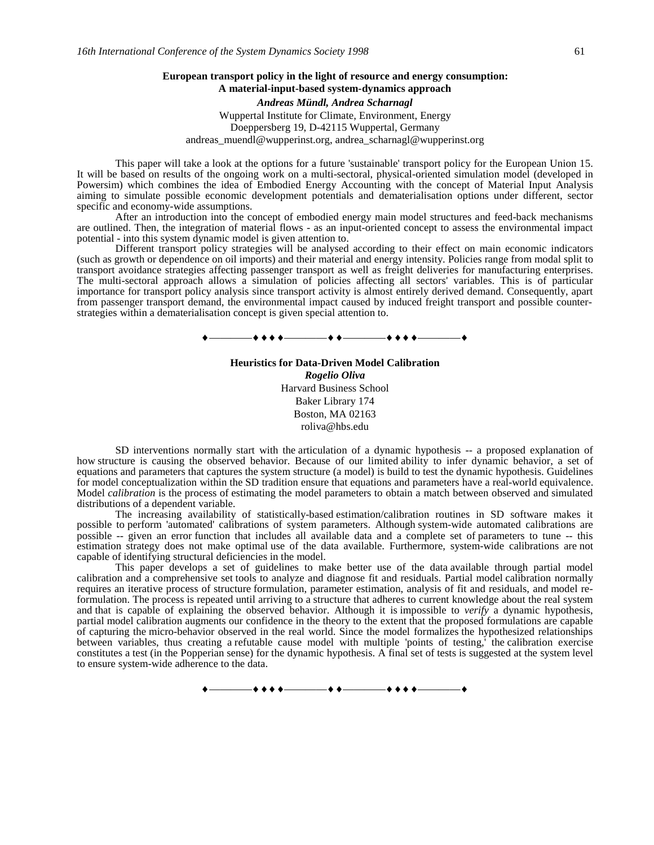### **European transport policy in the light of resource and energy consumption: A material-input-based system-dynamics approach**

*Andreas Mündl, Andrea Scharnagl* Wuppertal Institute for Climate, Environment, Energy

Doeppersberg 19, D-42115 Wuppertal, Germany andreas\_muendl@wupperinst.org, andrea\_scharnagl@wupperinst.org

This paper will take a look at the options for a future 'sustainable' transport policy for the European Union 15. It will be based on results of the ongoing work on a multi-sectoral, physical-oriented simulation model (developed in Powersim) which combines the idea of Embodied Energy Accounting with the concept of Material Input Analysis aiming to simulate possible economic development potentials and dematerialisation options under different, sector specific and economy-wide assumptions.

After an introduction into the concept of embodied energy main model structures and feed-back mechanisms are outlined. Then, the integration of material flows - as an input-oriented concept to assess the environmental impact potential - into this system dynamic model is given attention to.

Different transport policy strategies will be analysed according to their effect on main economic indicators (such as growth or dependence on oil imports) and their material and energy intensity. Policies range from modal split to transport avoidance strategies affecting passenger transport as well as freight deliveries for manufacturing enterprises. The multi-sectoral approach allows a simulation of policies affecting all sectors' variables. This is of particular importance for transport policy analysis since transport activity is almost entirely derived demand. Consequently, apart from passenger transport demand, the environmental impact caused by induced freight transport and possible counterstrategies within a dematerialisation concept is given special attention to.

————————————————

**Heuristics for Data-Driven Model Calibration** *Rogelio Oliva* Harvard Business School Baker Library 174 Boston, MA 02163 roliva@hbs.edu

SD interventions normally start with the articulation of a dynamic hypothesis -- a proposed explanation of how structure is causing the observed behavior. Because of our limited ability to infer dynamic behavior, a set of equations and parameters that captures the system structure (a model) is build to test the dynamic hypothesis. Guidelines for model conceptualization within the SD tradition ensure that equations and parameters have a real-world equivalence. Model *calibration* is the process of estimating the model parameters to obtain a match between observed and simulated distributions of a dependent variable.

The increasing availability of statistically-based estimation/calibration routines in SD software makes it possible to perform 'automated' calibrations of system parameters. Although system-wide automated calibrations are possible -- given an error function that includes all available data and a complete set of parameters to tune -- this estimation strategy does not make optimal use of the data available. Furthermore, system-wide calibrations are not capable of identifying structural deficiencies in the model.

This paper develops a set of guidelines to make better use of the data available through partial model calibration and a comprehensive set tools to analyze and diagnose fit and residuals. Partial model calibration normally requires an iterative process of structure formulation, parameter estimation, analysis of fit and residuals, and model reformulation. The process is repeated until arriving to a structure that adheres to current knowledge about the real system and that is capable of explaining the observed behavior. Although it is impossible to *verify* a dynamic hypothesis, partial model calibration augments our confidence in the theory to the extent that the proposed formulations are capable of capturing the micro-behavior observed in the real world. Since the model formalizes the hypothesized relationships between variables, thus creating a refutable cause model with multiple 'points of testing,' the calibration exercise constitutes a test (in the Popperian sense) for the dynamic hypothesis. A final set of tests is suggested at the system level to ensure system-wide adherence to the data.

————————————————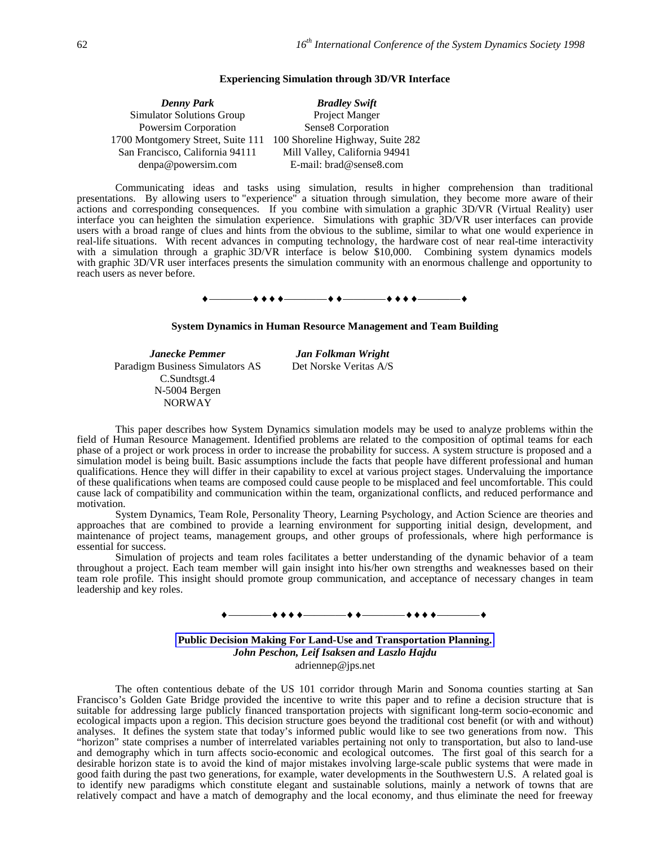### **Experiencing Simulation through 3D/VR Interface**

| <b>Denny Park</b>                 | <b>Bradley Swift</b>             |
|-----------------------------------|----------------------------------|
| <b>Simulator Solutions Group</b>  | Project Manger                   |
| Powersim Corporation              | Sense8 Corporation               |
| 1700 Montgomery Street, Suite 111 | 100 Shoreline Highway, Suite 282 |
| San Francisco, California 94111   | Mill Valley, California 94941    |
| denpa@powersim.com                | E-mail: brad@sense8.com          |

Communicating ideas and tasks using simulation, results in higher comprehension than traditional presentations. By allowing users to "experience" a situation through simulation, they become more aware of their actions and corresponding consequences. If you combine with simulation a graphic 3D/VR (Virtual Reality) user interface you can heighten the simulation experience. Simulations with graphic 3D/VR user interfaces can provide users with a broad range of clues and hints from the obvious to the sublime, similar to what one would experience in real-life situations. With recent advances in computing technology, the hardware cost of near real-time interactivity with a simulation through a graphic 3D/VR interface is below \$10,000. Combining system dynamics models with graphic 3D/VR user interfaces presents the simulation community with an enormous challenge and opportunity to reach users as never before.

# ————————————————

#### **System Dynamics in Human Resource Management and Team Building**

*Janecke Pemmer Jan Folkman Wright* Paradigm Business Simulators AS Det Norske Veritas A/S C.Sundtsgt.4 N-5004 Bergen NORWAY

This paper describes how System Dynamics simulation models may be used to analyze problems within the field of Human Resource Management. Identified problems are related to the composition of optimal teams for each phase of a project or work process in order to increase the probability for success. A system structure is proposed and a simulation model is being built. Basic assumptions include the facts that people have different professional and human qualifications. Hence they will differ in their capability to excel at various project stages. Undervaluing the importance of these qualifications when teams are composed could cause people to be misplaced and feel uncomfortable. This could cause lack of compatibility and communication within the team, organizational conflicts, and reduced performance and motivation.

System Dynamics, Team Role, Personality Theory, Learning Psychology, and Action Science are theories and approaches that are combined to provide a learning environment for supporting initial design, development, and maintenance of project teams, management groups, and other groups of professionals, where high performance is essential for success.

Simulation of projects and team roles facilitates a better understanding of the dynamic behavior of a team throughout a project. Each team member will gain insight into his/her own strengths and weaknesses based on their team role profile. This insight should promote group communication, and acceptance of necessary changes in team leadership and key roles.



**Public Decision Making For Land-Use and Transportation Planning.** *John Peschon, Leif Isaksen and Laszlo Hajdu* adriennep@jps.net

The often contentious debate of the US 101 corridor through Marin and Sonoma counties starting at San Francisco's Golden Gate Bridge provided the incentive to write this paper and to refine a decision structure that is suitable for addressing large publicly financed transportation projects with significant long-term socio-economic and ecological impacts upon a region. This decision structure goes beyond the traditional cost benefit (or with and without) analyses. It defines the system state that today's informed public would like to see two generations from now. This "horizon" state comprises a number of interrelated variables pertaining not only to transportation, but also to land-use and demography which in turn affects socio-economic and ecological outcomes. The first goal of this search for a desirable horizon state is to avoid the kind of major mistakes involving large-scale public systems that were made in good faith during the past two generations, for example, water developments in the Southwestern U.S. A related goal is to identify new paradigms which constitute elegant and sustainable solutions, mainly a network of towns that are relatively compact and have a match of demography and the local economy, and thus eliminate the need for freeway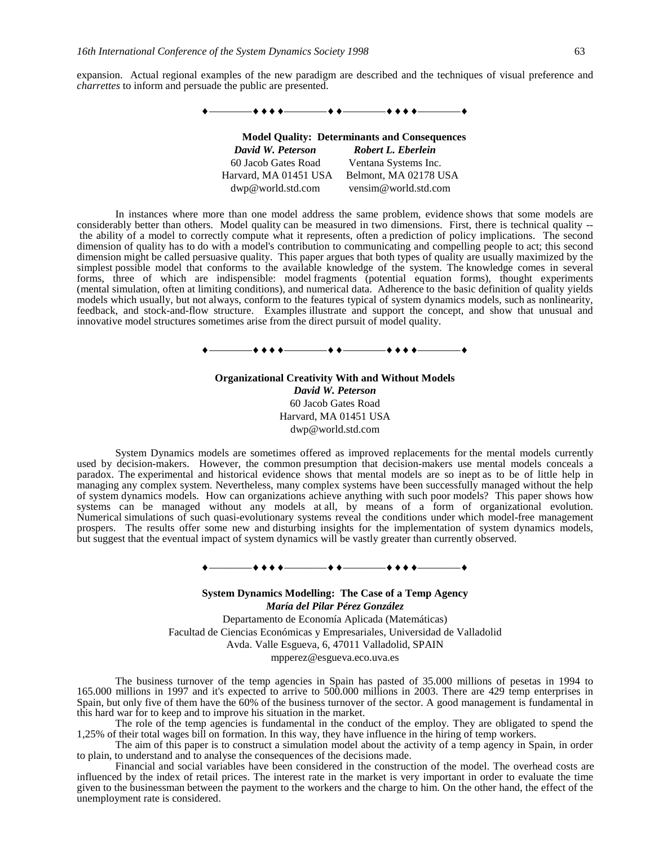expansion. Actual regional examples of the new paradigm are described and the techniques of visual preference and *charrettes* to inform and persuade the public are presented.



In instances where more than one model address the same problem, evidence shows that some models are considerably better than others. Model quality can be measured in two dimensions. First, there is technical quality - the ability of a model to correctly compute what it represents, often a prediction of policy implications. The second dimension of quality has to do with a model's contribution to communicating and compelling people to act; this second dimension might be called persuasive quality. This paper argues that both types of quality are usually maximized by the simplest possible model that conforms to the available knowledge of the system. The knowledge comes in several forms, three of which are indispensible: model fragments (potential equation forms), thought experiments (mental simulation, often at limiting conditions), and numerical data. Adherence to the basic definition of quality yields models which usually, but not always, conform to the features typical of system dynamics models, such as nonlinearity, feedback, and stock-and-flow structure. Examples illustrate and support the concept, and show that unusual and innovative model structures sometimes arise from the direct pursuit of model quality.



**Organizational Creativity With and Without Models** *David W. Peterson* 60 Jacob Gates Road Harvard, MA 01451 USA dwp@world.std.com

System Dynamics models are sometimes offered as improved replacements for the mental models currently used by decision-makers. However, the common presumption that decision-makers use mental models conceals a paradox. The experimental and historical evidence shows that mental models are so inept as to be of little help in managing any complex system. Nevertheless, many complex systems have been successfully managed without the help of system dynamics models. How can organizations achieve anything with such poor models? This paper shows how systems can be managed without any models at all, by means of a form of organizational evolution. Numerical simulations of such quasi-evolutionary systems reveal the conditions under which model-free management prospers. The results offer some new and disturbing insights for the implementation of system dynamics models, but suggest that the eventual impact of system dynamics will be vastly greater than currently observed.

————————————————

**System Dynamics Modelling: The Case of a Temp Agency** *María del Pilar Pérez González* Departamento de Economía Aplicada (Matemáticas) Facultad de Ciencias Económicas y Empresariales, Universidad de Valladolid Avda. Valle Esgueva, 6, 47011 Valladolid, SPAIN mpperez@esgueva.eco.uva.es

The business turnover of the temp agencies in Spain has pasted of 35.000 millions of pesetas in 1994 to 165.000 millions in 1997 and it's expected to arrive to 500.000 millions in 2003. There are 429 temp enterprises in Spain, but only five of them have the 60% of the business turnover of the sector. A good management is fundamental in this hard war for to keep and to improve his situation in the market.

The role of the temp agencies is fundamental in the conduct of the employ. They are obligated to spend the 1,25% of their total wages bill on formation. In this way, they have influence in the hiring of temp workers.

The aim of this paper is to construct a simulation model about the activity of a temp agency in Spain, in order to plain, to understand and to analyse the consequences of the decisions made.

Financial and social variables have been considered in the construction of the model. The overhead costs are influenced by the index of retail prices. The interest rate in the market is very important in order to evaluate the time given to the businessman between the payment to the workers and the charge to him. On the other hand, the effect of the unemployment rate is considered.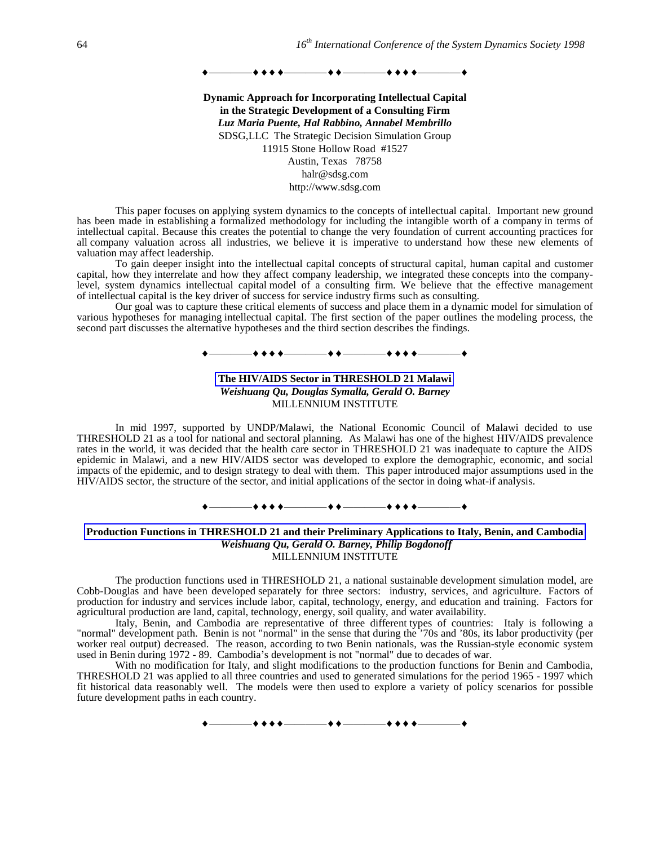————————————————

**Dynamic Approach for Incorporating Intellectual Capital in the Strategic Development of a Consulting Firm** *Luz Maria Puente, Hal Rabbino, Annabel Membrillo* SDSG,LLC The Strategic Decision Simulation Group 11915 Stone Hollow Road #1527 Austin, Texas 78758 halr@sdsg.com http://www.sdsg.com

This paper focuses on applying system dynamics to the concepts of intellectual capital. Important new ground has been made in establishing a formalized methodology for including the intangible worth of a company in terms of intellectual capital. Because this creates the potential to change the very foundation of current accounting practices for all company valuation across all industries, we believe it is imperative to understand how these new elements of valuation may affect leadership.

To gain deeper insight into the intellectual capital concepts of structural capital, human capital and customer capital, how they interrelate and how they affect company leadership, we integrated these concepts into the companylevel, system dynamics intellectual capital model of a consulting firm. We believe that the effective management of intellectual capital is the key driver of success for service industry firms such as consulting.

Our goal was to capture these critical elements of success and place them in a dynamic model for simulation of various hypotheses for managing intellectual capital. The first section of the paper outlines the modeling process, the second part discusses the alternative hypotheses and the third section describes the findings.

# ————————————————

### **The HIV/AIDS Sector in THRESHOLD 21 Malawi** *Weishuang Qu, Douglas Symalla, Gerald O. Barney* MILLENNIUM INSTITUTE

In mid 1997, supported by UNDP/Malawi, the National Economic Council of Malawi decided to use THRESHOLD 21 as a tool for national and sectoral planning. As Malawi has one of the highest HIV/AIDS prevalence rates in the world, it was decided that the health care sector in THRESHOLD 21 was inadequate to capture the AIDS epidemic in Malawi, and a new HIV/AIDS sector was developed to explore the demographic, economic, and social impacts of the epidemic, and to design strategy to deal with them. This paper introduced major assumptions used in the HIV/AIDS sector, the structure of the sector, and initial applications of the sector in doing what-if analysis.

### ————————————————

### **Production Functions in THRESHOLD 21 and their Preliminary Applications to Italy, Benin, and Cambodia**  *Weishuang Qu, Gerald O. Barney, Philip Bogdonoff* MILLENNIUM INSTITUTE

The production functions used in THRESHOLD 21, a national sustainable development simulation model, are Cobb-Douglas and have been developed separately for three sectors: industry, services, and agriculture. Factors of production for industry and services include labor, capital, technology, energy, and education and training. Factors for agricultural production are land, capital, technology, energy, soil quality, and water availability.

Italy, Benin, and Cambodia are representative of three different types of countries: Italy is following a "normal" development path. Benin is not "normal" in the sense that during the '70s and '80s, its labor productivity (per worker real output) decreased. The reason, according to two Benin nationals, was the Russian-style economic system used in Benin during 1972 - 89. Cambodia's development is not "normal" due to decades of war.

With no modification for Italy, and slight modifications to the production functions for Benin and Cambodia, THRESHOLD 21 was applied to all three countries and used to generated simulations for the period 1965 - 1997 which fit historical data reasonably well. The models were then used to explore a variety of policy scenarios for possible future development paths in each country.

————————————————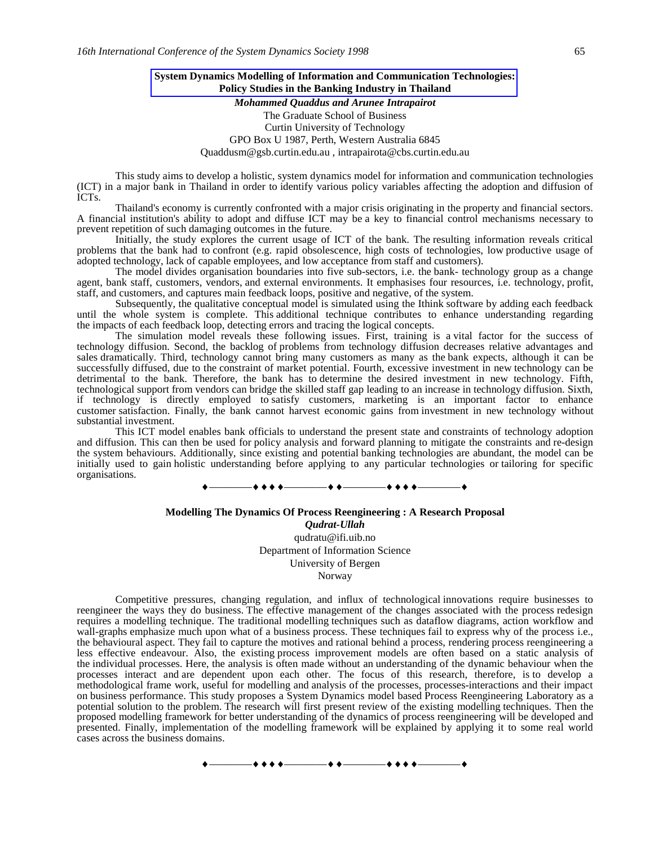### **System Dynamics Modelling of Information and Communication Technologies: Policy Studies in the Banking Industry in Thailand**

*Mohammed Quaddus and Arunee Intrapairot* The Graduate School of Business Curtin University of Technology GPO Box U 1987, Perth, Western Australia 6845 Quaddusm@gsb.curtin.edu.au , intrapairota@cbs.curtin.edu.au

This study aims to develop a holistic, system dynamics model for information and communication technologies (ICT) in a major bank in Thailand in order to identify various policy variables affecting the adoption and diffusion of ICTs.

Thailand's economy is currently confronted with a major crisis originating in the property and financial sectors. A financial institution's ability to adopt and diffuse ICT may be a key to financial control mechanisms necessary to prevent repetition of such damaging outcomes in the future.

Initially, the study explores the current usage of ICT of the bank. The resulting information reveals critical problems that the bank had to confront (e.g. rapid obsolescence, high costs of technologies, low productive usage of adopted technology, lack of capable employees, and low acceptance from staff and customers).

The model divides organisation boundaries into five sub-sectors, i.e. the bank- technology group as a change agent, bank staff, customers, vendors, and external environments. It emphasises four resources, i.e. technology, profit, staff, and customers, and captures main feedback loops, positive and negative, of the system.

Subsequently, the qualitative conceptual model is simulated using the Ithink software by adding each feedback until the whole system is complete. This additional technique contributes to enhance understanding regarding the impacts of each feedback loop, detecting errors and tracing the logical concepts.

The simulation model reveals these following issues. First, training is a vital factor for the success of technology diffusion. Second, the backlog of problems from technology diffusion decreases relative advantages and sales dramatically. Third, technology cannot bring many customers as many as the bank expects, although it can be successfully diffused, due to the constraint of market potential. Fourth, excessive investment in new technology can be detrimental to the bank. Therefore, the bank has to determine the desired investment in new technology. Fifth, technological support from vendors can bridge the skilled staff gap leading to an increase in technology diffusion. Sixth, if technology is directly employed to satisfy customers, marketing is an important factor to enhance customer satisfaction. Finally, the bank cannot harvest economic gains from investment in new technology without substantial investment.

This ICT model enables bank officials to understand the present state and constraints of technology adoption and diffusion. This can then be used for policy analysis and forward planning to mitigate the constraints and re-design the system behaviours. Additionally, since existing and potential banking technologies are abundant, the model can be initially used to gain holistic understanding before applying to any particular technologies or tailoring for specific organisations.

#### ————————————————

### **Modelling The Dynamics Of Process Reengineering : A Research Proposal**

*Qudrat-Ullah* qudratu@ifi.uib.no Department of Information Science University of Bergen Norway

Competitive pressures, changing regulation, and influx of technological innovations require businesses to reengineer the ways they do business. The effective management of the changes associated with the process redesign requires a modelling technique. The traditional modelling techniques such as dataflow diagrams, action workflow and wall-graphs emphasize much upon what of a business process. These techniques fail to express why of the process i.e., the behavioural aspect. They fail to capture the motives and rational behind a process, rendering process reengineering a less effective endeavour. Also, the existing process improvement models are often based on a static analysis of the individual processes. Here, the analysis is often made without an understanding of the dynamic behaviour when the processes interact and are dependent upon each other. The focus of this research, therefore, is to develop a methodological frame work, useful for modelling and analysis of the processes, processes-interactions and their impact on business performance. This study proposes a System Dynamics model based Process Reengineering Laboratory as a potential solution to the problem. The research will first present review of the existing modelling techniques. Then the proposed modelling framework for better understanding of the dynamics of process reengineering will be developed and presented. Finally, implementation of the modelling framework will be explained by applying it to some real world cases across the business domains.

—+ + + +————+ + -————+ + + + -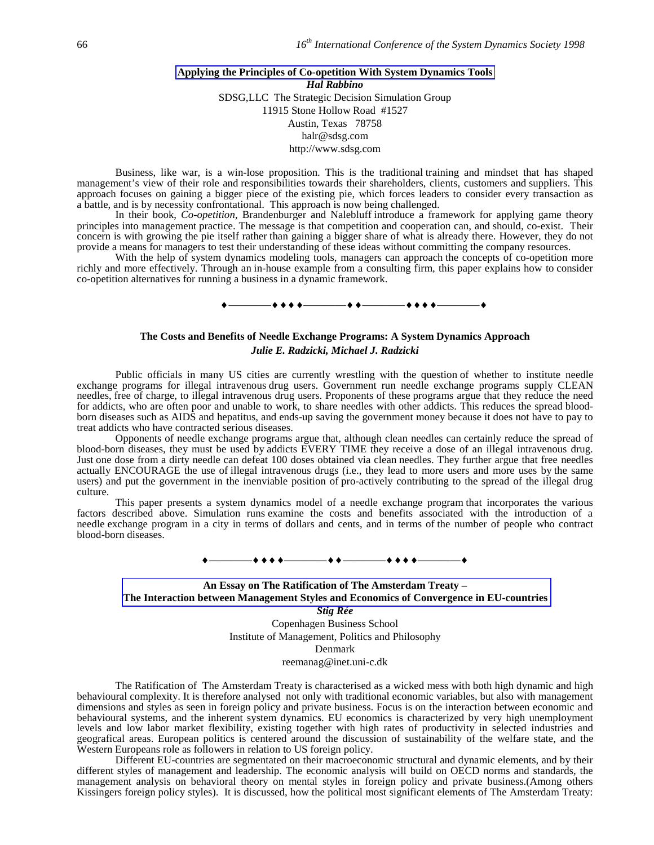# **Applying the Principles of Co-opetition With System Dynamics Tools** *Hal Rabbino* SDSG,LLC The Strategic Decision Simulation Group 11915 Stone Hollow Road #1527 Austin, Texas 78758 halr@sdsg.com http://www.sdsg.com

Business, like war, is a win-lose proposition. This is the traditional training and mindset that has shaped management's view of their role and responsibilities towards their shareholders, clients, customers and suppliers. This approach focuses on gaining a bigger piece of the existing pie, which forces leaders to consider every transaction as a battle, and is by necessity confrontational. This approach is now being challenged.

In their book, *Co-opetition*, Brandenburger and Nalebluff introduce a framework for applying game theory principles into management practice. The message is that competition and cooperation can, and should, co-exist. Their concern is with growing the pie itself rather than gaining a bigger share of what is already there. However, they do not provide a means for managers to test their understanding of these ideas without committing the company resources.

With the help of system dynamics modeling tools, managers can approach the concepts of co-opetition more richly and more effectively. Through an in-house example from a consulting firm, this paper explains how to consider co-opetition alternatives for running a business in a dynamic framework.

# ————————————————

# **The Costs and Benefits of Needle Exchange Programs: A System Dynamics Approach** *Julie E. Radzicki, Michael J. Radzicki*

Public officials in many US cities are currently wrestling with the question of whether to institute needle exchange programs for illegal intravenous drug users. Government run needle exchange programs supply CLEAN needles, free of charge, to illegal intravenous drug users. Proponents of these programs argue that they reduce the need for addicts, who are often poor and unable to work, to share needles with other addicts. This reduces the spread bloodborn diseases such as AIDS and hepatitus, and ends-up saving the government money because it does not have to pay to treat addicts who have contracted serious diseases.

Opponents of needle exchange programs argue that, although clean needles can certainly reduce the spread of blood-born diseases, they must be used by addicts EVERY TIME they receive a dose of an illegal intravenous drug. Just one dose from a dirty needle can defeat 100 doses obtained via clean needles. They further argue that free needles actually ENCOURAGE the use of illegal intravenous drugs (i.e., they lead to more users and more uses by the same users) and put the government in the inenviable position of pro-actively contributing to the spread of the illegal drug culture.

This paper presents a system dynamics model of a needle exchange program that incorporates the various factors described above. Simulation runs examine the costs and benefits associated with the introduction of a needle exchange program in a city in terms of dollars and cents, and in terms of the number of people who contract blood-born diseases.

# ————————————————

**An Essay on The Ratification of The Amsterdam Treaty – The Interaction between Management Styles and Economics of Convergence in EU-countries** *Stig Rée* Copenhagen Business School

Institute of Management, Politics and Philosophy Denmark reemanag@inet.uni-c.dk

The Ratification of The Amsterdam Treaty is characterised as a wicked mess with both high dynamic and high behavioural complexity. It is therefore analysed not only with traditional economic variables, but also with management dimensions and styles as seen in foreign policy and private business. Focus is on the interaction between economic and behavioural systems, and the inherent system dynamics. EU economics is characterized by very high unemployment levels and low labor market flexibility, existing together with high rates of productivity in selected industries and geografical areas. European politics is centered around the discussion of sustainability of the welfare state, and the Western Europeans role as followers in relation to US foreign policy.

Different EU-countries are segmentated on their macroeconomic structural and dynamic elements, and by their different styles of management and leadership. The economic analysis will build on OECD norms and standards, the management analysis on behavioral theory on mental styles in foreign policy and private business.(Among others Kissingers foreign policy styles). It is discussed, how the political most significant elements of The Amsterdam Treaty: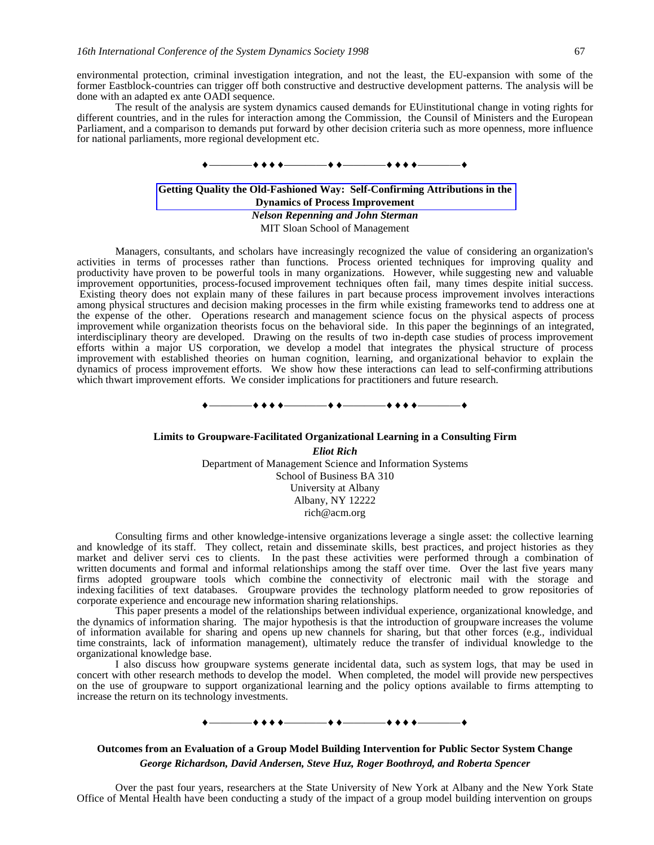environmental protection, criminal investigation integration, and not the least, the EU-expansion with some of the former Eastblock-countries can trigger off both constructive and destructive development patterns. The analysis will be done with an adapted ex ante OADI sequence.

The result of the analysis are system dynamics caused demands for EUinstitutional change in voting rights for different countries, and in the rules for interaction among the Commission, the Counsil of Ministers and the European Parliament, and a comparison to demands put forward by other decision criteria such as more openness, more influence for national parliaments, more regional development etc.



## **Getting Quality the Old-Fashioned Way: Self-Confirming Attributions in the Dynamics of Process Improvement** *Nelson Repenning and John Sterman* MIT Sloan School of Management

Managers, consultants, and scholars have increasingly recognized the value of considering an organization's activities in terms of processes rather than functions. Process oriented techniques for improving quality and productivity have proven to be powerful tools in many organizations. However, while suggesting new and valuable improvement opportunities, process-focused improvement techniques often fail, many times despite initial success. Existing theory does not explain many of these failures in part because process improvement involves interactions among physical structures and decision making processes in the firm while existing frameworks tend to address one at the expense of the other. Operations research and management science focus on the physical aspects of process improvement while organization theorists focus on the behavioral side. In this paper the beginnings of an integrated, interdisciplinary theory are developed. Drawing on the results of two in-depth case studies of process improvement efforts within a major US corporation, we develop a model that integrates the physical structure of process improvement with established theories on human cognition, learning, and organizational behavior to explain the dynamics of process improvement efforts. We show how these interactions can lead to self-confirming attributions which thwart improvement efforts. We consider implications for practitioners and future research.

————————————————

#### **Limits to Groupware-Facilitated Organizational Learning in a Consulting Firm**

*Eliot Rich* Department of Management Science and Information Systems School of Business BA 310 University at Albany Albany, NY 12222 rich@acm.org

Consulting firms and other knowledge-intensive organizations leverage a single asset: the collective learning and knowledge of its staff. They collect, retain and disseminate skills, best practices, and project histories as they market and deliver servi ces to clients. In the past these activities were performed through a combination of written documents and formal and informal relationships among the staff over time. Over the last five years many firms adopted groupware tools which combine the connectivity of electronic mail with the storage and indexing facilities of text databases. Groupware provides the technology platform needed to grow repositories of corporate experience and encourage new information sharing relationships.

This paper presents a model of the relationships between individual experience, organizational knowledge, and the dynamics of information sharing. The major hypothesis is that the introduction of groupware increases the volume of information available for sharing and opens up new channels for sharing, but that other forces (e.g., individual time constraints, lack of information management), ultimately reduce the transfer of individual knowledge to the organizational knowledge base.

I also discuss how groupware systems generate incidental data, such as system logs, that may be used in concert with other research methods to develop the model. When completed, the model will provide new perspectives on the use of groupware to support organizational learning and the policy options available to firms attempting to increase the return on its technology investments.

# ————————————————

# **Outcomes from an Evaluation of a Group Model Building Intervention for Public Sector System Change** *George Richardson, David Andersen, Steve Huz, Roger Boothroyd, and Roberta Spencer*

Over the past four years, researchers at the State University of New York at Albany and the New York State Office of Mental Health have been conducting a study of the impact of a group model building intervention on groups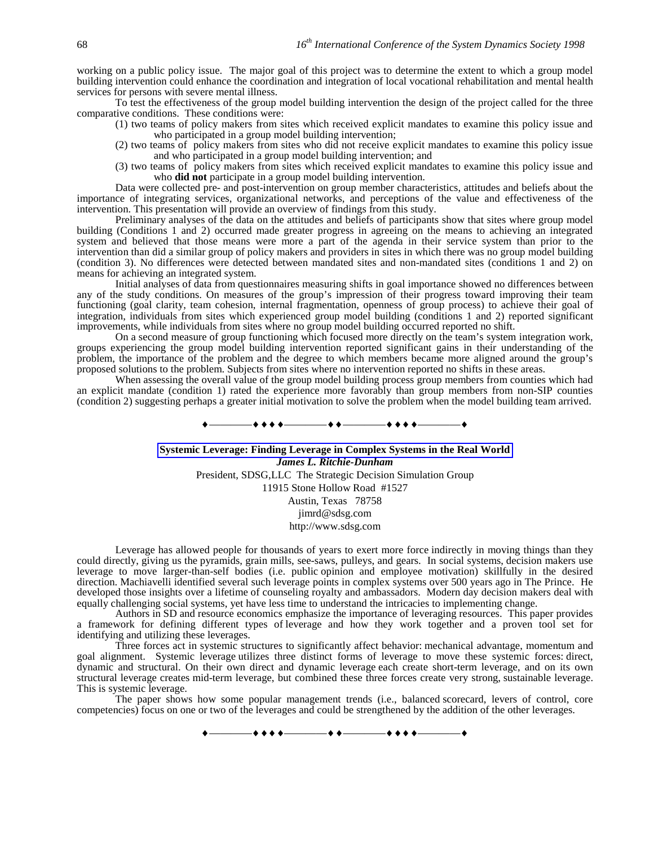working on a public policy issue. The major goal of this project was to determine the extent to which a group model building intervention could enhance the coordination and integration of local vocational rehabilitation and mental health services for persons with severe mental illness.

To test the effectiveness of the group model building intervention the design of the project called for the three comparative conditions. These conditions were:

- (1) two teams of policy makers from sites which received explicit mandates to examine this policy issue and who participated in a group model building intervention;
- (2) two teams of policy makers from sites who did not receive explicit mandates to examine this policy issue and who participated in a group model building intervention; and

(3) two teams of policy makers from sites which received explicit mandates to examine this policy issue and who **did not** participate in a group model building intervention.

Data were collected pre- and post-intervention on group member characteristics, attitudes and beliefs about the importance of integrating services, organizational networks, and perceptions of the value and effectiveness of the intervention. This presentation will provide an overview of findings from this study.

Preliminary analyses of the data on the attitudes and beliefs of participants show that sites where group model building (Conditions 1 and 2) occurred made greater progress in agreeing on the means to achieving an integrated system and believed that those means were more a part of the agenda in their service system than prior to the intervention than did a similar group of policy makers and providers in sites in which there was no group model building (condition 3). No differences were detected between mandated sites and non-mandated sites (conditions 1 and 2) on means for achieving an integrated system.

Initial analyses of data from questionnaires measuring shifts in goal importance showed no differences between any of the study conditions. On measures of the group's impression of their progress toward improving their team functioning (goal clarity, team cohesion, internal fragmentation, openness of group process) to achieve their goal of integration, individuals from sites which experienced group model building (conditions 1 and 2) reported significant improvements, while individuals from sites where no group model building occurred reported no shift.

On a second measure of group functioning which focused more directly on the team's system integration work, groups experiencing the group model building intervention reported significant gains in their understanding of the problem, the importance of the problem and the degree to which members became more aligned around the group's proposed solutions to the problem. Subjects from sites where no intervention reported no shifts in these areas.

When assessing the overall value of the group model building process group members from counties which had an explicit mandate (condition 1) rated the experience more favorably than group members from non-SIP counties (condition 2) suggesting perhaps a greater initial motivation to solve the problem when the model building team arrived.

 $-\bullet\bullet-\overbrace{\phantom{1212111}}\bullet\bullet\bullet+\overbrace{\phantom{12121111}}$ 

**Systemic Leverage: Finding Leverage in Complex Systems in the Real World** *James L. Ritchie-Dunham* President, SDSG,LLC The Strategic Decision Simulation Group 11915 Stone Hollow Road #1527 Austin, Texas 78758 jimrd@sdsg.com http://www.sdsg.com

Leverage has allowed people for thousands of years to exert more force indirectly in moving things than they could directly, giving us the pyramids, grain mills, see-saws, pulleys, and gears. In social systems, decision makers use leverage to move larger-than-self bodies (i.e. public opinion and employee motivation) skillfully in the desired direction. Machiavelli identified several such leverage points in complex systems over 500 years ago in The Prince. He developed those insights over a lifetime of counseling royalty and ambassadors. Modern day decision makers deal with equally challenging social systems, yet have less time to understand the intricacies to implementing change.

Authors in SD and resource economics emphasize the importance of leveraging resources. This paper provides a framework for defining different types of leverage and how they work together and a proven tool set for identifying and utilizing these leverages.

Three forces act in systemic structures to significantly affect behavior: mechanical advantage, momentum and goal alignment. Systemic leverage utilizes three distinct forms of leverage to move these systemic forces: direct, dynamic and structural. On their own direct and dynamic leverage each create short-term leverage, and on its own structural leverage creates mid-term leverage, but combined these three forces create very strong, sustainable leverage. This is systemic leverage.

The paper shows how some popular management trends (i.e., balanced scorecard, levers of control, core competencies) focus on one or two of the leverages and could be strengthened by the addition of the other leverages.

————————————————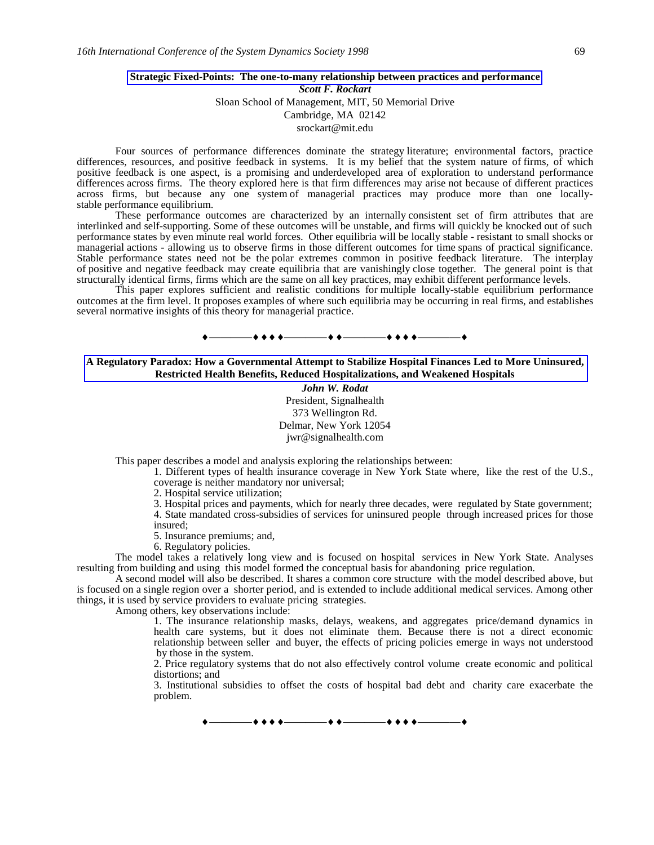#### **Strategic Fixed-Points: The one-to-many relationship between practices and performance** *Scott F. Rockart*

Sloan School of Management, MIT, 50 Memorial Drive Cambridge, MA 02142

srockart@mit.edu

Four sources of performance differences dominate the strategy literature; environmental factors, practice differences, resources, and positive feedback in systems. It is my belief that the system nature of firms, of which positive feedback is one aspect, is a promising and underdeveloped area of exploration to understand performance differences across firms. The theory explored here is that firm differences may arise not because of different practices across firms, but because any one system of managerial practices may produce more than one locallystable performance equilibrium.

These performance outcomes are characterized by an internally consistent set of firm attributes that are interlinked and self-supporting. Some of these outcomes will be unstable, and firms will quickly be knocked out of such performance states by even minute real world forces. Other equilibria will be locally stable - resistant to small shocks or managerial actions - allowing us to observe firms in those different outcomes for time spans of practical significance. Stable performance states need not be the polar extremes common in positive feedback literature. The interplay of positive and negative feedback may create equilibria that are vanishingly close together. The general point is that structurally identical firms, firms which are the same on all key practices, may exhibit different performance levels.

This paper explores sufficient and realistic conditions for multiple locally-stable equilibrium performance outcomes at the firm level. It proposes examples of where such equilibria may be occurring in real firms, and establishes several normative insights of this theory for managerial practice.

————————————————

### **A Regulatory Paradox: How a Governmental Attempt to Stabilize Hospital Finances Led to More Uninsured, Restricted Health Benefits, Reduced Hospitalizations, and Weakened Hospitals**

*John W. Rodat* President, Signalhealth 373 Wellington Rd. Delmar, New York 12054 jwr@signalhealth.com

This paper describes a model and analysis exploring the relationships between:

1. Different types of health insurance coverage in New York State where, like the rest of the U.S., coverage is neither mandatory nor universal;

2. Hospital service utilization;

3. Hospital prices and payments, which for nearly three decades, were regulated by State government; 4. State mandated cross-subsidies of services for uninsured people through increased prices for those insured;

5. Insurance premiums; and,

6. Regulatory policies.

The model takes a relatively long view and is focused on hospital services in New York State. Analyses resulting from building and using this model formed the conceptual basis for abandoning price regulation.

A second model will also be described. It shares a common core structure with the model described above, but is focused on a single region over a shorter period, and is extended to include additional medical services. Among other things, it is used by service providers to evaluate pricing strategies.

Among others, key observations include:

1. The insurance relationship masks, delays, weakens, and aggregates price/demand dynamics in health care systems, but it does not eliminate them. Because there is not a direct economic relationship between seller and buyer, the effects of pricing policies emerge in ways not understood by those in the system.

2. Price regulatory systems that do not also effectively control volume create economic and political distortions; and

3. Institutional subsidies to offset the costs of hospital bad debt and charity care exacerbate the problem.

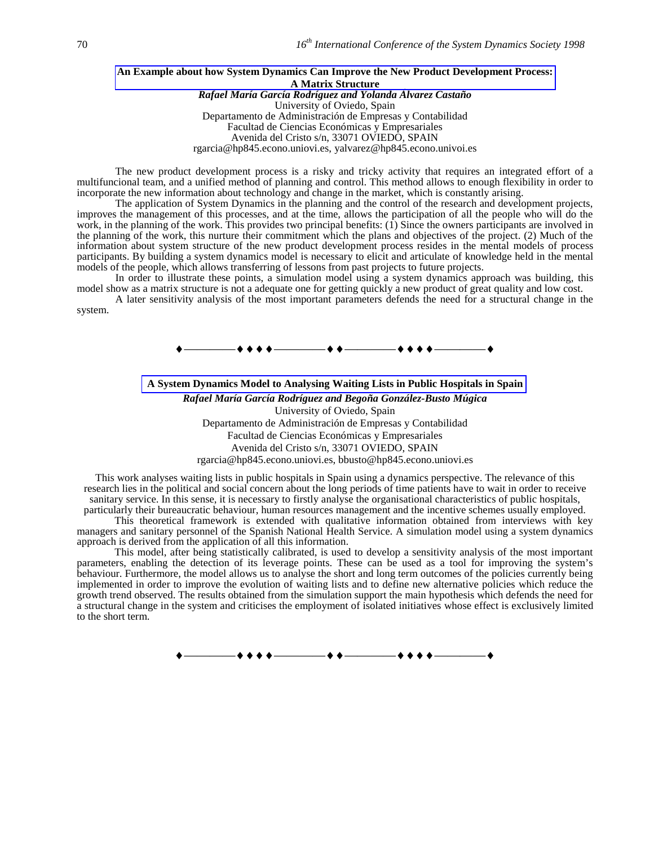#### **An Example about how System Dynamics Can Improve the New Product Development Process: A Matrix Structure** *Rafael María García Rodríguez and Yolanda Álvarez Castaño* University of Oviedo, Spain Departamento de Administración de Empresas y Contabilidad Facultad de Ciencias Económicas y Empresariales Avenida del Cristo s/n, 33071 OVIEDO, SPAIN

rgarcia@hp845.econo.uniovi.es, yalvarez@hp845.econo.univoi.es

The new product development process is a risky and tricky activity that requires an integrated effort of a multifuncional team, and a unified method of planning and control. This method allows to enough flexibility in order to incorporate the new information about technology and change in the market, which is constantly arising.

The application of System Dynamics in the planning and the control of the research and development projects, improves the management of this processes, and at the time, allows the participation of all the people who will do the work, in the planning of the work. This provides two principal benefits: (1) Since the owners participants are involved in the planning of the work, this nurture their commitment which the plans and objectives of the project. (2) Much of the information about system structure of the new product development process resides in the mental models of process participants. By building a system dynamics model is necessary to elicit and articulate of knowledge held in the mental models of the people, which allows transferring of lessons from past projects to future projects.

In order to illustrate these points, a simulation model using a system dynamics approach was building, this model show as a matrix structure is not a adequate one for getting quickly a new product of great quality and low cost.

A later sensitivity analysis of the most important parameters defends the need for a structural change in the system.



**A System Dynamics Model to Analysing Waiting Lists in Public Hospitals in Spain**

*Rafael María García Rodríguez and Begoña González-Busto Múgica* University of Oviedo, Spain Departamento de Administración de Empresas y Contabilidad Facultad de Ciencias Económicas y Empresariales Avenida del Cristo s/n, 33071 OVIEDO, SPAIN rgarcia@hp845.econo.uniovi.es, bbusto@hp845.econo.uniovi.es

This work analyses waiting lists in public hospitals in Spain using a dynamics perspective. The relevance of this research lies in the political and social concern about the long periods of time patients have to wait in order to receive sanitary service. In this sense, it is necessary to firstly analyse the organisational characteristics of public hospitals, particularly their bureaucratic behaviour, human resources management and the incentive schemes usually employed.

This theoretical framework is extended with qualitative information obtained from interviews with key managers and sanitary personnel of the Spanish National Health Service. A simulation model using a system dynamics approach is derived from the application of all this information.

This model, after being statistically calibrated, is used to develop a sensitivity analysis of the most important parameters, enabling the detection of its leverage points. These can be used as a tool for improving the system's behaviour. Furthermore, the model allows us to analyse the short and long term outcomes of the policies currently being implemented in order to improve the evolution of waiting lists and to define new alternative policies which reduce the growth trend observed. The results obtained from the simulation support the main hypothesis which defends the need for a structural change in the system and criticises the employment of isolated initiatives whose effect is exclusively limited to the short term.

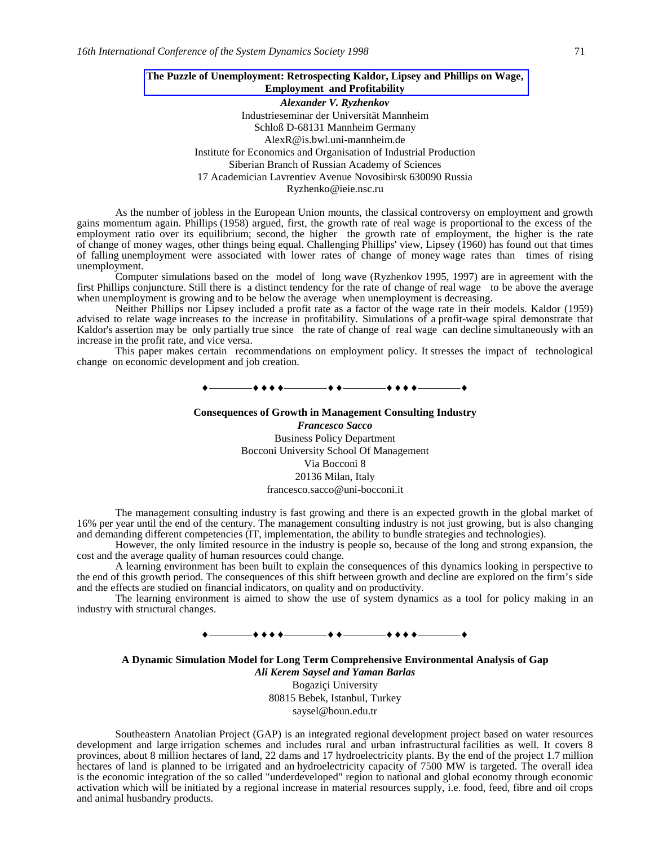## **The Puzzle of Unemployment: Retrospecting Kaldor, Lipsey and Phillips on Wage, Employment and Profitability**

*Alexander V. Ryzhenkov* Industrieseminar der Universität Mannheim Schloß D-68131 Mannheim Germany AlexR@is.bwl.uni-mannheim.de Institute for Economics and Organisation of Industrial Production Siberian Branch of Russian Academy of Sciences 17 Academician Lavrentiev Avenue Novosibirsk 630090 Russia Ryzhenko@ieie.nsc.ru

As the number of jobless in the European Union mounts, the classical controversy on employment and growth gains momentum again. Phillips (1958) argued, first, the growth rate of real wage is proportional to the excess of the employment ratio over its equilibrium; second, the higher the growth rate of employment, the higher is the rate of change of money wages, other things being equal. Challenging Phillips' view, Lipsey (1960) has found out that times of falling unemployment were associated with lower rates of change of money wage rates than times of rising unemployment.

Computer simulations based on the model of long wave (Ryzhenkov 1995, 1997) are in agreement with the first Phillips conjuncture. Still there is a distinct tendency for the rate of change of real wage to be above the average when unemployment is growing and to be below the average when unemployment is decreasing.

Neither Phillips nor Lipsey included a profit rate as a factor of the wage rate in their models. Kaldor (1959) advised to relate wage increases to the increase in profitability. Simulations of a profit-wage spiral demonstrate that Kaldor's assertion may be only partially true since the rate of change of real wage can decline simultaneously with an increase in the profit rate, and vice versa.

This paper makes certain recommendations on employment policy. It stresses the impact of technological change on economic development and job creation.

————————————————

# **Consequences of Growth in Management Consulting Industry** *Francesco Sacco*

Business Policy Department Bocconi University School Of Management Via Bocconi 8 20136 Milan, Italy francesco.sacco@uni-bocconi.it

The management consulting industry is fast growing and there is an expected growth in the global market of 16% per year until the end of the century. The management consulting industry is not just growing, but is also changing and demanding different competencies (IT, implementation, the ability to bundle strategies and technologies).

However, the only limited resource in the industry is people so, because of the long and strong expansion, the cost and the average quality of human resources could change.

A learning environment has been built to explain the consequences of this dynamics looking in perspective to the end of this growth period. The consequences of this shift between growth and decline are explored on the firm's side and the effects are studied on financial indicators, on quality and on productivity.

The learning environment is aimed to show the use of system dynamics as a tool for policy making in an industry with structural changes.

# —**\*\***

**A Dynamic Simulation Model for Long Term Comprehensive Environmental Analysis of Gap** *Ali Kerem Saysel and Yaman Barlas*

Bogaziçi University 80815 Bebek, Istanbul, Turkey saysel@boun.edu.tr

Southeastern Anatolian Project (GAP) is an integrated regional development project based on water resources development and large irrigation schemes and includes rural and urban infrastructural facilities as well. It covers 8 provinces, about 8 million hectares of land, 22 dams and 17 hydroelectricity plants. By the end of the project 1.7 million hectares of land is planned to be irrigated and an hydroelectricity capacity of 7500 MW is targeted. The overall idea is the economic integration of the so called "underdeveloped" region to national and global economy through economic activation which will be initiated by a regional increase in material resources supply, i.e. food, feed, fibre and oil crops and animal husbandry products.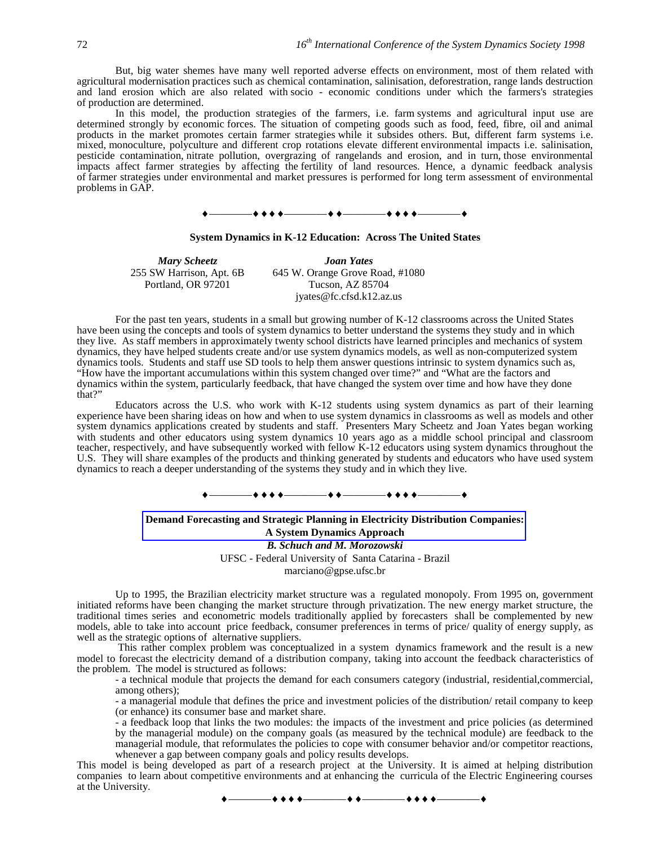But, big water shemes have many well reported adverse effects on environment, most of them related with agricultural modernisation practices such as chemical contamination, salinisation, deforestration, range lands destruction and land erosion which are also related with socio - economic conditions under which the farmers's strategies of production are determined.

In this model, the production strategies of the farmers, i.e. farm systems and agricultural input use are determined strongly by economic forces. The situation of competing goods such as food, feed, fibre, oil and animal products in the market promotes certain farmer strategies while it subsides others. But, different farm systems i.e. mixed, monoculture, polyculture and different crop rotations elevate different environmental impacts i.e. salinisation, pesticide contamination, nitrate pollution, overgrazing of rangelands and erosion, and in turn, those environmental impacts affect farmer strategies by affecting the fertility of land resources. Hence, a dynamic feedback analysis of farmer strategies under environmental and market pressures is performed for long term assessment of environmental problems in GAP.



#### **System Dynamics in K-12 Education: Across The United States**

255 SW Harrison, Apt. 6B Portland, OR 97201

*Mary Scheetz Joan Yates* 645 W. Orange Grove Road, #1080 Tucson, AZ 85704 jyates@fc.cfsd.k12.az.us

For the past ten years, students in a small but growing number of K-12 classrooms across the United States have been using the concepts and tools of system dynamics to better understand the systems they study and in which they live. As staff members in approximately twenty school districts have learned principles and mechanics of system dynamics, they have helped students create and/or use system dynamics models, as well as non-computerized system dynamics tools. Students and staff use SD tools to help them answer questions intrinsic to system dynamics such as, "How have the important accumulations within this system changed over time?" and "What are the factors and dynamics within the system, particularly feedback, that have changed the system over time and how have they done that?"

Educators across the U.S. who work with K-12 students using system dynamics as part of their learning experience have been sharing ideas on how and when to use system dynamics in classrooms as well as models and other system dynamics applications created by students and staff. Presenters Mary Scheetz and Joan Yates began working with students and other educators using system dynamics 10 years ago as a middle school principal and classroom teacher, respectively, and have subsequently worked with fellow K-12 educators using system dynamics throughout the U.S. They will share examples of the products and thinking generated by students and educators who have used system dynamics to reach a deeper understanding of the systems they study and in which they live.

### \_+ + + <del>+ \_\_\_\_\_\_\_</del>+ + <del>\_\_\_\_\_\_\_</del>+ + + + \_\_

# **Demand Forecasting and Strategic Planning in Electricity Distribution Companies: A System Dynamics Approach** *B. Schuch and M. Morozowski*

UFSC - Federal University of Santa Catarina - Brazil

marciano@gpse.ufsc.br

Up to 1995, the Brazilian electricity market structure was a regulated monopoly. From 1995 on, government initiated reforms have been changing the market structure through privatization. The new energy market structure, the traditional times series and econometric models traditionally applied by forecasters shall be complemented by new models, able to take into account price feedback, consumer preferences in terms of price/ quality of energy supply, as well as the strategic options of alternative suppliers.

 This rather complex problem was conceptualized in a system dynamics framework and the result is a new model to forecast the electricity demand of a distribution company, taking into account the feedback characteristics of the problem. The model is structured as follows:

- a technical module that projects the demand for each consumers category (industrial, residential,commercial, among others);

- a managerial module that defines the price and investment policies of the distribution/ retail company to keep (or enhance) its consumer base and market share.

- a feedback loop that links the two modules: the impacts of the investment and price policies (as determined by the managerial module) on the company goals (as measured by the technical module) are feedback to the managerial module, that reformulates the policies to cope with consumer behavior and/or competitor reactions, whenever a gap between company goals and policy results develops.

This model is being developed as part of a research project at the University. It is aimed at helping distribution companies to learn about competitive environments and at enhancing the curricula of the Electric Engineering courses at the University.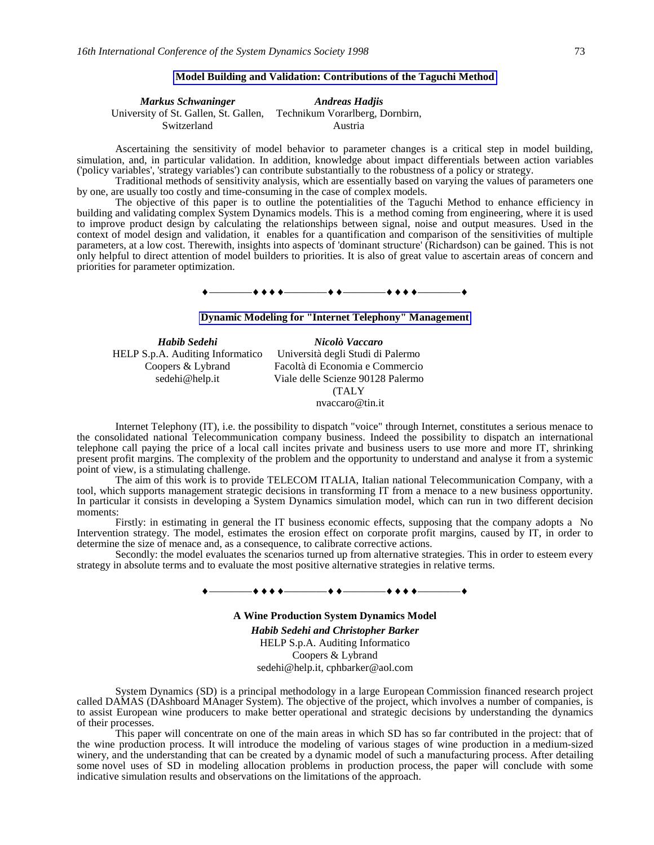### **Model Building and Validation: Contributions of the Taguchi Method**

| Markus Schwaninger                    | <b>Andreas Hadjis</b>           |  |
|---------------------------------------|---------------------------------|--|
| University of St. Gallen, St. Gallen, | Technikum Vorarlberg, Dornbirn, |  |
| Switzerland                           | Austria                         |  |

Ascertaining the sensitivity of model behavior to parameter changes is a critical step in model building, simulation, and, in particular validation. In addition, knowledge about impact differentials between action variables ('policy variables', 'strategy variables') can contribute substantially to the robustness of a policy or strategy.

Traditional methods of sensitivity analysis, which are essentially based on varying the values of parameters one by one, are usually too costly and time-consuming in the case of complex models.

The objective of this paper is to outline the potentialities of the Taguchi Method to enhance efficiency in building and validating complex System Dynamics models. This is a method coming from engineering, where it is used to improve product design by calculating the relationships between signal, noise and output measures. Used in the context of model design and validation, it enables for a quantification and comparison of the sensitivities of multiple parameters, at a low cost. Therewith, insights into aspects of 'dominant structure' (Richardson) can be gained. This is not only helpful to direct attention of model builders to priorities. It is also of great value to ascertain areas of concern and priorities for parameter optimization.

————————————————

### **Dynamic Modeling for "Internet Telephony" Management**

| Habib Sedehi                     | Nicolò Vaccaro                    |
|----------------------------------|-----------------------------------|
| HELP S.p.A. Auditing Informatico | Università degli Studi di Palermo |
| Coopers & Lybrand                | Facoltà di Economia e Commercio   |
| sedehi@help.it                   | Viale delle Scienze 90128 Palermo |
|                                  | <b>TALY</b>                       |
|                                  | nvaccaro@tin.it                   |

Internet Telephony (IT), i.e. the possibility to dispatch "voice" through Internet, constitutes a serious menace to the consolidated national Telecommunication company business. Indeed the possibility to dispatch an international telephone call paying the price of a local call incites private and business users to use more and more IT, shrinking present profit margins. The complexity of the problem and the opportunity to understand and analyse it from a systemic point of view, is a stimulating challenge.

The aim of this work is to provide TELECOM ITALIA, Italian national Telecommunication Company, with a tool, which supports management strategic decisions in transforming IT from a menace to a new business opportunity. In particular it consists in developing a System Dynamics simulation model, which can run in two different decision moments:

Firstly: in estimating in general the IT business economic effects, supposing that the company adopts a No Intervention strategy. The model, estimates the erosion effect on corporate profit margins, caused by IT, in order to determine the size of menace and, as a consequence, to calibrate corrective actions.

Secondly: the model evaluates the scenarios turned up from alternative strategies. This in order to esteem every strategy in absolute terms and to evaluate the most positive alternative strategies in relative terms.

#### ————————————————

**A Wine Production System Dynamics Model** *Habib Sedehi and Christopher Barker* HELP S.p.A. Auditing Informatico Coopers & Lybrand sedehi@help.it, cphbarker@aol.com

System Dynamics (SD) is a principal methodology in a large European Commission financed research project called DAMAS (DAshboard MAnager System). The objective of the project, which involves a number of companies, is to assist European wine producers to make better operational and strategic decisions by understanding the dynamics of their processes.

This paper will concentrate on one of the main areas in which SD has so far contributed in the project: that of the wine production process. It will introduce the modeling of various stages of wine production in a medium-sized winery, and the understanding that can be created by a dynamic model of such a manufacturing process. After detailing some novel uses of SD in modeling allocation problems in production process, the paper will conclude with some indicative simulation results and observations on the limitations of the approach.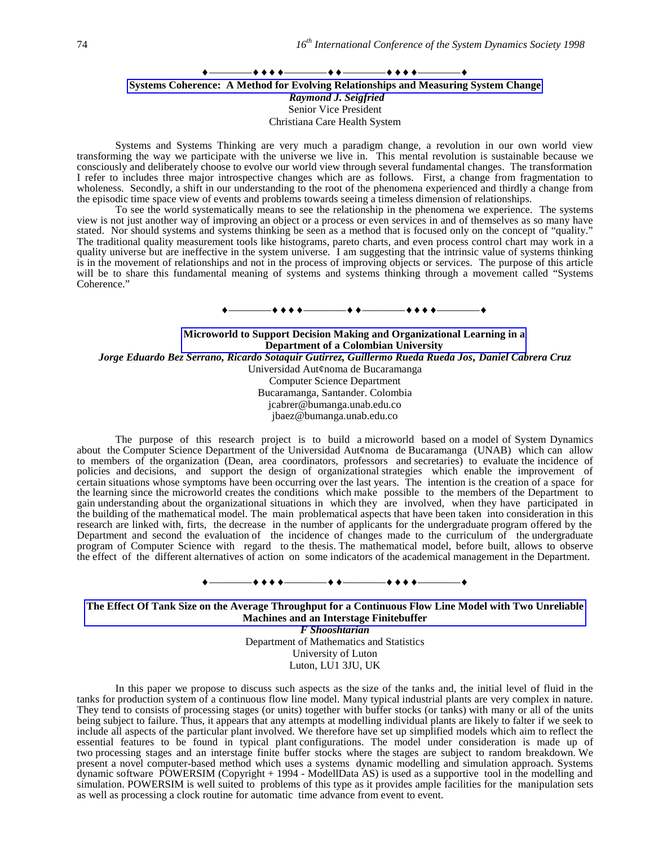## $\bullet$  + + +  $\hspace{0.1cm}$   $\bullet$  + +  $\hspace{0.1cm}$   $\bullet$  + + +  $\hspace{0.1cm}$   $\hspace{0.1cm}$  + +  $\hspace{0.1cm}$  +  $\hspace{0.1cm}$  +  $\hspace{0.1cm}$  +  $\hspace{0.1cm}$  +  $\hspace{0.1cm}$  +  $\hspace{0.1cm}$  +  $\hspace{0.1cm}$  +  $\hspace{0.1cm}$  +  $\hspace{0.1cm}$  +  $\hspace{0.1cm}$  **Systems Coherence: A Method for Evolving Relationships and Measuring System Change** *Raymond J. Seigfried* Senior Vice President Christiana Care Health System

Systems and Systems Thinking are very much a paradigm change, a revolution in our own world view transforming the way we participate with the universe we live in. This mental revolution is sustainable because we consciously and deliberately choose to evolve our world view through several fundamental changes. The transformation I refer to includes three major introspective changes which are as follows. First, a change from fragmentation to wholeness. Secondly, a shift in our understanding to the root of the phenomena experienced and thirdly a change from the episodic time space view of events and problems towards seeing a timeless dimension of relationships.

To see the world systematically means to see the relationship in the phenomena we experience. The systems view is not just another way of improving an object or a process or even services in and of themselves as so many have stated. Nor should systems and systems thinking be seen as a method that is focused only on the concept of "quality." The traditional quality measurement tools like histograms, pareto charts, and even process control chart may work in a quality universe but are ineffective in the system universe. I am suggesting that the intrinsic value of systems thinking is in the movement of relationships and not in the process of improving objects or services. The purpose of this article will be to share this fundamental meaning of systems and systems thinking through a movement called "Systems Coherence."

# ————————————————

**Microworld to Support Decision Making and Organizational Learning in a Department of a Colombian University** *Jorge Eduardo Bez Serrano, Ricardo Sotaquir Gutirrez, Guillermo Rueda Rueda Jos' Daniel Cabrera Cruz* Universidad Aut¢noma de Bucaramanga Computer Science Department Bucaramanga, Santander. Colombia jcabrer@bumanga.unab.edu.co jbaez@bumanga.unab.edu.co

The purpose of this research project is to build a microworld based on a model of System Dynamics about the Computer Science Department of the Universidad Aut¢noma de Bucaramanga (UNAB) which can allow to members of the organization (Dean, area coordinators, professors and secretaries) to evaluate the incidence of policies and decisions, and support the design of organizational strategies which enable the improvement of certain situations whose symptoms have been occurring over the last years. The intention is the creation of a space for the learning since the microworld creates the conditions which make possible to the members of the Department to gain understanding about the organizational situations in which they are involved, when they have participated in the building of the mathematical model. The main problematical aspects that have been taken into consideration in this research are linked with, firts, the decrease in the number of applicants for the undergraduate program offered by the Department and second the evaluation of the incidence of changes made to the curriculum of the undergraduate program of Computer Science with regard to the thesis. The mathematical model, before built, allows to observe the effect of the different alternatives of action on some indicators of the academical management in the Department.

# ————————————————

**The Effect Of Tank Size on the Average Throughput for a Continuous Flow Line Model with Two Unreliable Machines and an Interstage Finitebuffer**

*F Shooshtarian* Department of Mathematics and Statistics University of Luton Luton, LU1 3JU, UK

In this paper we propose to discuss such aspects as the size of the tanks and, the initial level of fluid in the tanks for production system of a continuous flow line model. Many typical industrial plants are very complex in nature. They tend to consists of processing stages (or units) together with buffer stocks (or tanks) with many or all of the units being subject to failure. Thus, it appears that any attempts at modelling individual plants are likely to falter if we seek to include all aspects of the particular plant involved. We therefore have set up simplified models which aim to reflect the essential features to be found in typical plant configurations. The model under consideration is made up of two processing stages and an interstage finite buffer stocks where the stages are subject to random breakdown. We present a novel computer-based method which uses a systems dynamic modelling and simulation approach. Systems dynamic software POWERSIM (Copyright + 1994 - ModellData AS) is used as a supportive tool in the modelling and simulation. POWERSIM is well suited to problems of this type as it provides ample facilities for the manipulation sets as well as processing a clock routine for automatic time advance from event to event.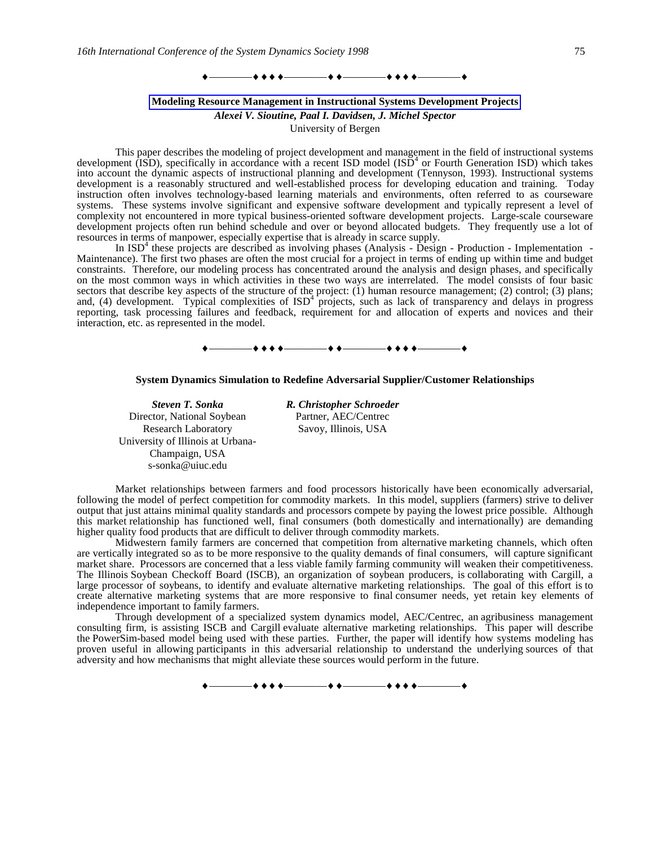

#### **Modeling Resource Management in Instructional Systems Development Projects**

*Alexei V. Sioutine, Paal I. Davidsen, J. Michel Spector*

University of Bergen

This paper describes the modeling of project development and management in the field of instructional systems development (ISD), specifically in accordance with a recent ISD model  $(IS\overline{D}^4)$  or Fourth Generation ISD) which takes into account the dynamic aspects of instructional planning and development (Tennyson, 1993). Instructional systems development is a reasonably structured and well-established process for developing education and training. Today instruction often involves technology-based learning materials and environments, often referred to as courseware systems. These systems involve significant and expensive software development and typically represent a level of complexity not encountered in more typical business-oriented software development projects. Large-scale courseware development projects often run behind schedule and over or beyond allocated budgets. They frequently use a lot of resources in terms of manpower, especially expertise that is already in scarce supply.

In  $ISD<sup>4</sup>$  these projects are described as involving phases (Analysis - Design - Production - Implementation -Maintenance). The first two phases are often the most crucial for a project in terms of ending up within time and budget constraints. Therefore, our modeling process has concentrated around the analysis and design phases, and specifically on the most common ways in which activities in these two ways are interrelated. The model consists of four basic sectors that describe key aspects of the structure of the project: (1) human resource management; (2) control; (3) plans; and, (4) development. Typical complexities of  $ISD<sup>4</sup>$  projects, such as lack of transparency and delays in progress reporting, task processing failures and feedback, requirement for and allocation of experts and novices and their interaction, etc. as represented in the model.



#### **System Dynamics Simulation to Redefine Adversarial Supplier/Customer Relationships**

Director, National Soybean Research Laboratory University of Illinois at Urbana-Champaign, USA s-sonka@uiuc.edu

*Steven T. Sonka R. Christopher Schroeder* Partner, AEC/Centrec Savoy, Illinois, USA

Market relationships between farmers and food processors historically have been economically adversarial, following the model of perfect competition for commodity markets. In this model, suppliers (farmers) strive to deliver output that just attains minimal quality standards and processors compete by paying the lowest price possible. Although this market relationship has functioned well, final consumers (both domestically and internationally) are demanding higher quality food products that are difficult to deliver through commodity markets.

Midwestern family farmers are concerned that competition from alternative marketing channels, which often are vertically integrated so as to be more responsive to the quality demands of final consumers, will capture significant market share. Processors are concerned that a less viable family farming community will weaken their competitiveness. The Illinois Soybean Checkoff Board (ISCB), an organization of soybean producers, is collaborating with Cargill, a large processor of soybeans, to identify and evaluate alternative marketing relationships. The goal of this effort is to create alternative marketing systems that are more responsive to final consumer needs, yet retain key elements of independence important to family farmers.

Through development of a specialized system dynamics model, AEC/Centrec, an agribusiness management consulting firm, is assisting ISCB and Cargill evaluate alternative marketing relationships. This paper will describe the PowerSim-based model being used with these parties. Further, the paper will identify how systems modeling has proven useful in allowing participants in this adversarial relationship to understand the underlying sources of that adversity and how mechanisms that might alleviate these sources would perform in the future.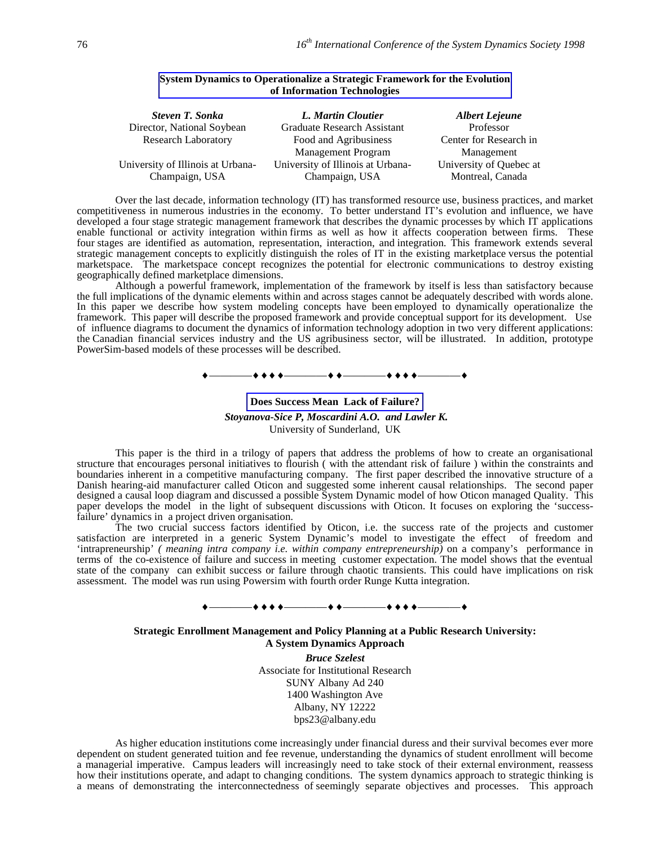| <b>Steven T. Sonka</b>            | L. Martin Cloutier                | <b>Albert Lejeune</b>   |
|-----------------------------------|-----------------------------------|-------------------------|
| Director, National Soybean        | Graduate Research Assistant       | Professor               |
| <b>Research Laboratory</b>        | Food and Agribusiness             | Center for Research in  |
|                                   | <b>Management Program</b>         | Management              |
| University of Illinois at Urbana- | University of Illinois at Urbana- | University of Quebec at |
| Champaign, USA                    | Champaign, USA                    | Montreal, Canada        |

### **System Dynamics to Operationalize a Strategic Framework for the Evolution of Information Technologies**

Over the last decade, information technology (IT) has transformed resource use, business practices, and market competitiveness in numerous industries in the economy. To better understand IT's evolution and influence, we have developed a four stage strategic management framework that describes the dynamic processes by which IT applications enable functional or activity integration within firms as well as how it affects cooperation between firms. These four stages are identified as automation, representation, interaction, and integration. This framework extends several strategic management concepts to explicitly distinguish the roles of IT in the existing marketplace versus the potential marketspace. The marketspace concept recognizes the potential for electronic communications to destroy existing geographically defined marketplace dimensions.

Although a powerful framework, implementation of the framework by itself is less than satisfactory because the full implications of the dynamic elements within and across stages cannot be adequately described with words alone. In this paper we describe how system modeling concepts have been employed to dynamically operationalize the framework. This paper will describe the proposed framework and provide conceptual support for its development. Use of influence diagrams to document the dynamics of information technology adoption in two very different applications: the Canadian financial services industry and the US agribusiness sector, will be illustrated. In addition, prototype PowerSim-based models of these processes will be described.

### ————————————————

# **Does Success Mean Lack of Failure?**  *Stoyanova-Sice P, Moscardini A.O. and Lawler K.* University of Sunderland, UK

This paper is the third in a trilogy of papers that address the problems of how to create an organisational structure that encourages personal initiatives to flourish ( with the attendant risk of failure ) within the constraints and boundaries inherent in a competitive manufacturing company. The first paper described the innovative structure of a Danish hearing-aid manufacturer called Oticon and suggested some inherent causal relationships. The second paper designed a causal loop diagram and discussed a possible System Dynamic model of how Oticon managed Quality. This paper develops the model in the light of subsequent discussions with Oticon. It focuses on exploring the 'successfailure' dynamics in a project driven organisation.

The two crucial success factors identified by Oticon, i.e. the success rate of the projects and customer satisfaction are interpreted in a generic System Dynamic's model to investigate the effect of freedom and 'intrapreneurship' *( meaning intra company i.e. within company entrepreneurship)* on a company's performance in terms of the co-existence of failure and success in meeting customer expectation. The model shows that the eventual state of the company can exhibit success or failure through chaotic transients. This could have implications on risk assessment. The model was run using Powersim with fourth order Runge Kutta integration.

### —**+ + + +** ————————————————————

### **Strategic Enrollment Management and Policy Planning at a Public Research University: A System Dynamics Approach**

*Bruce Szelest* Associate for Institutional Research SUNY Albany Ad 240 1400 Washington Ave Albany, NY 12222 bps23@albany.edu

As higher education institutions come increasingly under financial duress and their survival becomes ever more dependent on student generated tuition and fee revenue, understanding the dynamics of student enrollment will become a managerial imperative. Campus leaders will increasingly need to take stock of their external environment, reassess how their institutions operate, and adapt to changing conditions. The system dynamics approach to strategic thinking is a means of demonstrating the interconnectedness of seemingly separate objectives and processes. This approach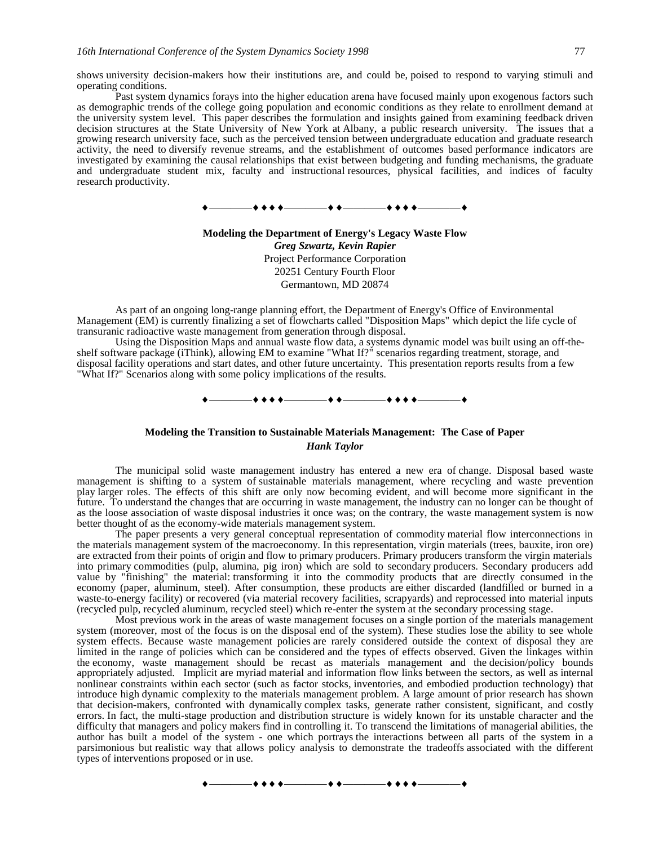shows university decision-makers how their institutions are, and could be, poised to respond to varying stimuli and operating conditions.

Past system dynamics forays into the higher education arena have focused mainly upon exogenous factors such as demographic trends of the college going population and economic conditions as they relate to enrollment demand at the university system level. This paper describes the formulation and insights gained from examining feedback driven decision structures at the State University of New York at Albany, a public research university. The issues that a growing research university face, such as the perceived tension between undergraduate education and graduate research activity, the need to diversify revenue streams, and the establishment of outcomes based performance indicators are investigated by examining the causal relationships that exist between budgeting and funding mechanisms, the graduate and undergraduate student mix, faculty and instructional resources, physical facilities, and indices of faculty research productivity.



**Modeling the Department of Energy's Legacy Waste Flow** *Greg Szwartz, Kevin Rapier* Project Performance Corporation 20251 Century Fourth Floor Germantown, MD 20874

As part of an ongoing long-range planning effort, the Department of Energy's Office of Environmental Management (EM) is currently finalizing a set of flowcharts called "Disposition Maps" which depict the life cycle of transuranic radioactive waste management from generation through disposal.

Using the Disposition Maps and annual waste flow data, a systems dynamic model was built using an off-theshelf software package (iThink), allowing EM to examine "What If?" scenarios regarding treatment, storage, and disposal facility operations and start dates, and other future uncertainty. This presentation reports results from a few "What If?" Scenarios along with some policy implications of the results.

 $\bullet\bullet\bullet\bullet\hspace{15mm}\bullet\bullet\bullet\hspace{15mm}\bullet\bullet\bullet\bullet\hspace{15mm}\bullet\bullet\bullet\bullet\hspace{15mm}\bullet\hspace{15mm}\bullet\bullet\bullet\bullet\hspace{15mm}\bullet\hspace{15mm}\bullet\bullet\bullet\bullet\hspace{15mm}\bullet\hspace{15mm}\bullet\bullet\bullet\bullet\hspace{15mm}\bullet\hspace{15mm}\bullet\bullet\bullet\bullet\hspace{15mm}\bullet\hspace{15mm}\bullet\bullet\bullet\bullet\hspace{15mm}\bullet\hspace{15mm}\bullet\bullet\bullet\bullet\hspace{15mm}\bullet\hspace{15mm}\bullet\bullet\bullet\bullet\$ 

# **Modeling the Transition to Sustainable Materials Management: The Case of Paper** *Hank Taylor*

The municipal solid waste management industry has entered a new era of change. Disposal based waste management is shifting to a system of sustainable materials management, where recycling and waste prevention play larger roles. The effects of this shift are only now becoming evident, and will become more significant in the future. To understand the changes that are occurring in waste management, the industry can no longer can be thought of as the loose association of waste disposal industries it once was; on the contrary, the waste management system is now better thought of as the economy-wide materials management system.

The paper presents a very general conceptual representation of commodity material flow interconnections in the materials management system of the macroeconomy. In this representation, virgin materials (trees, bauxite, iron ore) are extracted from their points of origin and flow to primary producers. Primary producers transform the virgin materials into primary commodities (pulp, alumina, pig iron) which are sold to secondary producers. Secondary producers add value by "finishing" the material: transforming it into the commodity products that are directly consumed in the economy (paper, aluminum, steel). After consumption, these products are either discarded (landfilled or burned in a waste-to-energy facility) or recovered (via material recovery facilities, scrapyards) and reprocessed into material inputs (recycled pulp, recycled aluminum, recycled steel) which re-enter the system at the secondary processing stage.

Most previous work in the areas of waste management focuses on a single portion of the materials management system (moreover, most of the focus is on the disposal end of the system). These studies lose the ability to see whole system effects. Because waste management policies are rarely considered outside the context of disposal they are limited in the range of policies which can be considered and the types of effects observed. Given the linkages within the economy, waste management should be recast as materials management and the decision/policy bounds appropriately adjusted. Implicit are myriad material and information flow links between the sectors, as well as internal nonlinear constraints within each sector (such as factor stocks, inventories, and embodied production technology) that introduce high dynamic complexity to the materials management problem. A large amount of prior research has shown that decision-makers, confronted with dynamically complex tasks, generate rather consistent, significant, and costly errors. In fact, the multi-stage production and distribution structure is widely known for its unstable character and the difficulty that managers and policy makers find in controlling it. To transcend the limitations of managerial abilities, the author has built a model of the system - one which portrays the interactions between all parts of the system in a parsimonious but realistic way that allows policy analysis to demonstrate the tradeoffs associated with the different types of interventions proposed or in use.

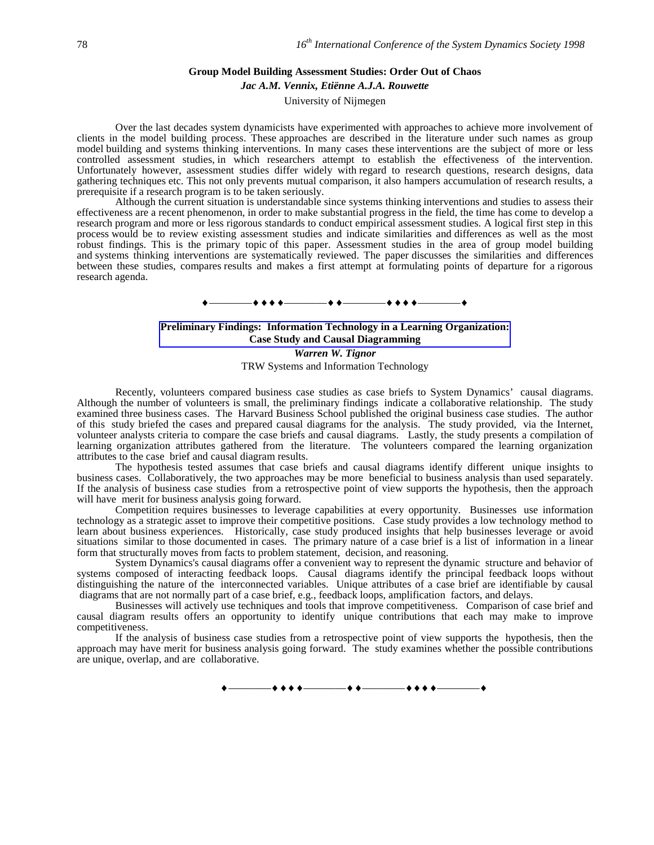#### **Group Model Building Assessment Studies: Order Out of Chaos**

#### *Jac A.M. Vennix, Etiënne A.J.A. Rouwette*

University of Nijmegen

Over the last decades system dynamicists have experimented with approaches to achieve more involvement of clients in the model building process. These approaches are described in the literature under such names as group model building and systems thinking interventions. In many cases these interventions are the subject of more or less controlled assessment studies, in which researchers attempt to establish the effectiveness of the intervention. Unfortunately however, assessment studies differ widely with regard to research questions, research designs, data gathering techniques etc. This not only prevents mutual comparison, it also hampers accumulation of research results, a prerequisite if a research program is to be taken seriously.

Although the current situation is understandable since systems thinking interventions and studies to assess their effectiveness are a recent phenomenon, in order to make substantial progress in the field, the time has come to develop a research program and more or less rigorous standards to conduct empirical assessment studies. A logical first step in this process would be to review existing assessment studies and indicate similarities and differences as well as the most robust findings. This is the primary topic of this paper. Assessment studies in the area of group model building and systems thinking interventions are systematically reviewed. The paper discusses the similarities and differences between these studies, compares results and makes a first attempt at formulating points of departure for a rigorous research agenda.

#### ————————————————

# **Preliminary Findings: Information Technology in a Learning Organization: Case Study and Causal Diagramming** *Warren W. Tignor*

TRW Systems and Information Technology

Recently, volunteers compared business case studies as case briefs to System Dynamics' causal diagrams. Although the number of volunteers is small, the preliminary findings indicate a collaborative relationship. The study examined three business cases. The Harvard Business School published the original business case studies. The author of this study briefed the cases and prepared causal diagrams for the analysis. The study provided, via the Internet, volunteer analysts criteria to compare the case briefs and causal diagrams. Lastly, the study presents a compilation of learning organization attributes gathered from the literature. The volunteers compared the learning organization attributes to the case brief and causal diagram results.

The hypothesis tested assumes that case briefs and causal diagrams identify different unique insights to business cases. Collaboratively, the two approaches may be more beneficial to business analysis than used separately. If the analysis of business case studies from a retrospective point of view supports the hypothesis, then the approach will have merit for business analysis going forward.

Competition requires businesses to leverage capabilities at every opportunity. Businesses use information technology as a strategic asset to improve their competitive positions. Case study provides a low technology method to learn about business experiences. Historically, case study produced insights that help businesses leverage or avoid situations similar to those documented in cases. The primary nature of a case brief is a list of information in a linear form that structurally moves from facts to problem statement, decision, and reasoning.

System Dynamics's causal diagrams offer a convenient way to represent the dynamic structure and behavior of systems composed of interacting feedback loops. Causal diagrams identify the principal feedback loops without distinguishing the nature of the interconnected variables. Unique attributes of a case brief are identifiable by causal diagrams that are not normally part of a case brief, e.g., feedback loops, amplification factors, and delays.

Businesses will actively use techniques and tools that improve competitiveness. Comparison of case brief and causal diagram results offers an opportunity to identify unique contributions that each may make to improve competitiveness.

If the analysis of business case studies from a retrospective point of view supports the hypothesis, then the approach may have merit for business analysis going forward. The study examines whether the possible contributions are unique, overlap, and are collaborative.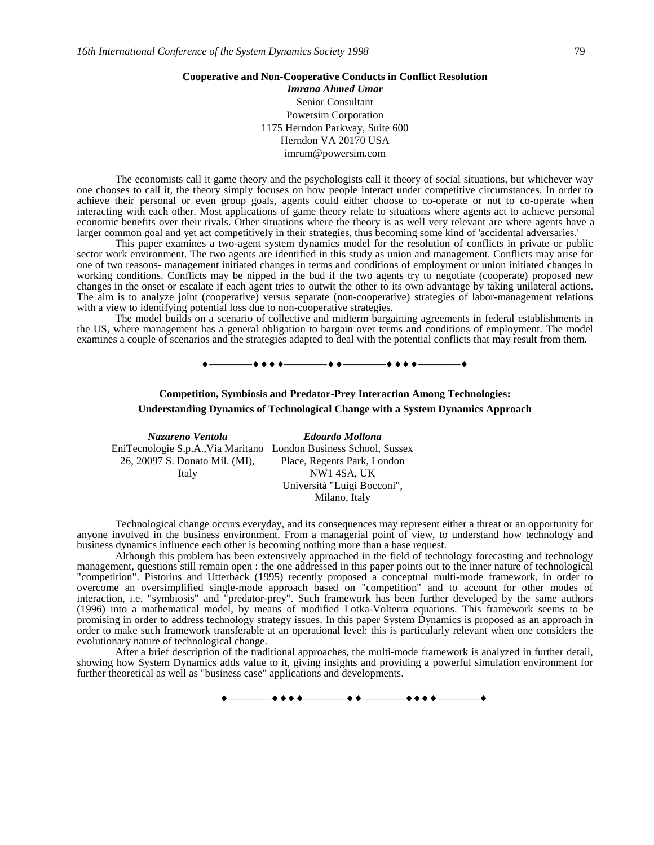### **Cooperative and Non-Cooperative Conducts in Conflict Resolution**

*Imrana Ahmed Umar* Senior Consultant Powersim Corporation 1175 Herndon Parkway, Suite 600 Herndon VA 20170 USA imrum@powersim.com

The economists call it game theory and the psychologists call it theory of social situations, but whichever way one chooses to call it, the theory simply focuses on how people interact under competitive circumstances. In order to achieve their personal or even group goals, agents could either choose to co-operate or not to co-operate when interacting with each other. Most applications of game theory relate to situations where agents act to achieve personal economic benefits over their rivals. Other situations where the theory is as well very relevant are where agents have a larger common goal and yet act competitively in their strategies, thus becoming some kind of 'accidental adversaries.'

This paper examines a two-agent system dynamics model for the resolution of conflicts in private or public sector work environment. The two agents are identified in this study as union and management. Conflicts may arise for one of two reasons- management initiated changes in terms and conditions of employment or union initiated changes in working conditions. Conflicts may be nipped in the bud if the two agents try to negotiate (cooperate) proposed new changes in the onset or escalate if each agent tries to outwit the other to its own advantage by taking unilateral actions. The aim is to analyze joint (cooperative) versus separate (non-cooperative) strategies of labor-management relations with a view to identifying potential loss due to non-cooperative strategies.

The model builds on a scenario of collective and midterm bargaining agreements in federal establishments in the US, where management has a general obligation to bargain over terms and conditions of employment. The model examines a couple of scenarios and the strategies adapted to deal with the potential conflicts that may result from them.

 $\leftrightarrow$  +  $\leftrightarrow$   $\leftarrow$ 

# **Competition, Symbiosis and Predator-Prey Interaction Among Technologies: Understanding Dynamics of Technological Change with a System Dynamics Approach**

*Nazareno Ventola Edoardo Mollona* EniTecnologie S.p.A.,Via Maritano London Business School, Sussex 26, 20097 S. Donato Mil. (MI), Italy Place, Regents Park, London NW1 4SA, UK Università "Luigi Bocconi",

Milano, Italy

Technological change occurs everyday, and its consequences may represent either a threat or an opportunity for anyone involved in the business environment. From a managerial point of view, to understand how technology and business dynamics influence each other is becoming nothing more than a base request.

Although this problem has been extensively approached in the field of technology forecasting and technology management, questions still remain open : the one addressed in this paper points out to the inner nature of technological "competition". Pistorius and Utterback (1995) recently proposed a conceptual multi-mode framework, in order to overcome an oversimplified single-mode approach based on "competition" and to account for other modes of interaction, i.e. "symbiosis" and "predator-prey". Such framework has been further developed by the same authors (1996) into a mathematical model, by means of modified Lotka-Volterra equations. This framework seems to be promising in order to address technology strategy issues. In this paper System Dynamics is proposed as an approach in order to make such framework transferable at an operational level: this is particularly relevant when one considers the evolutionary nature of technological change.

After a brief description of the traditional approaches, the multi-mode framework is analyzed in further detail, showing how System Dynamics adds value to it, giving insights and providing a powerful simulation environment for further theoretical as well as "business case" applications and developments.

\_++++\_\_\_\_\_\_++-\_\_\_\_\_++++\_\_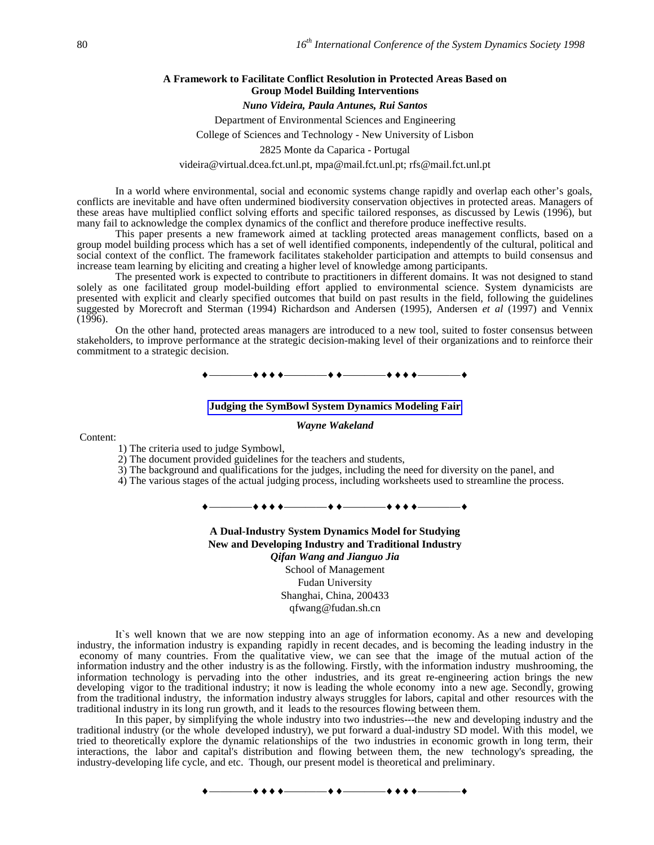# **A Framework to Facilitate Conflict Resolution in Protected Areas Based on Group Model Building Interventions**

# *Nuno Videira, Paula Antunes, Rui Santos*

Department of Environmental Sciences and Engineering College of Sciences and Technology - New University of Lisbon

2825 Monte da Caparica - Portugal

videira@virtual.dcea.fct.unl.pt, mpa@mail.fct.unl.pt; rfs@mail.fct.unl.pt

In a world where environmental, social and economic systems change rapidly and overlap each other's goals, conflicts are inevitable and have often undermined biodiversity conservation objectives in protected areas. Managers of these areas have multiplied conflict solving efforts and specific tailored responses, as discussed by Lewis (1996), but many fail to acknowledge the complex dynamics of the conflict and therefore produce ineffective results.

This paper presents a new framework aimed at tackling protected areas management conflicts, based on a group model building process which has a set of well identified components, independently of the cultural, political and social context of the conflict. The framework facilitates stakeholder participation and attempts to build consensus and increase team learning by eliciting and creating a higher level of knowledge among participants.

The presented work is expected to contribute to practitioners in different domains. It was not designed to stand solely as one facilitated group model-building effort applied to environmental science. System dynamicists are presented with explicit and clearly specified outcomes that build on past results in the field, following the guidelines suggested by Morecroft and Sterman (1994) Richardson and Andersen (1995), Andersen *et al* (1997) and Vennix  $(1996)$ .

On the other hand, protected areas managers are introduced to a new tool, suited to foster consensus between stakeholders, to improve performance at the strategic decision-making level of their organizations and to reinforce their commitment to a strategic decision.

————————————————

### **Judging the SymBowl System Dynamics Modeling Fair**

#### *Wayne Wakeland*

### Content:

1) The criteria used to judge Symbowl,

- 2) The document provided guidelines for the teachers and students,
- 3) The background and qualifications for the judges, including the need for diversity on the panel, and

4) The various stages of the actual judging process, including worksheets used to streamline the process.

————————————————

**A Dual-Industry System Dynamics Model for Studying New and Developing Industry and Traditional Industry** *Qifan Wang and Jianguo Jia* School of Management Fudan University Shanghai, China, 200433 qfwang@fudan.sh.cn

It's well known that we are now stepping into an age of information economy. As a new and developing industry, the information industry is expanding rapidly in recent decades, and is becoming the leading industry in the economy of many countries. From the qualitative view, we can see that the image of the mutual action of the information industry and the other industry is as the following. Firstly, with the information industry mushrooming, the information technology is pervading into the other industries, and its great re-engineering action brings the new developing vigor to the traditional industry; it now is leading the whole economy into a new age. Secondly, growing from the traditional industry, the information industry always struggles for labors, capital and other resources with the traditional industry in its long run growth, and it leads to the resources flowing between them.

In this paper, by simplifying the whole industry into two industries---the new and developing industry and the traditional industry (or the whole developed industry), we put forward a dual-industry SD model. With this model, we tried to theoretically explore the dynamic relationships of the two industries in economic growth in long term, their interactions, the labor and capital's distribution and flowing between them, the new technology's spreading, the industry-developing life cycle, and etc. Though, our present model is theoretical and preliminary.

 $\bullet$  + + +  $\bullet$   $\hspace{0.1cm}$  + +  $\bullet$   $\hspace{0.1cm}$  + + + +  $\bullet$   $\hspace{0.1cm}$  + + +  $\bullet$   $\hspace{0.1cm}$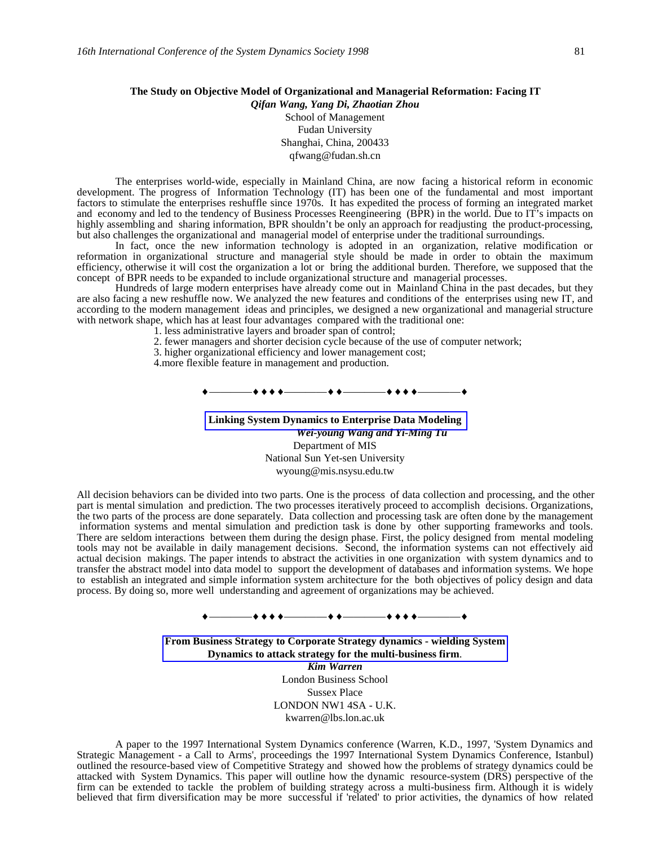# **The Study on Objective Model of Organizational and Managerial Reformation: Facing IT** *Qifan Wang, Yang Di, Zhaotian Zhou*

School of Management Fudan University Shanghai, China, 200433 qfwang@fudan.sh.cn

The enterprises world-wide, especially in Mainland China, are now facing a historical reform in economic development. The progress of Information Technology (IT) has been one of the fundamental and most important factors to stimulate the enterprises reshuffle since 1970s. It has expedited the process of forming an integrated market and economy and led to the tendency of Business Processes Reengineering (BPR) in the world. Due to IT's impacts on highly assembling and sharing information, BPR shouldn't be only an approach for readjusting the product-processing, but also challenges the organizational and managerial model of enterprise under the traditional surroundings.

In fact, once the new information technology is adopted in an organization, relative modification or reformation in organizational structure and managerial style should be made in order to obtain the maximum efficiency, otherwise it will cost the organization a lot or bring the additional burden. Therefore, we supposed that the concept of BPR needs to be expanded to include organizational structure and managerial processes.

Hundreds of large modern enterprises have already come out in Mainland China in the past decades, but they are also facing a new reshuffle now. We analyzed the new features and conditions of the enterprises using new IT, and according to the modern management ideas and principles, we designed a new organizational and managerial structure with network shape, which has at least four advantages compared with the traditional one:

- 1. less administrative layers and broader span of control;
- 2. fewer managers and shorter decision cycle because of the use of computer network;
- 3. higher organizational efficiency and lower management cost;
- 4.more flexible feature in management and production.

————————————————

**Linking System Dynamics to Enterprise Data Modeling** *Wei-young Wang and Yi-Ming Tu* Department of MIS National Sun Yet-sen University wyoung@mis.nsysu.edu.tw

All decision behaviors can be divided into two parts. One is the process of data collection and processing, and the other part is mental simulation and prediction. The two processes iteratively proceed to accomplish decisions. Organizations, the two parts of the process are done separately. Data collection and processing task are often done by the management information systems and mental simulation and prediction task is done by other supporting frameworks and tools. There are seldom interactions between them during the design phase. First, the policy designed from mental modeling tools may not be available in daily management decisions. Second, the information systems can not effectively aid actual decision makings. The paper intends to abstract the activities in one organization with system dynamics and to transfer the abstract model into data model to support the development of databases and information systems. We hope to establish an integrated and simple information system architecture for the both objectives of policy design and data process. By doing so, more well understanding and agreement of organizations may be achieved.

————————————————

**From Business Strategy to Corporate Strategy dynamics - wielding System Dynamics to attack strategy for the multi-business firm**. *Kim Warren* London Business School Sussex Place LONDON NW1 4SA - U.K. kwarren@lbs.lon.ac.uk

A paper to the 1997 International System Dynamics conference (Warren, K.D., 1997, 'System Dynamics and Strategic Management - a Call to Arms', proceedings the 1997 International System Dynamics Conference, Istanbul) outlined the resource-based view of Competitive Strategy and showed how the problems of strategy dynamics could be attacked with System Dynamics. This paper will outline how the dynamic resource-system (DRS) perspective of the firm can be extended to tackle the problem of building strategy across a multi-business firm. Although it is widely believed that firm diversification may be more successful if 'related' to prior activities, the dynamics of how related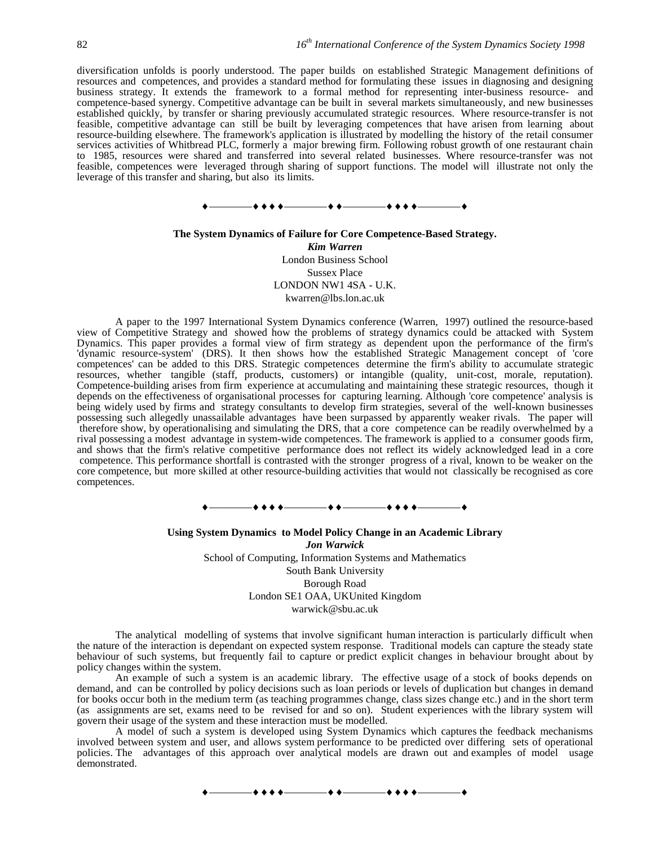diversification unfolds is poorly understood. The paper builds on established Strategic Management definitions of resources and competences, and provides a standard method for formulating these issues in diagnosing and designing business strategy. It extends the framework to a formal method for representing inter-business resource- and competence-based synergy. Competitive advantage can be built in several markets simultaneously, and new businesses established quickly, by transfer or sharing previously accumulated strategic resources. Where resource-transfer is not feasible, competitive advantage can still be built by leveraging competences that have arisen from learning about resource-building elsewhere. The framework's application is illustrated by modelling the history of the retail consumer services activities of Whitbread PLC, formerly a major brewing firm. Following robust growth of one restaurant chain to 1985, resources were shared and transferred into several related businesses. Where resource-transfer was not feasible, competences were leveraged through sharing of support functions. The model will illustrate not only the leverage of this transfer and sharing, but also its limits.



# **The System Dynamics of Failure for Core Competence-Based Strategy.** *Kim Warren* London Business School Sussex Place LONDON NW1 4SA - U.K. kwarren@lbs.lon.ac.uk

A paper to the 1997 International System Dynamics conference (Warren, 1997) outlined the resource-based view of Competitive Strategy and showed how the problems of strategy dynamics could be attacked with System Dynamics. This paper provides a formal view of firm strategy as dependent upon the performance of the firm's 'dynamic resource-system' (DRS). It then shows how the established Strategic Management concept of 'core competences' can be added to this DRS. Strategic competences determine the firm's ability to accumulate strategic resources, whether tangible (staff, products, customers) or intangible (quality, unit-cost, morale, reputation). Competence-building arises from firm experience at accumulating and maintaining these strategic resources, though it depends on the effectiveness of organisational processes for capturing learning. Although 'core competence' analysis is being widely used by firms and strategy consultants to develop firm strategies, several of the well-known businesses possessing such allegedly unassailable advantages have been surpassed by apparently weaker rivals. The paper will therefore show, by operationalising and simulating the DRS, that a core competence can be readily overwhelmed by a rival possessing a modest advantage in system-wide competences. The framework is applied to a consumer goods firm, and shows that the firm's relative competitive performance does not reflect its widely acknowledged lead in a core competence. This performance shortfall is contrasted with the stronger progress of a rival, known to be weaker on the core competence, but more skilled at other resource-building activities that would not classically be recognised as core competences.

————————————————

**Using System Dynamics to Model Policy Change in an Academic Library** *Jon Warwick* School of Computing, Information Systems and Mathematics South Bank University Borough Road London SE1 OAA, UKUnited Kingdom warwick@sbu.ac.uk

The analytical modelling of systems that involve significant human interaction is particularly difficult when the nature of the interaction is dependant on expected system response. Traditional models can capture the steady state behaviour of such systems, but frequently fail to capture or predict explicit changes in behaviour brought about by policy changes within the system.

An example of such a system is an academic library. The effective usage of a stock of books depends on demand, and can be controlled by policy decisions such as loan periods or levels of duplication but changes in demand for books occur both in the medium term (as teaching programmes change, class sizes change etc.) and in the short term (as assignments are set, exams need to be revised for and so on). Student experiences with the library system will govern their usage of the system and these interaction must be modelled.

A model of such a system is developed using System Dynamics which captures the feedback mechanisms involved between system and user, and allows system performance to be predicted over differing sets of operational policies. The advantages of this approach over analytical models are drawn out and examples of model usage demonstrated.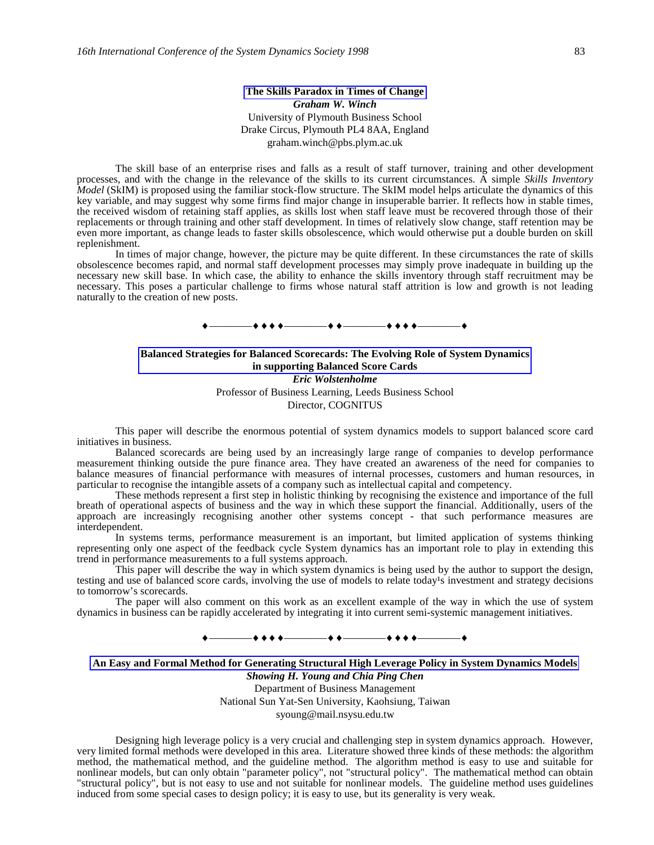# **The Skills Paradox in Times of Change** *Graham W. Winch* University of Plymouth Business School Drake Circus, Plymouth PL4 8AA, England graham.winch@pbs.plym.ac.uk

The skill base of an enterprise rises and falls as a result of staff turnover, training and other development processes, and with the change in the relevance of the skills to its current circumstances. A simple *Skills Inventory Model* (SkIM) is proposed using the familiar stock-flow structure. The SkIM model helps articulate the dynamics of this key variable, and may suggest why some firms find major change in insuperable barrier. It reflects how in stable times, the received wisdom of retaining staff applies, as skills lost when staff leave must be recovered through those of their replacements or through training and other staff development. In times of relatively slow change, staff retention may be even more important, as change leads to faster skills obsolescence, which would otherwise put a double burden on skill replenishment.

In times of major change, however, the picture may be quite different. In these circumstances the rate of skills obsolescence becomes rapid, and normal staff development processes may simply prove inadequate in building up the necessary new skill base. In which case, the ability to enhance the skills inventory through staff recruitment may be necessary. This poses a particular challenge to firms whose natural staff attrition is low and growth is not leading naturally to the creation of new posts.

### ————————————————

# **Balanced Strategies for Balanced Scorecards: The Evolving Role of System Dynamics in supporting Balanced Score Cards** *Eric Wolstenholme* Professor of Business Learning, Leeds Business School Director, COGNITUS

This paper will describe the enormous potential of system dynamics models to support balanced score card initiatives in business.

Balanced scorecards are being used by an increasingly large range of companies to develop performance measurement thinking outside the pure finance area. They have created an awareness of the need for companies to balance measures of financial performance with measures of internal processes, customers and human resources, in particular to recognise the intangible assets of a company such as intellectual capital and competency.

These methods represent a first step in holistic thinking by recognising the existence and importance of the full breath of operational aspects of business and the way in which these support the financial. Additionally, users of the approach are increasingly recognising another other systems concept - that such performance measures are interdependent.

In systems terms, performance measurement is an important, but limited application of systems thinking representing only one aspect of the feedback cycle System dynamics has an important role to play in extending this trend in performance measurements to a full systems approach.

This paper will describe the way in which system dynamics is being used by the author to support the design, testing and use of balanced score cards, involving the use of models to relate today's investment and strategy decisions to tomorrow's scorecards.

The paper will also comment on this work as an excellent example of the way in which the use of system dynamics in business can be rapidly accelerated by integrating it into current semi-systemic management initiatives.

# ————————————————

# **An Easy and Formal Method for Generating Structural High Leverage Policy in System Dynamics Models**

*Showing H. Young and Chia Ping Chen* Department of Business Management National Sun Yat-Sen University, Kaohsiung, Taiwan syoung@mail.nsysu.edu.tw

Designing high leverage policy is a very crucial and challenging step in system dynamics approach. However, very limited formal methods were developed in this area. Literature showed three kinds of these methods: the algorithm method, the mathematical method, and the guideline method. The algorithm method is easy to use and suitable for nonlinear models, but can only obtain "parameter policy", not "structural policy". The mathematical method can obtain "structural policy", but is not easy to use and not suitable for nonlinear models. The guideline method uses guidelines induced from some special cases to design policy; it is easy to use, but its generality is very weak.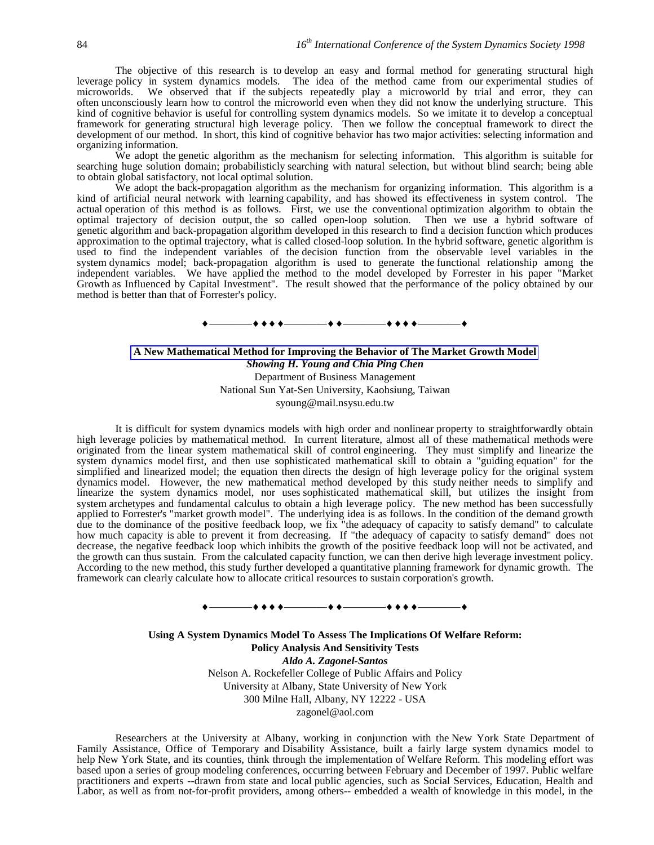The objective of this research is to develop an easy and formal method for generating structural high leverage policy in system dynamics models. The idea of the method came from our experimental studies of microworlds. We observed that if the subjects repeatedly play a microworld by trial and error, they can often unconsciously learn how to control the microworld even when they did not know the underlying structure. This kind of cognitive behavior is useful for controlling system dynamics models. So we imitate it to develop a conceptual framework for generating structural high leverage policy. Then we follow the conceptual framework to direct the development of our method. In short, this kind of cognitive behavior has two major activities: selecting information and organizing information.

We adopt the genetic algorithm as the mechanism for selecting information. This algorithm is suitable for searching huge solution domain; probabilisticly searching with natural selection, but without blind search; being able to obtain global satisfactory, not local optimal solution.

We adopt the back-propagation algorithm as the mechanism for organizing information. This algorithm is a kind of artificial neural network with learning capability, and has showed its effectiveness in system control. The actual operation of this method is as follows. First, we use the conventional optimization algorithm to obtain the optimal trajectory of decision output, the so called open-loop solution. Then we use a hybrid software of genetic algorithm and back-propagation algorithm developed in this research to find a decision function which produces approximation to the optimal trajectory, what is called closed-loop solution. In the hybrid software, genetic algorithm is used to find the independent variables of the decision function from the observable level variables in the system dynamics model; back-propagation algorithm is used to generate the functional relationship among the independent variables. We have applied the method to the model developed by Forrester in his paper "Market Growth as Influenced by Capital Investment". The result showed that the performance of the policy obtained by our method is better than that of Forrester's policy.

#### ————————————————

# **A New Mathematical Method for Improving the Behavior of The Market Growth Model** *Showing H. Young and Chia Ping Chen* Department of Business Management National Sun Yat-Sen University, Kaohsiung, Taiwan syoung@mail.nsysu.edu.tw

It is difficult for system dynamics models with high order and nonlinear property to straightforwardly obtain high leverage policies by mathematical method. In current literature, almost all of these mathematical methods were originated from the linear system mathematical skill of control engineering. They must simplify and linearize the system dynamics model first, and then use sophisticated mathematical skill to obtain a "guiding equation" for the simplified and linearized model; the equation then directs the design of high leverage policy for the original system dynamics model. However, the new mathematical method developed by this study neither needs to simplify and linearize the system dynamics model, nor uses sophisticated mathematical skill, but utilizes the insight from system archetypes and fundamental calculus to obtain a high leverage policy. The new method has been successfully applied to Forrester's "market growth model". The underlying idea is as follows. In the condition of the demand growth due to the dominance of the positive feedback loop, we fix "the adequacy of capacity to satisfy demand" to calculate how much capacity is able to prevent it from decreasing. If "the adequacy of capacity to satisfy demand" does not decrease, the negative feedback loop which inhibits the growth of the positive feedback loop will not be activated, and the growth can thus sustain. From the calculated capacity function, we can then derive high leverage investment policy. According to the new method, this study further developed a quantitative planning framework for dynamic growth. The framework can clearly calculate how to allocate critical resources to sustain corporation's growth.

# ————————————————

**Using A System Dynamics Model To Assess The Implications Of Welfare Reform: Policy Analysis And Sensitivity Tests** *Aldo A. Zagonel-Santos* Nelson A. Rockefeller College of Public Affairs and Policy University at Albany, State University of New York 300 Milne Hall, Albany, NY 12222 - USA zagonel@aol.com

Researchers at the University at Albany, working in conjunction with the New York State Department of Family Assistance, Office of Temporary and Disability Assistance, built a fairly large system dynamics model to help New York State, and its counties, think through the implementation of Welfare Reform. This modeling effort was based upon a series of group modeling conferences, occurring between February and December of 1997. Public welfare practitioners and experts --drawn from state and local public agencies, such as Social Services, Education, Health and Labor, as well as from not-for-profit providers, among others-- embedded a wealth of knowledge in this model, in the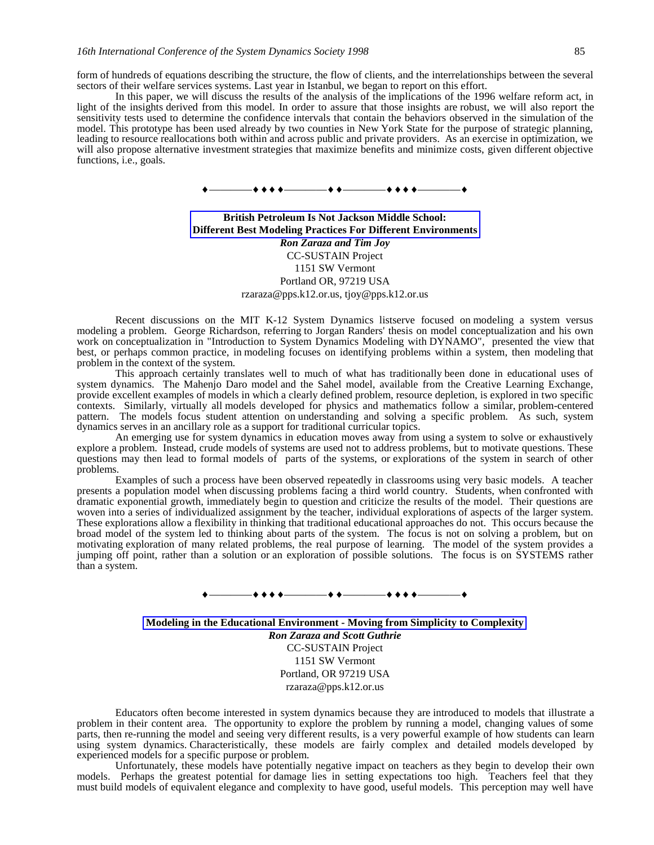form of hundreds of equations describing the structure, the flow of clients, and the interrelationships between the several sectors of their welfare services systems. Last year in Istanbul, we began to report on this effort.

In this paper, we will discuss the results of the analysis of the implications of the 1996 welfare reform act, in light of the insights derived from this model. In order to assure that those insights are robust, we will also report the sensitivity tests used to determine the confidence intervals that contain the behaviors observed in the simulation of the model. This prototype has been used already by two counties in New York State for the purpose of strategic planning, leading to resource reallocations both within and across public and private providers. As an exercise in optimization, we will also propose alternative investment strategies that maximize benefits and minimize costs, given different objective functions, i.e., goals.



# **British Petroleum Is Not Jackson Middle School: Different Best Modeling Practices For Different Environments** *Ron Zaraza and Tim Joy* CC-SUSTAIN Project 1151 SW Vermont Portland OR, 97219 USA rzaraza@pps.k12.or.us, tjoy@pps.k12.or.us

Recent discussions on the MIT K-12 System Dynamics listserve focused on modeling a system versus modeling a problem. George Richardson, referring to Jorgan Randers' thesis on model conceptualization and his own work on conceptualization in "Introduction to System Dynamics Modeling with DYNAMO", presented the view that best, or perhaps common practice, in modeling focuses on identifying problems within a system, then modeling that problem in the context of the system.

This approach certainly translates well to much of what has traditionally been done in educational uses of system dynamics. The Mahenjo Daro model and the Sahel model, available from the Creative Learning Exchange, provide excellent examples of models in which a clearly defined problem, resource depletion, is explored in two specific contexts. Similarly, virtually all models developed for physics and mathematics follow a similar, problem-centered pattern. The models focus student attention on understanding and solving a specific problem. As such, system dynamics serves in an ancillary role as a support for traditional curricular topics.

An emerging use for system dynamics in education moves away from using a system to solve or exhaustively explore a problem. Instead, crude models of systems are used not to address problems, but to motivate questions. These questions may then lead to formal models of parts of the systems, or explorations of the system in search of other problems.

Examples of such a process have been observed repeatedly in classrooms using very basic models. A teacher presents a population model when discussing problems facing a third world country. Students, when confronted with dramatic exponential growth, immediately begin to question and criticize the results of the model. Their questions are woven into a series of individualized assignment by the teacher, individual explorations of aspects of the larger system. These explorations allow a flexibility in thinking that traditional educational approaches do not. This occurs because the broad model of the system led to thinking about parts of the system. The focus is not on solving a problem, but on motivating exploration of many related problems, the real purpose of learning. The model of the system provides a jumping off point, rather than a solution or an exploration of possible solutions. The focus is on SYSTEMS rather than a system.



**Modeling in the Educational Environment - Moving from Simplicity to Complexity** *Ron Zaraza and Scott Guthrie* CC-SUSTAIN Project 1151 SW Vermont Portland, OR 97219 USA rzaraza@pps.k12.or.us

Educators often become interested in system dynamics because they are introduced to models that illustrate a problem in their content area. The opportunity to explore the problem by running a model, changing values of some parts, then re-running the model and seeing very different results, is a very powerful example of how students can learn using system dynamics. Characteristically, these models are fairly complex and detailed models developed by experienced models for a specific purpose or problem.

Unfortunately, these models have potentially negative impact on teachers as they begin to develop their own models. Perhaps the greatest potential for damage lies in setting expectations too high. Teachers feel that they must build models of equivalent elegance and complexity to have good, useful models. This perception may well have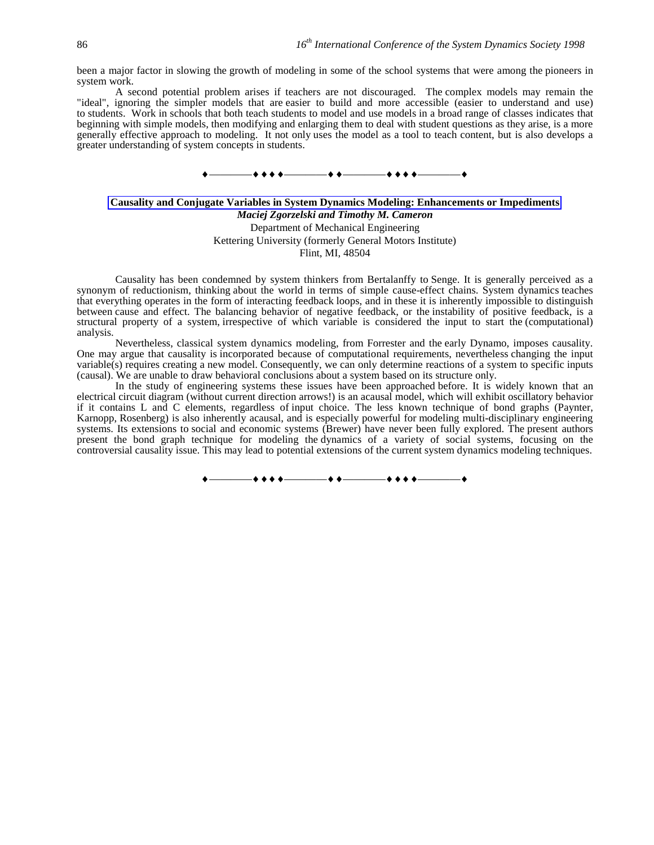been a major factor in slowing the growth of modeling in some of the school systems that were among the pioneers in system work.

A second potential problem arises if teachers are not discouraged. The complex models may remain the "ideal", ignoring the simpler models that are easier to build and more accessible (easier to understand and use) to students. Work in schools that both teach students to model and use models in a broad range of classes indicates that beginning with simple models, then modifying and enlarging them to deal with student questions as they arise, is a more generally effective approach to modeling. It not only uses the model as a tool to teach content, but is also develops a greater understanding of system concepts in students.



# **Causality and Conjugate Variables in System Dynamics Modeling: Enhancements or Impediments** *Maciej Zgorzelski and Timothy M. Cameron* Department of Mechanical Engineering Kettering University (formerly General Motors Institute)

Flint, MI, 48504

Causality has been condemned by system thinkers from Bertalanffy to Senge. It is generally perceived as a synonym of reductionism, thinking about the world in terms of simple cause-effect chains. System dynamics teaches that everything operates in the form of interacting feedback loops, and in these it is inherently impossible to distinguish between cause and effect. The balancing behavior of negative feedback, or the instability of positive feedback, is a structural property of a system, irrespective of which variable is considered the input to start the (computational) analysis.

Nevertheless, classical system dynamics modeling, from Forrester and the early Dynamo, imposes causality. One may argue that causality is incorporated because of computational requirements, nevertheless changing the input variable(s) requires creating a new model. Consequently, we can only determine reactions of a system to specific inputs (causal). We are unable to draw behavioral conclusions about a system based on its structure only.

In the study of engineering systems these issues have been approached before. It is widely known that an electrical circuit diagram (without current direction arrows!) is an acausal model, which will exhibit oscillatory behavior if it contains L and C elements, regardless of input choice. The less known technique of bond graphs (Paynter, Karnopp, Rosenberg) is also inherently acausal, and is especially powerful for modeling multi-disciplinary engineering systems. Its extensions to social and economic systems (Brewer) have never been fully explored. The present authors present the bond graph technique for modeling the dynamics of a variety of social systems, focusing on the controversial causality issue. This may lead to potential extensions of the current system dynamics modeling techniques.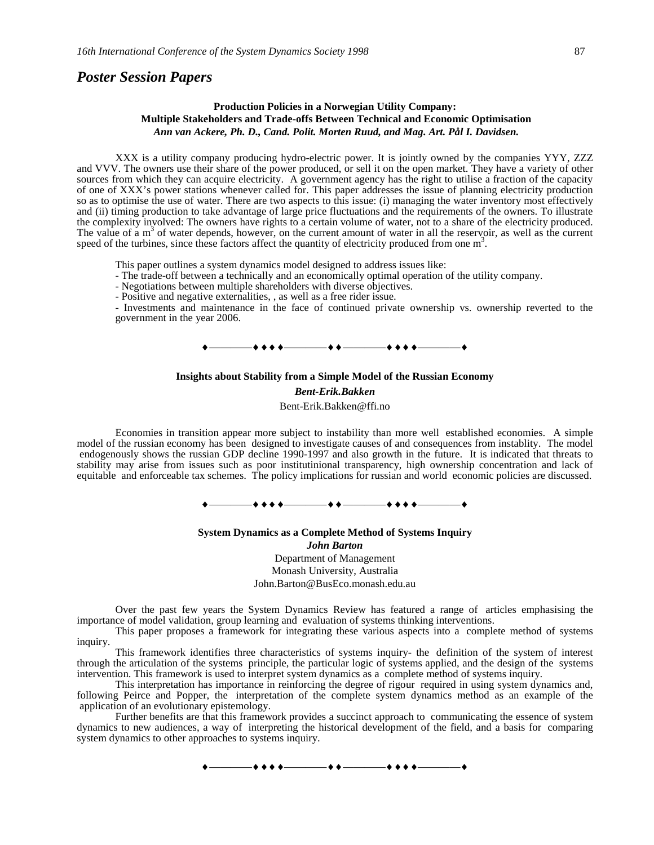# *Poster Session Papers*

## **Production Policies in a Norwegian Utility Company: Multiple Stakeholders and Trade-offs Between Technical and Economic Optimisation** *Ann van Ackere, Ph. D., Cand. Polit. Morten Ruud, and Mag. Art. Pål I. Davidsen.*

XXX is a utility company producing hydro-electric power. It is jointly owned by the companies YYY, ZZZ and VVV. The owners use their share of the power produced, or sell it on the open market. They have a variety of other sources from which they can acquire electricity. A government agency has the right to utilise a fraction of the capacity of one of XXX's power stations whenever called for. This paper addresses the issue of planning electricity production so as to optimise the use of water. There are two aspects to this issue: (i) managing the water inventory most effectively and (ii) timing production to take advantage of large price fluctuations and the requirements of the owners. To illustrate the complexity involved: The owners have rights to a certain volume of water, not to a share of the electricity produced. The value of a  $m<sup>3</sup>$  of water depends, however, on the current amount of water in all the reservoir, as well as the current speed of the turbines, since these factors affect the quantity of electricity produced from one  $m<sup>3</sup>$ .

This paper outlines a system dynamics model designed to address issues like:

- The trade-off between a technically and an economically optimal operation of the utility company.

- Negotiations between multiple shareholders with diverse objectives.

- Positive and negative externalities, , as well as a free rider issue.

- Investments and maintenance in the face of continued private ownership vs. ownership reverted to the government in the year 2006.



### **Insights about Stability from a Simple Model of the Russian Economy**

*Bent-Erik.Bakken* Bent-Erik.Bakken@ffi.no

Economies in transition appear more subject to instability than more well established economies. A simple model of the russian economy has been designed to investigate causes of and consequences from instablity. The model endogenously shows the russian GDP decline 1990-1997 and also growth in the future. It is indicated that threats to stability may arise from issues such as poor institutinional transparency, high ownership concentration and lack of equitable and enforceable tax schemes. The policy implications for russian and world economic policies are discussed.



**System Dynamics as a Complete Method of Systems Inquiry** *John Barton* Department of Management

Monash University, Australia John.Barton@BusEco.monash.edu.au

Over the past few years the System Dynamics Review has featured a range of articles emphasising the importance of model validation, group learning and evaluation of systems thinking interventions.

This paper proposes a framework for integrating these various aspects into a complete method of systems inquiry.

This framework identifies three characteristics of systems inquiry- the definition of the system of interest through the articulation of the systems principle, the particular logic of systems applied, and the design of the systems intervention. This framework is used to interpret system dynamics as a complete method of systems inquiry.

This interpretation has importance in reinforcing the degree of rigour required in using system dynamics and, following Peirce and Popper, the interpretation of the complete system dynamics method as an example of the application of an evolutionary epistemology.

Further benefits are that this framework provides a succinct approach to communicating the essence of system dynamics to new audiences, a way of interpreting the historical development of the field, and a basis for comparing system dynamics to other approaches to systems inquiry.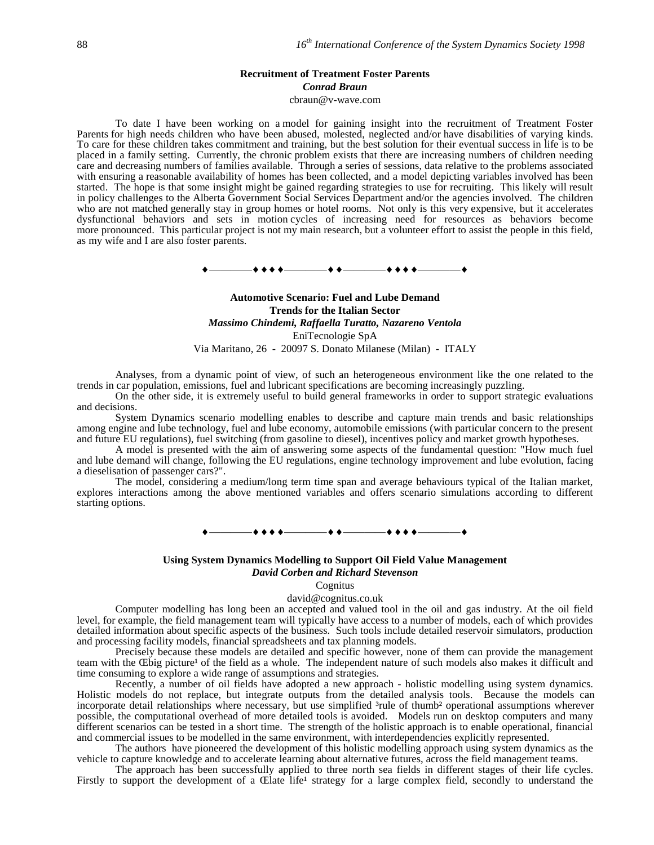### **Recruitment of Treatment Foster Parents** *Conrad Braun*

cbraun@v-wave.com

To date I have been working on a model for gaining insight into the recruitment of Treatment Foster Parents for high needs children who have been abused, molested, neglected and/or have disabilities of varying kinds. To care for these children takes commitment and training, but the best solution for their eventual success in life is to be placed in a family setting. Currently, the chronic problem exists that there are increasing numbers of children needing care and decreasing numbers of families available. Through a series of sessions, data relative to the problems associated with ensuring a reasonable availability of homes has been collected, and a model depicting variables involved has been started. The hope is that some insight might be gained regarding strategies to use for recruiting. This likely will result in policy challenges to the Alberta Government Social Services Department and/or the agencies involved. The children who are not matched generally stay in group homes or hotel rooms. Not only is this very expensive, but it accelerates dysfunctional behaviors and sets in motion cycles of increasing need for resources as behaviors become more pronounced. This particular project is not my main research, but a volunteer effort to assist the people in this field, as my wife and I are also foster parents.

 $\begin{array}{c} \bullet \longrightarrow \bullet \bullet \bullet \bullet \longrightarrow \bullet \bullet \longrightarrow \bullet \bullet \longrightarrow \bullet \bullet \bullet \longrightarrow \bullet \bullet \end{array}$ 

# **Automotive Scenario: Fuel and Lube Demand Trends for the Italian Sector** *Massimo Chindemi, Raffaella Turatto, Nazareno Ventola* EniTecnologie SpA Via Maritano, 26 - 20097 S. Donato Milanese (Milan) - ITALY

Analyses, from a dynamic point of view, of such an heterogeneous environment like the one related to the trends in car population, emissions, fuel and lubricant specifications are becoming increasingly puzzling.

On the other side, it is extremely useful to build general frameworks in order to support strategic evaluations and decisions.

System Dynamics scenario modelling enables to describe and capture main trends and basic relationships among engine and lube technology, fuel and lube economy, automobile emissions (with particular concern to the present and future EU regulations), fuel switching (from gasoline to diesel), incentives policy and market growth hypotheses.

A model is presented with the aim of answering some aspects of the fundamental question: "How much fuel and lube demand will change, following the EU regulations, engine technology improvement and lube evolution, facing a dieselisation of passenger cars?".

The model, considering a medium/long term time span and average behaviours typical of the Italian market, explores interactions among the above mentioned variables and offers scenario simulations according to different starting options.

————————————————

### **Using System Dynamics Modelling to Support Oil Field Value Management**

*David Corben and Richard Stevenson*

Cognitus

david@cognitus.co.uk

Computer modelling has long been an accepted and valued tool in the oil and gas industry. At the oil field level, for example, the field management team will typically have access to a number of models, each of which provides detailed information about specific aspects of the business. Such tools include detailed reservoir simulators, production and processing facility models, financial spreadsheets and tax planning models.

Precisely because these models are detailed and specific however, none of them can provide the management team with the Œbig picture<sup>1</sup> of the field as a whole. The independent nature of such models also makes it difficult and time consuming to explore a wide range of assumptions and strategies.

Recently, a number of oil fields have adopted a new approach - holistic modelling using system dynamics. Holistic models do not replace, but integrate outputs from the detailed analysis tools. Because the models can incorporate detail relationships where necessary, but use simplified <sup>3</sup>rule of thumb<sup>2</sup> operational assumptions wherever possible, the computational overhead of more detailed tools is avoided. Models run on desktop computers and many different scenarios can be tested in a short time. The strength of the holistic approach is to enable operational, financial and commercial issues to be modelled in the same environment, with interdependencies explicitly represented.

The authors have pioneered the development of this holistic modelling approach using system dynamics as the vehicle to capture knowledge and to accelerate learning about alternative futures, across the field management teams.

The approach has been successfully applied to three north sea fields in different stages of their life cycles. Firstly to support the development of a Œlate life<sup>1</sup> strategy for a large complex field, secondly to understand the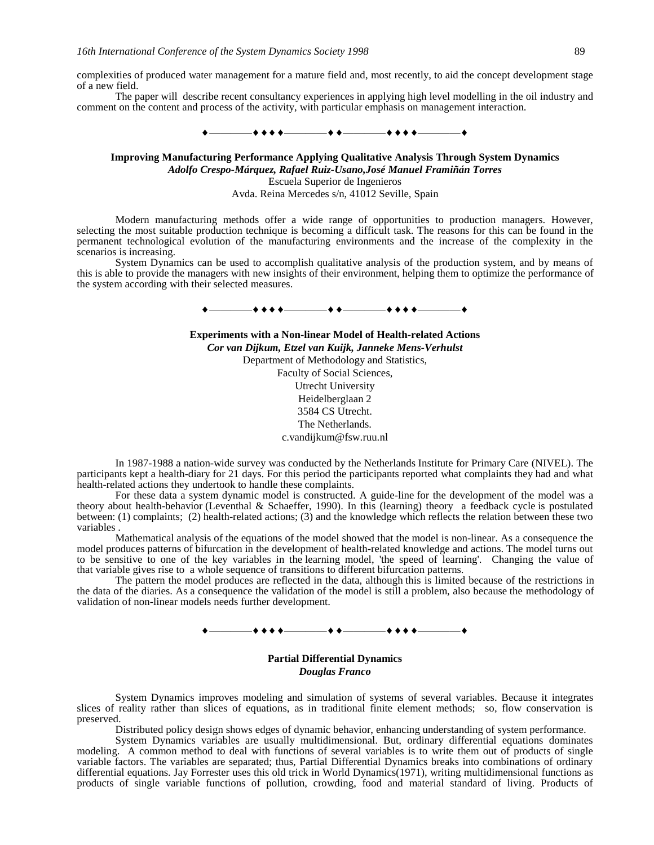complexities of produced water management for a mature field and, most recently, to aid the concept development stage of a new field.

The paper will describe recent consultancy experiences in applying high level modelling in the oil industry and comment on the content and process of the activity, with particular emphasis on management interaction.

 $\bullet\bullet\bullet\bullet$  and the contract of  $\bullet\bullet\bullet\bullet$  .

**Improving Manufacturing Performance Applying Qualitative Analysis Through System Dynamics** *Adolfo Crespo-Márquez, Rafael Ruiz-Usano,José Manuel Framiñán Torres* Escuela Superior de Ingenieros Avda. Reina Mercedes s/n, 41012 Seville, Spain

Modern manufacturing methods offer a wide range of opportunities to production managers. However, selecting the most suitable production technique is becoming a difficult task. The reasons for this can be found in the permanent technological evolution of the manufacturing environments and the increase of the complexity in the scenarios is increasing.

System Dynamics can be used to accomplish qualitative analysis of the production system, and by means of this is able to provide the managers with new insights of their environment, helping them to optimize the performance of the system according with their selected measures.



**Experiments with a Non-linear Model of Health-related Actions** *Cor van Dijkum, Etzel van Kuijk, Janneke Mens-Verhulst* Department of Methodology and Statistics, Faculty of Social Sciences, Utrecht University Heidelberglaan 2 3584 CS Utrecht. The Netherlands. c.vandijkum@fsw.ruu.nl

In 1987-1988 a nation-wide survey was conducted by the Netherlands Institute for Primary Care (NIVEL). The participants kept a health-diary for 21 days. For this period the participants reported what complaints they had and what health-related actions they undertook to handle these complaints.

For these data a system dynamic model is constructed. A guide-line for the development of the model was a theory about health-behavior (Leventhal & Schaeffer, 1990). In this (learning) theory a feedback cycle is postulated between: (1) complaints; (2) health-related actions; (3) and the knowledge which reflects the relation between these two variables .

Mathematical analysis of the equations of the model showed that the model is non-linear. As a consequence the model produces patterns of bifurcation in the development of health-related knowledge and actions. The model turns out to be sensitive to one of the key variables in the learning model, 'the speed of learning'. Changing the value of that variable gives rise to a whole sequence of transitions to different bifurcation patterns.

The pattern the model produces are reflected in the data, although this is limited because of the restrictions in the data of the diaries. As a consequence the validation of the model is still a problem, also because the methodology of validation of non-linear models needs further development.

 $\leftrightarrow$   $\overline{\phantom{a}}$ 

**Partial Differential Dynamics** *Douglas Franco*

System Dynamics improves modeling and simulation of systems of several variables. Because it integrates slices of reality rather than slices of equations, as in traditional finite element methods; so, flow conservation is preserved.

Distributed policy design shows edges of dynamic behavior, enhancing understanding of system performance.

System Dynamics variables are usually multidimensional. But, ordinary differential equations dominates modeling. A common method to deal with functions of several variables is to write them out of products of single variable factors. The variables are separated; thus, Partial Differential Dynamics breaks into combinations of ordinary differential equations. Jay Forrester uses this old trick in World Dynamics(1971), writing multidimensional functions as products of single variable functions of pollution, crowding, food and material standard of living. Products of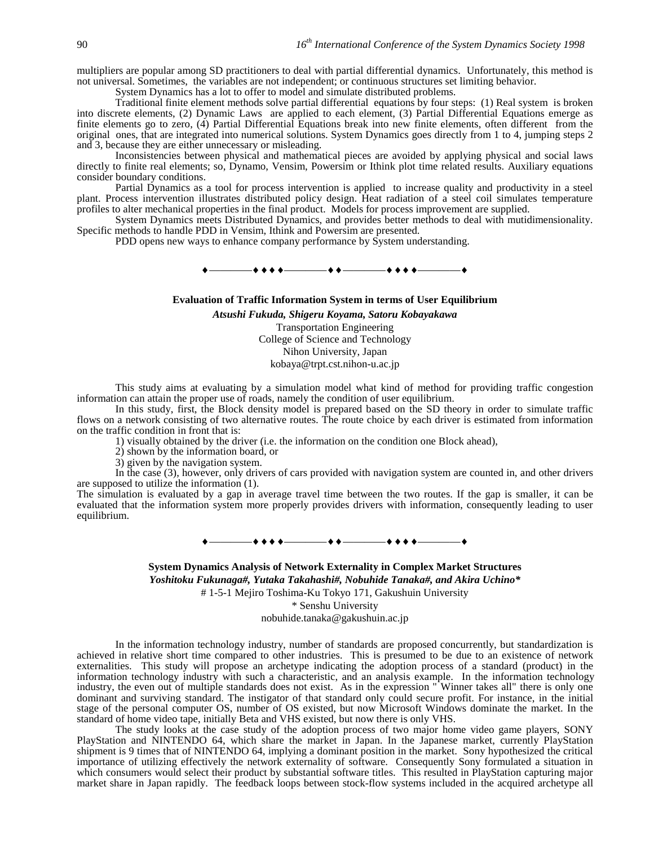multipliers are popular among SD practitioners to deal with partial differential dynamics. Unfortunately, this method is not universal. Sometimes, the variables are not independent; or continuous structures set limiting behavior.

System Dynamics has a lot to offer to model and simulate distributed problems.

Traditional finite element methods solve partial differential equations by four steps: (1) Real system is broken into discrete elements, (2) Dynamic Laws are applied to each element, (3) Partial Differential Equations emerge as finite elements go to zero, (4) Partial Differential Equations break into new finite elements, often different from the original ones, that are integrated into numerical solutions. System Dynamics goes directly from 1 to 4, jumping steps 2 and 3, because they are either unnecessary or misleading.

Inconsistencies between physical and mathematical pieces are avoided by applying physical and social laws directly to finite real elements; so, Dynamo, Vensim, Powersim or Ithink plot time related results. Auxiliary equations consider boundary conditions.

Partial Dynamics as a tool for process intervention is applied to increase quality and productivity in a steel plant. Process intervention illustrates distributed policy design. Heat radiation of a steel coil simulates temperature profiles to alter mechanical properties in the final product. Models for process improvement are supplied.

System Dynamics meets Distributed Dynamics, and provides better methods to deal with mutidimensionality. Specific methods to handle PDD in Vensim, Ithink and Powersim are presented.

PDD opens new ways to enhance company performance by System understanding.

 $\bullet\bullet\bullet\bullet$  . The contract of  $\bullet\bullet\bullet$  . The contract of  $\bullet\bullet\bullet\bullet$ 

### **Evaluation of Traffic Information System in terms of User Equilibrium**

*Atsushi Fukuda, Shigeru Koyama, Satoru Kobayakawa* Transportation Engineering College of Science and Technology Nihon University, Japan kobaya@trpt.cst.nihon-u.ac.jp

This study aims at evaluating by a simulation model what kind of method for providing traffic congestion information can attain the proper use of roads, namely the condition of user equilibrium.

In this study, first, the Block density model is prepared based on the SD theory in order to simulate traffic flows on a network consisting of two alternative routes. The route choice by each driver is estimated from information on the traffic condition in front that is:

1) visually obtained by the driver (i.e. the information on the condition one Block ahead),

2) shown by the information board, or

3) given by the navigation system.

In the case (3), however, only drivers of cars provided with navigation system are counted in, and other drivers are supposed to utilize the information (1).

The simulation is evaluated by a gap in average travel time between the two routes. If the gap is smaller, it can be evaluated that the information system more properly provides drivers with information, consequently leading to user equilibrium.

## ————————————————

**System Dynamics Analysis of Network Externality in Complex Market Structures** *Yoshitoku Fukunaga#, Yutaka Takahashi#, Nobuhide Tanaka#, and Akira Uchino\** # 1-5-1 Mejiro Toshima-Ku Tokyo 171, Gakushuin University

\* Senshu University

nobuhide.tanaka@gakushuin.ac.jp

In the information technology industry, number of standards are proposed concurrently, but standardization is achieved in relative short time compared to other industries. This is presumed to be due to an existence of network externalities. This study will propose an archetype indicating the adoption process of a standard (product) in the information technology industry with such a characteristic, and an analysis example. In the information technology industry, the even out of multiple standards does not exist. As in the expression " Winner takes all" there is only one dominant and surviving standard. The instigator of that standard only could secure profit. For instance, in the initial stage of the personal computer OS, number of OS existed, but now Microsoft Windows dominate the market. In the standard of home video tape, initially Beta and VHS existed, but now there is only VHS.

The study looks at the case study of the adoption process of two major home video game players, SONY PlayStation and NINTENDO 64, which share the market in Japan. In the Japanese market, currently PlayStation shipment is 9 times that of NINTENDO 64, implying a dominant position in the market. Sony hypothesized the critical importance of utilizing effectively the network externality of software. Consequently Sony formulated a situation in which consumers would select their product by substantial software titles. This resulted in PlayStation capturing major market share in Japan rapidly. The feedback loops between stock-flow systems included in the acquired archetype all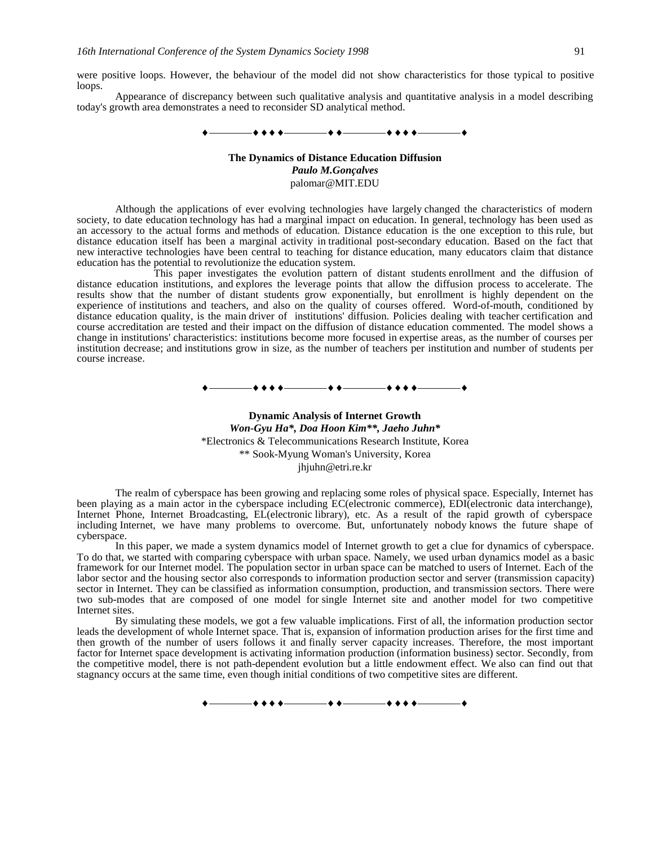were positive loops. However, the behaviour of the model did not show characteristics for those typical to positive loops.

Appearance of discrepancy between such qualitative analysis and quantitative analysis in a model describing today's growth area demonstrates a need to reconsider SD analytical method.

$$
\bullet \hspace{10mm} \overbrace{\hspace{10mm}} \bullet \hspace{10mm} \bullet \hspace{10mm} \bullet \hspace{10mm} \bullet \hspace{10mm} \bullet \hspace{10mm} \bullet \hspace{10mm} \bullet \hspace{10mm} \bullet \hspace{10mm} \bullet \hspace{10mm} \bullet \hspace{10mm} \bullet \hspace{10mm} \bullet \hspace{10mm} \bullet \hspace{10mm} \bullet \hspace{10mm} \bullet \hspace{10mm} \bullet \hspace{10mm} \bullet \hspace{10mm} \bullet \hspace{10mm} \bullet \hspace{10mm} \bullet \hspace{10mm} \bullet \hspace{10mm} \bullet \hspace{10mm} \bullet \hspace{10mm} \bullet \hspace{10mm} \bullet \hspace{10mm} \bullet \hspace{10mm} \bullet \hspace{10mm} \bullet \hspace{10mm} \bullet \hspace{10mm} \bullet \hspace{10mm} \bullet \hspace{10mm} \bullet \hspace{10mm} \bullet \hspace{10mm} \bullet \hspace{10mm} \bullet \hspace{10mm} \bullet \hspace{10mm} \bullet \hspace{10mm} \bullet \hspace{10mm} \bullet \hspace{10mm} \bullet \hspace{10mm} \bullet \hspace{10mm} \bullet \hspace{10mm} \bullet \hspace{10mm} \bullet \hspace{10mm} \bullet \hspace{10mm} \bullet \hspace{10mm} \bullet \hspace{10mm} \bullet \hspace{10mm} \bullet \hspace{10mm} \bullet \hspace{10mm} \bullet \hspace{10mm} \bullet \hspace{10mm} \bullet \hspace{10mm} \bullet \hspace{10mm} \bullet \hspace{10mm} \bullet \hspace{10mm} \bullet \hspace{10mm} \bullet \hspace{10mm} \bullet \hspace{10mm} \bullet \hspace{10mm} \bullet \hspace{10mm} \bullet \hspace{10mm} \bullet \hspace{10mm} \bullet \hspace{10mm} \bullet \hspace{10mm} \bullet \hspace{10mm} \bullet \hspace{10mm} \bullet \hspace{10mm} \bullet \hspace{10mm} \bullet \hspace{10mm} \bullet \hspace{10mm} \bullet \hspace{10mm} \bullet \hspace{10mm} \bullet \hspace{10mm
$$

# **The Dynamics of Distance Education Diffusion** *Paulo M.Gonçalves* palomar@MIT.EDU

Although the applications of ever evolving technologies have largely changed the characteristics of modern society, to date education technology has had a marginal impact on education. In general, technology has been used as an accessory to the actual forms and methods of education. Distance education is the one exception to this rule, but distance education itself has been a marginal activity in traditional post-secondary education. Based on the fact that new interactive technologies have been central to teaching for distance education, many educators claim that distance education has the potential to revolutionize the education system.

This paper investigates the evolution pattern of distant students enrollment and the diffusion of distance education institutions, and explores the leverage points that allow the diffusion process to accelerate. The results show that the number of distant students grow exponentially, but enrollment is highly dependent on the experience of institutions and teachers, and also on the quality of courses offered. Word-of-mouth, conditioned by distance education quality, is the main driver of institutions' diffusion. Policies dealing with teacher certification and course accreditation are tested and their impact on the diffusion of distance education commented. The model shows a change in institutions' characteristics: institutions become more focused in expertise areas, as the number of courses per institution decrease; and institutions grow in size, as the number of teachers per institution and number of students per course increase.

————————————————

# **Dynamic Analysis of Internet Growth** *Won-Gyu Ha\*, Doa Hoon Kim\*\*, Jaeho Juhn\** \*Electronics & Telecommunications Research Institute, Korea \*\* Sook-Myung Woman's University, Korea jhjuhn@etri.re.kr

The realm of cyberspace has been growing and replacing some roles of physical space. Especially, Internet has been playing as a main actor in the cyberspace including EC(electronic commerce), EDI(electronic data interchange), Internet Phone, Internet Broadcasting, EL(electronic library), etc. As a result of the rapid growth of cyberspace including Internet, we have many problems to overcome. But, unfortunately nobody knows the future shape of cyberspace.

In this paper, we made a system dynamics model of Internet growth to get a clue for dynamics of cyberspace. To do that, we started with comparing cyberspace with urban space. Namely, we used urban dynamics model as a basic framework for our Internet model. The population sector in urban space can be matched to users of Internet. Each of the labor sector and the housing sector also corresponds to information production sector and server (transmission capacity) sector in Internet. They can be classified as information consumption, production, and transmission sectors. There were two sub-modes that are composed of one model for single Internet site and another model for two competitive Internet sites.

By simulating these models, we got a few valuable implications. First of all, the information production sector leads the development of whole Internet space. That is, expansion of information production arises for the first time and then growth of the number of users follows it and finally server capacity increases. Therefore, the most important factor for Internet space development is activating information production (information business) sector. Secondly, from the competitive model, there is not path-dependent evolution but a little endowment effect. We also can find out that stagnancy occurs at the same time, even though initial conditions of two competitive sites are different.

 $\bullet\bullet\bullet\bullet$  . The contract of  $\bullet\bullet\bullet$  . The contract of  $\bullet\bullet\bullet\bullet$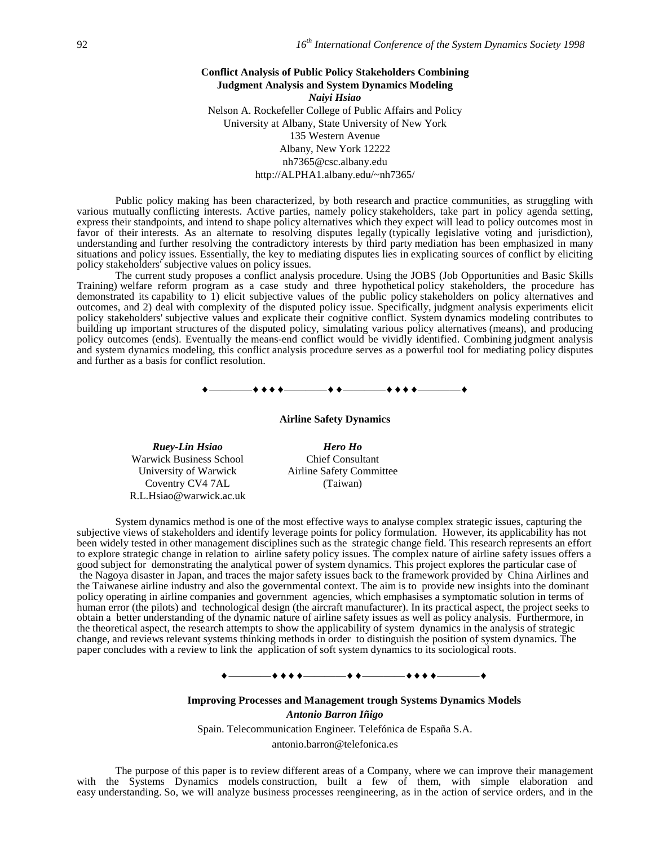**Conflict Analysis of Public Policy Stakeholders Combining Judgment Analysis and System Dynamics Modeling** *Naiyi Hsiao* Nelson A. Rockefeller College of Public Affairs and Policy University at Albany, State University of New York 135 Western Avenue Albany, New York 12222 nh7365@csc.albany.edu http://ALPHA1.albany.edu/~nh7365/

Public policy making has been characterized, by both research and practice communities, as struggling with various mutually conflicting interests. Active parties, namely policy stakeholders, take part in policy agenda setting, express their standpoints, and intend to shape policy alternatives which they expect will lead to policy outcomes most in favor of their interests. As an alternate to resolving disputes legally (typically legislative voting and jurisdiction), understanding and further resolving the contradictory interests by third party mediation has been emphasized in many situations and policy issues. Essentially, the key to mediating disputes lies in explicating sources of conflict by eliciting policy stakeholders' subjective values on policy issues.

The current study proposes a conflict analysis procedure. Using the JOBS (Job Opportunities and Basic Skills Training) welfare reform program as a case study and three hypothetical policy stakeholders, the procedure has demonstrated its capability to 1) elicit subjective values of the public policy stakeholders on policy alternatives and outcomes, and 2) deal with complexity of the disputed policy issue. Specifically, judgment analysis experiments elicit policy stakeholders' subjective values and explicate their cognitive conflict. System dynamics modeling contributes to building up important structures of the disputed policy, simulating various policy alternatives (means), and producing policy outcomes (ends). Eventually the means-end conflict would be vividly identified. Combining judgment analysis and system dynamics modeling, this conflict analysis procedure serves as a powerful tool for mediating policy disputes and further as a basis for conflict resolution.



**Airline Safety Dynamics**

Warwick Business School University of Warwick Coventry CV4 7AL R.L.Hsiao@warwick.ac.uk

*Ruey-Lin Hsiao Hero Ho* Chief Consultant Airline Safety Committee (Taiwan)

System dynamics method is one of the most effective ways to analyse complex strategic issues, capturing the subjective views of stakeholders and identify leverage points for policy formulation. However, its applicability has not been widely tested in other management disciplines such as the strategic change field. This research represents an effort to explore strategic change in relation to airline safety policy issues. The complex nature of airline safety issues offers a good subject for demonstrating the analytical power of system dynamics. This project explores the particular case of the Nagoya disaster in Japan, and traces the major safety issues back to the framework provided by China Airlines and the Taiwanese airline industry and also the governmental context. The aim is to provide new insights into the dominant policy operating in airline companies and government agencies, which emphasises a symptomatic solution in terms of human error (the pilots) and technological design (the aircraft manufacturer). In its practical aspect, the project seeks to obtain a better understanding of the dynamic nature of airline safety issues as well as policy analysis. Furthermore, in the theoretical aspect, the research attempts to show the applicability of system dynamics in the analysis of strategic change, and reviews relevant systems thinking methods in order to distinguish the position of system dynamics. The paper concludes with a review to link the application of soft system dynamics to its sociological roots.

# ————————————————

**Improving Processes and Management trough Systems Dynamics Models**

*Antonio Barron Iñigo*

Spain. Telecommunication Engineer. Telefónica de España S.A.

antonio.barron@telefonica.es

The purpose of this paper is to review different areas of a Company, where we can improve their management with the Systems Dynamics models construction, built a few of them, with simple elaboration and easy understanding. So, we will analyze business processes reengineering, as in the action of service orders, and in the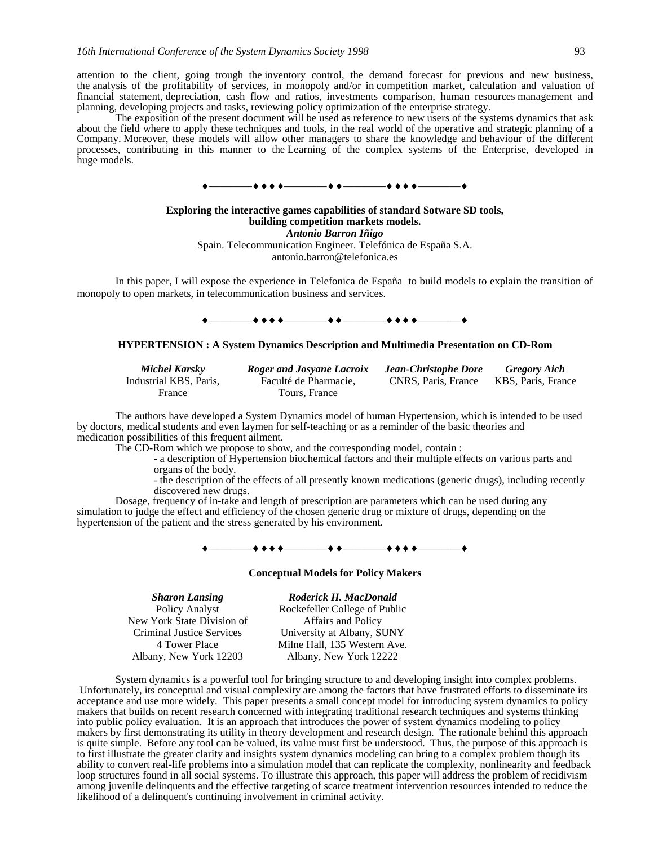attention to the client, going trough the inventory control, the demand forecast for previous and new business, the analysis of the profitability of services, in monopoly and/or in competition market, calculation and valuation of financial statement, depreciation, cash flow and ratios, investments comparison, human resources management and planning, developing projects and tasks, reviewing policy optimization of the enterprise strategy.

The exposition of the present document will be used as reference to new users of the systems dynamics that ask about the field where to apply these techniques and tools, in the real world of the operative and strategic planning of a Company. Moreover, these models will allow other managers to share the knowledge and behaviour of the different processes, contributing in this manner to the Learning of the complex systems of the Enterprise, developed in huge models.



### **Exploring the interactive games capabilities of standard Sotware SD tools, building competition markets models.** *Antonio Barron Iñigo* Spain. Telecommunication Engineer. Telefónica de España S.A. antonio.barron@telefonica.es

In this paper, I will expose the experience in Telefonica de España to build models to explain the transition of monopoly to open markets, in telecommunication business and services.

### ————————————————

### **HYPERTENSION : A System Dynamics Description and Multimedia Presentation on CD-Rom**

| Michel Karsky          | <b>Roger and Josyane Lacroix</b> | Jean-Christophe Dore | <b>Gregory Aich</b> |
|------------------------|----------------------------------|----------------------|---------------------|
| Industrial KBS, Paris. | Faculté de Pharmacie.            | CNRS, Paris, France  | KBS, Paris, France  |
| France                 | Tours. France                    |                      |                     |

The authors have developed a System Dynamics model of human Hypertension, which is intended to be used by doctors, medical students and even laymen for self-teaching or as a reminder of the basic theories and medication possibilities of this frequent ailment.

The CD-Rom which we propose to show, and the corresponding model, contain :

- a description of Hypertension biochemical factors and their multiple effects on various parts and organs of the body.

- the description of the effects of all presently known medications (generic drugs), including recently discovered new drugs.

Dosage, frequency of in-take and length of prescription are parameters which can be used during any simulation to judge the effect and efficiency of the chosen generic drug or mixture of drugs, depending on the hypertension of the patient and the stress generated by his environment.

#### $+ + + + -$

### **Conceptual Models for Policy Makers**

Policy Analyst New York State Division of Criminal Justice Services 4 Tower Place Albany, New York 12203

*Sharon Lansing Roderick H. MacDonald* Rockefeller College of Public Affairs and Policy University at Albany, SUNY Milne Hall, 135 Western Ave. Albany, New York 12222

System dynamics is a powerful tool for bringing structure to and developing insight into complex problems. Unfortunately, its conceptual and visual complexity are among the factors that have frustrated efforts to disseminate its acceptance and use more widely. This paper presents a small concept model for introducing system dynamics to policy makers that builds on recent research concerned with integrating traditional research techniques and systems thinking into public policy evaluation. It is an approach that introduces the power of system dynamics modeling to policy makers by first demonstrating its utility in theory development and research design. The rationale behind this approach is quite simple. Before any tool can be valued, its value must first be understood. Thus, the purpose of this approach is to first illustrate the greater clarity and insights system dynamics modeling can bring to a complex problem though its ability to convert real-life problems into a simulation model that can replicate the complexity, nonlinearity and feedback loop structures found in all social systems. To illustrate this approach, this paper will address the problem of recidivism among juvenile delinquents and the effective targeting of scarce treatment intervention resources intended to reduce the likelihood of a delinquent's continuing involvement in criminal activity.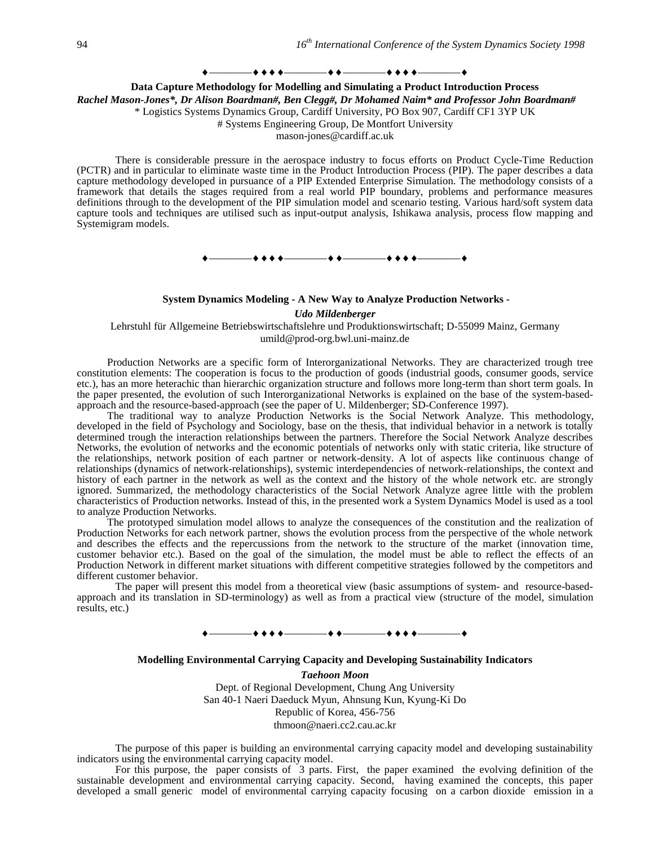### ————————————————

### **Data Capture Methodology for Modelling and Simulating a Product Introduction Process** *Rachel Mason-Jones\*, Dr Alison Boardman#, Ben Clegg#, Dr Mohamed Naim\* and Professor John Boardman#* \* Logistics Systems Dynamics Group, Cardiff University, PO Box 907, Cardiff CF1 3YP UK # Systems Engineering Group, De Montfort University

mason-jones@cardiff.ac.uk

There is considerable pressure in the aerospace industry to focus efforts on Product Cycle-Time Reduction (PCTR) and in particular to eliminate waste time in the Product Introduction Process (PIP). The paper describes a data capture methodology developed in pursuance of a PIP Extended Enterprise Simulation. The methodology consists of a framework that details the stages required from a real world PIP boundary, problems and performance measures definitions through to the development of the PIP simulation model and scenario testing. Various hard/soft system data capture tools and techniques are utilised such as input-output analysis, Ishikawa analysis, process flow mapping and Systemigram models.



# **System Dynamics Modeling - A New Way to Analyze Production Networks -**

*Udo Mildenberger*

Lehrstuhl für Allgemeine Betriebswirtschaftslehre und Produktionswirtschaft; D-55099 Mainz, Germany umild@prod-org.bwl.uni-mainz.de

Production Networks are a specific form of Interorganizational Networks. They are characterized trough tree constitution elements: The cooperation is focus to the production of goods (industrial goods, consumer goods, service etc.), has an more heterachic than hierarchic organization structure and follows more long-term than short term goals. In the paper presented, the evolution of such Interorganizational Networks is explained on the base of the system-basedapproach and the resource-based-approach (see the paper of U. Mildenberger; SD-Conference 1997).

The traditional way to analyze Production Networks is the Social Network Analyze. This methodology, developed in the field of Psychology and Sociology, base on the thesis, that individual behavior in a network is totally determined trough the interaction relationships between the partners. Therefore the Social Network Analyze describes Networks, the evolution of networks and the economic potentials of networks only with static criteria, like structure of the relationships, network position of each partner or network-density. A lot of aspects like continuous change of relationships (dynamics of network-relationships), systemic interdependencies of network-relationships, the context and history of each partner in the network as well as the context and the history of the whole network etc. are strongly ignored. Summarized, the methodology characteristics of the Social Network Analyze agree little with the problem characteristics of Production networks. Instead of this, in the presented work a System Dynamics Model is used as a tool to analyze Production Networks.

The prototyped simulation model allows to analyze the consequences of the constitution and the realization of Production Networks for each network partner, shows the evolution process from the perspective of the whole network and describes the effects and the repercussions from the network to the structure of the market (innovation time, customer behavior etc.). Based on the goal of the simulation, the model must be able to reflect the effects of an Production Network in different market situations with different competitive strategies followed by the competitors and different customer behavior.

The paper will present this model from a theoretical view (basic assumptions of system- and resource-basedapproach and its translation in SD-terminology) as well as from a practical view (structure of the model, simulation results, etc.)

# $\bullet$   $\bullet$  ———

#### **Modelling Environmental Carrying Capacity and Developing Sustainability Indicators**

*Taehoon Moon* Dept. of Regional Development, Chung Ang University San 40-1 Naeri Daeduck Myun, Ahnsung Kun, Kyung-Ki Do Republic of Korea, 456-756 thmoon@naeri.cc2.cau.ac.kr

The purpose of this paper is building an environmental carrying capacity model and developing sustainability indicators using the environmental carrying capacity model.

For this purpose, the paper consists of 3 parts. First, the paper examined the evolving definition of the sustainable development and environmental carrying capacity. Second, having examined the concepts, this paper developed a small generic model of environmental carrying capacity focusing on a carbon dioxide emission in a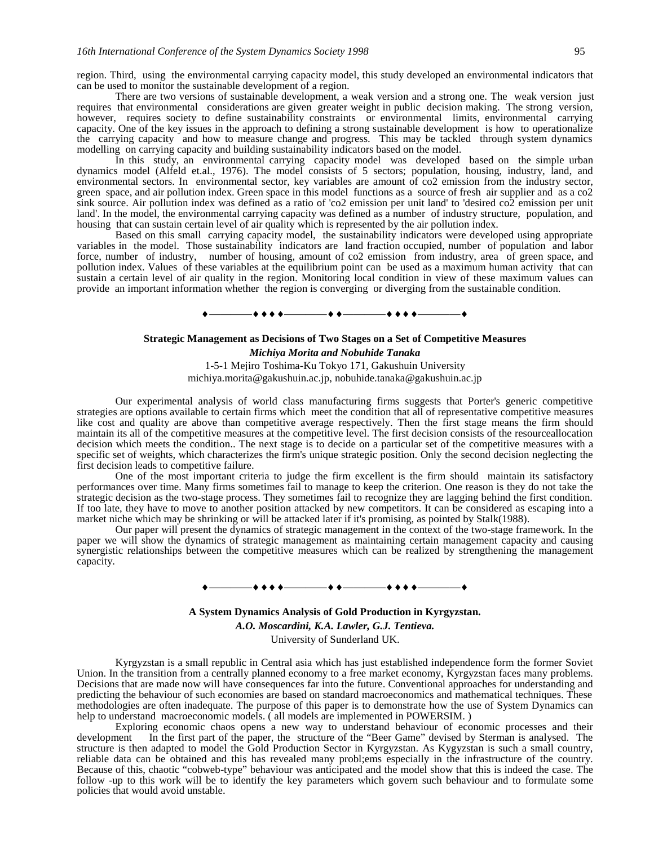region. Third, using the environmental carrying capacity model, this study developed an environmental indicators that can be used to monitor the sustainable development of a region.

There are two versions of sustainable development, a weak version and a strong one. The weak version just requires that environmental considerations are given greater weight in public decision making. The strong version, however, requires society to define sustainability constraints or environmental limits, environmental carrying capacity. One of the key issues in the approach to defining a strong sustainable development is how to operationalize the carrying capacity and how to measure change and progress. This may be tackled through system dynamics modelling on carrying capacity and building sustainability indicators based on the model.

In this study, an environmental carrying capacity model was developed based on the simple urban dynamics model (Alfeld et.al., 1976). The model consists of 5 sectors; population, housing, industry, land, and environmental sectors. In environmental sector, key variables are amount of co2 emission from the industry sector, green space, and air pollution index. Green space in this model functions as a source of fresh air supplier and as a co2 sink source. Air pollution index was defined as a ratio of 'co2 emission per unit land' to 'desired co2 emission per unit land'. In the model, the environmental carrying capacity was defined as a number of industry structure, population, and housing that can sustain certain level of air quality which is represented by the air pollution index.

Based on this small carrying capacity model, the sustainability indicators were developed using appropriate variables in the model. Those sustainability indicators are land fraction occupied, number of population and labor force, number of industry, number of housing, amount of co2 emission from industry, area of green space, and pollution index. Values of these variables at the equilibrium point can be used as a maximum human activity that can sustain a certain level of air quality in the region. Monitoring local condition in view of these maximum values can provide an important information whether the region is converging or diverging from the sustainable condition.

# ————————————————

### **Strategic Management as Decisions of Two Stages on a Set of Competitive Measures**

*Michiya Morita and Nobuhide Tanaka* 1-5-1 Mejiro Toshima-Ku Tokyo 171, Gakushuin University michiya.morita@gakushuin.ac.jp, nobuhide.tanaka@gakushuin.ac.jp

Our experimental analysis of world class manufacturing firms suggests that Porter's generic competitive strategies are options available to certain firms which meet the condition that all of representative competitive measures like cost and quality are above than competitive average respectively. Then the first stage means the firm should maintain its all of the competitive measures at the competitive level. The first decision consists of the resourceallocation decision which meets the condition.. The next stage is to decide on a particular set of the competitive measures with a specific set of weights, which characterizes the firm's unique strategic position. Only the second decision neglecting the first decision leads to competitive failure.

One of the most important criteria to judge the firm excellent is the firm should maintain its satisfactory performances over time. Many firms sometimes fail to manage to keep the criterion. One reason is they do not take the strategic decision as the two-stage process. They sometimes fail to recognize they are lagging behind the first condition. If too late, they have to move to another position attacked by new competitors. It can be considered as escaping into a market niche which may be shrinking or will be attacked later if it's promising, as pointed by Stalk(1988).

Our paper will present the dynamics of strategic management in the context of the two-stage framework. In the paper we will show the dynamics of strategic management as maintaining certain management capacity and causing synergistic relationships between the competitive measures which can be realized by strengthening the management capacity.

### ————————————————

**A System Dynamics Analysis of Gold Production in Kyrgyzstan.** *A.O. Moscardini, K.A. Lawler, G.J. Tentieva.* University of Sunderland UK.

Kyrgyzstan is a small republic in Central asia which has just established independence form the former Soviet Union. In the transition from a centrally planned economy to a free market economy, Kyrgyzstan faces many problems. Decisions that are made now will have consequences far into the future. Conventional approaches for understanding and predicting the behaviour of such economies are based on standard macroeconomics and mathematical techniques. These methodologies are often inadequate. The purpose of this paper is to demonstrate how the use of System Dynamics can help to understand macroeconomic models. (all models are implemented in POWERSIM.)

Exploring economic chaos opens a new way to understand behaviour of economic processes and their development In the first part of the paper, the structure of the "Beer Game" devised by Sterman is analysed. The structure is then adapted to model the Gold Production Sector in Kyrgyzstan. As Kygyzstan is such a small country, reliable data can be obtained and this has revealed many probl;ems especially in the infrastructure of the country. Because of this, chaotic "cobweb-type" behaviour was anticipated and the model show that this is indeed the case. The follow -up to this work will be to identify the key parameters which govern such behaviour and to formulate some policies that would avoid unstable.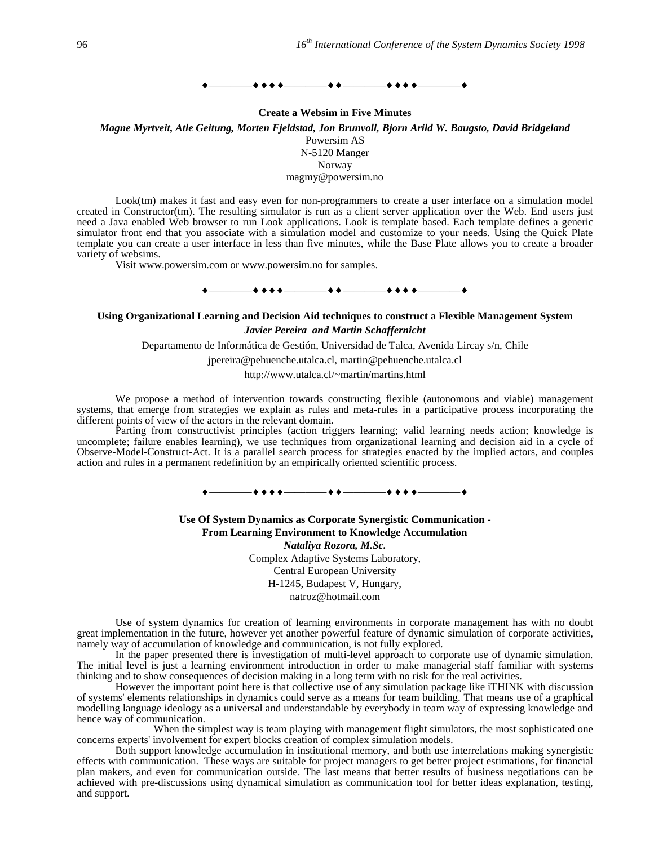### $\rightarrow$  +  $\rightarrow$   $\rightarrow$  + + +  $\rightarrow$   $\rightarrow$   $\rightarrow$  + +  $\rightarrow$   $\rightarrow$  +  $\rightarrow$  +  $\rightarrow$  +  $\rightarrow$  +  $\rightarrow$  +  $\rightarrow$  +  $\rightarrow$  +  $\rightarrow$  +  $\rightarrow$  +  $\rightarrow$  +  $\rightarrow$  +  $\rightarrow$  +  $\rightarrow$  +  $\rightarrow$  +  $\rightarrow$  +  $\rightarrow$  +  $\rightarrow$  +  $\rightarrow$  +  $\rightarrow$  +  $\rightarrow$  +  $\rightarrow$  +  $\rightarrow$  +  $\rightarrow$  +  $\rightarrow$  +  $\rightarrow$  +

**Create a Websim in Five Minutes**

*Magne Myrtveit, Atle Geitung, Morten Fjeldstad, Jon Brunvoll, Bjorn Arild W. Baugsto, David Bridgeland* Powersim AS

N-5120 Manger

Norway

magmy@powersim.no

Look(tm) makes it fast and easy even for non-programmers to create a user interface on a simulation model created in Constructor(tm). The resulting simulator is run as a client server application over the Web. End users just need a Java enabled Web browser to run Look applications. Look is template based. Each template defines a generic simulator front end that you associate with a simulation model and customize to your needs. Using the Quick Plate template you can create a user interface in less than five minutes, while the Base Plate allows you to create a broader variety of websims.

Visit www.powersim.com or www.powersim.no for samples.

### ————————————————

# **Using Organizational Learning and Decision Aid techniques to construct a Flexible Management System** *Javier Pereira and Martin Schaffernicht*

Departamento de Informática de Gestión, Universidad de Talca, Avenida Lircay s/n, Chile

jpereira@pehuenche.utalca.cl, martin@pehuenche.utalca.cl

http://www.utalca.cl/~martin/martins.html

We propose a method of intervention towards constructing flexible (autonomous and viable) management systems, that emerge from strategies we explain as rules and meta-rules in a participative process incorporating the different points of view of the actors in the relevant domain.

Parting from constructivist principles (action triggers learning; valid learning needs action; knowledge is uncomplete; failure enables learning), we use techniques from organizational learning and decision aid in a cycle of Observe-Model-Construct-Act. It is a parallel search process for strategies enacted by the implied actors, and couples action and rules in a permanent redefinition by an empirically oriented scientific process.

## $\begin{array}{c} \begin{array}{c} \text{\textcolor{blue}{\textbf{+}}}\ \text{\textcolor{blue}{\textbf{+}}} \ \text{\textcolor{blue}{\textbf{+}}} \ \text{\textcolor{blue}{\textbf{+}}} \ \text{\textcolor{blue}{\textbf{+}}} \ \text{\textcolor{blue}{\textbf{+}}} \ \text{\textcolor{blue}{\textbf{+}}} \ \text{\textcolor{blue}{\textbf{+}}} \ \text{\textcolor{blue}{\textbf{+}}} \ \text{\textcolor{blue}{\textbf{+}}} \ \text{\textcolor{blue}{\textbf{+}}} \ \text{\textcolor{blue}{\textbf{+}}} \ \text{\textcolor{blue}{\textbf{+}}} \ \text{\textcolor{blue}{\textbf$

**Use Of System Dynamics as Corporate Synergistic Communication - From Learning Environment to Knowledge Accumulation** *Nataliya Rozora, M.Sc.* Complex Adaptive Systems Laboratory, Central European University H-1245, Budapest V, Hungary,

natroz@hotmail.com

Use of system dynamics for creation of learning environments in corporate management has with no doubt great implementation in the future, however yet another powerful feature of dynamic simulation of corporate activities, namely way of accumulation of knowledge and communication, is not fully explored.

In the paper presented there is investigation of multi-level approach to corporate use of dynamic simulation. The initial level is just a learning environment introduction in order to make managerial staff familiar with systems thinking and to show consequences of decision making in a long term with no risk for the real activities.

However the important point here is that collective use of any simulation package like iTHINK with discussion of systems' elements relationships in dynamics could serve as a means for team building. That means use of a graphical modelling language ideology as a universal and understandable by everybody in team way of expressing knowledge and hence way of communication.

When the simplest way is team playing with management flight simulators, the most sophisticated one concerns experts' involvement for expert blocks creation of complex simulation models.

Both support knowledge accumulation in institutional memory, and both use interrelations making synergistic effects with communication. These ways are suitable for project managers to get better project estimations, for financial plan makers, and even for communication outside. The last means that better results of business negotiations can be achieved with pre-discussions using dynamical simulation as communication tool for better ideas explanation, testing, and support.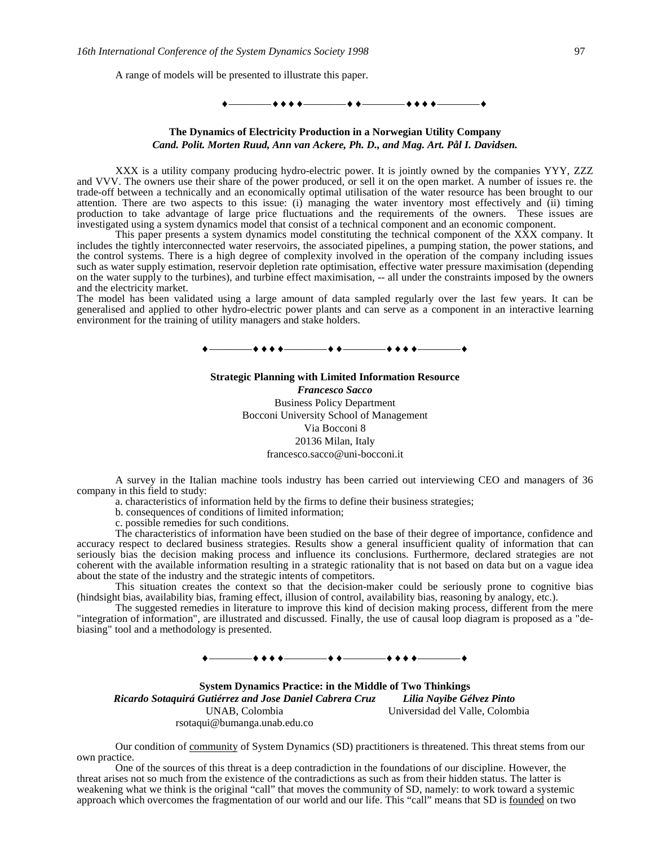A range of models will be presented to illustrate this paper.

# ————————————————

### **The Dynamics of Electricity Production in a Norwegian Utility Company** *Cand. Polit. Morten Ruud, Ann van Ackere, Ph. D., and Mag. Art. Pål I. Davidsen.*

XXX is a utility company producing hydro-electric power. It is jointly owned by the companies YYY, ZZZ and VVV. The owners use their share of the power produced, or sell it on the open market. A number of issues re. the trade-off between a technically and an economically optimal utilisation of the water resource has been brought to our attention. There are two aspects to this issue: (i) managing the water inventory most effectively and (ii) timing production to take advantage of large price fluctuations and the requirements of the owners. These issues are investigated using a system dynamics model that consist of a technical component and an economic component.

This paper presents a system dynamics model constituting the technical component of the XXX company. It includes the tightly interconnected water reservoirs, the associated pipelines, a pumping station, the power stations, and the control systems. There is a high degree of complexity involved in the operation of the company including issues such as water supply estimation, reservoir depletion rate optimisation, effective water pressure maximisation (depending on the water supply to the turbines), and turbine effect maximisation, -- all under the constraints imposed by the owners and the electricity market.

The model has been validated using a large amount of data sampled regularly over the last few years. It can be generalised and applied to other hydro-electric power plants and can serve as a component in an interactive learning environment for the training of utility managers and stake holders.



### **Strategic Planning with Limited Information Resource** *Francesco Sacco*

Business Policy Department Bocconi University School of Management Via Bocconi 8 20136 Milan, Italy francesco.sacco@uni-bocconi.it

A survey in the Italian machine tools industry has been carried out interviewing CEO and managers of 36 company in this field to study:

a. characteristics of information held by the firms to define their business strategies;

b. consequences of conditions of limited information;

c. possible remedies for such conditions.

The characteristics of information have been studied on the base of their degree of importance, confidence and accuracy respect to declared business strategies. Results show a general insufficient quality of information that can seriously bias the decision making process and influence its conclusions. Furthermore, declared strategies are not coherent with the available information resulting in a strategic rationality that is not based on data but on a vague idea about the state of the industry and the strategic intents of competitors.

This situation creates the context so that the decision-maker could be seriously prone to cognitive bias (hindsight bias, availability bias, framing effect, illusion of control, availability bias, reasoning by analogy, etc.).

The suggested remedies in literature to improve this kind of decision making process, different from the mere "integration of information", are illustrated and discussed. Finally, the use of causal loop diagram is proposed as a "debiasing" tool and a methodology is presented.

 $\bullet\bullet\bullet\bullet$  . The set of  $\bullet$  .

**System Dynamics Practice: in the Middle of Two Thinkings** *Ricardo Sotaquirá Gutiérrez and Jose Daniel Cabrera Cruz Lilia Nayibe Gélvez Pinto* UNAB, Colombia rsotaqui@bumanga.unab.edu.co Universidad del Valle, Colombia

Our condition of community of System Dynamics (SD) practitioners is threatened. This threat stems from our own practice.

One of the sources of this threat is a deep contradiction in the foundations of our discipline. However, the threat arises not so much from the existence of the contradictions as such as from their hidden status. The latter is weakening what we think is the original "call" that moves the community of SD, namely: to work toward a systemic approach which overcomes the fragmentation of our world and our life. This "call" means that SD is founded on two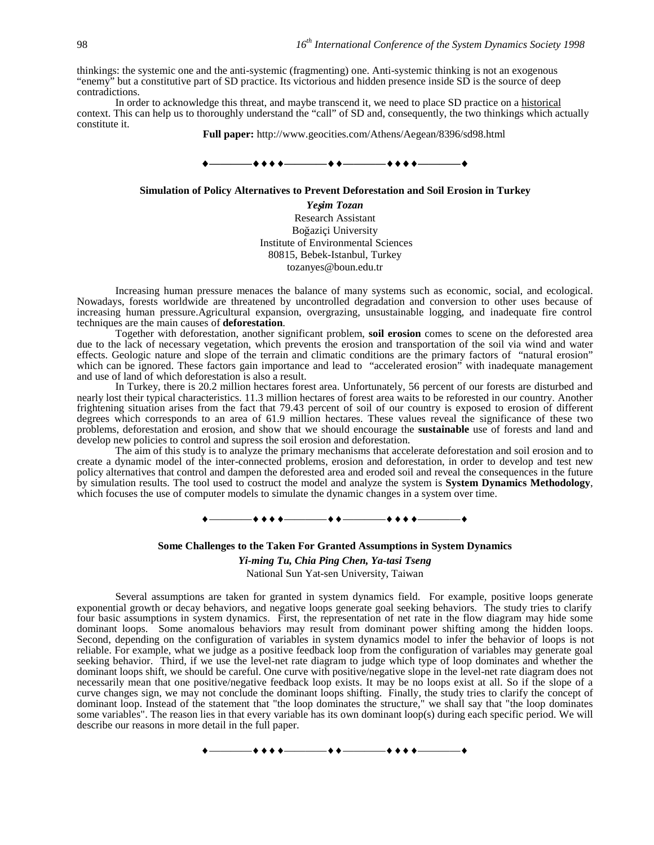thinkings: the systemic one and the anti-systemic (fragmenting) one. Anti-systemic thinking is not an exogenous "enemy" but a constitutive part of SD practice. Its victorious and hidden presence inside SD is the source of deep contradictions.

In order to acknowledge this threat, and maybe transcend it, we need to place SD practice on a historical context. This can help us to thoroughly understand the "call" of SD and, consequently, the two thinkings which actually constitute it.

**Full paper:** http://www.geocities.com/Athens/Aegean/8396/sd98.html

#### **————————————————**

#### **Simulation of Policy Alternatives to Prevent Deforestation and Soil Erosion in Turkey**

*Yeim Tozan* Research Assistant Boğaziçi University Institute of Environmental Sciences 80815, Bebek-Istanbul, Turkey tozanyes@boun.edu.tr

Increasing human pressure menaces the balance of many systems such as economic, social, and ecological. Nowadays, forests worldwide are threatened by uncontrolled degradation and conversion to other uses because of increasing human pressure.Agricultural expansion, overgrazing, unsustainable logging, and inadequate fire control techniques are the main causes of **deforestation**.

Together with deforestation, another significant problem, **soil erosion** comes to scene on the deforested area due to the lack of necessary vegetation, which prevents the erosion and transportation of the soil via wind and water effects. Geologic nature and slope of the terrain and climatic conditions are the primary factors of "natural erosion" which can be ignored. These factors gain importance and lead to "accelerated erosion" with inadequate management and use of land of which deforestation is also a result.

In Turkey, there is 20.2 million hectares forest area. Unfortunately, 56 percent of our forests are disturbed and nearly lost their typical characteristics. 11.3 million hectares of forest area waits to be reforested in our country. Another frightening situation arises from the fact that 79.43 percent of soil of our country is exposed to erosion of different degrees which corresponds to an area of 61.9 million hectares. These values reveal the significance of these two problems, deforestation and erosion, and show that we should encourage the **sustainable** use of forests and land and develop new policies to control and supress the soil erosion and deforestation.

The aim of this study is to analyze the primary mechanisms that accelerate deforestation and soil erosion and to create a dynamic model of the inter-connected problems, erosion and deforestation, in order to develop and test new policy alternatives that control and dampen the deforested area and eroded soil and reveal the consequences in the future by simulation results. The tool used to costruct the model and analyze the system is **System Dynamics Methodology**, which focuses the use of computer models to simulate the dynamic changes in a system over time.

### ————————————————

### **Some Challenges to the Taken For Granted Assumptions in System Dynamics**

*Yi-ming Tu, Chia Ping Chen, Ya-tasi Tseng*

National Sun Yat-sen University, Taiwan

Several assumptions are taken for granted in system dynamics field. For example, positive loops generate exponential growth or decay behaviors, and negative loops generate goal seeking behaviors. The study tries to clarify four basic assumptions in system dynamics. First, the representation of net rate in the flow diagram may hide some dominant loops. Some anomalous behaviors may result from dominant power shifting among the hidden loops. Second, depending on the configuration of variables in system dynamics model to infer the behavior of loops is not reliable. For example, what we judge as a positive feedback loop from the configuration of variables may generate goal seeking behavior. Third, if we use the level-net rate diagram to judge which type of loop dominates and whether the dominant loops shift, we should be careful. One curve with positive/negative slope in the level-net rate diagram does not necessarily mean that one positive/negative feedback loop exists. It may be no loops exist at all. So if the slope of a curve changes sign, we may not conclude the dominant loops shifting. Finally, the study tries to clarify the concept of dominant loop. Instead of the statement that "the loop dominates the structure," we shall say that "the loop dominates some variables". The reason lies in that every variable has its own dominant loop(s) during each specific period. We will describe our reasons in more detail in the full paper.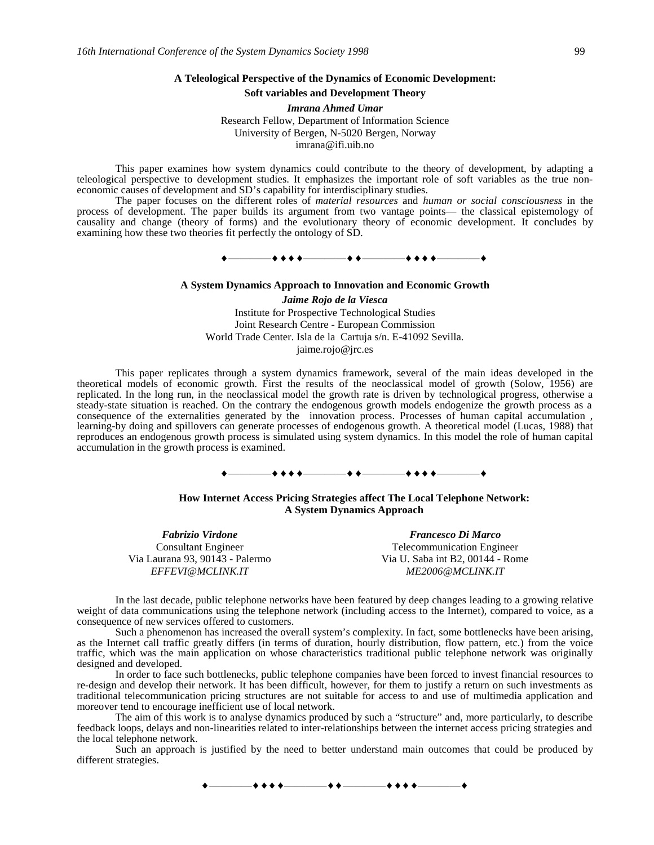### **A Teleological Perspective of the Dynamics of Economic Development:**

## **Soft variables and Development Theory**

*Imrana Ahmed Umar* Research Fellow, Department of Information Science University of Bergen, N-5020 Bergen, Norway imrana@ifi.uib.no

This paper examines how system dynamics could contribute to the theory of development, by adapting a teleological perspective to development studies. It emphasizes the important role of soft variables as the true noneconomic causes of development and SD's capability for interdisciplinary studies.

The paper focuses on the different roles of *material resources* and *human or social consciousness* in the process of development. The paper builds its argument from two vantage points— the classical epistemology of causality and change (theory of forms) and the evolutionary theory of economic development. It concludes by examining how these two theories fit perfectly the ontology of SD.

————————————————

### **A System Dynamics Approach to Innovation and Economic Growth**

*Jaime Rojo de la Viesca* Institute for Prospective Technological Studies Joint Research Centre - European Commission World Trade Center. Isla de la Cartuja s/n. E-41092 Sevilla. jaime.rojo@jrc.es

This paper replicates through a system dynamics framework, several of the main ideas developed in the theoretical models of economic growth. First the results of the neoclassical model of growth (Solow, 1956) are replicated. In the long run, in the neoclassical model the growth rate is driven by technological progress, otherwise a steady-state situation is reached. On the contrary the endogenous growth models endogenize the growth process as a consequence of the externalities generated by the innovation process. Processes of human capital accumulation , learning-by doing and spillovers can generate processes of endogenous growth. A theoretical model (Lucas, 1988) that reproduces an endogenous growth process is simulated using system dynamics. In this model the role of human capital accumulation in the growth process is examined.

# ————————————————

### **How Internet Access Pricing Strategies affect The Local Telephone Network: A System Dynamics Approach**

*Fabrizio Virdone Francesco Di Marco*

Consultant Engineer Telecommunication Engineer Via Laurana 93, 90143 - Palermo Via U. Saba int B2, 00144 - Rome *EFFEVI@MCLINK.IT ME2006@MCLINK.IT*

In the last decade, public telephone networks have been featured by deep changes leading to a growing relative weight of data communications using the telephone network (including access to the Internet), compared to voice, as a consequence of new services offered to customers.

Such a phenomenon has increased the overall system's complexity. In fact, some bottlenecks have been arising, as the Internet call traffic greatly differs (in terms of duration, hourly distribution, flow pattern, etc.) from the voice traffic, which was the main application on whose characteristics traditional public telephone network was originally designed and developed.

In order to face such bottlenecks, public telephone companies have been forced to invest financial resources to re-design and develop their network. It has been difficult, however, for them to justify a return on such investments as traditional telecommunication pricing structures are not suitable for access to and use of multimedia application and moreover tend to encourage inefficient use of local network.

The aim of this work is to analyse dynamics produced by such a "structure" and, more particularly, to describe feedback loops, delays and non-linearities related to inter-relationships between the internet access pricing strategies and the local telephone network.

Such an approach is justified by the need to better understand main outcomes that could be produced by different strategies.

 $+ + + + -$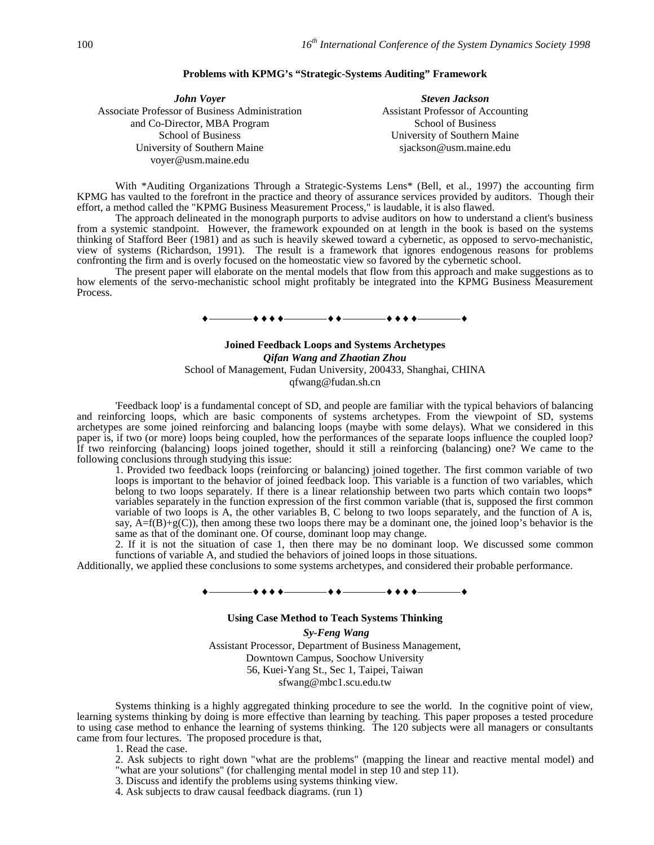### **Problems with KPMG's "Strategic-Systems Auditing" Framework**

*John Voyer Steven Jackson* Associate Professor of Business Administration and Co-Director, MBA Program School of Business University of Southern Maine voyer@usm.maine.edu

Assistant Professor of Accounting School of Business University of Southern Maine sjackson@usm.maine.edu

With \*Auditing Organizations Through a Strategic-Systems Lens\* (Bell, et al., 1997) the accounting firm KPMG has vaulted to the forefront in the practice and theory of assurance services provided by auditors. Though their effort, a method called the "KPMG Business Measurement Process," is laudable, it is also flawed.

The approach delineated in the monograph purports to advise auditors on how to understand a client's business from a systemic standpoint. However, the framework expounded on at length in the book is based on the systems thinking of Stafford Beer (1981) and as such is heavily skewed toward a cybernetic, as opposed to servo-mechanistic, view of systems (Richardson, 1991). The result is a framework that ignores endogenous reasons for problems confronting the firm and is overly focused on the homeostatic view so favored by the cybernetic school.

The present paper will elaborate on the mental models that flow from this approach and make suggestions as to how elements of the servo-mechanistic school might profitably be integrated into the KPMG Business Measurement Process.

# ————————————————

## **Joined Feedback Loops and Systems Archetypes** *Qifan Wang and Zhaotian Zhou* School of Management, Fudan University, 200433, Shanghai, CHINA qfwang@fudan.sh.cn

'Feedback loop' is a fundamental concept of SD, and people are familiar with the typical behaviors of balancing and reinforcing loops, which are basic components of systems archetypes. From the viewpoint of SD, systems archetypes are some joined reinforcing and balancing loops (maybe with some delays). What we considered in this paper is, if two (or more) loops being coupled, how the performances of the separate loops influence the coupled loop? If two reinforcing (balancing) loops joined together, should it still a reinforcing (balancing) one? We came to the following conclusions through studying this issue:

1. Provided two feedback loops (reinforcing or balancing) joined together. The first common variable of two loops is important to the behavior of joined feedback loop. This variable is a function of two variables, which belong to two loops separately. If there is a linear relationship between two parts which contain two loops $*$ variables separately in the function expression of the first common variable (that is, supposed the first common variable of two loops is A, the other variables B, C belong to two loops separately, and the function of A is, say,  $A=f(B)+g(C)$ , then among these two loops there may be a dominant one, the joined loop's behavior is the same as that of the dominant one. Of course, dominant loop may change.

2. If it is not the situation of case 1, then there may be no dominant loop. We discussed some common functions of variable A, and studied the behaviors of joined loops in those situations.

Additionally, we applied these conclusions to some systems archetypes, and considered their probable performance.

### ————————————————

#### **Using Case Method to Teach Systems Thinking**

 *Sy-Feng Wang*

Assistant Processor, Department of Business Management, Downtown Campus, Soochow University 56, Kuei-Yang St., Sec 1, Taipei, Taiwan sfwang@mbc1.scu.edu.tw

Systems thinking is a highly aggregated thinking procedure to see the world. In the cognitive point of view, learning systems thinking by doing is more effective than learning by teaching. This paper proposes a tested procedure to using case method to enhance the learning of systems thinking. The 120 subjects were all managers or consultants came from four lectures. The proposed procedure is that,

1. Read the case.

- 2. Ask subjects to right down "what are the problems" (mapping the linear and reactive mental model) and "what are your solutions" (for challenging mental model in step 10 and step 11).
- 3. Discuss and identify the problems using systems thinking view.
- 4. Ask subjects to draw causal feedback diagrams. (run 1)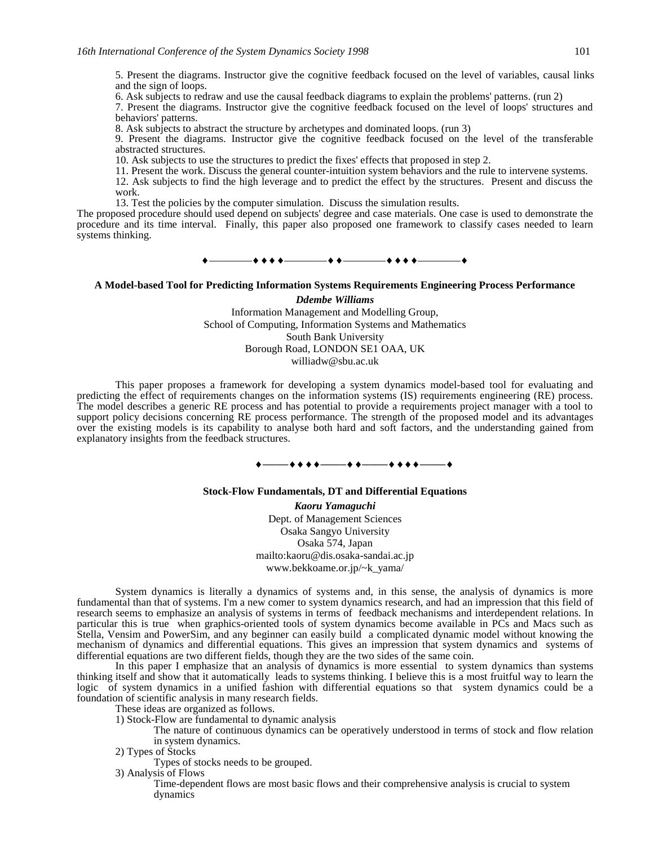5. Present the diagrams. Instructor give the cognitive feedback focused on the level of variables, causal links and the sign of loops.

6. Ask subjects to redraw and use the causal feedback diagrams to explain the problems' patterns. (run 2)

7. Present the diagrams. Instructor give the cognitive feedback focused on the level of loops' structures and behaviors' patterns.

8. Ask subjects to abstract the structure by archetypes and dominated loops. (run 3)

9. Present the diagrams. Instructor give the cognitive feedback focused on the level of the transferable abstracted structures.

10. Ask subjects to use the structures to predict the fixes' effects that proposed in step 2.

11. Present the work. Discuss the general counter-intuition system behaviors and the rule to intervene systems. 12. Ask subjects to find the high leverage and to predict the effect by the structures. Present and discuss the work.

13. Test the policies by the computer simulation. Discuss the simulation results.

The proposed procedure should used depend on subjects' degree and case materials. One case is used to demonstrate the procedure and its time interval. Finally, this paper also proposed one framework to classify cases needed to learn systems thinking.

————————————————

# **A Model-based Tool for Predicting Information Systems Requirements Engineering Process Performance**

*Ddembe Williams* Information Management and Modelling Group, School of Computing, Information Systems and Mathematics South Bank University Borough Road, LONDON SE1 OAA, UK williadw@sbu.ac.uk

This paper proposes a framework for developing a system dynamics model-based tool for evaluating and predicting the effect of requirements changes on the information systems (IS) requirements engineering (RE) process. The model describes a generic RE process and has potential to provide a requirements project manager with a tool to support policy decisions concerning RE process performance. The strength of the proposed model and its advantages over the existing models is its capability to analyse both hard and soft factors, and the understanding gained from explanatory insights from the feedback structures.

## ————————————————

#### **Stock-Flow Fundamentals, DT and Differential Equations**

*Kaoru Yamaguchi* Dept. of Management Sciences Osaka Sangyo University Osaka 574, Japan mailto:kaoru@dis.osaka-sandai.ac.jp www.bekkoame.or.jp/~k\_yama/

System dynamics is literally a dynamics of systems and, in this sense, the analysis of dynamics is more fundamental than that of systems. I'm a new comer to system dynamics research, and had an impression that this field of research seems to emphasize an analysis of systems in terms of feedback mechanisms and interdependent relations. In particular this is true when graphics-oriented tools of system dynamics become available in PCs and Macs such as Stella, Vensim and PowerSim, and any beginner can easily build a complicated dynamic model without knowing the mechanism of dynamics and differential equations. This gives an impression that system dynamics and systems of differential equations are two different fields, though they are the two sides of the same coin.

In this paper I emphasize that an analysis of dynamics is more essential to system dynamics than systems thinking itself and show that it automatically leads to systems thinking. I believe this is a most fruitful way to learn the logic of system dynamics in a unified fashion with differential equations so that system dynamics could be a foundation of scientific analysis in many research fields.

These ideas are organized as follows.

1) Stock-Flow are fundamental to dynamic analysis

The nature of continuous dynamics can be operatively understood in terms of stock and flow relation in system dynamics.

2) Types of Stocks

Types of stocks needs to be grouped.

3) Analysis of Flows

Time-dependent flows are most basic flows and their comprehensive analysis is crucial to system dynamics